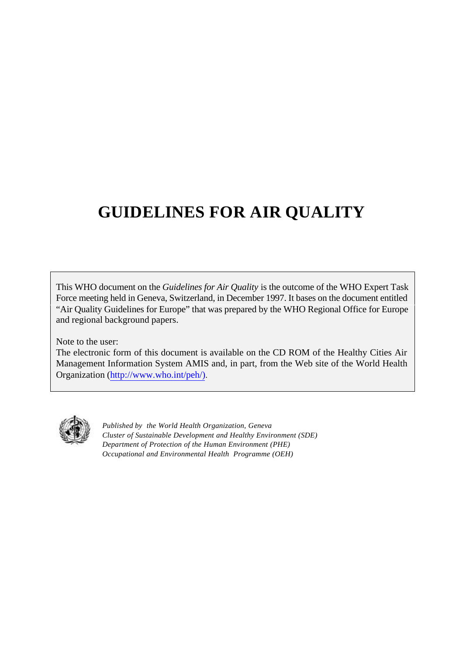# **GUIDELINES FOR AIR QUALITY**

This WHO document on the *Guidelines for Air Quality* is the outcome of the WHO Expert Task Force meeting held in Geneva, Switzerland, in December 1997. It bases on the document entitled "Air Quality Guidelines for Europe" that was prepared by the WHO Regional Office for Europe and regional background papers.

Note to the user:

The electronic form of this document is available on the CD ROM of the Healthy Cities Air Management Information System AMIS and, in part, from the Web site of the World Health Organization (http://www.who.int/peh/).



*Published by the World Health Organization, Geneva Cluster of Sustainable Development and Healthy Environment (SDE) Department of Protection of the Human Environment (PHE) Occupational and Environmental Health Programme (OEH)*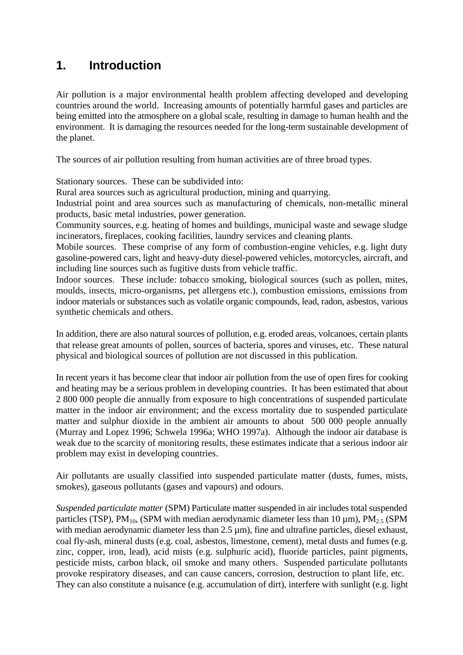## **1. Introduction**

Air pollution is a major environmental health problem affecting developed and developing countries around the world. Increasing amounts of potentially harmful gases and particles are being emitted into the atmosphere on a global scale, resulting in damage to human health and the environment. It is damaging the resources needed for the long-term sustainable development of the planet.

The sources of air pollution resulting from human activities are of three broad types.

Stationary sources. These can be subdivided into:

Rural area sources such as agricultural production, mining and quarrying.

Industrial point and area sources such as manufacturing of chemicals, non-metallic mineral products, basic metal industries, power generation.

Community sources, e.g. heating of homes and buildings, municipal waste and sewage sludge incinerators, fireplaces, cooking facilities, laundry services and cleaning plants.

Mobile sources. These comprise of any form of combustion-engine vehicles, e.g. light duty gasoline-powered cars, light and heavy-duty diesel-powered vehicles, motorcycles, aircraft, and including line sources such as fugitive dusts from vehicle traffic.

Indoor sources. These include: tobacco smoking, biological sources (such as pollen, mites, moulds, insects, micro-organisms, pet allergens etc.), combustion emissions, emissions from indoor materials or substances such as volatile organic compounds, lead, radon, asbestos, various synthetic chemicals and others.

In addition, there are also natural sources of pollution, e.g. eroded areas, volcanoes, certain plants that release great amounts of pollen, sources of bacteria, spores and viruses, etc. These natural physical and biological sources of pollution are not discussed in this publication.

In recent years it has become clear that indoor air pollution from the use of open fires for cooking and heating may be a serious problem in developing countries. It has been estimated that about 2 800 000 people die annually from exposure to high concentrations of suspended particulate matter in the indoor air environment; and the excess mortality due to suspended particulate matter and sulphur dioxide in the ambient air amounts to about 500 000 people annually (Murray and Lopez 1996; Schwela 1996a; WHO 1997a). Although the indoor air database is weak due to the scarcity of monitoring results, these estimates indicate that a serious indoor air problem may exist in developing countries.

Air pollutants are usually classified into suspended particulate matter (dusts, fumes, mists, smokes), gaseous pollutants (gases and vapours) and odours.

*Suspended particulate matter* (SPM) Particulate matter suspended in air includes total suspended particles (TSP),  $PM_{10}$ , (SPM with median aerodynamic diameter less than 10  $\mu$ m),  $PM_{2.5}$  (SPM with median aerodynamic diameter less than 2.5  $\mu$ m), fine and ultrafine particles, diesel exhaust, coal fly-ash, mineral dusts (e.g. coal, asbestos, limestone, cement), metal dusts and fumes (e.g. zinc, copper, iron, lead), acid mists (e.g. sulphuric acid), fluoride particles, paint pigments, pesticide mists, carbon black, oil smoke and many others. Suspended particulate pollutants provoke respiratory diseases, and can cause cancers, corrosion, destruction to plant life, etc. They can also constitute a nuisance (e.g. accumulation of dirt), interfere with sunlight (e.g. light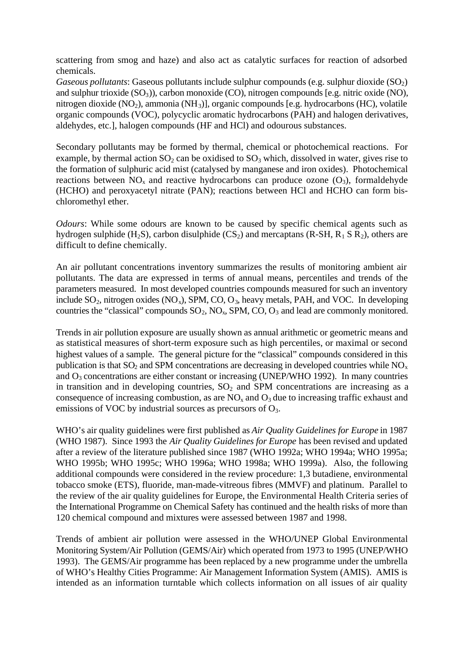scattering from smog and haze) and also act as catalytic surfaces for reaction of adsorbed chemicals.

*Gaseous pollutants*: Gaseous pollutants include sulphur compounds (e.g. sulphur dioxide (SO<sub>2</sub>) and sulphur trioxide  $(SO_3)$ ), carbon monoxide  $(CO)$ , nitrogen compounds [e.g. nitric oxide (NO), nitrogen dioxide (NO<sub>2</sub>), ammonia (NH<sub>3</sub>)], organic compounds [e.g. hydrocarbons (HC), volatile organic compounds (VOC), polycyclic aromatic hydrocarbons (PAH) and halogen derivatives, aldehydes, etc.], halogen compounds (HF and HCl) and odourous substances.

Secondary pollutants may be formed by thermal, chemical or photochemical reactions. For example, by thermal action  $SO_2$  can be oxidised to  $SO_3$  which, dissolved in water, gives rise to the formation of sulphuric acid mist (catalysed by manganese and iron oxides). Photochemical reactions between  $NO<sub>x</sub>$  and reactive hydrocarbons can produce ozone  $(O<sub>3</sub>)$ , formaldehyde (HCHO) and peroxyacetyl nitrate (PAN); reactions between HCl and HCHO can form bischloromethyl ether.

*Odours*: While some odours are known to be caused by specific chemical agents such as hydrogen sulphide (H<sub>2</sub>S), carbon disulphide (CS<sub>2</sub>) and mercaptans (R-SH, R<sub>1</sub> S R<sub>2</sub>), others are difficult to define chemically.

An air pollutant concentrations inventory summarizes the results of monitoring ambient air pollutants. The data are expressed in terms of annual means, percentiles and trends of the parameters measured. In most developed countries compounds measured for such an inventory include  $SO_2$ , nitrogen oxides  $(NO_x)$ , SPM,  $CO$ ,  $O_3$ , heavy metals, PAH, and VOC. In developing countries the "classical" compounds  $SO_2$ ,  $NO_x$ ,  $SPM$ ,  $CO$ ,  $O_3$  and lead are commonly monitored.

Trends in air pollution exposure are usually shown as annual arithmetic or geometric means and as statistical measures of short-term exposure such as high percentiles, or maximal or second highest values of a sample. The general picture for the "classical" compounds considered in this publication is that  $SO_2$  and SPM concentrations are decreasing in developed countries while  $NO<sub>x</sub>$ and  $O_3$  concentrations are either constant or increasing (UNEP/WHO 1992). In many countries in transition and in developing countries,  $SO_2$  and SPM concentrations are increasing as a consequence of increasing combustion, as are  $NO<sub>x</sub>$  and  $O<sub>3</sub>$  due to increasing traffic exhaust and emissions of VOC by industrial sources as precursors of  $O_3$ .

WHO's air quality guidelines were first published as *Air Quality Guidelines for Europe* in 1987 (WHO 1987). Since 1993 the *Air Quality Guidelines for Europe* has been revised and updated after a review of the literature published since 1987 (WHO 1992a; WHO 1994a; WHO 1995a; WHO 1995b; WHO 1995c; WHO 1996a; WHO 1998a; WHO 1999a). Also, the following additional compounds were considered in the review procedure: 1,3 butadiene, environmental tobacco smoke (ETS), fluoride, man-made-vitreous fibres (MMVF) and platinum. Parallel to the review of the air quality guidelines for Europe, the Environmental Health Criteria series of the International Programme on Chemical Safety has continued and the health risks of more than 120 chemical compound and mixtures were assessed between 1987 and 1998.

Trends of ambient air pollution were assessed in the WHO/UNEP Global Environmental Monitoring System/Air Pollution (GEMS/Air) which operated from 1973 to 1995 (UNEP/WHO 1993). The GEMS/Air programme has been replaced by a new programme under the umbrella of WHO's Healthy Cities Programme: Air Management Information System (AMIS). AMIS is intended as an information turntable which collects information on all issues of air quality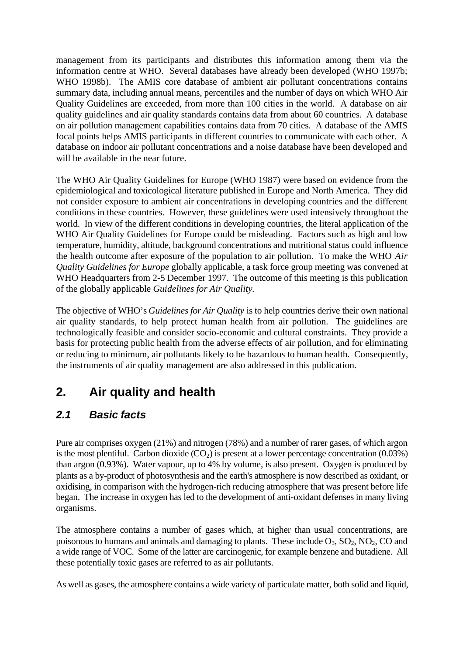management from its participants and distributes this information among them via the information centre at WHO. Several databases have already been developed (WHO 1997b; WHO 1998b). The AMIS core database of ambient air pollutant concentrations contains summary data, including annual means, percentiles and the number of days on which WHO Air Quality Guidelines are exceeded, from more than 100 cities in the world. A database on air quality guidelines and air quality standards contains data from about 60 countries. A database on air pollution management capabilities contains data from 70 cities. A database of the AMIS focal points helps AMIS participants in different countries to communicate with each other. A database on indoor air pollutant concentrations and a noise database have been developed and will be available in the near future.

The WHO Air Quality Guidelines for Europe (WHO 1987) were based on evidence from the epidemiological and toxicological literature published in Europe and North America. They did not consider exposure to ambient air concentrations in developing countries and the different conditions in these countries. However, these guidelines were used intensively throughout the world. In view of the different conditions in developing countries, the literal application of the WHO Air Quality Guidelines for Europe could be misleading. Factors such as high and low temperature, humidity, altitude, background concentrations and nutritional status could influence the health outcome after exposure of the population to air pollution. To make the WHO *Air Quality Guidelines for Europe* globally applicable, a task force group meeting was convened at WHO Headquarters from 2-5 December 1997. The outcome of this meeting is this publication of the globally applicable *Guidelines for Air Quality*.

The objective of WHO's *Guidelines for Air Quality* is to help countries derive their own national air quality standards, to help protect human health from air pollution. The guidelines are technologically feasible and consider socio-economic and cultural constraints. They provide a basis for protecting public health from the adverse effects of air pollution, and for eliminating or reducing to minimum, air pollutants likely to be hazardous to human health. Consequently, the instruments of air quality management are also addressed in this publication.

## **2. Air quality and health**

### *2.1 Basic facts*

Pure air comprises oxygen (21%) and nitrogen (78%) and a number of rarer gases, of which argon is the most plentiful. Carbon dioxide  $(CO_2)$  is present at a lower percentage concentration (0.03%) than argon (0.93%). Water vapour, up to 4% by volume, is also present. Oxygen is produced by plants as a by-product of photosynthesis and the earth's atmosphere is now described as oxidant, or oxidising, in comparison with the hydrogen-rich reducing atmosphere that was present before life began. The increase in oxygen has led to the development of anti-oxidant defenses in many living organisms.

The atmosphere contains a number of gases which, at higher than usual concentrations, are poisonous to humans and animals and damaging to plants. These include  $O_3$ ,  $SO_2$ ,  $NO_2$ ,  $CO$  and a wide range of VOC. Some of the latter are carcinogenic, for example benzene and butadiene. All these potentially toxic gases are referred to as air pollutants.

As well as gases, the atmosphere contains a wide variety of particulate matter, both solid and liquid,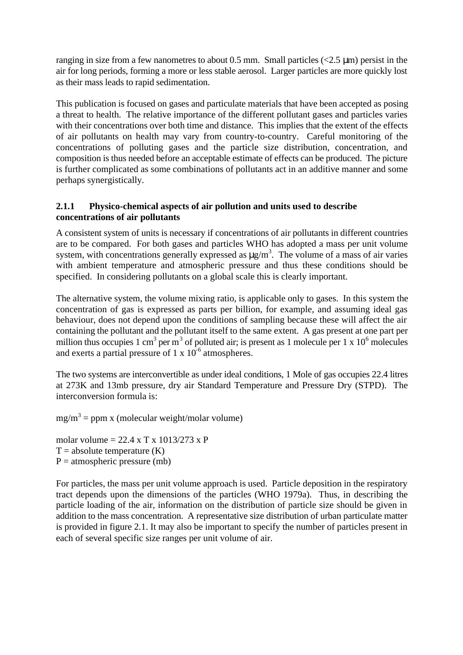ranging in size from a few nanometres to about 0.5 mm. Small particles  $\langle 2.5 \mu m \rangle$  persist in the air for long periods, forming a more or less stable aerosol. Larger particles are more quickly lost as their mass leads to rapid sedimentation.

This publication is focused on gases and particulate materials that have been accepted as posing a threat to health. The relative importance of the different pollutant gases and particles varies with their concentrations over both time and distance. This implies that the extent of the effects of air pollutants on health may vary from country-to-country. Careful monitoring of the concentrations of polluting gases and the particle size distribution, concentration, and composition is thus needed before an acceptable estimate of effects can be produced. The picture is further complicated as some combinations of pollutants act in an additive manner and some perhaps synergistically.

#### **2.1.1 Physico-chemical aspects of air pollution and units used to describe concentrations of air pollutants**

A consistent system of units is necessary if concentrations of air pollutants in different countries are to be compared. For both gases and particles WHO has adopted a mass per unit volume system, with concentrations generally expressed as  $\mu$ g/m<sup>3</sup>. The volume of a mass of air varies with ambient temperature and atmospheric pressure and thus these conditions should be specified. In considering pollutants on a global scale this is clearly important.

The alternative system, the volume mixing ratio, is applicable only to gases. In this system the concentration of gas is expressed as parts per billion, for example, and assuming ideal gas behaviour, does not depend upon the conditions of sampling because these will affect the air containing the pollutant and the pollutant itself to the same extent. A gas present at one part per million thus occupies 1 cm<sup>3</sup> per m<sup>3</sup> of polluted air; is present as 1 molecule per 1 x 10<sup>6</sup> molecules and exerts a partial pressure of  $1 \times 10^{-6}$  atmospheres.

The two systems are interconvertible as under ideal conditions, 1 Mole of gas occupies 22.4 litres at 273K and 13mb pressure, dry air Standard Temperature and Pressure Dry (STPD). The interconversion formula is:

 $mg/m<sup>3</sup> = ppm x$  (molecular weight/molar volume)

molar volume  $= 22.4 \times T \times 1013/273 \times P$  $T = absolute temperature (K)$  $P =$ atmospheric pressure (mb)

For particles, the mass per unit volume approach is used. Particle deposition in the respiratory tract depends upon the dimensions of the particles (WHO 1979a). Thus, in describing the particle loading of the air, information on the distribution of particle size should be given in addition to the mass concentration. A representative size distribution of urban particulate matter is provided in figure 2.1. It may also be important to specify the number of particles present in each of several specific size ranges per unit volume of air.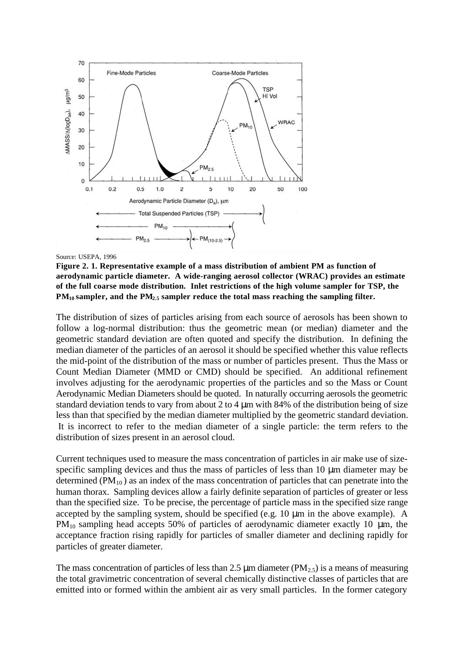

Source: USEPA, 1996

**Figure 2. 1. Representative example of a mass distribution of ambient PM as function of aerodynamic particle diameter. A wide-ranging aerosol collector (WRAC) provides an estimate of the full coarse mode distribution. Inlet restrictions of the high volume sampler for TSP, the PM10 sampler, and the PM2.5 sampler reduce the total mass reaching the sampling filter.**

The distribution of sizes of particles arising from each source of aerosols has been shown to follow a log-normal distribution: thus the geometric mean (or median) diameter and the geometric standard deviation are often quoted and specify the distribution. In defining the median diameter of the particles of an aerosol it should be specified whether this value reflects the mid-point of the distribution of the mass or number of particles present. Thus the Mass or Count Median Diameter (MMD or CMD) should be specified. An additional refinement involves adjusting for the aerodynamic properties of the particles and so the Mass or Count Aerodynamic Median Diameters should be quoted. In naturally occurring aerosols the geometric standard deviation tends to vary from about 2 to 4 μm with 84% of the distribution being of size less than that specified by the median diameter multiplied by the geometric standard deviation. It is incorrect to refer to the median diameter of a single particle: the term refers to the distribution of sizes present in an aerosol cloud.

Current techniques used to measure the mass concentration of particles in air make use of sizespecific sampling devices and thus the mass of particles of less than 10 μm diameter may be determined ( $PM_{10}$ ) as an index of the mass concentration of particles that can penetrate into the human thorax. Sampling devices allow a fairly definite separation of particles of greater or less than the specified size. To be precise, the percentage of particle mass in the specified size range accepted by the sampling system, should be specified (e.g. 10 μm in the above example). A PM<sub>10</sub> sampling head accepts 50% of particles of aerodynamic diameter exactly 10  $\mu$ m, the acceptance fraction rising rapidly for particles of smaller diameter and declining rapidly for particles of greater diameter.

The mass concentration of particles of less than 2.5  $\mu$ m diameter (PM<sub>2.5</sub>) is a means of measuring the total gravimetric concentration of several chemically distinctive classes of particles that are emitted into or formed within the ambient air as very small particles. In the former category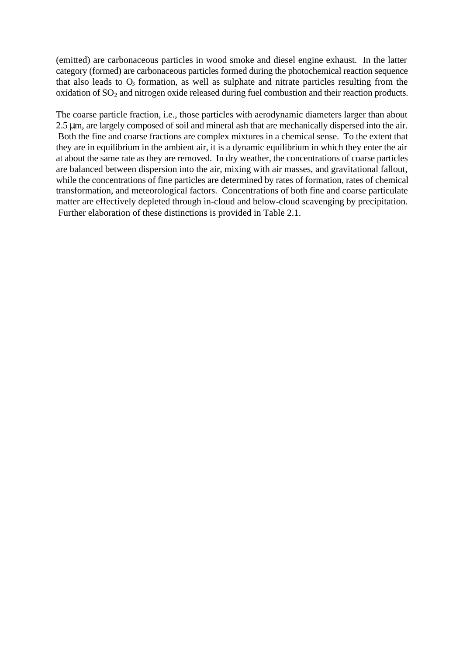(emitted) are carbonaceous particles in wood smoke and diesel engine exhaust. In the latter category (formed) are carbonaceous particles formed during the photochemical reaction sequence that also leads to  $O<sub>3</sub>$  formation, as well as sulphate and nitrate particles resulting from the oxidation of  $SO<sub>2</sub>$  and nitrogen oxide released during fuel combustion and their reaction products.

The coarse particle fraction, i.e., those particles with aerodynamic diameters larger than about 2.5 μm, are largely composed of soil and mineral ash that are mechanically dispersed into the air. Both the fine and coarse fractions are complex mixtures in a chemical sense. To the extent that they are in equilibrium in the ambient air, it is a dynamic equilibrium in which they enter the air at about the same rate as they are removed. In dry weather, the concentrations of coarse particles are balanced between dispersion into the air, mixing with air masses, and gravitational fallout, while the concentrations of fine particles are determined by rates of formation, rates of chemical transformation, and meteorological factors. Concentrations of both fine and coarse particulate matter are effectively depleted through in-cloud and below-cloud scavenging by precipitation. Further elaboration of these distinctions is provided in Table 2.1.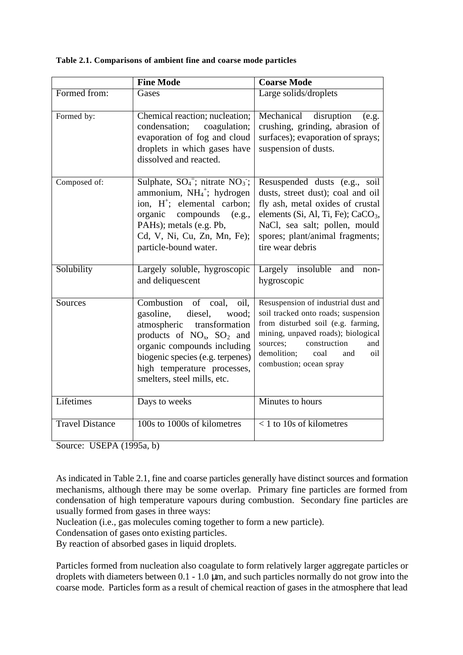**Table 2.1. Comparisons of ambient fine and coarse mode particles**

|                        | <b>Fine Mode</b>                                                                                                                                                                                                                                                  | <b>Coarse Mode</b>                                                                                                                                                                                                                                        |
|------------------------|-------------------------------------------------------------------------------------------------------------------------------------------------------------------------------------------------------------------------------------------------------------------|-----------------------------------------------------------------------------------------------------------------------------------------------------------------------------------------------------------------------------------------------------------|
| Formed from:           | Gases                                                                                                                                                                                                                                                             | Large solids/droplets                                                                                                                                                                                                                                     |
| Formed by:             | Chemical reaction; nucleation;<br>condensation; coagulation;<br>evaporation of fog and cloud<br>droplets in which gases have<br>dissolved and reacted.                                                                                                            | disruption<br>Mechanical<br>(e.g.<br>crushing, grinding, abrasion of<br>surfaces); evaporation of sprays;<br>suspension of dusts.                                                                                                                         |
| Composed of:           | Sulphate, $SO_4^{\dagger}$ ; nitrate $NO_3$ ;<br>ammonium, $NH_4^+$ ; hydrogen<br>ion, H <sup>+</sup> ; elemental carbon;<br>organic compounds (e.g.,<br>PAHs); metals (e.g. Pb,<br>Cd, V, Ni, Cu, Zn, Mn, Fe);<br>particle-bound water.                          | Resuspended dusts (e.g., soil<br>dusts, street dust); coal and oil<br>fly ash, metal oxides of crustal<br>elements (Si, Al, Ti, Fe); $CaCO3$ ,<br>NaCl, sea salt; pollen, mould<br>spores; plant/animal fragments;<br>tire wear debris                    |
| Solubility             | Largely soluble, hygroscopic<br>and deliquescent                                                                                                                                                                                                                  | Largely insoluble<br>and<br>non-<br>hygroscopic                                                                                                                                                                                                           |
| Sources                | Combustion of coal,<br>oil,<br>gasoline,<br>diesel,<br>wood;<br>atmospheric<br>transformation<br>products of $NO_x$ , $SO_2$ and<br>organic compounds including<br>biogenic species (e.g. terpenes)<br>high temperature processes,<br>smelters, steel mills, etc. | Resuspension of industrial dust and<br>soil tracked onto roads; suspension<br>from disturbed soil (e.g. farming,<br>mining, unpaved roads); biological<br>sources;<br>construction<br>and<br>demolition;<br>oil<br>coal<br>and<br>combustion; ocean spray |
| Lifetimes              | Days to weeks                                                                                                                                                                                                                                                     | Minutes to hours                                                                                                                                                                                                                                          |
| <b>Travel Distance</b> | 100s to 1000s of kilometres                                                                                                                                                                                                                                       | $<$ 1 to 10s of kilometres                                                                                                                                                                                                                                |

Source: USEPA (1995a, b)

Nucleation (i.e., gas molecules coming together to form a new particle).

Condensation of gases onto existing particles.

By reaction of absorbed gases in liquid droplets.

Particles formed from nucleation also coagulate to form relatively larger aggregate particles or droplets with diameters between 0.1 - 1.0 μm, and such particles normally do not grow into the coarse mode. Particles form as a result of chemical reaction of gases in the atmosphere that lead

As indicated in Table 2.1, fine and coarse particles generally have distinct sources and formation mechanisms, although there may be some overlap. Primary fine particles are formed from condensation of high temperature vapours during combustion. Secondary fine particles are usually formed from gases in three ways: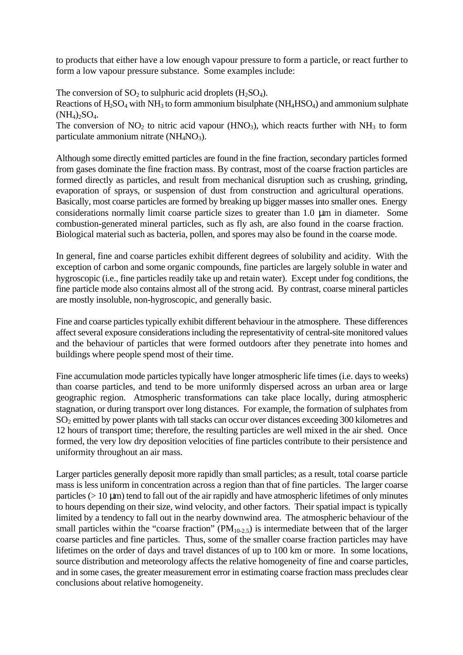to products that either have a low enough vapour pressure to form a particle, or react further to form a low vapour pressure substance. Some examples include:

The conversion of  $SO_2$  to sulphuric acid droplets (H<sub>2</sub>SO<sub>4</sub>). Reactions of  $H_2SO_4$  with  $NH_3$  to form ammonium bisulphate ( $NH_4HSO_4$ ) and ammonium sulphate  $(NH_4)$ <sub>2</sub>SO<sub>4</sub>.

The conversion of  $NO<sub>2</sub>$  to nitric acid vapour (HNO<sub>3</sub>), which reacts further with NH<sub>3</sub> to form particulate ammonium nitrate  $(NH_4NO_3)$ .

Although some directly emitted particles are found in the fine fraction, secondary particles formed from gases dominate the fine fraction mass. By contrast, most of the coarse fraction particles are formed directly as particles, and result from mechanical disruption such as crushing, grinding, evaporation of sprays, or suspension of dust from construction and agricultural operations. Basically, most coarse particles are formed by breaking up bigger masses into smaller ones. Energy considerations normally limit coarse particle sizes to greater than 1.0 μm in diameter. Some combustion-generated mineral particles, such as fly ash, are also found in the coarse fraction. Biological material such as bacteria, pollen, and spores may also be found in the coarse mode.

In general, fine and coarse particles exhibit different degrees of solubility and acidity. With the exception of carbon and some organic compounds, fine particles are largely soluble in water and hygroscopic (i.e., fine particles readily take up and retain water). Except under fog conditions, the fine particle mode also contains almost all of the strong acid. By contrast, coarse mineral particles are mostly insoluble, non-hygroscopic, and generally basic.

Fine and coarse particles typically exhibit different behaviour in the atmosphere. These differences affect several exposure considerations including the representativity of central-site monitored values and the behaviour of particles that were formed outdoors after they penetrate into homes and buildings where people spend most of their time.

Fine accumulation mode particles typically have longer atmospheric life times (i.e. days to weeks) than coarse particles, and tend to be more uniformly dispersed across an urban area or large geographic region. Atmospheric transformations can take place locally, during atmospheric stagnation, or during transport over long distances. For example, the formation of sulphates from SO2 emitted by power plants with tall stacks can occur over distances exceeding 300 kilometres and 12 hours of transport time; therefore, the resulting particles are well mixed in the air shed. Once formed, the very low dry deposition velocities of fine particles contribute to their persistence and uniformity throughout an air mass.

Larger particles generally deposit more rapidly than small particles; as a result, total coarse particle mass is less uniform in concentration across a region than that of fine particles. The larger coarse particles (> 10 μm) tend to fall out of the air rapidly and have atmospheric lifetimes of only minutes to hours depending on their size, wind velocity, and other factors. Their spatial impact is typically limited by a tendency to fall out in the nearby downwind area. The atmospheric behaviour of the small particles within the "coarse fraction"  $(PM<sub>10-2.5</sub>)$  is intermediate between that of the larger coarse particles and fine particles. Thus, some of the smaller coarse fraction particles may have lifetimes on the order of days and travel distances of up to 100 km or more. In some locations, source distribution and meteorology affects the relative homogeneity of fine and coarse particles, and in some cases, the greater measurement error in estimating coarse fraction mass precludes clear conclusions about relative homogeneity.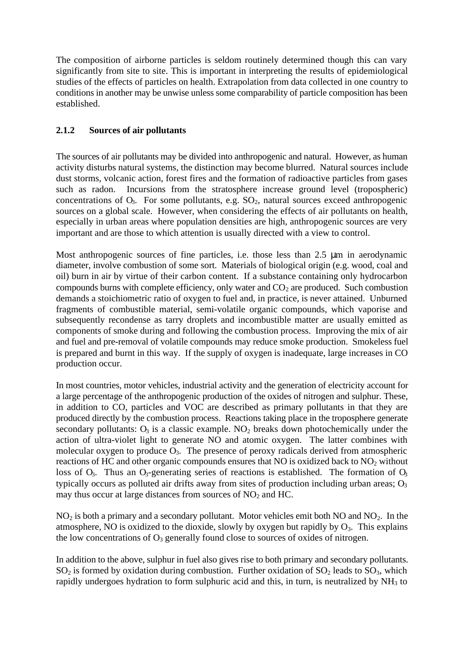The composition of airborne particles is seldom routinely determined though this can vary significantly from site to site. This is important in interpreting the results of epidemiological studies of the effects of particles on health. Extrapolation from data collected in one country to conditions in another may be unwise unless some comparability of particle composition has been established.

#### **2.1.2 Sources of air pollutants**

The sources of air pollutants may be divided into anthropogenic and natural. However, as human activity disturbs natural systems, the distinction may become blurred. Natural sources include dust storms, volcanic action, forest fires and the formation of radioactive particles from gases such as radon. Incursions from the stratosphere increase ground level (tropospheric) concentrations of  $O_3$ . For some pollutants, e.g.  $SO_2$ , natural sources exceed anthropogenic sources on a global scale. However, when considering the effects of air pollutants on health, especially in urban areas where population densities are high, anthropogenic sources are very important and are those to which attention is usually directed with a view to control.

Most anthropogenic sources of fine particles, i.e. those less than 2.5  $\mu$ m in aerodynamic diameter, involve combustion of some sort. Materials of biological origin (e.g. wood, coal and oil) burn in air by virtue of their carbon content. If a substance containing only hydrocarbon compounds burns with complete efficiency, only water and  $CO<sub>2</sub>$  are produced. Such combustion demands a stoichiometric ratio of oxygen to fuel and, in practice, is never attained. Unburned fragments of combustible material, semi-volatile organic compounds, which vaporise and subsequently recondense as tarry droplets and incombustible matter are usually emitted as components of smoke during and following the combustion process. Improving the mix of air and fuel and pre-removal of volatile compounds may reduce smoke production. Smokeless fuel is prepared and burnt in this way. If the supply of oxygen is inadequate, large increases in CO production occur.

In most countries, motor vehicles, industrial activity and the generation of electricity account for a large percentage of the anthropogenic production of the oxides of nitrogen and sulphur. These, in addition to CO, particles and VOC are described as primary pollutants in that they are produced directly by the combustion process. Reactions taking place in the troposphere generate secondary pollutants:  $O_3$  is a classic example.  $NO_2$  breaks down photochemically under the action of ultra-violet light to generate NO and atomic oxygen. The latter combines with molecular oxygen to produce  $O_3$ . The presence of peroxy radicals derived from atmospheric reactions of HC and other organic compounds ensures that NO is oxidized back to  $NO<sub>2</sub>$  without loss of  $O_3$ . Thus an  $O_3$ -generating series of reactions is established. The formation of  $O_3$ typically occurs as polluted air drifts away from sites of production including urban areas;  $O<sub>3</sub>$ may thus occur at large distances from sources of  $NO<sub>2</sub>$  and HC.

 $NO<sub>2</sub>$  is both a primary and a secondary pollutant. Motor vehicles emit both NO and NO<sub>2</sub>. In the atmosphere, NO is oxidized to the dioxide, slowly by oxygen but rapidly by  $O_3$ . This explains the low concentrations of  $O_3$  generally found close to sources of oxides of nitrogen.

In addition to the above, sulphur in fuel also gives rise to both primary and secondary pollutants.  $SO_2$  is formed by oxidation during combustion. Further oxidation of  $SO_2$  leads to  $SO_3$ , which rapidly undergoes hydration to form sulphuric acid and this, in turn, is neutralized by  $NH<sub>3</sub>$  to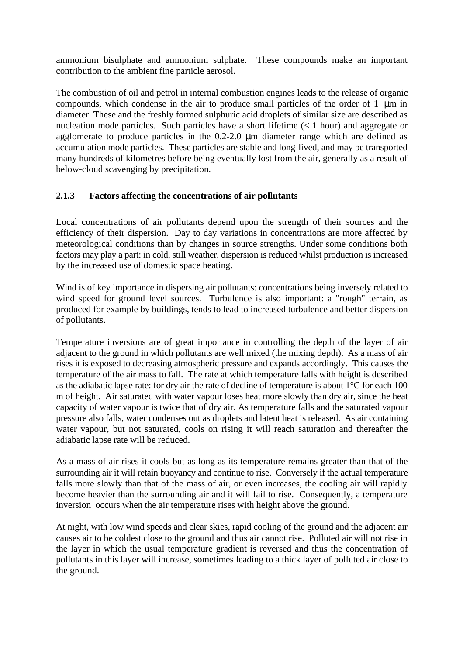ammonium bisulphate and ammonium sulphate. These compounds make an important contribution to the ambient fine particle aerosol.

The combustion of oil and petrol in internal combustion engines leads to the release of organic compounds, which condense in the air to produce small particles of the order of 1 μm in diameter. These and the freshly formed sulphuric acid droplets of similar size are described as nucleation mode particles. Such particles have a short lifetime  $(< 1$  hour) and aggregate or agglomerate to produce particles in the 0.2-2.0 μm diameter range which are defined as accumulation mode particles. These particles are stable and long-lived, and may be transported many hundreds of kilometres before being eventually lost from the air, generally as a result of below-cloud scavenging by precipitation.

#### **2.1.3 Factors affecting the concentrations of air pollutants**

Local concentrations of air pollutants depend upon the strength of their sources and the efficiency of their dispersion. Day to day variations in concentrations are more affected by meteorological conditions than by changes in source strengths. Under some conditions both factors may play a part: in cold, still weather, dispersion is reduced whilst production is increased by the increased use of domestic space heating.

Wind is of key importance in dispersing air pollutants: concentrations being inversely related to wind speed for ground level sources. Turbulence is also important: a "rough" terrain, as produced for example by buildings, tends to lead to increased turbulence and better dispersion of pollutants.

Temperature inversions are of great importance in controlling the depth of the layer of air adjacent to the ground in which pollutants are well mixed (the mixing depth). As a mass of air rises it is exposed to decreasing atmospheric pressure and expands accordingly. This causes the temperature of the air mass to fall. The rate at which temperature falls with height is described as the adiabatic lapse rate: for dry air the rate of decline of temperature is about 1°C for each 100 m of height. Air saturated with water vapour loses heat more slowly than dry air, since the heat capacity of water vapour is twice that of dry air. As temperature falls and the saturated vapour pressure also falls, water condenses out as droplets and latent heat is released. As air containing water vapour, but not saturated, cools on rising it will reach saturation and thereafter the adiabatic lapse rate will be reduced.

As a mass of air rises it cools but as long as its temperature remains greater than that of the surrounding air it will retain buoyancy and continue to rise. Conversely if the actual temperature falls more slowly than that of the mass of air, or even increases, the cooling air will rapidly become heavier than the surrounding air and it will fail to rise. Consequently, a temperature inversion occurs when the air temperature rises with height above the ground.

At night, with low wind speeds and clear skies, rapid cooling of the ground and the adjacent air causes air to be coldest close to the ground and thus air cannot rise. Polluted air will not rise in the layer in which the usual temperature gradient is reversed and thus the concentration of pollutants in this layer will increase, sometimes leading to a thick layer of polluted air close to the ground.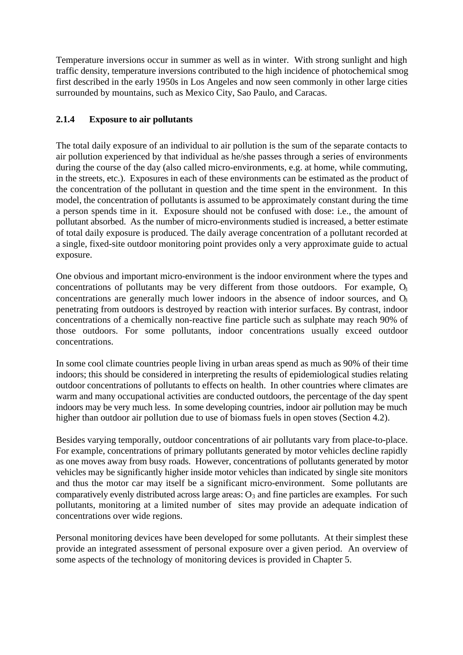Temperature inversions occur in summer as well as in winter. With strong sunlight and high traffic density, temperature inversions contributed to the high incidence of photochemical smog first described in the early 1950s in Los Angeles and now seen commonly in other large cities surrounded by mountains, such as Mexico City, Sao Paulo, and Caracas.

#### **2.1.4 Exposure to air pollutants**

The total daily exposure of an individual to air pollution is the sum of the separate contacts to air pollution experienced by that individual as he/she passes through a series of environments during the course of the day (also called micro-environments, e.g. at home, while commuting, in the streets, etc.). Exposures in each of these environments can be estimated as the product of the concentration of the pollutant in question and the time spent in the environment. In this model, the concentration of pollutants is assumed to be approximately constant during the time a person spends time in it. Exposure should not be confused with dose: i.e., the amount of pollutant absorbed. As the number of micro-environments studied is increased, a better estimate of total daily exposure is produced. The daily average concentration of a pollutant recorded at a single, fixed-site outdoor monitoring point provides only a very approximate guide to actual exposure.

One obvious and important micro-environment is the indoor environment where the types and concentrations of pollutants may be very different from those outdoors. For example,  $O<sub>3</sub>$ concentrations are generally much lower indoors in the absence of indoor sources, and  $\Omega_3$ penetrating from outdoors is destroyed by reaction with interior surfaces. By contrast, indoor concentrations of a chemically non-reactive fine particle such as sulphate may reach 90% of those outdoors. For some pollutants, indoor concentrations usually exceed outdoor concentrations.

In some cool climate countries people living in urban areas spend as much as 90% of their time indoors; this should be considered in interpreting the results of epidemiological studies relating outdoor concentrations of pollutants to effects on health. In other countries where climates are warm and many occupational activities are conducted outdoors, the percentage of the day spent indoors may be very much less. In some developing countries, indoor air pollution may be much higher than outdoor air pollution due to use of biomass fuels in open stoves (Section 4.2).

Besides varying temporally, outdoor concentrations of air pollutants vary from place-to-place. For example, concentrations of primary pollutants generated by motor vehicles decline rapidly as one moves away from busy roads. However, concentrations of pollutants generated by motor vehicles may be significantly higher inside motor vehicles than indicated by single site monitors and thus the motor car may itself be a significant micro-environment. Some pollutants are comparatively evenly distributed across large areas:  $O_3$  and fine particles are examples. For such pollutants, monitoring at a limited number of sites may provide an adequate indication of concentrations over wide regions.

Personal monitoring devices have been developed for some pollutants. At their simplest these provide an integrated assessment of personal exposure over a given period. An overview of some aspects of the technology of monitoring devices is provided in Chapter 5.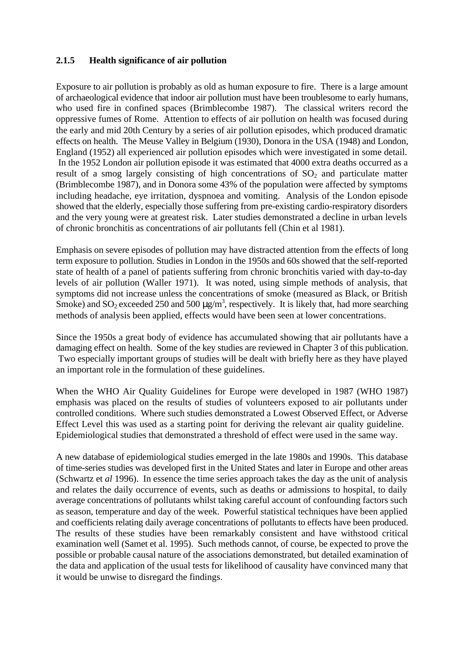#### **2.1.5 Health significance of air pollution**

Exposure to air pollution is probably as old as human exposure to fire. There is a large amount of archaeological evidence that indoor air pollution must have been troublesome to early humans, who used fire in confined spaces (Brimblecombe 1987). The classical writers record the oppressive fumes of Rome. Attention to effects of air pollution on health was focused during the early and mid 20th Century by a series of air pollution episodes, which produced dramatic effects on health. The Meuse Valley in Belgium (1930), Donora in the USA (1948) and London, England (1952) all experienced air pollution episodes which were investigated in some detail. In the 1952 London air pollution episode it was estimated that 4000 extra deaths occurred as a result of a smog largely consisting of high concentrations of  $SO<sub>2</sub>$  and particulate matter (Brimblecombe 1987), and in Donora some 43% of the population were affected by symptoms including headache, eye irritation, dyspnoea and vomiting. Analysis of the London episode showed that the elderly, especially those suffering from pre-existing cardio-respiratory disorders and the very young were at greatest risk. Later studies demonstrated a decline in urban levels of chronic bronchitis as concentrations of air pollutants fell (Chin et al 1981).

Emphasis on severe episodes of pollution may have distracted attention from the effects of long term exposure to pollution. Studies in London in the 1950s and 60s showed that the self-reported state of health of a panel of patients suffering from chronic bronchitis varied with day-to-day levels of air pollution (Waller 1971). It was noted, using simple methods of analysis, that symptoms did not increase unless the concentrations of smoke (measured as Black, or British Smoke) and SO<sub>2</sub> exceeded 250 and 500  $\mu$ g/m<sup>3</sup>, respectively. It is likely that, had more searching methods of analysis been applied, effects would have been seen at lower concentrations.

Since the 1950s a great body of evidence has accumulated showing that air pollutants have a damaging effect on health. Some of the key studies are reviewed in Chapter 3 of this publication. Two especially important groups of studies will be dealt with briefly here as they have played an important role in the formulation of these guidelines.

When the WHO Air Quality Guidelines for Europe were developed in 1987 (WHO 1987) emphasis was placed on the results of studies of volunteers exposed to air pollutants under controlled conditions. Where such studies demonstrated a Lowest Observed Effect, or Adverse Effect Level this was used as a starting point for deriving the relevant air quality guideline. Epidemiological studies that demonstrated a threshold of effect were used in the same way.

A new database of epidemiological studies emerged in the late 1980s and 1990s. This database of time-series studies was developed first in the United States and later in Europe and other areas (Schwartz et *al* 1996). In essence the time series approach takes the day as the unit of analysis and relates the daily occurrence of events, such as deaths or admissions to hospital, to daily average concentrations of pollutants whilst taking careful account of confounding factors such as season, temperature and day of the week. Powerful statistical techniques have been applied and coefficients relating daily average concentrations of pollutants to effects have been produced. The results of these studies have been remarkably consistent and have withstood critical examination well (Samet et al. 1995). Such methods cannot, of course, be expected to prove the possible or probable causal nature of the associations demonstrated, but detailed examination of the data and application of the usual tests for likelihood of causality have convinced many that it would be unwise to disregard the findings.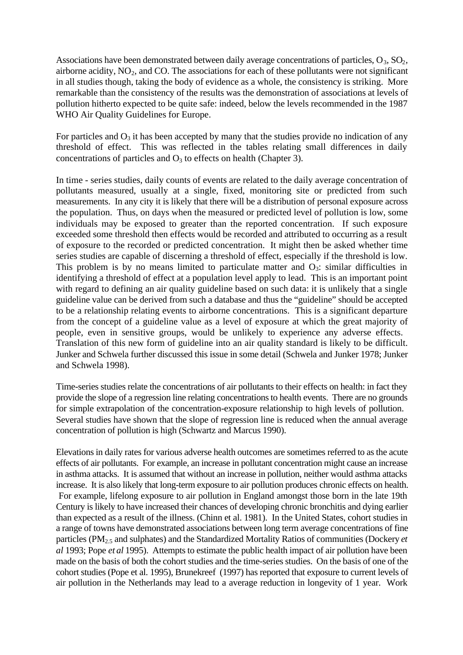Associations have been demonstrated between daily average concentrations of particles,  $O_3$ ,  $SO_2$ , airborne acidity,  $NO<sub>2</sub>$ , and CO. The associations for each of these pollutants were not significant in all studies though, taking the body of evidence as a whole, the consistency is striking. More remarkable than the consistency of the results was the demonstration of associations at levels of pollution hitherto expected to be quite safe: indeed, below the levels recommended in the 1987 WHO Air Quality Guidelines for Europe.

For particles and  $O_3$  it has been accepted by many that the studies provide no indication of any threshold of effect. This was reflected in the tables relating small differences in daily concentrations of particles and  $O_3$  to effects on health (Chapter 3).

In time - series studies, daily counts of events are related to the daily average concentration of pollutants measured, usually at a single, fixed, monitoring site or predicted from such measurements. In any city it is likely that there will be a distribution of personal exposure across the population. Thus, on days when the measured or predicted level of pollution is low, some individuals may be exposed to greater than the reported concentration. If such exposure exceeded some threshold then effects would be recorded and attributed to occurring as a result of exposure to the recorded or predicted concentration. It might then be asked whether time series studies are capable of discerning a threshold of effect, especially if the threshold is low. This problem is by no means limited to particulate matter and  $O_3$ : similar difficulties in identifying a threshold of effect at a population level apply to lead. This is an important point with regard to defining an air quality guideline based on such data: it is unlikely that a single guideline value can be derived from such a database and thus the "guideline" should be accepted to be a relationship relating events to airborne concentrations. This is a significant departure from the concept of a guideline value as a level of exposure at which the great majority of people, even in sensitive groups, would be unlikely to experience any adverse effects. Translation of this new form of guideline into an air quality standard is likely to be difficult. Junker and Schwela further discussed this issue in some detail (Schwela and Junker 1978; Junker and Schwela 1998).

Time-series studies relate the concentrations of air pollutants to their effects on health: in fact they provide the slope of a regression line relating concentrations to health events. There are no grounds for simple extrapolation of the concentration-exposure relationship to high levels of pollution. Several studies have shown that the slope of regression line is reduced when the annual average concentration of pollution is high (Schwartz and Marcus 1990).

Elevations in daily rates for various adverse health outcomes are sometimes referred to as the acute effects of air pollutants. For example, an increase in pollutant concentration might cause an increase in asthma attacks. It is assumed that without an increase in pollution, neither would asthma attacks increase. It is also likely that long-term exposure to air pollution produces chronic effects on health. For example, lifelong exposure to air pollution in England amongst those born in the late 19th Century is likely to have increased their chances of developing chronic bronchitis and dying earlier than expected as a result of the illness. (Chinn et al. 1981). In the United States, cohort studies in a range of towns have demonstrated associations between long term average concentrations of fine particles (PM2.5 and sulphates) and the Standardized Mortality Ratios of communities (Dockery *et al* 1993; Pope *et al* 1995). Attempts to estimate the public health impact of air pollution have been made on the basis of both the cohort studies and the time-series studies. On the basis of one of the cohort studies (Pope et al. 1995), Brunekreef (1997) has reported that exposure to current levels of air pollution in the Netherlands may lead to a average reduction in longevity of 1 year. Work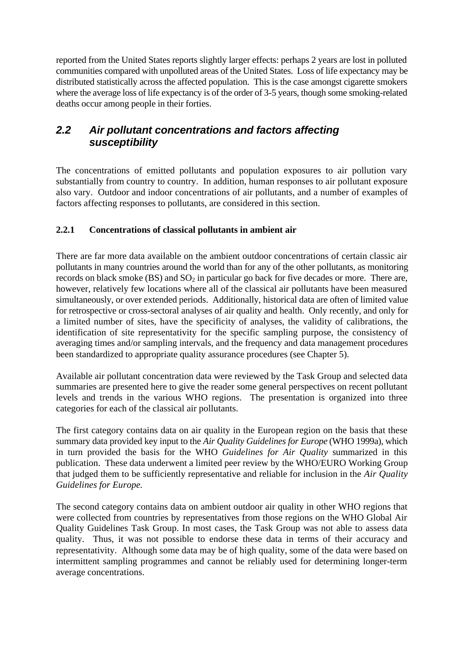reported from the United States reports slightly larger effects: perhaps 2 years are lost in polluted communities compared with unpolluted areas of the United States. Loss of life expectancy may be distributed statistically across the affected population. This is the case amongst cigarette smokers where the average loss of life expectancy is of the order of 3-5 years, though some smoking-related deaths occur among people in their forties.

### *2.2 Air pollutant concentrations and factors affecting susceptibility*

The concentrations of emitted pollutants and population exposures to air pollution vary substantially from country to country. In addition, human responses to air pollutant exposure also vary. Outdoor and indoor concentrations of air pollutants, and a number of examples of factors affecting responses to pollutants, are considered in this section.

#### **2.2.1 Concentrations of classical pollutants in ambient air**

There are far more data available on the ambient outdoor concentrations of certain classic air pollutants in many countries around the world than for any of the other pollutants, as monitoring records on black smoke (BS) and  $SO<sub>2</sub>$  in particular go back for five decades or more. There are, however, relatively few locations where all of the classical air pollutants have been measured simultaneously, or over extended periods. Additionally, historical data are often of limited value for retrospective or cross-sectoral analyses of air quality and health. Only recently, and only for a limited number of sites, have the specificity of analyses, the validity of calibrations, the identification of site representativity for the specific sampling purpose, the consistency of averaging times and/or sampling intervals, and the frequency and data management procedures been standardized to appropriate quality assurance procedures (see Chapter 5).

Available air pollutant concentration data were reviewed by the Task Group and selected data summaries are presented here to give the reader some general perspectives on recent pollutant levels and trends in the various WHO regions. The presentation is organized into three categories for each of the classical air pollutants.

The first category contains data on air quality in the European region on the basis that these summary data provided key input to the *Air Quality Guidelines for Europe* (WHO 1999a), which in turn provided the basis for the WHO *Guidelines for Air Quality* summarized in this publication. These data underwent a limited peer review by the WHO/EURO Working Group that judged them to be sufficiently representative and reliable for inclusion in the *Air Quality Guidelines for Europe*.

The second category contains data on ambient outdoor air quality in other WHO regions that were collected from countries by representatives from those regions on the WHO Global Air Quality Guidelines Task Group. In most cases, the Task Group was not able to assess data quality. Thus, it was not possible to endorse these data in terms of their accuracy and representativity. Although some data may be of high quality, some of the data were based on intermittent sampling programmes and cannot be reliably used for determining longer-term average concentrations.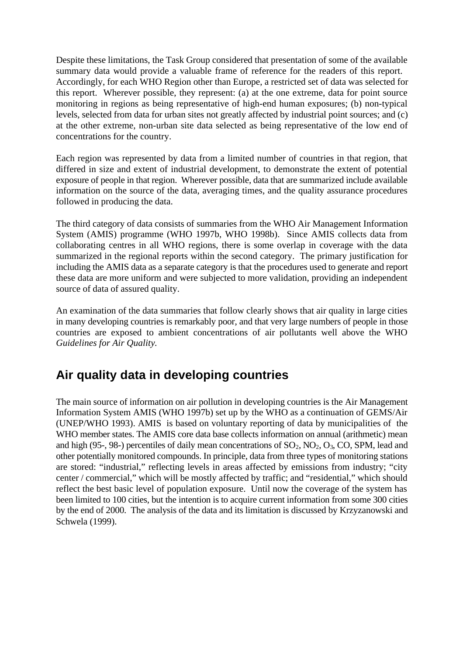Despite these limitations, the Task Group considered that presentation of some of the available summary data would provide a valuable frame of reference for the readers of this report. Accordingly, for each WHO Region other than Europe, a restricted set of data was selected for this report. Wherever possible, they represent: (a) at the one extreme, data for point source monitoring in regions as being representative of high-end human exposures; (b) non-typical levels, selected from data for urban sites not greatly affected by industrial point sources; and (c) at the other extreme, non-urban site data selected as being representative of the low end of concentrations for the country.

Each region was represented by data from a limited number of countries in that region, that differed in size and extent of industrial development, to demonstrate the extent of potential exposure of people in that region. Wherever possible, data that are summarized include available information on the source of the data, averaging times, and the quality assurance procedures followed in producing the data.

The third category of data consists of summaries from the WHO Air Management Information System (AMIS) programme (WHO 1997b, WHO 1998b). Since AMIS collects data from collaborating centres in all WHO regions, there is some overlap in coverage with the data summarized in the regional reports within the second category. The primary justification for including the AMIS data as a separate category is that the procedures used to generate and report these data are more uniform and were subjected to more validation, providing an independent source of data of assured quality.

An examination of the data summaries that follow clearly shows that air quality in large cities in many developing countries is remarkably poor, and that very large numbers of people in those countries are exposed to ambient concentrations of air pollutants well above the WHO *Guidelines for Air Quality*.

## **Air quality data in developing countries**

The main source of information on air pollution in developing countries is the Air Management Information System AMIS (WHO 1997b) set up by the WHO as a continuation of GEMS/Air (UNEP/WHO 1993). AMIS is based on voluntary reporting of data by municipalities of the WHO member states. The AMIS core data base collects information on annual (arithmetic) mean and high (95-, 98-) percentiles of daily mean concentrations of  $SO_2$ ,  $NO_2$ ,  $O_3$ ,  $CO$ ,  $SPM$ , lead and other potentially monitored compounds. In principle, data from three types of monitoring stations are stored: "industrial," reflecting levels in areas affected by emissions from industry; "city center / commercial," which will be mostly affected by traffic; and "residential," which should reflect the best basic level of population exposure. Until now the coverage of the system has been limited to 100 cities, but the intention is to acquire current information from some 300 cities by the end of 2000. The analysis of the data and its limitation is discussed by Krzyzanowski and Schwela (1999).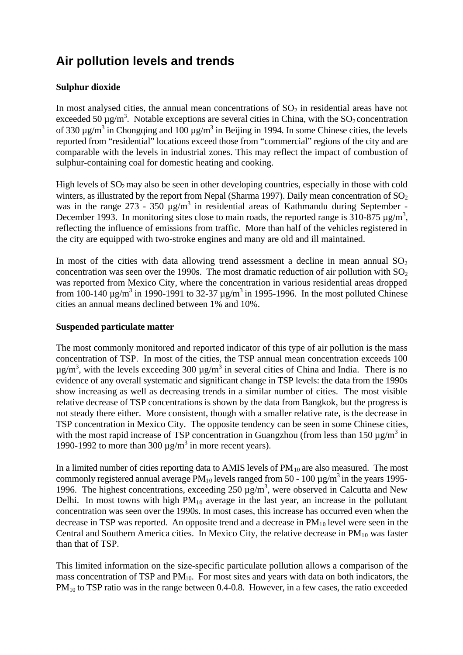## **Air pollution levels and trends**

#### **Sulphur dioxide**

In most analysed cities, the annual mean concentrations of  $SO<sub>2</sub>$  in residential areas have not exceeded 50  $\mu$ g/m<sup>3</sup>. Notable exceptions are several cities in China, with the SO<sub>2</sub> concentration of 330  $\mu$ g/m<sup>3</sup> in Chongqing and 100  $\mu$ g/m<sup>3</sup> in Beijing in 1994. In some Chinese cities, the levels reported from "residential" locations exceed those from "commercial" regions of the city and are comparable with the levels in industrial zones. This may reflect the impact of combustion of sulphur-containing coal for domestic heating and cooking.

High levels of  $SO_2$  may also be seen in other developing countries, especially in those with cold winters, as illustrated by the report from Nepal (Sharma 1997). Daily mean concentration of  $SO_2$ was in the range 273 - 350  $\mu$ g/m<sup>3</sup> in residential areas of Kathmandu during September -December 1993. In monitoring sites close to main roads, the reported range is  $310{\text -}875 \,\mu\text{g/m}^3$ , reflecting the influence of emissions from traffic. More than half of the vehicles registered in the city are equipped with two-stroke engines and many are old and ill maintained.

In most of the cities with data allowing trend assessment a decline in mean annual  $SO<sub>2</sub>$ concentration was seen over the 1990s. The most dramatic reduction of air pollution with  $SO_2$ was reported from Mexico City, where the concentration in various residential areas dropped from 100-140  $\mu$ g/m<sup>3</sup> in 1990-1991 to 32-37  $\mu$ g/m<sup>3</sup> in 1995-1996. In the most polluted Chinese cities an annual means declined between 1% and 10%.

#### **Suspended particulate matter**

The most commonly monitored and reported indicator of this type of air pollution is the mass concentration of TSP. In most of the cities, the TSP annual mean concentration exceeds 100  $\mu$ g/m<sup>3</sup>, with the levels exceeding 300  $\mu$ g/m<sup>3</sup> in several cities of China and India. There is no evidence of any overall systematic and significant change in TSP levels: the data from the 1990s show increasing as well as decreasing trends in a similar number of cities. The most visible relative decrease of TSP concentrations is shown by the data from Bangkok, but the progress is not steady there either. More consistent, though with a smaller relative rate, is the decrease in TSP concentration in Mexico City. The opposite tendency can be seen in some Chinese cities, with the most rapid increase of TSP concentration in Guangzhou (from less than 150  $\mu$ g/m<sup>3</sup> in 1990-1992 to more than 300  $\mu$ g/m<sup>3</sup> in more recent years).

In a limited number of cities reporting data to AMIS levels of  $PM_{10}$  are also measured. The most commonly registered annual average  $PM_{10}$  levels ranged from 50 - 100  $\mu$ g/m<sup>3</sup> in the years 1995-1996. The highest concentrations, exceeding  $250 \mu g/m^3$ , were observed in Calcutta and New Delhi. In most towns with high  $PM_{10}$  average in the last year, an increase in the pollutant concentration was seen over the 1990s. In most cases, this increase has occurred even when the decrease in TSP was reported. An opposite trend and a decrease in  $PM_{10}$  level were seen in the Central and Southern America cities. In Mexico City, the relative decrease in  $PM_{10}$  was faster than that of TSP.

This limited information on the size-specific particulate pollution allows a comparison of the mass concentration of TSP and  $PM_{10}$ . For most sites and years with data on both indicators, the  $PM_{10}$  to TSP ratio was in the range between 0.4-0.8. However, in a few cases, the ratio exceeded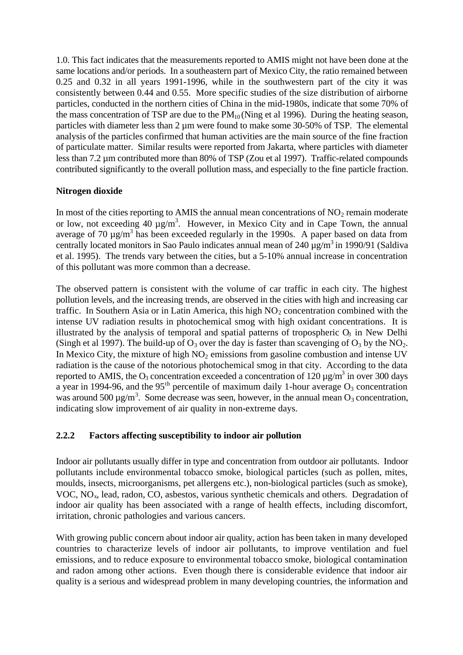1.0. This fact indicates that the measurements reported to AMIS might not have been done at the same locations and/or periods. In a southeastern part of Mexico City, the ratio remained between 0.25 and 0.32 in all years 1991-1996, while in the southwestern part of the city it was consistently between 0.44 and 0.55. More specific studies of the size distribution of airborne particles, conducted in the northern cities of China in the mid-1980s, indicate that some 70% of the mass concentration of TSP are due to the  $PM_{10}$ (Ning et al 1996). During the heating season, particles with diameter less than 2 µm were found to make some 30-50% of TSP. The elemental analysis of the particles confirmed that human activities are the main source of the fine fraction of particulate matter. Similar results were reported from Jakarta, where particles with diameter less than 7.2 µm contributed more than 80% of TSP (Zou et al 1997). Traffic-related compounds contributed significantly to the overall pollution mass, and especially to the fine particle fraction.

#### **Nitrogen dioxide**

In most of the cities reporting to AMIS the annual mean concentrations of  $NO<sub>2</sub>$  remain moderate or low, not exceeding 40  $\mu$ g/m<sup>3</sup>. However, in Mexico City and in Cape Town, the annual average of 70  $\mu$ g/m<sup>3</sup> has been exceeded regularly in the 1990s. A paper based on data from centrally located monitors in Sao Paulo indicates annual mean of  $240 \mu g/m^3$  in 1990/91 (Saldiva et al. 1995). The trends vary between the cities, but a 5-10% annual increase in concentration of this pollutant was more common than a decrease.

The observed pattern is consistent with the volume of car traffic in each city. The highest pollution levels, and the increasing trends, are observed in the cities with high and increasing car traffic. In Southern Asia or in Latin America, this high  $NO<sub>2</sub>$  concentration combined with the intense UV radiation results in photochemical smog with high oxidant concentrations. It is illustrated by the analysis of temporal and spatial patterns of tropospheric  $O<sub>3</sub>$  in New Delhi (Singh et al 1997). The build-up of  $O_3$  over the day is faster than scavenging of  $O_3$  by the NO<sub>2</sub>. In Mexico City, the mixture of high  $NO<sub>2</sub>$  emissions from gasoline combustion and intense UV radiation is the cause of the notorious photochemical smog in that city. According to the data reported to AMIS, the O<sub>3</sub> concentration exceeded a concentration of 120  $\mu$ g/m<sup>3</sup> in over 300 days a year in 1994-96, and the 95<sup>th</sup> percentile of maximum daily 1-hour average  $O_3$  concentration was around 500  $\mu$ g/m<sup>3</sup>. Some decrease was seen, however, in the annual mean O<sub>3</sub> concentration, indicating slow improvement of air quality in non-extreme days.

#### **2.2.2 Factors affecting susceptibility to indoor air pollution**

Indoor air pollutants usually differ in type and concentration from outdoor air pollutants. Indoor pollutants include environmental tobacco smoke, biological particles (such as pollen, mites, moulds, insects, microorganisms, pet allergens etc.), non-biological particles (such as smoke), VOC, NOx, lead, radon, CO, asbestos, various synthetic chemicals and others. Degradation of indoor air quality has been associated with a range of health effects, including discomfort, irritation, chronic pathologies and various cancers.

With growing public concern about indoor air quality, action has been taken in many developed countries to characterize levels of indoor air pollutants, to improve ventilation and fuel emissions, and to reduce exposure to environmental tobacco smoke, biological contamination and radon among other actions. Even though there is considerable evidence that indoor air quality is a serious and widespread problem in many developing countries, the information and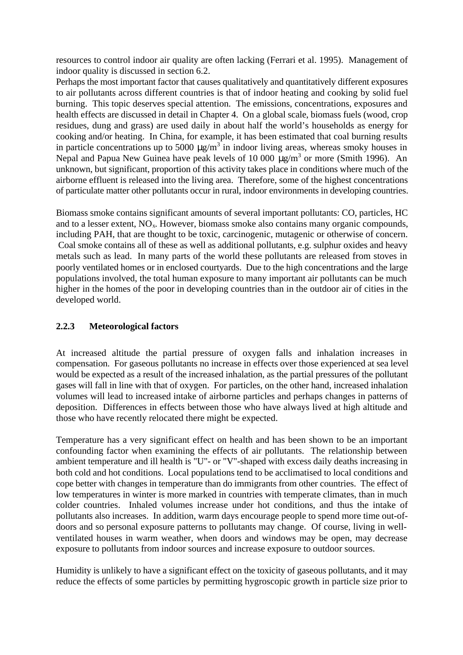resources to control indoor air quality are often lacking (Ferrari et al. 1995). Management of indoor quality is discussed in section 6.2.

Perhaps the most important factor that causes qualitatively and quantitatively different exposures to air pollutants across different countries is that of indoor heating and cooking by solid fuel burning. This topic deserves special attention. The emissions, concentrations, exposures and health effects are discussed in detail in Chapter 4. On a global scale, biomass fuels (wood, crop residues, dung and grass) are used daily in about half the world's households as energy for cooking and/or heating. In China, for example, it has been estimated that coal burning results in particle concentrations up to 5000  $\mu$ g/m<sup>3</sup> in indoor living areas, whereas smoky houses in Nepal and Papua New Guinea have peak levels of 10 000  $\mu$ g/m<sup>3</sup> or more (Smith 1996). An unknown, but significant, proportion of this activity takes place in conditions where much of the airborne effluent is released into the living area. Therefore, some of the highest concentrations of particulate matter other pollutants occur in rural, indoor environments in developing countries.

Biomass smoke contains significant amounts of several important pollutants: CO, particles, HC and to a lesser extent,  $NO<sub>x</sub>$ . However, biomass smoke also contains many organic compounds, including PAH, that are thought to be toxic, carcinogenic, mutagenic or otherwise of concern. Coal smoke contains all of these as well as additional pollutants, e.g. sulphur oxides and heavy metals such as lead. In many parts of the world these pollutants are released from stoves in poorly ventilated homes or in enclosed courtyards. Due to the high concentrations and the large populations involved, the total human exposure to many important air pollutants can be much higher in the homes of the poor in developing countries than in the outdoor air of cities in the developed world.

#### **2.2.3 Meteorological factors**

At increased altitude the partial pressure of oxygen falls and inhalation increases in compensation. For gaseous pollutants no increase in effects over those experienced at sea level would be expected as a result of the increased inhalation, as the partial pressures of the pollutant gases will fall in line with that of oxygen. For particles, on the other hand, increased inhalation volumes will lead to increased intake of airborne particles and perhaps changes in patterns of deposition. Differences in effects between those who have always lived at high altitude and those who have recently relocated there might be expected.

Temperature has a very significant effect on health and has been shown to be an important confounding factor when examining the effects of air pollutants. The relationship between ambient temperature and ill health is "U"- or "V"-shaped with excess daily deaths increasing in both cold and hot conditions. Local populations tend to be acclimatised to local conditions and cope better with changes in temperature than do immigrants from other countries. The effect of low temperatures in winter is more marked in countries with temperate climates, than in much colder countries. Inhaled volumes increase under hot conditions, and thus the intake of pollutants also increases. In addition, warm days encourage people to spend more time out-ofdoors and so personal exposure patterns to pollutants may change. Of course, living in wellventilated houses in warm weather, when doors and windows may be open, may decrease exposure to pollutants from indoor sources and increase exposure to outdoor sources.

Humidity is unlikely to have a significant effect on the toxicity of gaseous pollutants, and it may reduce the effects of some particles by permitting hygroscopic growth in particle size prior to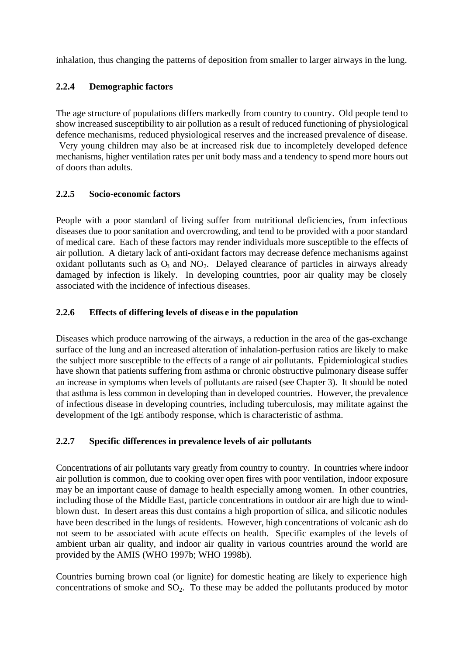inhalation, thus changing the patterns of deposition from smaller to larger airways in the lung.

#### **2.2.4 Demographic factors**

The age structure of populations differs markedly from country to country. Old people tend to show increased susceptibility to air pollution as a result of reduced functioning of physiological defence mechanisms, reduced physiological reserves and the increased prevalence of disease.

 Very young children may also be at increased risk due to incompletely developed defence mechanisms, higher ventilation rates per unit body mass and a tendency to spend more hours out of doors than adults.

#### **2.2.5 Socio-economic factors**

People with a poor standard of living suffer from nutritional deficiencies, from infectious diseases due to poor sanitation and overcrowding, and tend to be provided with a poor standard of medical care. Each of these factors may render individuals more susceptible to the effects of air pollution. A dietary lack of anti-oxidant factors may decrease defence mechanisms against oxidant pollutants such as  $O_3$  and  $NO_2$ . Delayed clearance of particles in airways already damaged by infection is likely. In developing countries, poor air quality may be closely associated with the incidence of infectious diseases.

#### **2.2.6 Effects of differing levels of diseas e in the population**

Diseases which produce narrowing of the airways, a reduction in the area of the gas-exchange surface of the lung and an increased alteration of inhalation-perfusion ratios are likely to make the subject more susceptible to the effects of a range of air pollutants. Epidemiological studies have shown that patients suffering from asthma or chronic obstructive pulmonary disease suffer an increase in symptoms when levels of pollutants are raised (see Chapter 3). It should be noted that asthma is less common in developing than in developed countries. However, the prevalence of infectious disease in developing countries, including tuberculosis, may militate against the development of the IgE antibody response, which is characteristic of asthma.

#### **2.2.7 Specific differences in prevalence levels of air pollutants**

Concentrations of air pollutants vary greatly from country to country. In countries where indoor air pollution is common, due to cooking over open fires with poor ventilation, indoor exposure may be an important cause of damage to health especially among women. In other countries, including those of the Middle East, particle concentrations in outdoor air are high due to windblown dust. In desert areas this dust contains a high proportion of silica, and silicotic nodules have been described in the lungs of residents. However, high concentrations of volcanic ash do not seem to be associated with acute effects on health. Specific examples of the levels of ambient urban air quality, and indoor air quality in various countries around the world are provided by the AMIS (WHO 1997b; WHO 1998b).

Countries burning brown coal (or lignite) for domestic heating are likely to experience high concentrations of smoke and  $SO_2$ . To these may be added the pollutants produced by motor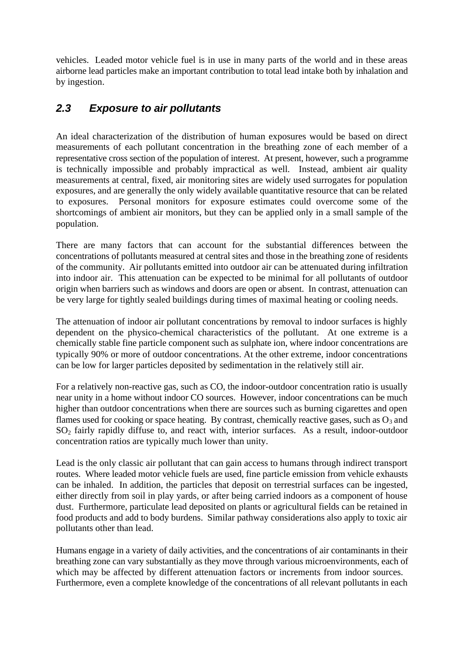vehicles. Leaded motor vehicle fuel is in use in many parts of the world and in these areas airborne lead particles make an important contribution to total lead intake both by inhalation and by ingestion.

### *2.3 Exposure to air pollutants*

An ideal characterization of the distribution of human exposures would be based on direct measurements of each pollutant concentration in the breathing zone of each member of a representative cross section of the population of interest. At present, however, such a programme is technically impossible and probably impractical as well. Instead, ambient air quality measurements at central, fixed, air monitoring sites are widely used surrogates for population exposures, and are generally the only widely available quantitative resource that can be related to exposures. Personal monitors for exposure estimates could overcome some of the shortcomings of ambient air monitors, but they can be applied only in a small sample of the population.

There are many factors that can account for the substantial differences between the concentrations of pollutants measured at central sites and those in the breathing zone of residents of the community. Air pollutants emitted into outdoor air can be attenuated during infiltration into indoor air. This attenuation can be expected to be minimal for all pollutants of outdoor origin when barriers such as windows and doors are open or absent. In contrast, attenuation can be very large for tightly sealed buildings during times of maximal heating or cooling needs.

The attenuation of indoor air pollutant concentrations by removal to indoor surfaces is highly dependent on the physico-chemical characteristics of the pollutant. At one extreme is a chemically stable fine particle component such as sulphate ion, where indoor concentrations are typically 90% or more of outdoor concentrations. At the other extreme, indoor concentrations can be low for larger particles deposited by sedimentation in the relatively still air.

For a relatively non-reactive gas, such as CO, the indoor-outdoor concentration ratio is usually near unity in a home without indoor CO sources. However, indoor concentrations can be much higher than outdoor concentrations when there are sources such as burning cigarettes and open flames used for cooking or space heating. By contrast, chemically reactive gases, such as  $O_3$  and  $SO<sub>2</sub>$  fairly rapidly diffuse to, and react with, interior surfaces. As a result, indoor-outdoor concentration ratios are typically much lower than unity.

Lead is the only classic air pollutant that can gain access to humans through indirect transport routes. Where leaded motor vehicle fuels are used, fine particle emission from vehicle exhausts can be inhaled. In addition, the particles that deposit on terrestrial surfaces can be ingested, either directly from soil in play yards, or after being carried indoors as a component of house dust. Furthermore, particulate lead deposited on plants or agricultural fields can be retained in food products and add to body burdens. Similar pathway considerations also apply to toxic air pollutants other than lead.

Humans engage in a variety of daily activities, and the concentrations of air contaminants in their breathing zone can vary substantially as they move through various microenvironments, each of which may be affected by different attenuation factors or increments from indoor sources. Furthermore, even a complete knowledge of the concentrations of all relevant pollutants in each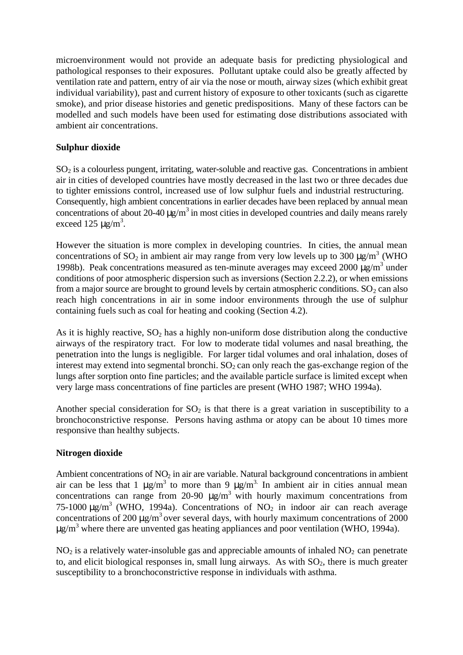microenvironment would not provide an adequate basis for predicting physiological and pathological responses to their exposures. Pollutant uptake could also be greatly affected by ventilation rate and pattern, entry of air via the nose or mouth, airway sizes (which exhibit great individual variability), past and current history of exposure to other toxicants (such as cigarette smoke), and prior disease histories and genetic predispositions. Many of these factors can be modelled and such models have been used for estimating dose distributions associated with ambient air concentrations.

#### **Sulphur dioxide**

 $SO<sub>2</sub>$  is a colourless pungent, irritating, water-soluble and reactive gas. Concentrations in ambient air in cities of developed countries have mostly decreased in the last two or three decades due to tighter emissions control, increased use of low sulphur fuels and industrial restructuring. Consequently, high ambient concentrations in earlier decades have been replaced by annual mean concentrations of about 20-40  $\mu$ g/m<sup>3</sup> in most cities in developed countries and daily means rarely exceed  $125 \text{ µg/m}^3$ .

However the situation is more complex in developing countries. In cities, the annual mean concentrations of SO<sub>2</sub> in ambient air may range from very low levels up to 300  $\mu$ g/m<sup>3</sup> (WHO 1998b). Peak concentrations measured as ten-minute averages may exceed 2000  $\mu$ g/m<sup>3</sup> under conditions of poor atmospheric dispersion such as inversions (Section 2.2.2), or when emissions from a major source are brought to ground levels by certain atmospheric conditions.  $SO_2$  can also reach high concentrations in air in some indoor environments through the use of sulphur containing fuels such as coal for heating and cooking (Section 4.2).

As it is highly reactive,  $SO_2$  has a highly non-uniform dose distribution along the conductive airways of the respiratory tract. For low to moderate tidal volumes and nasal breathing, the penetration into the lungs is negligible. For larger tidal volumes and oral inhalation, doses of interest may extend into segmental bronchi.  $SO_2$  can only reach the gas-exchange region of the lungs after sorption onto fine particles; and the available particle surface is limited except when very large mass concentrations of fine particles are present (WHO 1987; WHO 1994a).

Another special consideration for  $SO_2$  is that there is a great variation in susceptibility to a bronchoconstrictive response. Persons having asthma or atopy can be about 10 times more responsive than healthy subjects.

#### **Nitrogen dioxide**

Ambient concentrations of  $NO<sub>2</sub>$  in air are variable. Natural background concentrations in ambient air can be less that 1  $\mu$ g/m<sup>3</sup> to more than 9  $\mu$ g/m<sup>3.</sup> In ambient air in cities annual mean concentrations can range from 20-90  $\mu$ g/m<sup>3</sup> with hourly maximum concentrations from 75-1000 μg/m<sup>3</sup> (WHO, 1994a). Concentrations of NO<sub>2</sub> in indoor air can reach average concentrations of 200  $\mu$ g/m<sup>3</sup> over several days, with hourly maximum concentrations of 2000  $\mu$ g/m<sup>3</sup> where there are unvented gas heating appliances and poor ventilation (WHO, 1994a).

 $NO<sub>2</sub>$  is a relatively water-insoluble gas and appreciable amounts of inhaled  $NO<sub>2</sub>$  can penetrate to, and elicit biological responses in, small lung airways. As with  $SO<sub>2</sub>$ , there is much greater susceptibility to a bronchoconstrictive response in individuals with asthma.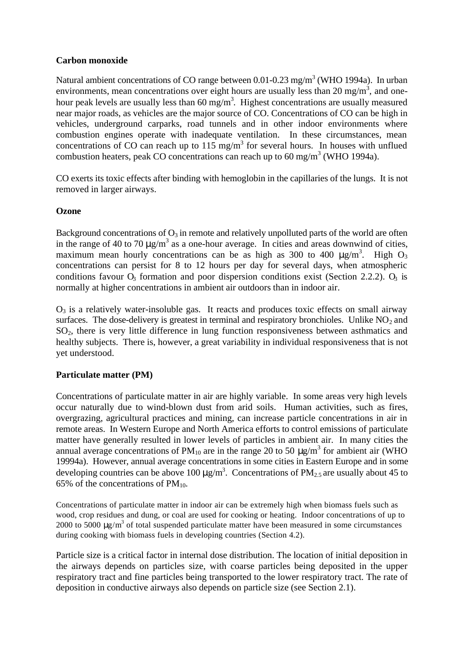#### **Carbon monoxide**

Natural ambient concentrations of CO range between  $0.01$ - $0.23$  mg/m<sup>3</sup> (WHO 1994a). In urban environments, mean concentrations over eight hours are usually less than 20 mg/m<sup>3</sup>, and onehour peak levels are usually less than 60 mg/m<sup>3</sup>. Highest concentrations are usually measured near major roads, as vehicles are the major source of CO. Concentrations of CO can be high in vehicles, underground carparks, road tunnels and in other indoor environments where combustion engines operate with inadequate ventilation. In these circumstances, mean concentrations of CO can reach up to  $115 \text{ mg/m}^3$  for several hours. In houses with unflued combustion heaters, peak CO concentrations can reach up to 60 mg/m<sup>3</sup> (WHO 1994a).

CO exerts its toxic effects after binding with hemoglobin in the capillaries of the lungs. It is not removed in larger airways.

#### **Ozone**

Background concentrations of  $O_3$  in remote and relatively unpolluted parts of the world are often in the range of 40 to 70  $\mu$ g/m<sup>3</sup> as a one-hour average. In cities and areas downwind of cities, maximum mean hourly concentrations can be as high as 300 to 400  $\mu$ g/m<sup>3</sup>. High O<sub>3</sub> concentrations can persist for 8 to 12 hours per day for several days, when atmospheric conditions favour  $O_3$  formation and poor dispersion conditions exist (Section 2.2.2).  $O_3$  is normally at higher concentrations in ambient air outdoors than in indoor air.

 $O_3$  is a relatively water-insoluble gas. It reacts and produces toxic effects on small airway surfaces. The dose-delivery is greatest in terminal and respiratory bronchioles. Unlike  $NO<sub>2</sub>$  and SO2, there is very little difference in lung function responsiveness between asthmatics and healthy subjects. There is, however, a great variability in individual responsiveness that is not yet understood.

#### **Particulate matter (PM)**

Concentrations of particulate matter in air are highly variable. In some areas very high levels occur naturally due to wind-blown dust from arid soils. Human activities, such as fires, overgrazing, agricultural practices and mining, can increase particle concentrations in air in remote areas. In Western Europe and North America efforts to control emissions of particulate matter have generally resulted in lower levels of particles in ambient air. In many cities the annual average concentrations of PM<sub>10</sub> are in the range 20 to 50  $\mu$ g/m<sup>3</sup> for ambient air (WHO 19994a). However, annual average concentrations in some cities in Eastern Europe and in some developing countries can be above 100  $\mu$ g/m<sup>3</sup>. Concentrations of PM<sub>2.5</sub> are usually about 45 to 65% of the concentrations of  $PM_{10}$ .

Concentrations of particulate matter in indoor air can be extremely high when biomass fuels such as wood, crop residues and dung, or coal are used for cooking or heating. Indoor concentrations of up to 2000 to 5000  $\mu$ g/m<sup>3</sup> of total suspended particulate matter have been measured in some circumstances during cooking with biomass fuels in developing countries (Section 4.2).

Particle size is a critical factor in internal dose distribution. The location of initial deposition in the airways depends on particles size, with coarse particles being deposited in the upper respiratory tract and fine particles being transported to the lower respiratory tract. The rate of deposition in conductive airways also depends on particle size (see Section 2.1).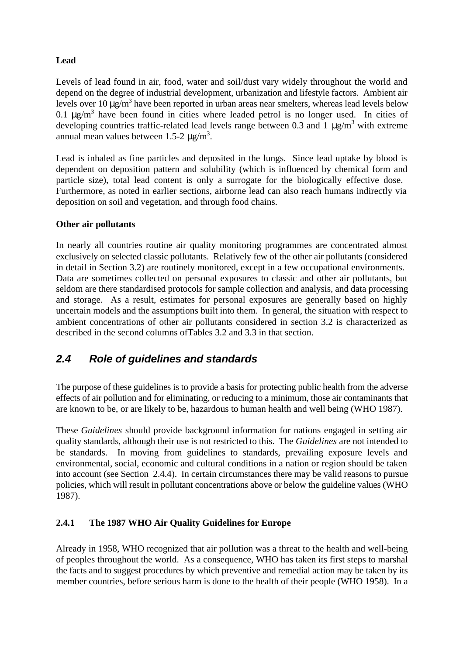#### **Lead**

Levels of lead found in air, food, water and soil/dust vary widely throughout the world and depend on the degree of industrial development, urbanization and lifestyle factors. Ambient air levels over 10  $\mu$ g/m<sup>3</sup> have been reported in urban areas near smelters, whereas lead levels below 0.1  $\mu$ g/m<sup>3</sup> have been found in cities where leaded petrol is no longer used. In cities of developing countries traffic-related lead levels range between 0.3 and  $1 \mu g/m^3$  with extreme annual mean values between 1.5-2  $\mu$ g/m<sup>3</sup>.

Lead is inhaled as fine particles and deposited in the lungs. Since lead uptake by blood is dependent on deposition pattern and solubility (which is influenced by chemical form and particle size), total lead content is only a surrogate for the biologically effective dose. Furthermore, as noted in earlier sections, airborne lead can also reach humans indirectly via deposition on soil and vegetation, and through food chains.

#### **Other air pollutants**

In nearly all countries routine air quality monitoring programmes are concentrated almost exclusively on selected classic pollutants. Relatively few of the other air pollutants (considered in detail in Section 3.2) are routinely monitored, except in a few occupational environments. Data are sometimes collected on personal exposures to classic and other air pollutants, but seldom are there standardised protocols for sample collection and analysis, and data processing and storage. As a result, estimates for personal exposures are generally based on highly uncertain models and the assumptions built into them. In general, the situation with respect to ambient concentrations of other air pollutants considered in section 3.2 is characterized as described in the second columns ofTables 3.2 and 3.3 in that section.

### *2.4 Role of guidelines and standards*

The purpose of these guidelines is to provide a basis for protecting public health from the adverse effects of air pollution and for eliminating, or reducing to a minimum, those air contaminants that are known to be, or are likely to be, hazardous to human health and well being (WHO 1987).

These *Guidelines* should provide background information for nations engaged in setting air quality standards, although their use is not restricted to this. The *Guidelines* are not intended to be standards. In moving from guidelines to standards, prevailing exposure levels and environmental, social, economic and cultural conditions in a nation or region should be taken into account (see Section 2.4.4). In certain circumstances there may be valid reasons to pursue policies, which will result in pollutant concentrations above or below the guideline values (WHO 1987).

#### **2.4.1 The 1987 WHO Air Quality Guidelines for Europe**

Already in 1958, WHO recognized that air pollution was a threat to the health and well-being of peoples throughout the world. As a consequence, WHO has taken its first steps to marshal the facts and to suggest procedures by which preventive and remedial action may be taken by its member countries, before serious harm is done to the health of their people (WHO 1958). In a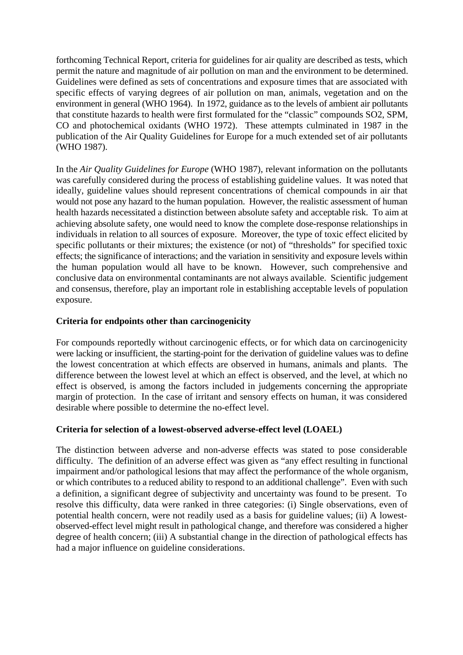forthcoming Technical Report, criteria for guidelines for air quality are described as tests, which permit the nature and magnitude of air pollution on man and the environment to be determined. Guidelines were defined as sets of concentrations and exposure times that are associated with specific effects of varying degrees of air pollution on man, animals, vegetation and on the environment in general (WHO 1964). In 1972, guidance as to the levels of ambient air pollutants that constitute hazards to health were first formulated for the "classic" compounds SO2, SPM, CO and photochemical oxidants (WHO 1972). These attempts culminated in 1987 in the publication of the Air Quality Guidelines for Europe for a much extended set of air pollutants (WHO 1987).

In the *Air Quality Guidelines for Europe* (WHO 1987), relevant information on the pollutants was carefully considered during the process of establishing guideline values. It was noted that ideally, guideline values should represent concentrations of chemical compounds in air that would not pose any hazard to the human population. However, the realistic assessment of human health hazards necessitated a distinction between absolute safety and acceptable risk. To aim at achieving absolute safety, one would need to know the complete dose-response relationships in individuals in relation to all sources of exposure. Moreover, the type of toxic effect elicited by specific pollutants or their mixtures; the existence (or not) of "thresholds" for specified toxic effects; the significance of interactions; and the variation in sensitivity and exposure levels within the human population would all have to be known. However, such comprehensive and conclusive data on environmental contaminants are not always available. Scientific judgement and consensus, therefore, play an important role in establishing acceptable levels of population exposure.

#### **Criteria for endpoints other than carcinogenicity**

For compounds reportedly without carcinogenic effects, or for which data on carcinogenicity were lacking or insufficient, the starting-point for the derivation of guideline values was to define the lowest concentration at which effects are observed in humans, animals and plants. The difference between the lowest level at which an effect is observed, and the level, at which no effect is observed, is among the factors included in judgements concerning the appropriate margin of protection. In the case of irritant and sensory effects on human, it was considered desirable where possible to determine the no-effect level.

#### **Criteria for selection of a lowest-observed adverse-effect level (LOAEL)**

The distinction between adverse and non-adverse effects was stated to pose considerable difficulty. The definition of an adverse effect was given as "any effect resulting in functional impairment and/or pathological lesions that may affect the performance of the whole organism, or which contributes to a reduced ability to respond to an additional challenge". Even with such a definition, a significant degree of subjectivity and uncertainty was found to be present. To resolve this difficulty, data were ranked in three categories: (i) Single observations, even of potential health concern, were not readily used as a basis for guideline values; (ii) A lowestobserved-effect level might result in pathological change, and therefore was considered a higher degree of health concern; (iii) A substantial change in the direction of pathological effects has had a major influence on guideline considerations.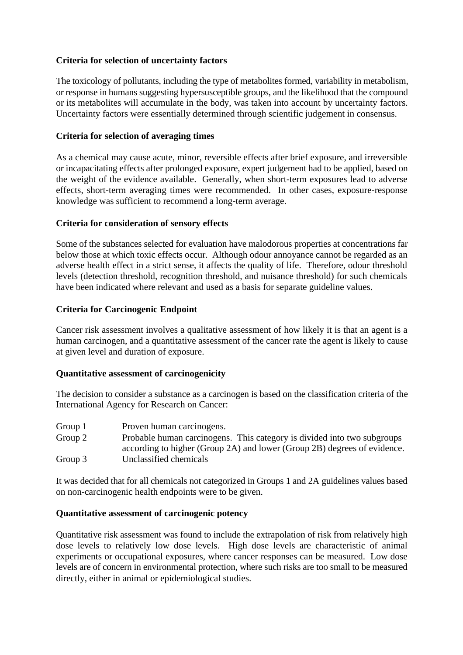#### **Criteria for selection of uncertainty factors**

The toxicology of pollutants, including the type of metabolites formed, variability in metabolism, or response in humans suggesting hypersusceptible groups, and the likelihood that the compound or its metabolites will accumulate in the body, was taken into account by uncertainty factors. Uncertainty factors were essentially determined through scientific judgement in consensus.

#### **Criteria for selection of averaging times**

As a chemical may cause acute, minor, reversible effects after brief exposure, and irreversible or incapacitating effects after prolonged exposure, expert judgement had to be applied, based on the weight of the evidence available. Generally, when short-term exposures lead to adverse effects, short-term averaging times were recommended. In other cases, exposure-response knowledge was sufficient to recommend a long-term average.

#### **Criteria for consideration of sensory effects**

Some of the substances selected for evaluation have malodorous properties at concentrations far below those at which toxic effects occur. Although odour annoyance cannot be regarded as an adverse health effect in a strict sense, it affects the quality of life. Therefore, odour threshold levels (detection threshold, recognition threshold, and nuisance threshold) for such chemicals have been indicated where relevant and used as a basis for separate guideline values.

#### **Criteria for Carcinogenic Endpoint**

Cancer risk assessment involves a qualitative assessment of how likely it is that an agent is a human carcinogen, and a quantitative assessment of the cancer rate the agent is likely to cause at given level and duration of exposure.

#### **Quantitative assessment of carcinogenicity**

The decision to consider a substance as a carcinogen is based on the classification criteria of the International Agency for Research on Cancer:

| Group 1 | Proven human carcinogens.                                                |
|---------|--------------------------------------------------------------------------|
| Group 2 | Probable human carcinogens. This category is divided into two subgroups  |
|         | according to higher (Group 2A) and lower (Group 2B) degrees of evidence. |
| Group 3 | Unclassified chemicals                                                   |

It was decided that for all chemicals not categorized in Groups 1 and 2A guidelines values based on non-carcinogenic health endpoints were to be given.

#### **Quantitative assessment of carcinogenic potency**

Quantitative risk assessment was found to include the extrapolation of risk from relatively high dose levels to relatively low dose levels. High dose levels are characteristic of animal experiments or occupational exposures, where cancer responses can be measured. Low dose levels are of concern in environmental protection, where such risks are too small to be measured directly, either in animal or epidemiological studies.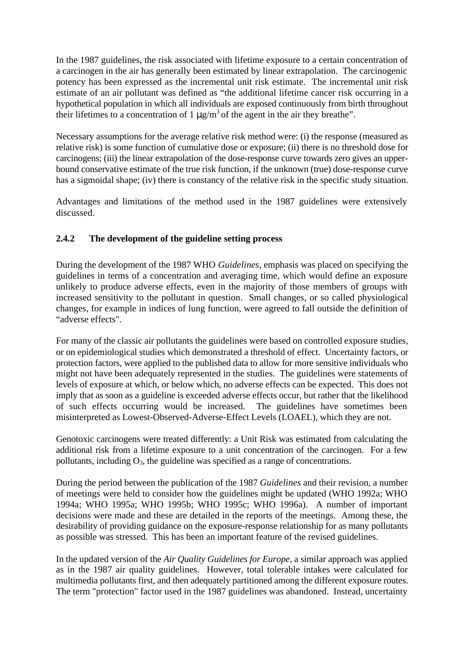In the 1987 guidelines, the risk associated with lifetime exposure to a certain concentration of a carcinogen in the air has generally been estimated by linear extrapolation. The carcinogenic potency has been expressed as the incremental unit risk estimate. The incremental unit risk estimate of an air pollutant was defined as "the additional lifetime cancer risk occurring in a hypothetical population in which all individuals are exposed continuously from birth throughout their lifetimes to a concentration of 1  $\mu$ g/m<sup>3</sup> of the agent in the air they breathe".

Necessary assumptions for the average relative risk method were: (i) the response (measured as relative risk) is some function of cumulative dose or exposure; (ii) there is no threshold dose for carcinogens; (iii) the linear extrapolation of the dose-response curve towards zero gives an upperbound conservative estimate of the true risk function, if the unknown (true) dose-response curve has a sigmoidal shape; (iv) there is constancy of the relative risk in the specific study situation.

Advantages and limitations of the method used in the 1987 guidelines were extensively discussed.

#### **2.4.2 The development of the guideline setting process**

During the development of the 1987 WHO *Guidelines*, emphasis was placed on specifying the guidelines in terms of a concentration and averaging time, which would define an exposure unlikely to produce adverse effects, even in the majority of those members of groups with increased sensitivity to the pollutant in question. Small changes, or so called physiological changes, for example in indices of lung function, were agreed to fall outside the definition of "adverse effects".

For many of the classic air pollutants the guidelines were based on controlled exposure studies, or on epidemiological studies which demonstrated a threshold of effect. Uncertainty factors, or protection factors, were applied to the published data to allow for more sensitive individuals who might not have been adequately represented in the studies. The guidelines were statements of levels of exposure at which, or below which, no adverse effects can be expected. This does not imply that as soon as a guideline is exceeded adverse effects occur, but rather that the likelihood of such effects occurring would be increased. The guidelines have sometimes been misinterpreted as Lowest-Observed-Adverse-Effect Levels (LOAEL), which they are not.

Genotoxic carcinogens were treated differently: a Unit Risk was estimated from calculating the additional risk from a lifetime exposure to a unit concentration of the carcinogen. For a few pollutants, including  $O_3$ , the guideline was specified as a range of concentrations.

During the period between the publication of the 1987 *Guidelines* and their revision, a number of meetings were held to consider how the guidelines might be updated (WHO 1992a; WHO 1994a; WHO 1995a; WHO 1995b; WHO 1995c; WHO 1996a). A number of important decisions were made and these are detailed in the reports of the meetings. Among these, the desirability of providing guidance on the exposure-response relationship for as many pollutants as possible was stressed. This has been an important feature of the revised guidelines.

In the updated version of the *Air Quality Guidelines for Europe*, a similar approach was applied as in the 1987 air quality guidelines. However, total tolerable intakes were calculated for multimedia pollutants first, and then adequately partitioned among the different exposure routes. The term "protection" factor used in the 1987 guidelines was abandoned. Instead, uncertainty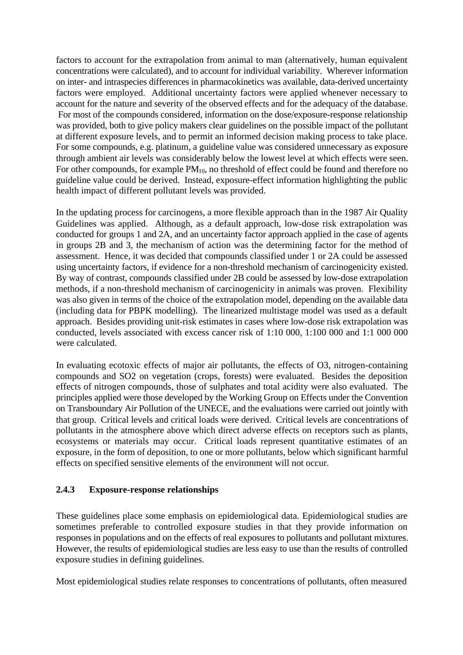factors to account for the extrapolation from animal to man (alternatively, human equivalent concentrations were calculated), and to account for individual variability. Wherever information on inter- and intraspecies differences in pharmacokinetics was available, data-derived uncertainty factors were employed. Additional uncertainty factors were applied whenever necessary to account for the nature and severity of the observed effects and for the adequacy of the database. For most of the compounds considered, information on the dose/exposure-response relationship was provided, both to give policy makers clear guidelines on the possible impact of the pollutant at different exposure levels, and to permit an informed decision making process to take place. For some compounds, e.g. platinum, a guideline value was considered unnecessary as exposure through ambient air levels was considerably below the lowest level at which effects were seen. For other compounds, for example  $PM_{10}$ , no threshold of effect could be found and therefore no guideline value could be derived. Instead, exposure-effect information highlighting the public health impact of different pollutant levels was provided.

In the updating process for carcinogens, a more flexible approach than in the 1987 Air Quality Guidelines was applied. Although, as a default approach, low-dose risk extrapolation was conducted for groups 1 and 2A, and an uncertainty factor approach applied in the case of agents in groups 2B and 3, the mechanism of action was the determining factor for the method of assessment. Hence, it was decided that compounds classified under 1 or 2A could be assessed using uncertainty factors, if evidence for a non-threshold mechanism of carcinogenicity existed. By way of contrast, compounds classified under 2B could be assessed by low-dose extrapolation methods, if a non-threshold mechanism of carcinogenicity in animals was proven. Flexibility was also given in terms of the choice of the extrapolation model, depending on the available data (including data for PBPK modelling). The linearized multistage model was used as a default approach. Besides providing unit-risk estimates in cases where low-dose risk extrapolation was conducted, levels associated with excess cancer risk of 1:10 000, 1:100 000 and 1:1 000 000 were calculated.

In evaluating ecotoxic effects of major air pollutants, the effects of O3, nitrogen-containing compounds and SO2 on vegetation (crops, forests) were evaluated. Besides the deposition effects of nitrogen compounds, those of sulphates and total acidity were also evaluated. The principles applied were those developed by the Working Group on Effects under the Convention on Transboundary Air Pollution of the UNECE, and the evaluations were carried out jointly with that group. Critical levels and critical loads were derived. Critical levels are concentrations of pollutants in the atmosphere above which direct adverse effects on receptors such as plants, ecosystems or materials may occur. Critical loads represent quantitative estimates of an exposure, in the form of deposition, to one or more pollutants, below which significant harmful effects on specified sensitive elements of the environment will not occur.

#### **2.4.3 Exposure-response relationships**

These guidelines place some emphasis on epidemiological data. Epidemiological studies are sometimes preferable to controlled exposure studies in that they provide information on responses in populations and on the effects of real exposures to pollutants and pollutant mixtures. However, the results of epidemiological studies are less easy to use than the results of controlled exposure studies in defining guidelines.

Most epidemiological studies relate responses to concentrations of pollutants, often measured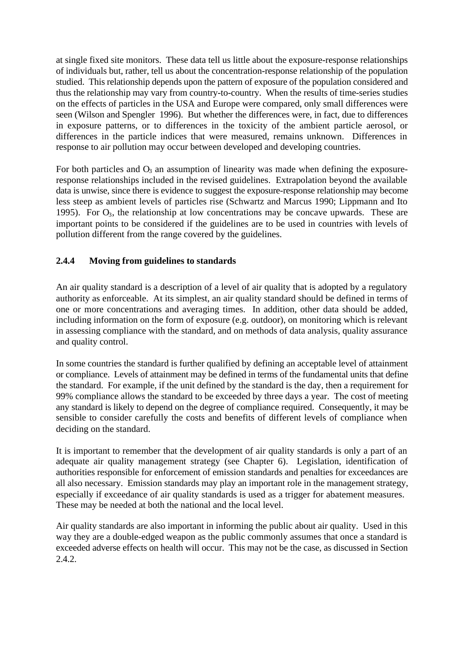at single fixed site monitors. These data tell us little about the exposure-response relationships of individuals but, rather, tell us about the concentration-response relationship of the population studied. This relationship depends upon the pattern of exposure of the population considered and thus the relationship may vary from country-to-country. When the results of time-series studies on the effects of particles in the USA and Europe were compared, only small differences were seen (Wilson and Spengler 1996). But whether the differences were, in fact, due to differences in exposure patterns, or to differences in the toxicity of the ambient particle aerosol, or differences in the particle indices that were measured, remains unknown. Differences in response to air pollution may occur between developed and developing countries.

For both particles and  $O_3$  an assumption of linearity was made when defining the exposureresponse relationships included in the revised guidelines. Extrapolation beyond the available data is unwise, since there is evidence to suggest the exposure-response relationship may become less steep as ambient levels of particles rise (Schwartz and Marcus 1990; Lippmann and Ito 1995). For  $O_3$ , the relationship at low concentrations may be concave upwards. These are important points to be considered if the guidelines are to be used in countries with levels of pollution different from the range covered by the guidelines.

#### **2.4.4 Moving from guidelines to standards**

An air quality standard is a description of a level of air quality that is adopted by a regulatory authority as enforceable. At its simplest, an air quality standard should be defined in terms of one or more concentrations and averaging times. In addition, other data should be added, including information on the form of exposure (e.g. outdoor), on monitoring which is relevant in assessing compliance with the standard, and on methods of data analysis, quality assurance and quality control.

In some countries the standard is further qualified by defining an acceptable level of attainment or compliance. Levels of attainment may be defined in terms of the fundamental units that define the standard. For example, if the unit defined by the standard is the day, then a requirement for 99% compliance allows the standard to be exceeded by three days a year. The cost of meeting any standard is likely to depend on the degree of compliance required. Consequently, it may be sensible to consider carefully the costs and benefits of different levels of compliance when deciding on the standard.

It is important to remember that the development of air quality standards is only a part of an adequate air quality management strategy (see Chapter 6). Legislation, identification of authorities responsible for enforcement of emission standards and penalties for exceedances are all also necessary. Emission standards may play an important role in the management strategy, especially if exceedance of air quality standards is used as a trigger for abatement measures. These may be needed at both the national and the local level.

Air quality standards are also important in informing the public about air quality. Used in this way they are a double-edged weapon as the public commonly assumes that once a standard is exceeded adverse effects on health will occur. This may not be the case, as discussed in Section 2.4.2.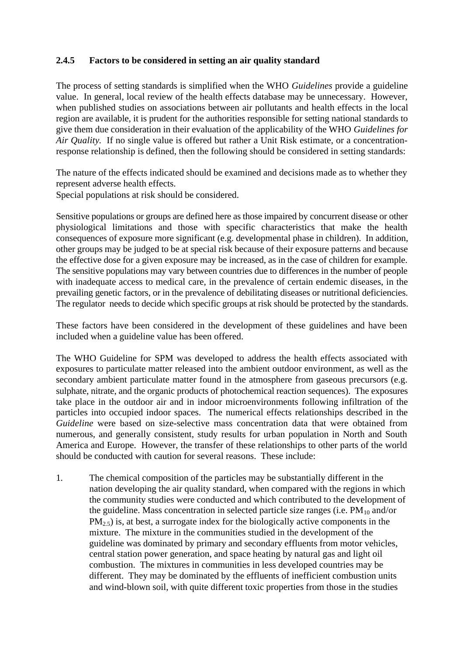#### **2.4.5 Factors to be considered in setting an air quality standard**

The process of setting standards is simplified when the WHO *Guidelines* provide a guideline value. In general, local review of the health effects database may be unnecessary. However, when published studies on associations between air pollutants and health effects in the local region are available, it is prudent for the authorities responsible for setting national standards to give them due consideration in their evaluation of the applicability of the WHO *Guidelines for Air Quality*. If no single value is offered but rather a Unit Risk estimate, or a concentrationresponse relationship is defined, then the following should be considered in setting standards:

The nature of the effects indicated should be examined and decisions made as to whether they represent adverse health effects.

Special populations at risk should be considered.

Sensitive populations or groups are defined here as those impaired by concurrent disease or other physiological limitations and those with specific characteristics that make the health consequences of exposure more significant (e.g. developmental phase in children). In addition, other groups may be judged to be at special risk because of their exposure patterns and because the effective dose for a given exposure may be increased, as in the case of children for example. The sensitive populations may vary between countries due to differences in the number of people with inadequate access to medical care, in the prevalence of certain endemic diseases, in the prevailing genetic factors, or in the prevalence of debilitating diseases or nutritional deficiencies. The regulator needs to decide which specific groups at risk should be protected by the standards.

These factors have been considered in the development of these guidelines and have been included when a guideline value has been offered.

The WHO Guideline for SPM was developed to address the health effects associated with exposures to particulate matter released into the ambient outdoor environment, as well as the secondary ambient particulate matter found in the atmosphere from gaseous precursors (e.g. sulphate, nitrate, and the organic products of photochemical reaction sequences). The exposures take place in the outdoor air and in indoor microenvironments following infiltration of the particles into occupied indoor spaces. The numerical effects relationships described in the *Guideline* were based on size-selective mass concentration data that were obtained from numerous, and generally consistent, study results for urban population in North and South America and Europe. However, the transfer of these relationships to other parts of the world should be conducted with caution for several reasons. These include:

1. The chemical composition of the particles may be substantially different in the nation developing the air quality standard, when compared with the regions in which the community studies were conducted and which contributed to the development of the guideline. Mass concentration in selected particle size ranges (i.e.  $PM_{10}$  and/or  $PM_{2.5}$ ) is, at best, a surrogate index for the biologically active components in the mixture. The mixture in the communities studied in the development of the guideline was dominated by primary and secondary effluents from motor vehicles, central station power generation, and space heating by natural gas and light oil combustion. The mixtures in communities in less developed countries may be different. They may be dominated by the effluents of inefficient combustion units and wind-blown soil, with quite different toxic properties from those in the studies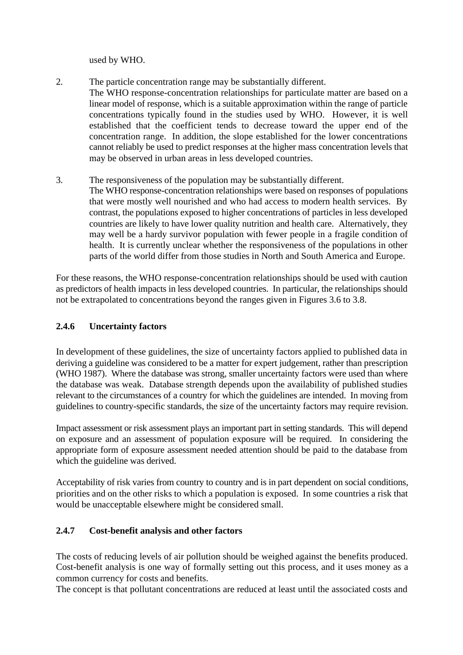used by WHO.

- 2. The particle concentration range may be substantially different. The WHO response-concentration relationships for particulate matter are based on a linear model of response, which is a suitable approximation within the range of particle concentrations typically found in the studies used by WHO. However, it is well established that the coefficient tends to decrease toward the upper end of the concentration range. In addition, the slope established for the lower concentrations cannot reliably be used to predict responses at the higher mass concentration levels that may be observed in urban areas in less developed countries.
- 3. The responsiveness of the population may be substantially different.
	- The WHO response-concentration relationships were based on responses of populations that were mostly well nourished and who had access to modern health services. By contrast, the populations exposed to higher concentrations of particles in less developed countries are likely to have lower quality nutrition and health care. Alternatively, they may well be a hardy survivor population with fewer people in a fragile condition of health. It is currently unclear whether the responsiveness of the populations in other parts of the world differ from those studies in North and South America and Europe.

For these reasons, the WHO response-concentration relationships should be used with caution as predictors of health impacts in less developed countries. In particular, the relationships should not be extrapolated to concentrations beyond the ranges given in Figures 3.6 to 3.8.

#### **2.4.6 Uncertainty factors**

In development of these guidelines, the size of uncertainty factors applied to published data in deriving a guideline was considered to be a matter for expert judgement, rather than prescription (WHO 1987). Where the database was strong, smaller uncertainty factors were used than where the database was weak. Database strength depends upon the availability of published studies relevant to the circumstances of a country for which the guidelines are intended. In moving from guidelines to country-specific standards, the size of the uncertainty factors may require revision.

Impact assessment or risk assessment plays an important part in setting standards. This will depend on exposure and an assessment of population exposure will be required. In considering the appropriate form of exposure assessment needed attention should be paid to the database from which the guideline was derived.

Acceptability of risk varies from country to country and is in part dependent on social conditions, priorities and on the other risks to which a population is exposed. In some countries a risk that would be unacceptable elsewhere might be considered small.

#### **2.4.7 Cost-benefit analysis and other factors**

The costs of reducing levels of air pollution should be weighed against the benefits produced. Cost-benefit analysis is one way of formally setting out this process, and it uses money as a common currency for costs and benefits.

The concept is that pollutant concentrations are reduced at least until the associated costs and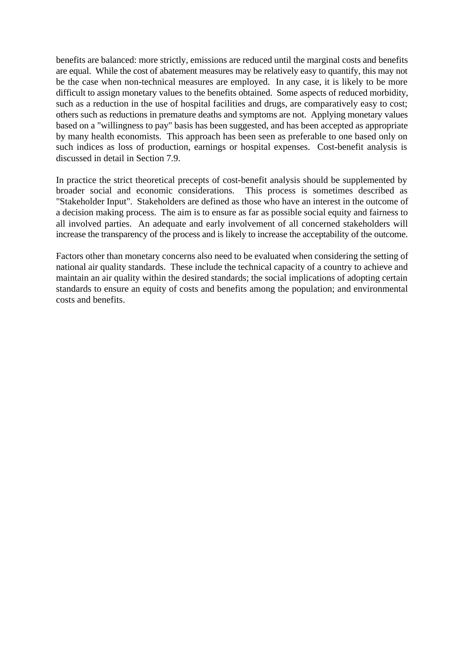benefits are balanced: more strictly, emissions are reduced until the marginal costs and benefits are equal. While the cost of abatement measures may be relatively easy to quantify, this may not be the case when non-technical measures are employed. In any case, it is likely to be more difficult to assign monetary values to the benefits obtained. Some aspects of reduced morbidity, such as a reduction in the use of hospital facilities and drugs, are comparatively easy to cost; others such as reductions in premature deaths and symptoms are not. Applying monetary values based on a "willingness to pay" basis has been suggested, and has been accepted as appropriate by many health economists. This approach has been seen as preferable to one based only on such indices as loss of production, earnings or hospital expenses. Cost-benefit analysis is discussed in detail in Section 7.9.

In practice the strict theoretical precepts of cost-benefit analysis should be supplemented by broader social and economic considerations. This process is sometimes described as "Stakeholder Input". Stakeholders are defined as those who have an interest in the outcome of a decision making process. The aim is to ensure as far as possible social equity and fairness to all involved parties. An adequate and early involvement of all concerned stakeholders will increase the transparency of the process and is likely to increase the acceptability of the outcome.

Factors other than monetary concerns also need to be evaluated when considering the setting of national air quality standards. These include the technical capacity of a country to achieve and maintain an air quality within the desired standards; the social implications of adopting certain standards to ensure an equity of costs and benefits among the population; and environmental costs and benefits.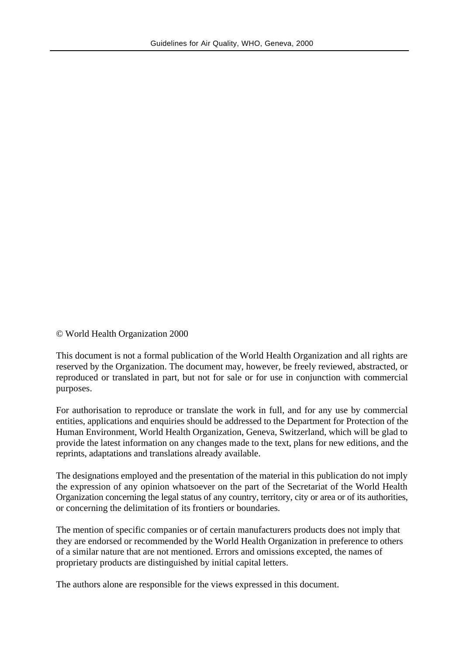© World Health Organization 2000

This document is not a formal publication of the World Health Organization and all rights are reserved by the Organization. The document may, however, be freely reviewed, abstracted, or reproduced or translated in part, but not for sale or for use in conjunction with commercial purposes.

For authorisation to reproduce or translate the work in full, and for any use by commercial entities, applications and enquiries should be addressed to the Department for Protection of the Human Environment, World Health Organization, Geneva, Switzerland, which will be glad to provide the latest information on any changes made to the text, plans for new editions, and the reprints, adaptations and translations already available.

The designations employed and the presentation of the material in this publication do not imply the expression of any opinion whatsoever on the part of the Secretariat of the World Health Organization concerning the legal status of any country, territory, city or area or of its authorities, or concerning the delimitation of its frontiers or boundaries.

The mention of specific companies or of certain manufacturers products does not imply that they are endorsed or recommended by the World Health Organization in preference to others of a similar nature that are not mentioned. Errors and omissions excepted, the names of proprietary products are distinguished by initial capital letters.

The authors alone are responsible for the views expressed in this document.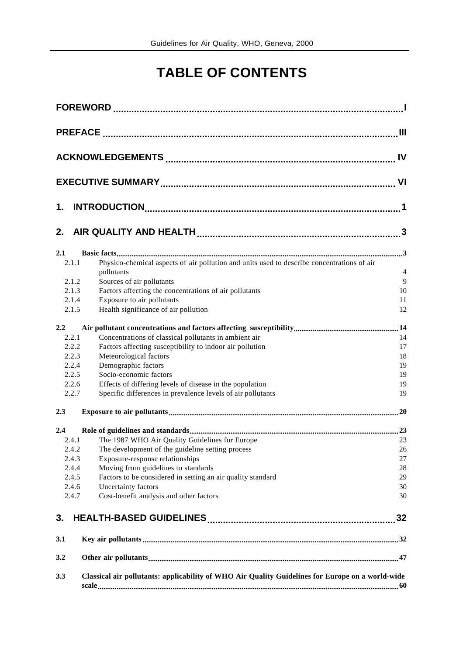# **TABLE OF CONTENTS**

| 1.    |                                                                                                  |                |
|-------|--------------------------------------------------------------------------------------------------|----------------|
| 2.    |                                                                                                  | $\mathbf{3}$   |
| 2.1   |                                                                                                  |                |
| 2.1.1 | Physico-chemical aspects of air pollution and units used to describe concentrations of air       |                |
|       | pollutants                                                                                       | $\overline{4}$ |
| 2.1.2 | Sources of air pollutants                                                                        | 9              |
| 2.1.3 | Factors affecting the concentrations of air pollutants                                           | 10             |
| 2.1.4 | Exposure to air pollutants                                                                       | 11             |
| 2.1.5 | Health significance of air pollution                                                             | 12             |
| 2.2   |                                                                                                  |                |
| 2.2.1 | Concentrations of classical pollutants in ambient air                                            | 14             |
| 2.2.2 | Factors affecting susceptibility to indoor air pollution                                         | 17             |
| 2.2.3 | Meteorological factors                                                                           | 18             |
| 2.2.4 | Demographic factors                                                                              | 19             |
| 2.2.5 | Socio-economic factors                                                                           | 19             |
| 2.2.6 | Effects of differing levels of disease in the population                                         | 19             |
| 2.2.7 | Specific differences in prevalence levels of air pollutants                                      | 19             |
| 2.3   |                                                                                                  |                |
| 2.4   |                                                                                                  |                |
| 2.4.1 | The 1987 WHO Air Quality Guidelines for Europe                                                   | 23             |
| 2.4.2 | The development of the guideline setting process                                                 | 26             |
| 2.4.3 | Exposure-response relationships                                                                  | 27             |
| 2.4.4 | Moving from guidelines to standards                                                              | 28             |
| 2.4.5 | Factors to be considered in setting an air quality standard                                      | 29             |
| 2.4.6 | Uncertainty factors                                                                              | 30             |
| 2.4.7 | Cost-benefit analysis and other factors                                                          | 30             |
| 3.    |                                                                                                  | 32             |
| 3.1   |                                                                                                  |                |
| 3.2   |                                                                                                  |                |
| 3.3   | Classical air pollutants: applicability of WHO Air Quality Guidelines for Europe on a world-wide |                |
|       |                                                                                                  |                |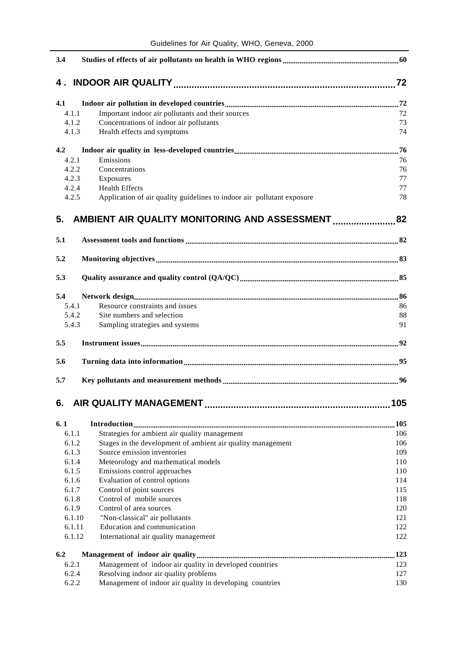| 3.4            |                                                                        |            |
|----------------|------------------------------------------------------------------------|------------|
| 4.             |                                                                        |            |
| 4.1            |                                                                        |            |
| 4.1.1          | Important indoor air pollutants and their sources                      | 72         |
| 4.1.2          | Concentrations of indoor air pollutants                                | 73         |
| 4.1.3          | Health effects and symptoms                                            | 74         |
| 4.2            |                                                                        |            |
| 4.2.1          | Emissions                                                              | 76         |
| 4.2.2          | Concentrations                                                         | 76         |
| 4.2.3          | Exposures                                                              | 77         |
| 4.2.4          | <b>Health Effects</b>                                                  | 77         |
| 4.2.5          | Application of air quality guidelines to indoor air pollutant exposure | 78         |
| 5.             |                                                                        |            |
| 5.1            |                                                                        |            |
| 5.2            |                                                                        |            |
|                |                                                                        |            |
| 5.3            |                                                                        |            |
| 5.4            |                                                                        |            |
| 5.4.1          | Resource constraints and issues                                        | 86         |
| 5.4.2          | Site numbers and selection                                             | 88         |
| 5.4.3          | Sampling strategies and systems                                        | 91         |
| 5.5            |                                                                        |            |
| 5.6            |                                                                        |            |
| 5.7            |                                                                        |            |
| 6.             |                                                                        | 105        |
|                |                                                                        |            |
| 6.1            |                                                                        | .105       |
| 6.1.1          | Strategies for ambient air quality management                          | 106        |
| 6.1.2          | Stages in the development of ambient air quality management            | 106        |
| 6.1.3          | Source emission inventories                                            | 109        |
| 6.1.4          | Meteorology and mathematical models                                    | 110        |
| 6.1.5          | Emissions control approaches                                           | 110        |
| 6.1.6          | Evaluation of control options                                          | 114        |
| 6.1.7<br>6.1.8 | Control of point sources<br>Control of mobile sources                  | 115<br>118 |
| 6.1.9          | Control of area sources                                                | 120        |
| 6.1.10         | "Non-classical" air pollutants                                         | 121        |
| 6.1.11         | Education and communication                                            | 122        |
| 6.1.12         | International air quality management                                   | 122        |
| 6.2            |                                                                        | 123        |
| 6.2.1          | Management of indoor air quality in developed countries                | 123        |
| 6.2.4          | Resolving indoor air quality problems                                  | 127        |
| 6.2.2          | Management of indoor air quality in developing countries               | 130        |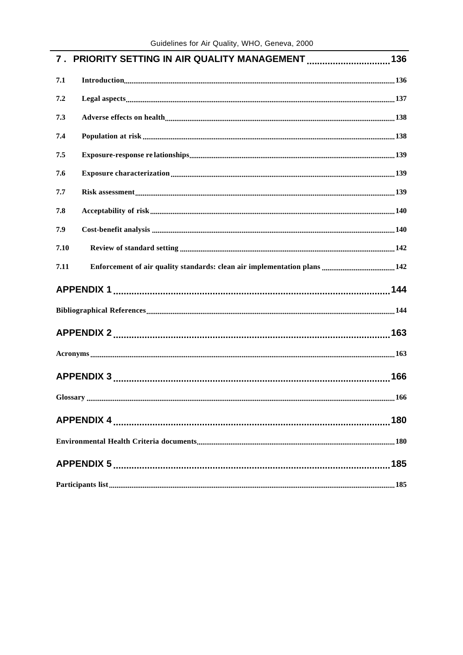|      | 7. PRIORITY SETTING IN AIR QUALITY MANAGEMENT 136 |     |
|------|---------------------------------------------------|-----|
| 7.1  |                                                   |     |
| 7.2  |                                                   |     |
| 7.3  |                                                   |     |
| 7.4  |                                                   |     |
| 7.5  |                                                   |     |
| 7.6  |                                                   |     |
| 7.7  |                                                   |     |
| 7.8  |                                                   |     |
| 7.9  |                                                   |     |
| 7.10 |                                                   |     |
| 7.11 |                                                   |     |
|      |                                                   |     |
|      |                                                   |     |
|      |                                                   |     |
|      |                                                   |     |
|      |                                                   |     |
|      |                                                   | 166 |
|      |                                                   | 180 |
|      |                                                   |     |
|      |                                                   |     |
|      |                                                   |     |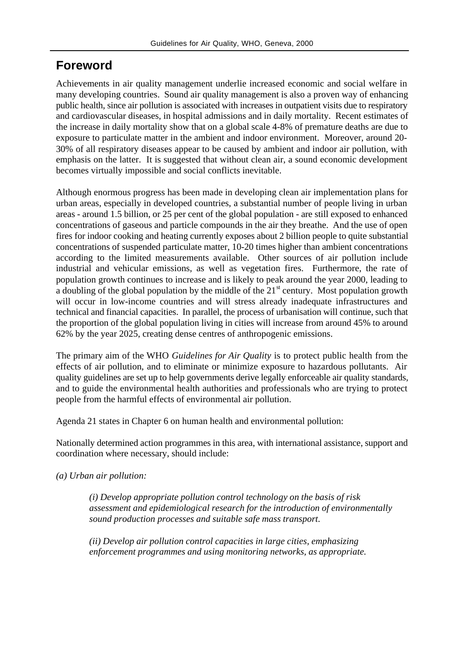# **Foreword**

Achievements in air quality management underlie increased economic and social welfare in many developing countries. Sound air quality management is also a proven way of enhancing public health, since air pollution is associated with increases in outpatient visits due to respiratory and cardiovascular diseases, in hospital admissions and in daily mortality. Recent estimates of the increase in daily mortality show that on a global scale 4-8% of premature deaths are due to exposure to particulate matter in the ambient and indoor environment. Moreover, around 20- 30% of all respiratory diseases appear to be caused by ambient and indoor air pollution, with emphasis on the latter. It is suggested that without clean air, a sound economic development becomes virtually impossible and social conflicts inevitable.

Although enormous progress has been made in developing clean air implementation plans for urban areas, especially in developed countries, a substantial number of people living in urban areas - around 1.5 billion, or 25 per cent of the global population - are still exposed to enhanced concentrations of gaseous and particle compounds in the air they breathe. And the use of open fires for indoor cooking and heating currently exposes about 2 billion people to quite substantial concentrations of suspended particulate matter, 10-20 times higher than ambient concentrations according to the limited measurements available. Other sources of air pollution include industrial and vehicular emissions, as well as vegetation fires. Furthermore, the rate of population growth continues to increase and is likely to peak around the year 2000, leading to a doubling of the global population by the middle of the  $21<sup>st</sup>$  century. Most population growth will occur in low-income countries and will stress already inadequate infrastructures and technical and financial capacities. In parallel, the process of urbanisation will continue, such that the proportion of the global population living in cities will increase from around 45% to around 62% by the year 2025, creating dense centres of anthropogenic emissions.

The primary aim of the WHO *Guidelines for Air Quality* is to protect public health from the effects of air pollution, and to eliminate or minimize exposure to hazardous pollutants. Air quality guidelines are set up to help governments derive legally enforceable air quality standards, and to guide the environmental health authorities and professionals who are trying to protect people from the harmful effects of environmental air pollution.

Agenda 21 states in Chapter 6 on human health and environmental pollution:

Nationally determined action programmes in this area, with international assistance, support and coordination where necessary, should include:

*(a) Urban air pollution:*

*(i) Develop appropriate pollution control technology on the basis of risk assessment and epidemiological research for the introduction of environmentally sound production processes and suitable safe mass transport.*

*(ii) Develop air pollution control capacities in large cities, emphasizing enforcement programmes and using monitoring networks, as appropriate.*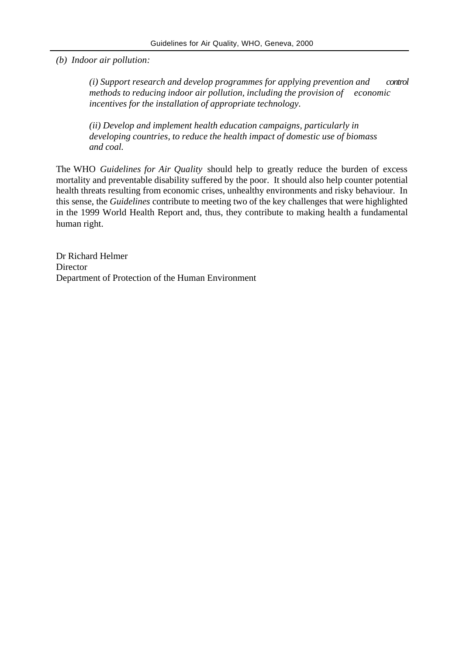*(b) Indoor air pollution:*

*(i) Support research and develop programmes for applying prevention and control methods to reducing indoor air pollution, including the provision of economic incentives for the installation of appropriate technology.*

*(ii) Develop and implement health education campaigns, particularly in developing countries, to reduce the health impact of domestic use of biomass and coal.*

The WHO *Guidelines for Air Quality* should help to greatly reduce the burden of excess mortality and preventable disability suffered by the poor. It should also help counter potential health threats resulting from economic crises, unhealthy environments and risky behaviour. In this sense, the *Guidelines* contribute to meeting two of the key challenges that were highlighted in the 1999 World Health Report and, thus, they contribute to making health a fundamental human right.

Dr Richard Helmer Director Department of Protection of the Human Environment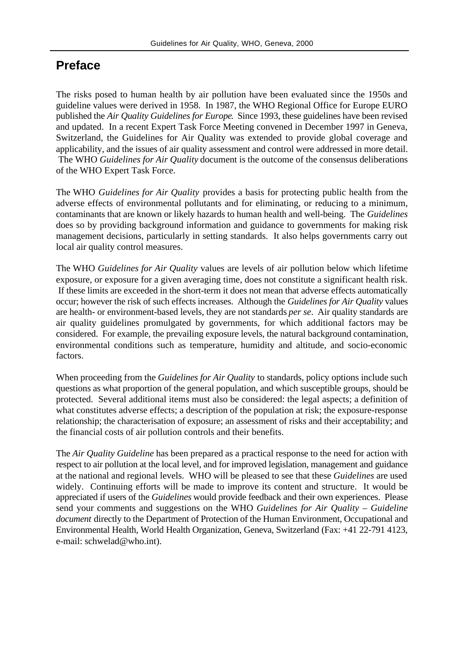# **Preface**

The risks posed to human health by air pollution have been evaluated since the 1950s and guideline values were derived in 1958. In 1987, the WHO Regional Office for Europe EURO published the *Air Quality Guidelines for Europe*. Since 1993, these guidelines have been revised and updated. In a recent Expert Task Force Meeting convened in December 1997 in Geneva, Switzerland, the Guidelines for Air Quality was extended to provide global coverage and applicability, and the issues of air quality assessment and control were addressed in more detail. The WHO *Guidelines for Air Quality* document is the outcome of the consensus deliberations of the WHO Expert Task Force.

The WHO *Guidelines for Air Quality* provides a basis for protecting public health from the adverse effects of environmental pollutants and for eliminating, or reducing to a minimum, contaminants that are known or likely hazards to human health and well-being. The *Guidelines* does so by providing background information and guidance to governments for making risk management decisions, particularly in setting standards. It also helps governments carry out local air quality control measures.

The WHO *Guidelines for Air Quality* values are levels of air pollution below which lifetime exposure, or exposure for a given averaging time, does not constitute a significant health risk. If these limits are exceeded in the short-term it does not mean that adverse effects automatically occur; however the risk of such effects increases. Although the *Guidelines for Air Quality* values are health- or environment-based levels, they are not standards *per se*. Air quality standards are air quality guidelines promulgated by governments, for which additional factors may be considered. For example, the prevailing exposure levels, the natural background contamination, environmental conditions such as temperature, humidity and altitude, and socio-economic factors.

When proceeding from the *Guidelines for Air Quality* to standards, policy options include such questions as what proportion of the general population, and which susceptible groups, should be protected. Several additional items must also be considered: the legal aspects; a definition of what constitutes adverse effects; a description of the population at risk; the exposure-response relationship; the characterisation of exposure; an assessment of risks and their acceptability; and the financial costs of air pollution controls and their benefits.

The *Air Quality Guideline* has been prepared as a practical response to the need for action with respect to air pollution at the local level, and for improved legislation, management and guidance at the national and regional levels. WHO will be pleased to see that these *Guidelines* are used widely. Continuing efforts will be made to improve its content and structure. It would be appreciated if users of the *Guidelines* would provide feedback and their own experiences. Please send your comments and suggestions on the WHO *Guidelines for Air Quality – Guideline document* directly to the Department of Protection of the Human Environment, Occupational and Environmental Health, World Health Organization, Geneva, Switzerland (Fax: +41 22-791 4123, e-mail: schwelad@who.int).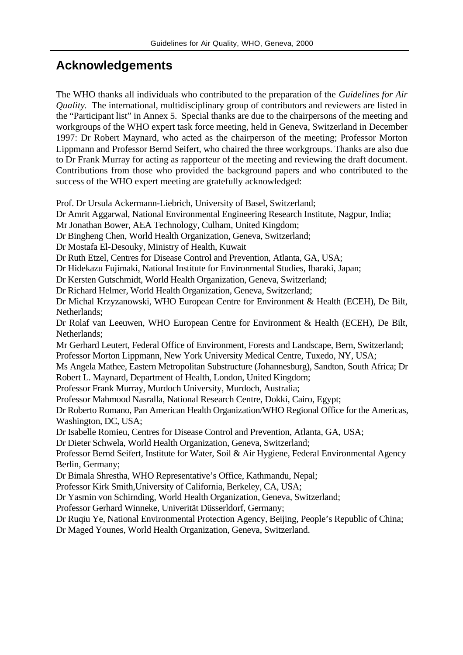# **Acknowledgements**

The WHO thanks all individuals who contributed to the preparation of the *Guidelines for Air Quality*. The international, multidisciplinary group of contributors and reviewers are listed in the "Participant list" in Annex 5. Special thanks are due to the chairpersons of the meeting and workgroups of the WHO expert task force meeting, held in Geneva, Switzerland in December 1997: Dr Robert Maynard, who acted as the chairperson of the meeting; Professor Morton Lippmann and Professor Bernd Seifert, who chaired the three workgroups. Thanks are also due to Dr Frank Murray for acting as rapporteur of the meeting and reviewing the draft document. Contributions from those who provided the background papers and who contributed to the success of the WHO expert meeting are gratefully acknowledged:

Prof. Dr Ursula Ackermann-Liebrich, University of Basel, Switzerland;

Dr Amrit Aggarwal, National Environmental Engineering Research Institute, Nagpur, India;

Mr Jonathan Bower, AEA Technology, Culham, United Kingdom;

Dr Bingheng Chen, World Health Organization, Geneva, Switzerland;

Dr Mostafa El-Desouky, Ministry of Health, Kuwait

Dr Ruth Etzel, Centres for Disease Control and Prevention, Atlanta, GA, USA;

Dr Hidekazu Fujimaki, National Institute for Environmental Studies, Ibaraki, Japan;

Dr Kersten Gutschmidt, World Health Organization, Geneva, Switzerland;

Dr Richard Helmer, World Health Organization, Geneva, Switzerland;

Dr Michal Krzyzanowski, WHO European Centre for Environment & Health (ECEH), De Bilt, Netherlands;

Dr Rolaf van Leeuwen, WHO European Centre for Environment & Health (ECEH), De Bilt, Netherlands;

Mr Gerhard Leutert, Federal Office of Environment, Forests and Landscape, Bern, Switzerland; Professor Morton Lippmann, New York University Medical Centre, Tuxedo, NY, USA;

Ms Angela Mathee, Eastern Metropolitan Substructure (Johannesburg), Sandton, South Africa; Dr Robert L. Maynard, Department of Health, London, United Kingdom;

Professor Frank Murray, Murdoch University, Murdoch, Australia;

Professor Mahmood Nasralla, National Research Centre, Dokki, Cairo, Egypt;

Dr Roberto Romano, Pan American Health Organization/WHO Regional Office for the Americas, Washington, DC, USA;

Dr Isabelle Romieu, Centres for Disease Control and Prevention, Atlanta, GA, USA;

Dr Dieter Schwela, World Health Organization, Geneva, Switzerland;

Professor Bernd Seifert, Institute for Water, Soil & Air Hygiene, Federal Environmental Agency Berlin, Germany;

Dr Bimala Shrestha, WHO Representative's Office, Kathmandu, Nepal;

Professor Kirk Smith,University of California, Berkeley, CA, USA;

Dr Yasmin von Schirnding, World Health Organization, Geneva, Switzerland;

Professor Gerhard Winneke, Univerität Düsserldorf, Germany;

Dr Ruqiu Ye, National Environmental Protection Agency, Beijing, People's Republic of China; Dr Maged Younes, World Health Organization, Geneva, Switzerland.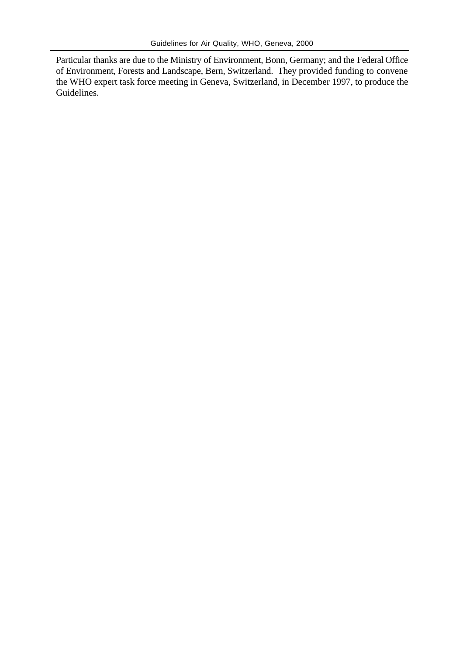Particular thanks are due to the Ministry of Environment, Bonn, Germany; and the Federal Office of Environment, Forests and Landscape, Bern, Switzerland. They provided funding to convene the WHO expert task force meeting in Geneva, Switzerland, in December 1997, to produce the Guidelines.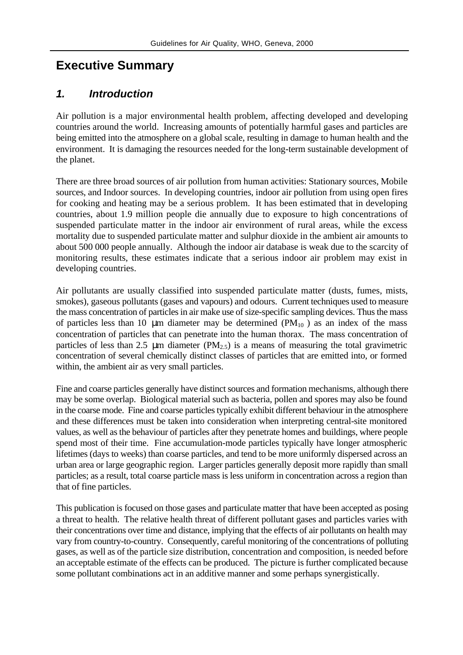# **Executive Summary**

### *1. Introduction*

Air pollution is a major environmental health problem, affecting developed and developing countries around the world. Increasing amounts of potentially harmful gases and particles are being emitted into the atmosphere on a global scale, resulting in damage to human health and the environment. It is damaging the resources needed for the long-term sustainable development of the planet.

There are three broad sources of air pollution from human activities: Stationary sources, Mobile sources, and Indoor sources. In developing countries, indoor air pollution from using open fires for cooking and heating may be a serious problem. It has been estimated that in developing countries, about 1.9 million people die annually due to exposure to high concentrations of suspended particulate matter in the indoor air environment of rural areas, while the excess mortality due to suspended particulate matter and sulphur dioxide in the ambient air amounts to about 500 000 people annually. Although the indoor air database is weak due to the scarcity of monitoring results, these estimates indicate that a serious indoor air problem may exist in developing countries.

Air pollutants are usually classified into suspended particulate matter (dusts, fumes, mists, smokes), gaseous pollutants (gases and vapours) and odours. Current techniques used to measure the mass concentration of particles in air make use of size-specific sampling devices. Thus the mass of particles less than 10  $\mu$ m diameter may be determined (PM<sub>10</sub>) as an index of the mass concentration of particles that can penetrate into the human thorax. The mass concentration of particles of less than 2.5  $\mu$ m diameter (PM<sub>2.5</sub>) is a means of measuring the total gravimetric concentration of several chemically distinct classes of particles that are emitted into, or formed within, the ambient air as very small particles.

Fine and coarse particles generally have distinct sources and formation mechanisms, although there may be some overlap. Biological material such as bacteria, pollen and spores may also be found in the coarse mode. Fine and coarse particles typically exhibit different behaviour in the atmosphere and these differences must be taken into consideration when interpreting central-site monitored values, as well as the behaviour of particles after they penetrate homes and buildings, where people spend most of their time. Fine accumulation-mode particles typically have longer atmospheric lifetimes (days to weeks) than coarse particles, and tend to be more uniformly dispersed across an urban area or large geographic region. Larger particles generally deposit more rapidly than small particles; as a result, total coarse particle mass is less uniform in concentration across a region than that of fine particles.

This publication is focused on those gases and particulate matter that have been accepted as posing a threat to health. The relative health threat of different pollutant gases and particles varies with their concentrations over time and distance, implying that the effects of air pollutants on health may vary from country-to-country. Consequently, careful monitoring of the concentrations of polluting gases, as well as of the particle size distribution, concentration and composition, is needed before an acceptable estimate of the effects can be produced. The picture is further complicated because some pollutant combinations act in an additive manner and some perhaps synergistically.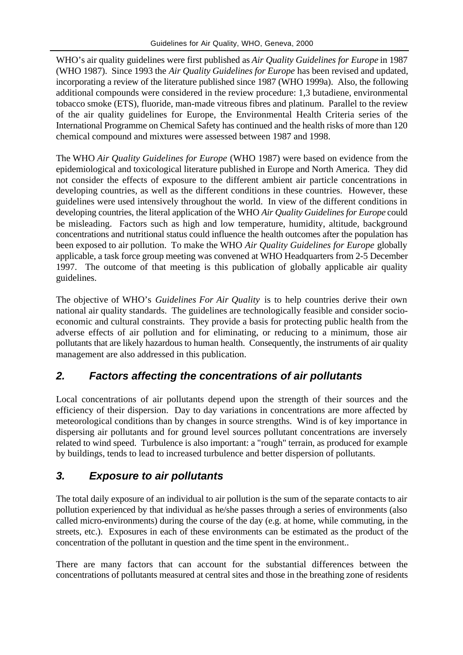WHO's air quality guidelines were first published as *Air Quality Guidelines for Europe* in 1987 (WHO 1987). Since 1993 the *Air Quality Guidelines for Europe* has been revised and updated, incorporating a review of the literature published since 1987 (WHO 1999a). Also, the following additional compounds were considered in the review procedure: 1,3 butadiene, environmental tobacco smoke (ETS), fluoride, man-made vitreous fibres and platinum. Parallel to the review of the air quality guidelines for Europe, the Environmental Health Criteria series of the International Programme on Chemical Safety has continued and the health risks of more than 120 chemical compound and mixtures were assessed between 1987 and 1998.

The WHO *Air Quality Guidelines for Europe* (WHO 1987) were based on evidence from the epidemiological and toxicological literature published in Europe and North America. They did not consider the effects of exposure to the different ambient air particle concentrations in developing countries, as well as the different conditions in these countries. However, these guidelines were used intensively throughout the world. In view of the different conditions in developing countries, the literal application of the WHO *Air Quality Guidelines for Europe* could be misleading. Factors such as high and low temperature, humidity, altitude, background concentrations and nutritional status could influence the health outcomes after the population has been exposed to air pollution. To make the WHO *Air Quality Guidelines for Europe* globally applicable, a task force group meeting was convened at WHO Headquarters from 2-5 December 1997. The outcome of that meeting is this publication of globally applicable air quality guidelines.

The objective of WHO's *Guidelines For Air Quality* is to help countries derive their own national air quality standards. The guidelines are technologically feasible and consider socioeconomic and cultural constraints. They provide a basis for protecting public health from the adverse effects of air pollution and for eliminating, or reducing to a minimum, those air pollutants that are likely hazardous to human health. Consequently, the instruments of air quality management are also addressed in this publication.

## *2. Factors affecting the concentrations of air pollutants*

Local concentrations of air pollutants depend upon the strength of their sources and the efficiency of their dispersion. Day to day variations in concentrations are more affected by meteorological conditions than by changes in source strengths. Wind is of key importance in dispersing air pollutants and for ground level sources pollutant concentrations are inversely related to wind speed. Turbulence is also important: a "rough" terrain, as produced for example by buildings, tends to lead to increased turbulence and better dispersion of pollutants.

## *3. Exposure to air pollutants*

The total daily exposure of an individual to air pollution is the sum of the separate contacts to air pollution experienced by that individual as he/she passes through a series of environments (also called micro-environments) during the course of the day (e.g. at home, while commuting, in the streets, etc.). Exposures in each of these environments can be estimated as the product of the concentration of the pollutant in question and the time spent in the environment..

There are many factors that can account for the substantial differences between the concentrations of pollutants measured at central sites and those in the breathing zone of residents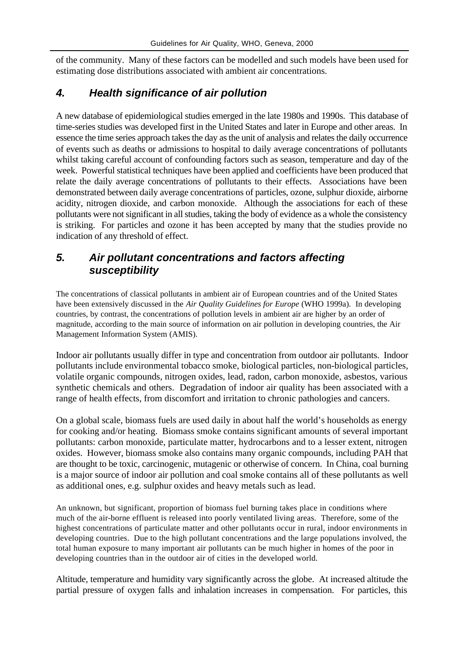of the community. Many of these factors can be modelled and such models have been used for estimating dose distributions associated with ambient air concentrations.

## *4. Health significance of air pollution*

A new database of epidemiological studies emerged in the late 1980s and 1990s. This database of time-series studies was developed first in the United States and later in Europe and other areas. In essence the time series approach takes the day as the unit of analysis and relates the daily occurrence of events such as deaths or admissions to hospital to daily average concentrations of pollutants whilst taking careful account of confounding factors such as season, temperature and day of the week. Powerful statistical techniques have been applied and coefficients have been produced that relate the daily average concentrations of pollutants to their effects. Associations have been demonstrated between daily average concentrations of particles, ozone, sulphur dioxide, airborne acidity, nitrogen dioxide, and carbon monoxide. Although the associations for each of these pollutants were not significant in all studies, taking the body of evidence as a whole the consistency is striking. For particles and ozone it has been accepted by many that the studies provide no indication of any threshold of effect.

## *5. Air pollutant concentrations and factors affecting susceptibility*

The concentrations of classical pollutants in ambient air of European countries and of the United States have been extensively discussed in the *Air Quality Guidelines for Europe* (WHO 1999a). In developing countries, by contrast, the concentrations of pollution levels in ambient air are higher by an order of magnitude, according to the main source of information on air pollution in developing countries, the Air Management Information System (AMIS).

Indoor air pollutants usually differ in type and concentration from outdoor air pollutants. Indoor pollutants include environmental tobacco smoke, biological particles, non-biological particles, volatile organic compounds, nitrogen oxides, lead, radon, carbon monoxide, asbestos, various synthetic chemicals and others. Degradation of indoor air quality has been associated with a range of health effects, from discomfort and irritation to chronic pathologies and cancers.

On a global scale, biomass fuels are used daily in about half the world's households as energy for cooking and/or heating. Biomass smoke contains significant amounts of several important pollutants: carbon monoxide, particulate matter, hydrocarbons and to a lesser extent, nitrogen oxides. However, biomass smoke also contains many organic compounds, including PAH that are thought to be toxic, carcinogenic, mutagenic or otherwise of concern. In China, coal burning is a major source of indoor air pollution and coal smoke contains all of these pollutants as well as additional ones, e.g. sulphur oxides and heavy metals such as lead.

An unknown, but significant, proportion of biomass fuel burning takes place in conditions where much of the air-borne effluent is released into poorly ventilated living areas. Therefore, some of the highest concentrations of particulate matter and other pollutants occur in rural, indoor environments in developing countries. Due to the high pollutant concentrations and the large populations involved, the total human exposure to many important air pollutants can be much higher in homes of the poor in developing countries than in the outdoor air of cities in the developed world.

Altitude, temperature and humidity vary significantly across the globe. At increased altitude the partial pressure of oxygen falls and inhalation increases in compensation. For particles, this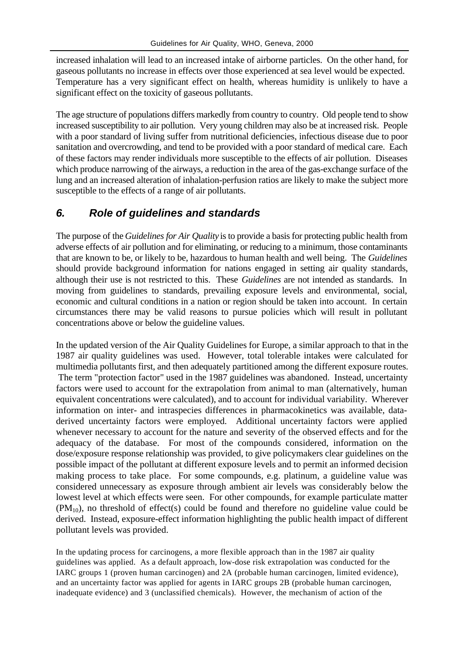increased inhalation will lead to an increased intake of airborne particles. On the other hand, for gaseous pollutants no increase in effects over those experienced at sea level would be expected. Temperature has a very significant effect on health, whereas humidity is unlikely to have a significant effect on the toxicity of gaseous pollutants.

The age structure of populations differs markedly from country to country. Old people tend to show increased susceptibility to air pollution. Very young children may also be at increased risk. People with a poor standard of living suffer from nutritional deficiencies, infectious disease due to poor sanitation and overcrowding, and tend to be provided with a poor standard of medical care. Each of these factors may render individuals more susceptible to the effects of air pollution. Diseases which produce narrowing of the airways, a reduction in the area of the gas-exchange surface of the lung and an increased alteration of inhalation-perfusion ratios are likely to make the subject more susceptible to the effects of a range of air pollutants.

### *6. Role of guidelines and standards*

The purpose of the *Guidelines for Air Quality* is to provide a basis for protecting public health from adverse effects of air pollution and for eliminating, or reducing to a minimum, those contaminants that are known to be, or likely to be, hazardous to human health and well being. The *Guidelines* should provide background information for nations engaged in setting air quality standards, although their use is not restricted to this. These *Guidelines* are not intended as standards. In moving from guidelines to standards, prevailing exposure levels and environmental, social, economic and cultural conditions in a nation or region should be taken into account. In certain circumstances there may be valid reasons to pursue policies which will result in pollutant concentrations above or below the guideline values.

In the updated version of the Air Quality Guidelines for Europe, a similar approach to that in the 1987 air quality guidelines was used. However, total tolerable intakes were calculated for multimedia pollutants first, and then adequately partitioned among the different exposure routes. The term "protection factor" used in the 1987 guidelines was abandoned. Instead, uncertainty factors were used to account for the extrapolation from animal to man (alternatively, human equivalent concentrations were calculated), and to account for individual variability. Wherever information on inter- and intraspecies differences in pharmacokinetics was available, dataderived uncertainty factors were employed. Additional uncertainty factors were applied whenever necessary to account for the nature and severity of the observed effects and for the adequacy of the database. For most of the compounds considered, information on the dose/exposure response relationship was provided, to give policymakers clear guidelines on the possible impact of the pollutant at different exposure levels and to permit an informed decision making process to take place. For some compounds, e.g. platinum, a guideline value was considered unnecessary as exposure through ambient air levels was considerably below the lowest level at which effects were seen. For other compounds, for example particulate matter  $(PM_{10})$ , no threshold of effect(s) could be found and therefore no guideline value could be derived. Instead, exposure-effect information highlighting the public health impact of different pollutant levels was provided.

In the updating process for carcinogens, a more flexible approach than in the 1987 air quality guidelines was applied. As a default approach, low-dose risk extrapolation was conducted for the IARC groups 1 (proven human carcinogen) and 2A (probable human carcinogen, limited evidence), and an uncertainty factor was applied for agents in IARC groups 2B (probable human carcinogen, inadequate evidence) and 3 (unclassified chemicals). However, the mechanism of action of the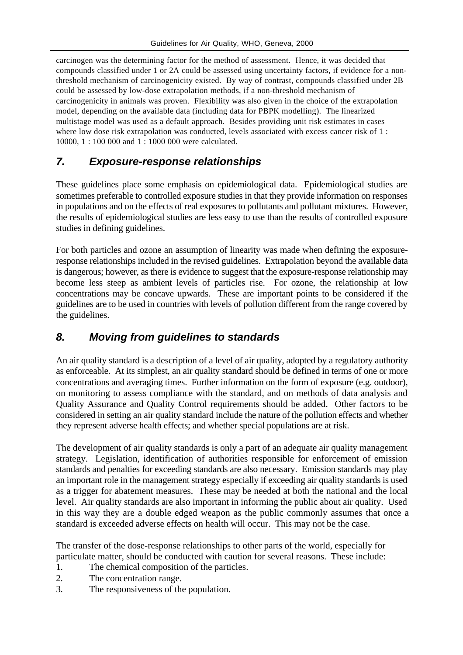carcinogen was the determining factor for the method of assessment. Hence, it was decided that compounds classified under 1 or 2A could be assessed using uncertainty factors, if evidence for a nonthreshold mechanism of carcinogenicity existed. By way of contrast, compounds classified under 2B could be assessed by low-dose extrapolation methods, if a non-threshold mechanism of carcinogenicity in animals was proven. Flexibility was also given in the choice of the extrapolation model, depending on the available data (including data for PBPK modelling). The linearized multistage model was used as a default approach. Besides providing unit risk estimates in cases where low dose risk extrapolation was conducted, levels associated with excess cancer risk of 1 : 10000, 1 : 100 000 and 1 : 1000 000 were calculated.

## *7. Exposure-response relationships*

These guidelines place some emphasis on epidemiological data. Epidemiological studies are sometimes preferable to controlled exposure studies in that they provide information on responses in populations and on the effects of real exposures to pollutants and pollutant mixtures. However, the results of epidemiological studies are less easy to use than the results of controlled exposure studies in defining guidelines.

For both particles and ozone an assumption of linearity was made when defining the exposureresponse relationships included in the revised guidelines. Extrapolation beyond the available data is dangerous; however, as there is evidence to suggest that the exposure-response relationship may become less steep as ambient levels of particles rise. For ozone, the relationship at low concentrations may be concave upwards. These are important points to be considered if the guidelines are to be used in countries with levels of pollution different from the range covered by the guidelines.

## *8. Moving from guidelines to standards*

An air quality standard is a description of a level of air quality, adopted by a regulatory authority as enforceable. At its simplest, an air quality standard should be defined in terms of one or more concentrations and averaging times. Further information on the form of exposure (e.g. outdoor), on monitoring to assess compliance with the standard, and on methods of data analysis and Quality Assurance and Quality Control requirements should be added. Other factors to be considered in setting an air quality standard include the nature of the pollution effects and whether they represent adverse health effects; and whether special populations are at risk.

The development of air quality standards is only a part of an adequate air quality management strategy. Legislation, identification of authorities responsible for enforcement of emission standards and penalties for exceeding standards are also necessary. Emission standards may play an important role in the management strategy especially if exceeding air quality standards is used as a trigger for abatement measures. These may be needed at both the national and the local level. Air quality standards are also important in informing the public about air quality. Used in this way they are a double edged weapon as the public commonly assumes that once a standard is exceeded adverse effects on health will occur. This may not be the case.

The transfer of the dose-response relationships to other parts of the world, especially for particulate matter, should be conducted with caution for several reasons. These include:

- 1. The chemical composition of the particles.
- 2. The concentration range.
- 3. The responsiveness of the population.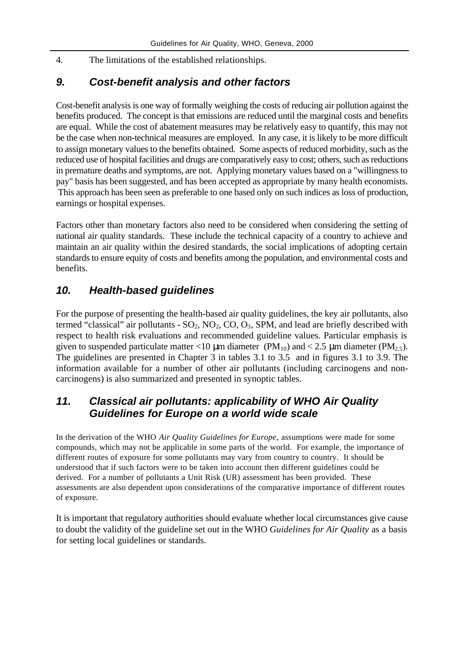### 4. The limitations of the established relationships.

## *9. Cost-benefit analysis and other factors*

Cost-benefit analysis is one way of formally weighing the costs of reducing air pollution against the benefits produced. The concept is that emissions are reduced until the marginal costs and benefits are equal. While the cost of abatement measures may be relatively easy to quantify, this may not be the case when non-technical measures are employed. In any case, it is likely to be more difficult to assign monetary values to the benefits obtained. Some aspects of reduced morbidity, such as the reduced use of hospital facilities and drugs are comparatively easy to cost; others, such as reductions in premature deaths and symptoms, are not. Applying monetary values based on a "willingness to pay" basis has been suggested, and has been accepted as appropriate by many health economists. This approach has been seen as preferable to one based only on such indices as loss of production, earnings or hospital expenses.

Factors other than monetary factors also need to be considered when considering the setting of national air quality standards. These include the technical capacity of a country to achieve and maintain an air quality within the desired standards, the social implications of adopting certain standards to ensure equity of costs and benefits among the population, and environmental costs and benefits.

## *10. Health-based guidelines*

For the purpose of presenting the health-based air quality guidelines, the key air pollutants, also termed "classical" air pollutants -  $SO_2$ ,  $NO_2$ ,  $CO$ ,  $O_3$ ,  $SPM$ , and lead are briefly described with respect to health risk evaluations and recommended guideline values. Particular emphasis is given to suspended particulate matter <10 µm diameter (PM<sub>10</sub>) and < 2.5 µm diameter (PM<sub>2.5</sub>). The guidelines are presented in Chapter 3 in tables 3.1 to 3.5 and in figures 3.1 to 3.9. The information available for a number of other air pollutants (including carcinogens and noncarcinogens) is also summarized and presented in synoptic tables.

## *11. Classical air pollutants: applicability of WHO Air Quality Guidelines for Europe on a world wide scale*

In the derivation of the WHO *Air Quality Guidelines for Europe*, assumptions were made for some compounds, which may not be applicable in some parts of the world. For example, the importance of different routes of exposure for some pollutants may vary from country to country. It should be understood that if such factors were to be taken into account then different guidelines could be derived. For a number of pollutants a Unit Risk (UR) assessment has been provided. These assessments are also dependent upon considerations of the comparative importance of different routes of exposure.

It is important that regulatory authorities should evaluate whether local circumstances give cause to doubt the validity of the guideline set out in the WHO *Guidelines for Air Quality* as a basis for setting local guidelines or standards.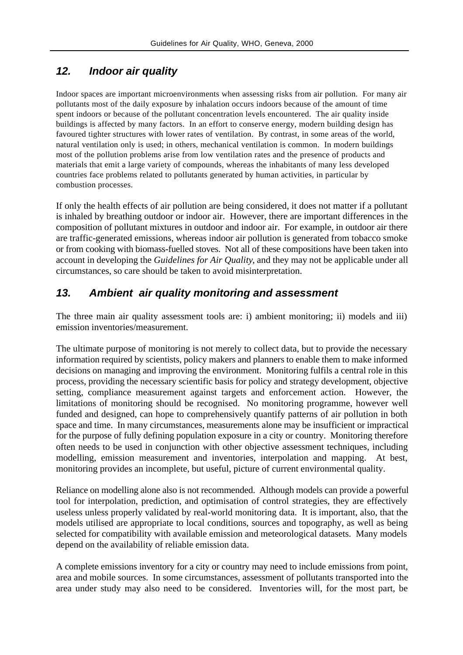## *12. Indoor air quality*

Indoor spaces are important microenvironments when assessing risks from air pollution. For many air pollutants most of the daily exposure by inhalation occurs indoors because of the amount of time spent indoors or because of the pollutant concentration levels encountered. The air quality inside buildings is affected by many factors. In an effort to conserve energy, modern building design has favoured tighter structures with lower rates of ventilation. By contrast, in some areas of the world, natural ventilation only is used; in others, mechanical ventilation is common. In modern buildings most of the pollution problems arise from low ventilation rates and the presence of products and materials that emit a large variety of compounds, whereas the inhabitants of many less developed countries face problems related to pollutants generated by human activities, in particular by combustion processes.

If only the health effects of air pollution are being considered, it does not matter if a pollutant is inhaled by breathing outdoor or indoor air. However, there are important differences in the composition of pollutant mixtures in outdoor and indoor air. For example, in outdoor air there are traffic-generated emissions, whereas indoor air pollution is generated from tobacco smoke or from cooking with biomass-fuelled stoves. Not all of these compositions have been taken into account in developing the *Guidelines for Air Quality*, and they may not be applicable under all circumstances, so care should be taken to avoid misinterpretation.

## *13. Ambient air quality monitoring and assessment*

The three main air quality assessment tools are: i) ambient monitoring; ii) models and iii) emission inventories/measurement.

The ultimate purpose of monitoring is not merely to collect data, but to provide the necessary information required by scientists, policy makers and planners to enable them to make informed decisions on managing and improving the environment. Monitoring fulfils a central role in this process, providing the necessary scientific basis for policy and strategy development, objective setting, compliance measurement against targets and enforcement action. However, the limitations of monitoring should be recognised. No monitoring programme, however well funded and designed, can hope to comprehensively quantify patterns of air pollution in both space and time. In many circumstances, measurements alone may be insufficient or impractical for the purpose of fully defining population exposure in a city or country. Monitoring therefore often needs to be used in conjunction with other objective assessment techniques, including modelling, emission measurement and inventories, interpolation and mapping. At best, monitoring provides an incomplete, but useful, picture of current environmental quality.

Reliance on modelling alone also is not recommended. Although models can provide a powerful tool for interpolation, prediction, and optimisation of control strategies, they are effectively useless unless properly validated by real-world monitoring data. It is important, also, that the models utilised are appropriate to local conditions, sources and topography, as well as being selected for compatibility with available emission and meteorological datasets. Many models depend on the availability of reliable emission data.

A complete emissions inventory for a city or country may need to include emissions from point, area and mobile sources. In some circumstances, assessment of pollutants transported into the area under study may also need to be considered. Inventories will, for the most part, be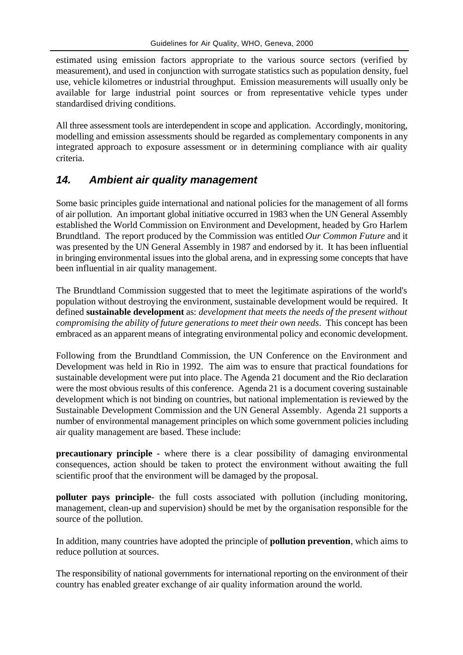estimated using emission factors appropriate to the various source sectors (verified by measurement), and used in conjunction with surrogate statistics such as population density, fuel use, vehicle kilometres or industrial throughput. Emission measurements will usually only be available for large industrial point sources or from representative vehicle types under standardised driving conditions.

All three assessment tools are interdependent in scope and application. Accordingly, monitoring, modelling and emission assessments should be regarded as complementary components in any integrated approach to exposure assessment or in determining compliance with air quality criteria.

### *14. Ambient air quality management*

Some basic principles guide international and national policies for the management of all forms of air pollution. An important global initiative occurred in 1983 when the UN General Assembly established the World Commission on Environment and Development, headed by Gro Harlem Brundtland. The report produced by the Commission was entitled *Our Common Future* and it was presented by the UN General Assembly in 1987 and endorsed by it. It has been influential in bringing environmental issues into the global arena, and in expressing some concepts that have been influential in air quality management.

The Brundtland Commission suggested that to meet the legitimate aspirations of the world's population without destroying the environment, sustainable development would be required. It defined **sustainable development** as: *development that meets the needs of the present without compromising the ability of future generations to meet their own needs*. This concept has been embraced as an apparent means of integrating environmental policy and economic development.

Following from the Brundtland Commission, the UN Conference on the Environment and Development was held in Rio in 1992. The aim was to ensure that practical foundations for sustainable development were put into place. The Agenda 21 document and the Rio declaration were the most obvious results of this conference. Agenda 21 is a document covering sustainable development which is not binding on countries, but national implementation is reviewed by the Sustainable Development Commission and the UN General Assembly. Agenda 21 supports a number of environmental management principles on which some government policies including air quality management are based. These include:

**precautionary principle** - where there is a clear possibility of damaging environmental consequences, action should be taken to protect the environment without awaiting the full scientific proof that the environment will be damaged by the proposal.

**polluter pays principle**- the full costs associated with pollution (including monitoring, management, clean-up and supervision) should be met by the organisation responsible for the source of the pollution.

In addition, many countries have adopted the principle of **pollution prevention**, which aims to reduce pollution at sources.

The responsibility of national governments for international reporting on the environment of their country has enabled greater exchange of air quality information around the world.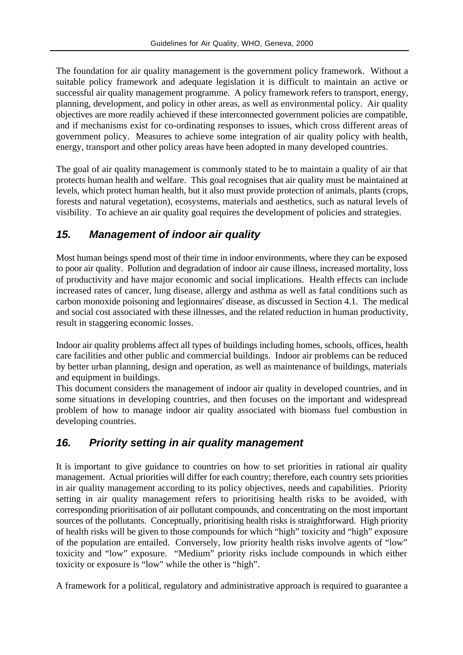The foundation for air quality management is the government policy framework. Without a suitable policy framework and adequate legislation it is difficult to maintain an active or successful air quality management programme. A policy framework refers to transport, energy, planning, development, and policy in other areas, as well as environmental policy. Air quality objectives are more readily achieved if these interconnected government policies are compatible, and if mechanisms exist for co-ordinating responses to issues, which cross different areas of government policy. Measures to achieve some integration of air quality policy with health, energy, transport and other policy areas have been adopted in many developed countries.

The goal of air quality management is commonly stated to be to maintain a quality of air that protects human health and welfare. This goal recognises that air quality must be maintained at levels, which protect human health, but it also must provide protection of animals, plants (crops, forests and natural vegetation), ecosystems, materials and aesthetics, such as natural levels of visibility. To achieve an air quality goal requires the development of policies and strategies.

## *15. Management of indoor air quality*

Most human beings spend most of their time in indoor environments, where they can be exposed to poor air quality. Pollution and degradation of indoor air cause illness, increased mortality, loss of productivity and have major economic and social implications. Health effects can include increased rates of cancer, lung disease, allergy and asthma as well as fatal conditions such as carbon monoxide poisoning and legionnaires' disease, as discussed in Section 4.1. The medical and social cost associated with these illnesses, and the related reduction in human productivity, result in staggering economic losses.

Indoor air quality problems affect all types of buildings including homes, schools, offices, health care facilities and other public and commercial buildings. Indoor air problems can be reduced by better urban planning, design and operation, as well as maintenance of buildings, materials and equipment in buildings.

This document considers the management of indoor air quality in developed countries, and in some situations in developing countries, and then focuses on the important and widespread problem of how to manage indoor air quality associated with biomass fuel combustion in developing countries.

## *16. Priority setting in air quality management*

It is important to give guidance to countries on how to set priorities in rational air quality management. Actual priorities will differ for each country; therefore, each country sets priorities in air quality management according to its policy objectives, needs and capabilities. Priority setting in air quality management refers to prioritising health risks to be avoided, with corresponding prioritisation of air pollutant compounds, and concentrating on the most important sources of the pollutants. Conceptually, prioritising health risks is straightforward. High priority of health risks will be given to those compounds for which "high" toxicity and "high" exposure of the population are entailed. Conversely, low priority health risks involve agents of "low" toxicity and "low" exposure. "Medium" priority risks include compounds in which either toxicity or exposure is "low" while the other is "high".

A framework for a political, regulatory and administrative approach is required to guarantee a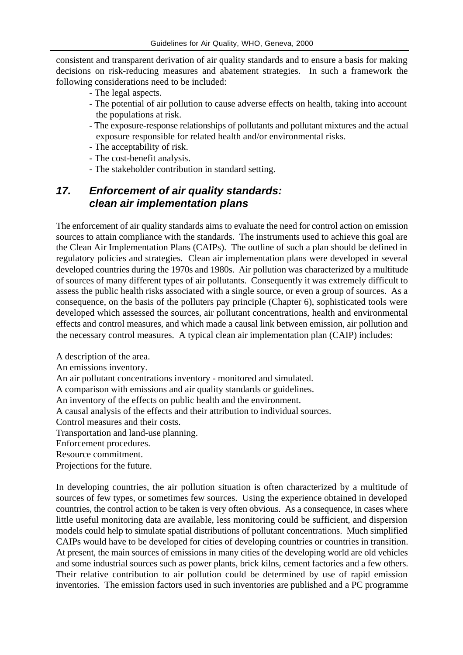consistent and transparent derivation of air quality standards and to ensure a basis for making decisions on risk-reducing measures and abatement strategies. In such a framework the following considerations need to be included:

- The legal aspects.
- The potential of air pollution to cause adverse effects on health, taking into account the populations at risk.
- The exposure-response relationships of pollutants and pollutant mixtures and the actual exposure responsible for related health and/or environmental risks.
- The acceptability of risk.
- The cost-benefit analysis.
- The stakeholder contribution in standard setting.

### *17. Enforcement of air quality standards: clean air implementation plans*

The enforcement of air quality standards aims to evaluate the need for control action on emission sources to attain compliance with the standards. The instruments used to achieve this goal are the Clean Air Implementation Plans (CAIPs). The outline of such a plan should be defined in regulatory policies and strategies. Clean air implementation plans were developed in several developed countries during the 1970s and 1980s. Air pollution was characterized by a multitude of sources of many different types of air pollutants. Consequently it was extremely difficult to assess the public health risks associated with a single source, or even a group of sources. As a consequence, on the basis of the polluters pay principle (Chapter 6), sophisticated tools were developed which assessed the sources, air pollutant concentrations, health and environmental effects and control measures, and which made a causal link between emission, air pollution and the necessary control measures. A typical clean air implementation plan (CAIP) includes:

A description of the area. An emissions inventory. An air pollutant concentrations inventory - monitored and simulated. A comparison with emissions and air quality standards or guidelines. An inventory of the effects on public health and the environment. A causal analysis of the effects and their attribution to individual sources. Control measures and their costs. Transportation and land-use planning. Enforcement procedures. Resource commitment. Projections for the future.

In developing countries, the air pollution situation is often characterized by a multitude of sources of few types, or sometimes few sources. Using the experience obtained in developed countries, the control action to be taken is very often obvious. As a consequence, in cases where little useful monitoring data are available, less monitoring could be sufficient, and dispersion models could help to simulate spatial distributions of pollutant concentrations. Much simplified CAIPs would have to be developed for cities of developing countries or countries in transition. At present, the main sources of emissions in many cities of the developing world are old vehicles and some industrial sources such as power plants, brick kilns, cement factories and a few others. Their relative contribution to air pollution could be determined by use of rapid emission inventories. The emission factors used in such inventories are published and a PC programme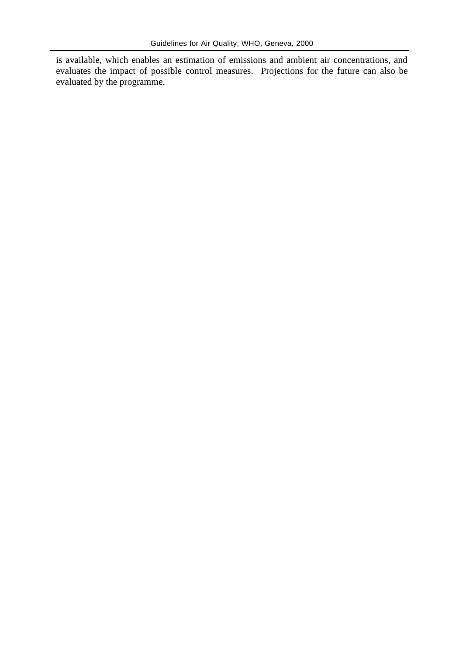is available, which enables an estimation of emissions and ambient air concentrations, and evaluates the impact of possible control measures. Projections for the future can also be evaluated by the programme.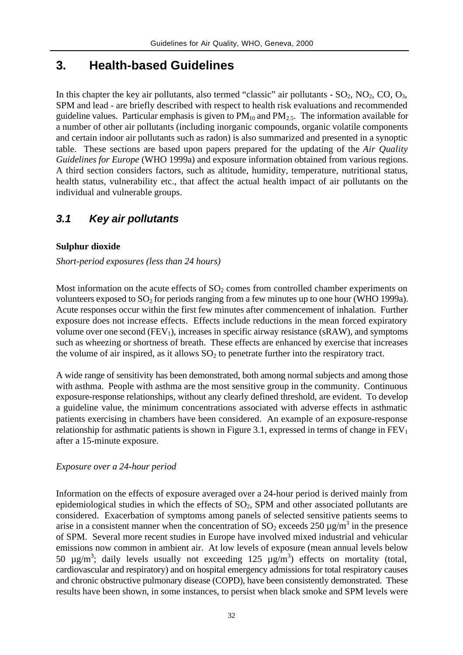# **3. Health-based Guidelines**

In this chapter the key air pollutants, also termed "classic" air pollutants -  $SO_2$ ,  $NO_2$ ,  $CO$ ,  $O_3$ , SPM and lead - are briefly described with respect to health risk evaluations and recommended guideline values. Particular emphasis is given to  $PM_{10}$  and  $PM_{2.5}$ . The information available for a number of other air pollutants (including inorganic compounds, organic volatile components and certain indoor air pollutants such as radon) is also summarized and presented in a synoptic table. These sections are based upon papers prepared for the updating of the *Air Quality Guidelines for Europe* (WHO 1999a) and exposure information obtained from various regions. A third section considers factors, such as altitude, humidity, temperature, nutritional status, health status, vulnerability etc., that affect the actual health impact of air pollutants on the individual and vulnerable groups.

## *3.1 Key air pollutants*

### **Sulphur dioxide**

*Short-period exposures (less than 24 hours)*

Most information on the acute effects of  $SO<sub>2</sub>$  comes from controlled chamber experiments on volunteers exposed to  $SO_2$  for periods ranging from a few minutes up to one hour (WHO 1999a). Acute responses occur within the first few minutes after commencement of inhalation. Further exposure does not increase effects. Effects include reductions in the mean forced expiratory volume over one second  $(FEV_1)$ , increases in specific airway resistance (sRAW), and symptoms such as wheezing or shortness of breath. These effects are enhanced by exercise that increases the volume of air inspired, as it allows  $SO<sub>2</sub>$  to penetrate further into the respiratory tract.

A wide range of sensitivity has been demonstrated, both among normal subjects and among those with asthma. People with asthma are the most sensitive group in the community. Continuous exposure-response relationships, without any clearly defined threshold, are evident. To develop a guideline value, the minimum concentrations associated with adverse effects in asthmatic patients exercising in chambers have been considered. An example of an exposure-response relationship for asthmatic patients is shown in Figure 3.1, expressed in terms of change in  $FEV<sub>1</sub>$ after a 15-minute exposure.

### *Exposure over a 24-hour period*

Information on the effects of exposure averaged over a 24-hour period is derived mainly from epidemiological studies in which the effects of  $SO<sub>2</sub>$ , SPM and other associated pollutants are considered. Exacerbation of symptoms among panels of selected sensitive patients seems to arise in a consistent manner when the concentration of  $SO_2$  exceeds 250  $\mu$ g/m<sup>3</sup> in the presence of SPM. Several more recent studies in Europe have involved mixed industrial and vehicular emissions now common in ambient air. At low levels of exposure (mean annual levels below 50  $\mu$ g/m<sup>3</sup>; daily levels usually not exceeding 125  $\mu$ g/m<sup>3</sup>) effects on mortality (total, cardiovascular and respiratory) and on hospital emergency admissions for total respiratory causes and chronic obstructive pulmonary disease (COPD), have been consistently demonstrated. These results have been shown, in some instances, to persist when black smoke and SPM levels were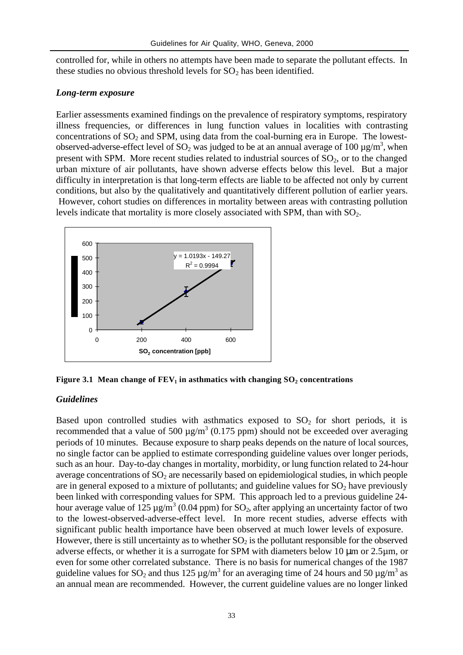controlled for, while in others no attempts have been made to separate the pollutant effects. In these studies no obvious threshold levels for  $SO<sub>2</sub>$  has been identified.

#### *Long-term exposure*

Earlier assessments examined findings on the prevalence of respiratory symptoms, respiratory illness frequencies, or differences in lung function values in localities with contrasting concentrations of  $SO_2$  and SPM, using data from the coal-burning era in Europe. The lowestobserved-adverse-effect level of SO<sub>2</sub> was judged to be at an annual average of 100  $\mu$ g/m<sup>3</sup>, when present with SPM. More recent studies related to industrial sources of  $SO<sub>2</sub>$ , or to the changed urban mixture of air pollutants, have shown adverse effects below this level. But a major difficulty in interpretation is that long-term effects are liable to be affected not only by current conditions, but also by the qualitatively and quantitatively different pollution of earlier years. However, cohort studies on differences in mortality between areas with contrasting pollution levels indicate that mortality is more closely associated with SPM, than with  $SO_2$ .



**Figure 3.1 Mean change of FEV1 in asthmatics with changing SO2 concentrations**

#### *Guidelines*

Based upon controlled studies with asthmatics exposed to  $SO<sub>2</sub>$  for short periods, it is recommended that a value of 500  $\mu$ g/m<sup>3</sup> (0.175 ppm) should not be exceeded over averaging periods of 10 minutes. Because exposure to sharp peaks depends on the nature of local sources, no single factor can be applied to estimate corresponding guideline values over longer periods, such as an hour. Day-to-day changes in mortality, morbidity, or lung function related to 24-hour average concentrations of  $SO<sub>2</sub>$  are necessarily based on epidemiological studies, in which people are in general exposed to a mixture of pollutants; and guideline values for  $SO_2$  have previously been linked with corresponding values for SPM. This approach led to a previous guideline 24 hour average value of 125  $\mu$ g/m<sup>3</sup> (0.04 ppm) for SO<sub>2</sub>, after applying an uncertainty factor of two to the lowest-observed-adverse-effect level. In more recent studies, adverse effects with significant public health importance have been observed at much lower levels of exposure. However, there is still uncertainty as to whether  $SO<sub>2</sub>$  is the pollutant responsible for the observed adverse effects, or whether it is a surrogate for SPM with diameters below 10 μm or 2.5µm, or even for some other correlated substance. There is no basis for numerical changes of the 1987 guideline values for SO<sub>2</sub> and thus 125  $\mu$ g/m<sup>3</sup> for an averaging time of 24 hours and 50  $\mu$ g/m<sup>3</sup> as an annual mean are recommended. However, the current guideline values are no longer linked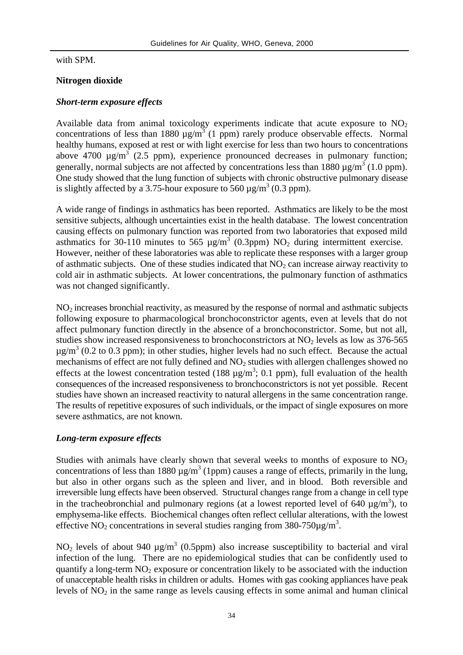with SPM.

#### **Nitrogen dioxide**

#### *Short-term exposure effects*

Available data from animal toxicology experiments indicate that acute exposure to  $NO<sub>2</sub>$ concentrations of less than 1880  $\mu$ g/m<sup>3</sup> (1 ppm) rarely produce observable effects. Normal healthy humans, exposed at rest or with light exercise for less than two hours to concentrations above 4700  $\mu$ g/m<sup>3</sup> (2.5 ppm), experience pronounced decreases in pulmonary function; generally, normal subjects are not affected by concentrations less than 1880  $\mu$ g/m<sup>3</sup> (1.0 ppm). One study showed that the lung function of subjects with chronic obstructive pulmonary disease is slightly affected by a 3.75-hour exposure to 560  $\mu$ g/m<sup>3</sup> (0.3 ppm).

A wide range of findings in asthmatics has been reported. Asthmatics are likely to be the most sensitive subjects, although uncertainties exist in the health database. The lowest concentration causing effects on pulmonary function was reported from two laboratories that exposed mild asthmatics for 30-110 minutes to 565  $\mu$ g/m<sup>3</sup> (0.3ppm) NO<sub>2</sub> during intermittent exercise. However, neither of these laboratories was able to replicate these responses with a larger group of asthmatic subjects. One of these studies indicated that  $NO<sub>2</sub>$  can increase airway reactivity to cold air in asthmatic subjects. At lower concentrations, the pulmonary function of asthmatics was not changed significantly.

NO2 increases bronchial reactivity, as measured by the response of normal and asthmatic subjects following exposure to pharmacological bronchoconstrictor agents, even at levels that do not affect pulmonary function directly in the absence of a bronchoconstrictor. Some, but not all, studies show increased responsiveness to bronchoconstrictors at  $NO<sub>2</sub>$  levels as low as 376-565  $\mu$ g/m<sup>3</sup> (0.2 to 0.3 ppm); in other studies, higher levels had no such effect. Because the actual mechanisms of effect are not fully defined and  $NO<sub>2</sub>$  studies with allergen challenges showed no effects at the lowest concentration tested (188  $\mu$ g/m<sup>3</sup>; 0.1 ppm), full evaluation of the health consequences of the increased responsiveness to bronchoconstrictors is not yet possible. Recent studies have shown an increased reactivity to natural allergens in the same concentration range. The results of repetitive exposures of such individuals, or the impact of single exposures on more severe asthmatics, are not known.

### *Long-term exposure effects*

Studies with animals have clearly shown that several weeks to months of exposure to  $NO<sub>2</sub>$ concentrations of less than 1880  $\mu$ g/m<sup>3</sup> (1ppm) causes a range of effects, primarily in the lung, but also in other organs such as the spleen and liver, and in blood. Both reversible and irreversible lung effects have been observed. Structural changes range from a change in cell type in the tracheobronchial and pulmonary regions (at a lowest reported level of 640  $\mu$ g/m<sup>3</sup>), to emphysema-like effects. Biochemical changes often reflect cellular alterations, with the lowest effective NO<sub>2</sub> concentrations in several studies ranging from 380-750 $\mu$ g/m<sup>3</sup>.

NO<sub>2</sub> levels of about 940  $\mu$ g/m<sup>3</sup> (0.5ppm) also increase susceptibility to bacterial and viral infection of the lung. There are no epidemiological studies that can be confidently used to quantify a long-term  $NO<sub>2</sub>$  exposure or concentration likely to be associated with the induction of unacceptable health risks in children or adults. Homes with gas cooking appliances have peak levels of  $NO<sub>2</sub>$  in the same range as levels causing effects in some animal and human clinical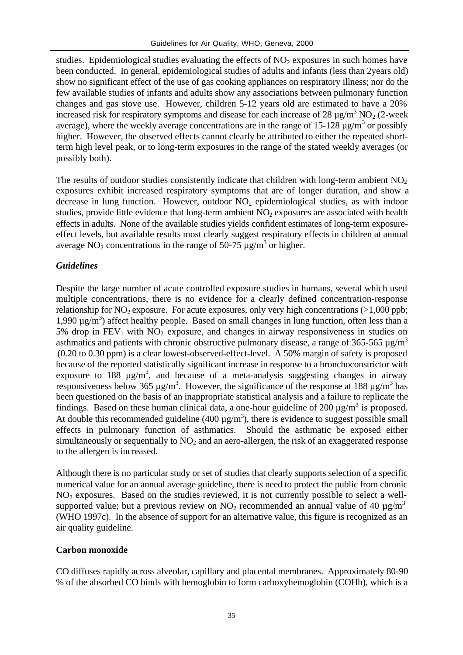studies. Epidemiological studies evaluating the effects of  $NO<sub>2</sub>$  exposures in such homes have been conducted. In general, epidemiological studies of adults and infants (less than 2years old) show no significant effect of the use of gas cooking appliances on respiratory illness; nor do the few available studies of infants and adults show any associations between pulmonary function changes and gas stove use. However, children 5-12 years old are estimated to have a 20% increased risk for respiratory symptoms and disease for each increase of 28  $\mu$ g/m<sup>3</sup> NO<sub>2</sub> (2-week average), where the weekly average concentrations are in the range of 15-128  $\mu$ g/m<sup>3</sup> or possibly higher. However, the observed effects cannot clearly be attributed to either the repeated shortterm high level peak, or to long-term exposures in the range of the stated weekly averages (or possibly both).

The results of outdoor studies consistently indicate that children with long-term ambient  $NO<sub>2</sub>$ exposures exhibit increased respiratory symptoms that are of longer duration, and show a decrease in lung function. However, outdoor  $NO<sub>2</sub>$  epidemiological studies, as with indoor studies, provide little evidence that long-term ambient  $NO<sub>2</sub>$  exposures are associated with health effects in adults. None of the available studies yields confident estimates of long-term exposureeffect levels, but available results most clearly suggest respiratory effects in children at annual average NO<sub>2</sub> concentrations in the range of 50-75  $\mu$ g/m<sup>3</sup> or higher.

#### *Guidelines*

Despite the large number of acute controlled exposure studies in humans, several which used multiple concentrations, there is no evidence for a clearly defined concentration-response relationship for  $NO<sub>2</sub>$  exposure. For acute exposures, only very high concentrations ( $>1,000$  ppb; 1,990  $\mu$ g/m<sup>3</sup>) affect healthy people. Based on small changes in lung function, often less than a 5% drop in  $FEV_1$  with  $NO_2$  exposure, and changes in airway responsiveness in studies on asthmatics and patients with chronic obstructive pulmonary disease, a range of 365-565  $\mu$ g/m<sup>3</sup>  $(0.20 \text{ to } 0.30 \text{ ppm})$  is a clear lowest-observed-effect-level. A 50% margin of safety is proposed because of the reported statistically significant increase in response to a bronchoconstrictor with exposure to 188  $\mu$ g/m<sup>3</sup>, and because of a meta-analysis suggesting changes in airway responsiveness below 365  $\mu$ g/m<sup>3</sup>. However, the significance of the response at 188  $\mu$ g/m<sup>3</sup> has been questioned on the basis of an inappropriate statistical analysis and a failure to replicate the findings. Based on these human clinical data, a one-hour guideline of 200  $\mu$ g/m<sup>3</sup> is proposed. At double this recommended guideline (400  $\mu$ g/m<sup>3</sup>), there is evidence to suggest possible small effects in pulmonary function of asthmatics. Should the asthmatic be exposed either simultaneously or sequentially to  $NO<sub>2</sub>$  and an aero-allergen, the risk of an exaggerated response to the allergen is increased.

Although there is no particular study or set of studies that clearly supports selection of a specific numerical value for an annual average guideline, there is need to protect the public from chronic NO2 exposures. Based on the studies reviewed, it is not currently possible to select a wellsupported value; but a previous review on  $NO<sub>2</sub>$  recommended an annual value of 40  $\mu$ g/m<sup>3</sup> (WHO 1997c). In the absence of support for an alternative value, this figure is recognized as an air quality guideline.

#### **Carbon monoxide**

CO diffuses rapidly across alveolar, capillary and placental membranes. Approximately 80-90 % of the absorbed CO binds with hemoglobin to form carboxyhemoglobin (COHb), which is a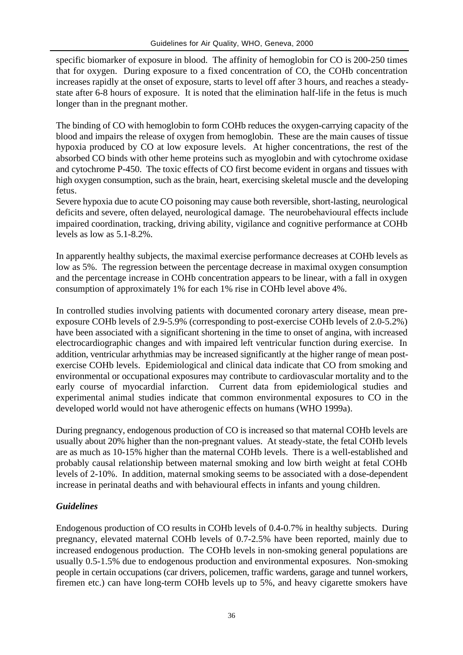specific biomarker of exposure in blood. The affinity of hemoglobin for CO is 200-250 times that for oxygen. During exposure to a fixed concentration of CO, the COHb concentration increases rapidly at the onset of exposure, starts to level off after 3 hours, and reaches a steadystate after 6-8 hours of exposure. It is noted that the elimination half-life in the fetus is much longer than in the pregnant mother.

The binding of CO with hemoglobin to form COHb reduces the oxygen-carrying capacity of the blood and impairs the release of oxygen from hemoglobin. These are the main causes of tissue hypoxia produced by CO at low exposure levels. At higher concentrations, the rest of the absorbed CO binds with other heme proteins such as myoglobin and with cytochrome oxidase and cytochrome P-450. The toxic effects of CO first become evident in organs and tissues with high oxygen consumption, such as the brain, heart, exercising skeletal muscle and the developing fetus.

Severe hypoxia due to acute CO poisoning may cause both reversible, short-lasting, neurological deficits and severe, often delayed, neurological damage. The neurobehavioural effects include impaired coordination, tracking, driving ability, vigilance and cognitive performance at COHb levels as low as 5.1-8.2%.

In apparently healthy subjects, the maximal exercise performance decreases at COHb levels as low as 5%. The regression between the percentage decrease in maximal oxygen consumption and the percentage increase in COHb concentration appears to be linear, with a fall in oxygen consumption of approximately 1% for each 1% rise in COHb level above 4%.

In controlled studies involving patients with documented coronary artery disease, mean preexposure COHb levels of 2.9-5.9% (corresponding to post-exercise COHb levels of 2.0-5.2%) have been associated with a significant shortening in the time to onset of angina, with increased electrocardiographic changes and with impaired left ventricular function during exercise. In addition, ventricular arhythmias may be increased significantly at the higher range of mean postexercise COHb levels. Epidemiological and clinical data indicate that CO from smoking and environmental or occupational exposures may contribute to cardiovascular mortality and to the early course of myocardial infarction. Current data from epidemiological studies and experimental animal studies indicate that common environmental exposures to CO in the developed world would not have atherogenic effects on humans (WHO 1999a).

During pregnancy, endogenous production of CO is increased so that maternal COHb levels are usually about 20% higher than the non-pregnant values. At steady-state, the fetal COHb levels are as much as 10-15% higher than the maternal COHb levels. There is a well-established and probably causal relationship between maternal smoking and low birth weight at fetal COHb levels of 2-10%. In addition, maternal smoking seems to be associated with a dose-dependent increase in perinatal deaths and with behavioural effects in infants and young children.

### *Guidelines*

Endogenous production of CO results in COHb levels of 0.4-0.7% in healthy subjects. During pregnancy, elevated maternal COHb levels of 0.7-2.5% have been reported, mainly due to increased endogenous production. The COHb levels in non-smoking general populations are usually 0.5-1.5% due to endogenous production and environmental exposures. Non-smoking people in certain occupations (car drivers, policemen, traffic wardens, garage and tunnel workers, firemen etc.) can have long-term COHb levels up to 5%, and heavy cigarette smokers have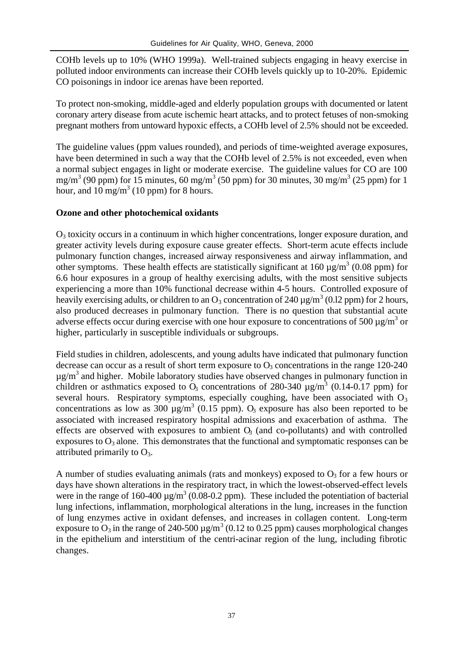COHb levels up to 10% (WHO 1999a). Well-trained subjects engaging in heavy exercise in polluted indoor environments can increase their COHb levels quickly up to 10-20%. Epidemic CO poisonings in indoor ice arenas have been reported.

To protect non-smoking, middle-aged and elderly population groups with documented or latent coronary artery disease from acute ischemic heart attacks, and to protect fetuses of non-smoking pregnant mothers from untoward hypoxic effects, a COHb level of 2.5% should not be exceeded.

The guideline values (ppm values rounded), and periods of time-weighted average exposures, have been determined in such a way that the COHb level of 2.5% is not exceeded, even when a normal subject engages in light or moderate exercise. The guideline values for CO are 100 mg/m<sup>3</sup> (90 ppm) for 15 minutes, 60 mg/m<sup>3</sup> (50 ppm) for 30 minutes, 30 mg/m<sup>3</sup> (25 ppm) for 1 hour, and  $10 \text{ mg/m}^3$  (10 ppm) for 8 hours.

#### **Ozone and other photochemical oxidants**

O3 toxicity occurs in a continuum in which higher concentrations, longer exposure duration, and greater activity levels during exposure cause greater effects. Short-term acute effects include pulmonary function changes, increased airway responsiveness and airway inflammation, and other symptoms. These health effects are statistically significant at 160  $\mu$ g/m<sup>3</sup> (0.08 ppm) for 6.6 hour exposures in a group of healthy exercising adults, with the most sensitive subjects experiencing a more than 10% functional decrease within 4-5 hours. Controlled exposure of heavily exercising adults, or children to an  $O_3$  concentration of 240  $\mu$ g/m<sup>3</sup> (0.12 ppm) for 2 hours, also produced decreases in pulmonary function. There is no question that substantial acute adverse effects occur during exercise with one hour exposure to concentrations of 500  $\mu$ g/m<sup>3</sup> or higher, particularly in susceptible individuals or subgroups.

Field studies in children, adolescents, and young adults have indicated that pulmonary function decrease can occur as a result of short term exposure to  $O_3$  concentrations in the range 120-240  $\mu$ g/m<sup>3</sup> and higher. Mobile laboratory studies have observed changes in pulmonary function in children or asthmatics exposed to  $O_3$  concentrations of 280-340  $\mu$ g/m<sup>3</sup> (0.14-0.17 ppm) for several hours. Respiratory symptoms, especially coughing, have been associated with  $O_3$ concentrations as low as 300  $\mu$ g/m<sup>3</sup> (0.15 ppm). O<sub>3</sub> exposure has also been reported to be associated with increased respiratory hospital admissions and exacerbation of asthma. The effects are observed with exposures to ambient  $\alpha$  (and co-pollutants) and with controlled exposures to  $O_3$  alone. This demonstrates that the functional and symptomatic responses can be attributed primarily to  $O_3$ .

A number of studies evaluating animals (rats and monkeys) exposed to  $O_3$  for a few hours or days have shown alterations in the respiratory tract, in which the lowest-observed-effect levels were in the range of 160-400  $\mu$ g/m<sup>3</sup> (0.08-0.2 ppm). These included the potentiation of bacterial lung infections, inflammation, morphological alterations in the lung, increases in the function of lung enzymes active in oxidant defenses, and increases in collagen content. Long-term exposure to  $O_3$  in the range of 240-500  $\mu$ g/m<sup>3</sup> (0.12 to 0.25 ppm) causes morphological changes in the epithelium and interstitium of the centri-acinar region of the lung, including fibrotic changes.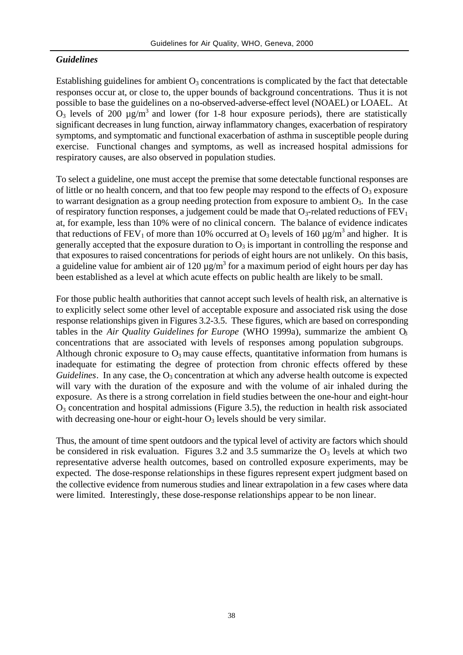### *Guidelines*

Establishing guidelines for ambient  $O_3$  concentrations is complicated by the fact that detectable responses occur at, or close to, the upper bounds of background concentrations. Thus it is not possible to base the guidelines on a no-observed-adverse-effect level (NOAEL) or LOAEL. At  $O_3$  levels of 200  $\mu$ g/m<sup>3</sup> and lower (for 1-8 hour exposure periods), there are statistically significant decreases in lung function, airway inflammatory changes, exacerbation of respiratory symptoms, and symptomatic and functional exacerbation of asthma in susceptible people during exercise. Functional changes and symptoms, as well as increased hospital admissions for respiratory causes, are also observed in population studies.

To select a guideline, one must accept the premise that some detectable functional responses are of little or no health concern, and that too few people may respond to the effects of  $O_3$  exposure to warrant designation as a group needing protection from exposure to ambient  $O_3$ . In the case of respiratory function responses, a judgement could be made that  $O_3$ -related reductions of  $FEV_1$ at, for example, less than 10% were of no clinical concern. The balance of evidence indicates that reductions of FEV<sub>1</sub> of more than 10% occurred at O<sub>3</sub> levels of 160  $\mu$ g/m<sup>3</sup> and higher. It is generally accepted that the exposure duration to  $O_3$  is important in controlling the response and that exposures to raised concentrations for periods of eight hours are not unlikely. On this basis, a guideline value for ambient air of 120  $\mu$ g/m<sup>3</sup> for a maximum period of eight hours per day has been established as a level at which acute effects on public health are likely to be small.

For those public health authorities that cannot accept such levels of health risk, an alternative is to explicitly select some other level of acceptable exposure and associated risk using the dose response relationships given in Figures 3.2-3.5. These figures, which are based on corresponding tables in the *Air Quality Guidelines for Europe* (WHO 1999a), summarize the ambient  $O<sub>3</sub>$ concentrations that are associated with levels of responses among population subgroups. Although chronic exposure to  $O_3$  may cause effects, quantitative information from humans is inadequate for estimating the degree of protection from chronic effects offered by these *Guidelines*. In any case, the  $O_3$  concentration at which any adverse health outcome is expected will vary with the duration of the exposure and with the volume of air inhaled during the exposure. As there is a strong correlation in field studies between the one-hour and eight-hour  $O<sub>3</sub>$  concentration and hospital admissions (Figure 3.5), the reduction in health risk associated with decreasing one-hour or eight-hour  $O_3$  levels should be very similar.

Thus, the amount of time spent outdoors and the typical level of activity are factors which should be considered in risk evaluation. Figures 3.2 and 3.5 summarize the  $O_3$  levels at which two representative adverse health outcomes, based on controlled exposure experiments, may be expected. The dose-response relationships in these figures represent expert judgment based on the collective evidence from numerous studies and linear extrapolation in a few cases where data were limited. Interestingly, these dose-response relationships appear to be non linear.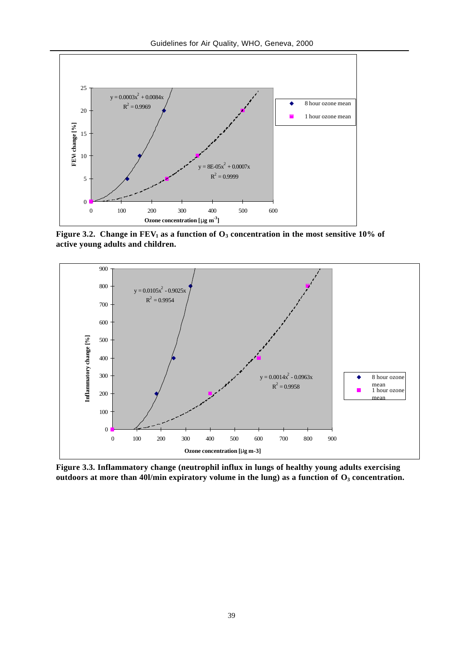

**Figure 3.2. Change in FEV1 as a function of O3 concentration in the most sensitive 10% of active young adults and children.**



**Figure 3.3. Inflammatory change (neutrophil influx in lungs of healthy young adults exercising outdoors at more than 40l/min expiratory volume in the lung) as a function of O3 concentration.**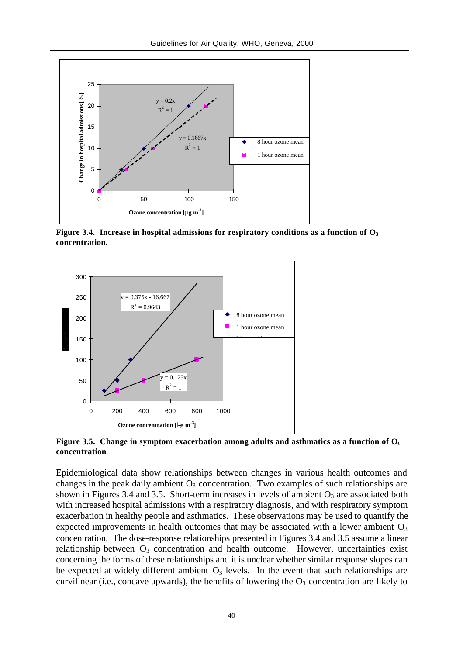

**Figure 3.4. Increase in hospital admissions for respiratory conditions as a function of O<sup>3</sup> concentration.**



**Figure 3.5. Change in symptom exacerbation among adults and asthmatics as a function of O<sup>3</sup> concentration**.

Epidemiological data show relationships between changes in various health outcomes and changes in the peak daily ambient  $O_3$  concentration. Two examples of such relationships are shown in Figures 3.4 and 3.5. Short-term increases in levels of ambient  $O_3$  are associated both with increased hospital admissions with a respiratory diagnosis, and with respiratory symptom exacerbation in healthy people and asthmatics. These observations may be used to quantify the expected improvements in health outcomes that may be associated with a lower ambient  $O<sub>3</sub>$ concentration. The dose-response relationships presented in Figures 3.4 and 3.5 assume a linear relationship between  $O_3$  concentration and health outcome. However, uncertainties exist concerning the forms of these relationships and it is unclear whether similar response slopes can be expected at widely different ambient  $O_3$  levels. In the event that such relationships are curvilinear (i.e., concave upwards), the benefits of lowering the  $O_3$  concentration are likely to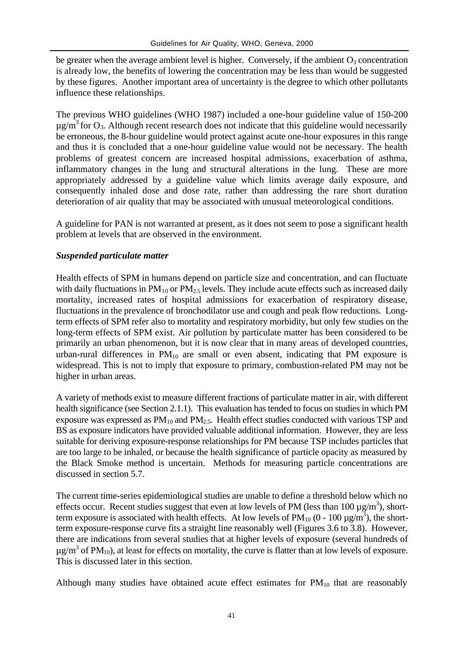be greater when the average ambient level is higher. Conversely, if the ambient  $O_3$  concentration is already low, the benefits of lowering the concentration may be less than would be suggested by these figures. Another important area of uncertainty is the degree to which other pollutants influence these relationships.

The previous WHO guidelines (WHO 1987) included a one-hour guideline value of 150-200  $\mu$ g/m<sup>3</sup> for O<sub>3</sub>. Although recent research does not indicate that this guideline would necessarily be erroneous, the 8-hour guideline would protect against acute one-hour exposures in this range and thus it is concluded that a one-hour guideline value would not be necessary. The health problems of greatest concern are increased hospital admissions, exacerbation of asthma, inflammatory changes in the lung and structural alterations in the lung. These are more appropriately addressed by a guideline value which limits average daily exposure, and consequently inhaled dose and dose rate, rather than addressing the rare short duration deterioration of air quality that may be associated with unusual meteorological conditions.

A guideline for PAN is not warranted at present, as it does not seem to pose a significant health problem at levels that are observed in the environment.

### *Suspended particulate matter*

Health effects of SPM in humans depend on particle size and concentration, and can fluctuate with daily fluctuations in  $PM_{10}$  or  $PM_{2.5}$  levels. They include acute effects such as increased daily mortality, increased rates of hospital admissions for exacerbation of respiratory disease, fluctuations in the prevalence of bronchodilator use and cough and peak flow reductions. Longterm effects of SPM refer also to mortality and respiratory morbidity, but only few studies on the long-term effects of SPM exist. Air pollution by particulate matter has been considered to be primarily an urban phenomenon, but it is now clear that in many areas of developed countries, urban-rural differences in  $PM_{10}$  are small or even absent, indicating that PM exposure is widespread. This is not to imply that exposure to primary, combustion-related PM may not be higher in urban areas.

A variety of methods exist to measure different fractions of particulate matter in air, with different health significance (see Section 2.1.1). This evaluation has tended to focus on studies in which PM exposure was expressed as  $PM_{10}$  and  $PM_{2.5}$ . Health effect studies conducted with various TSP and BS as exposure indicators have provided valuable additional information. However, they are less suitable for deriving exposure-response relationships for PM because TSP includes particles that are too large to be inhaled, or because the health significance of particle opacity as measured by the Black Smoke method is uncertain. Methods for measuring particle concentrations are discussed in section 5.7.

The current time-series epidemiological studies are unable to define a threshold below which no effects occur. Recent studies suggest that even at low levels of PM (less than  $100 \mu g/m^3$ ), shortterm exposure is associated with health effects. At low levels of  $PM_{10}$  (0 - 100  $\mu$ g/m<sup>3</sup>), the shortterm exposure-response curve fits a straight line reasonably well (Figures 3.6 to 3.8). However, there are indications from several studies that at higher levels of exposure (several hundreds of  $\mu$ g/m<sup>3</sup> of PM<sub>10</sub>), at least for effects on mortality, the curve is flatter than at low levels of exposure. This is discussed later in this section.

Although many studies have obtained acute effect estimates for  $PM_{10}$  that are reasonably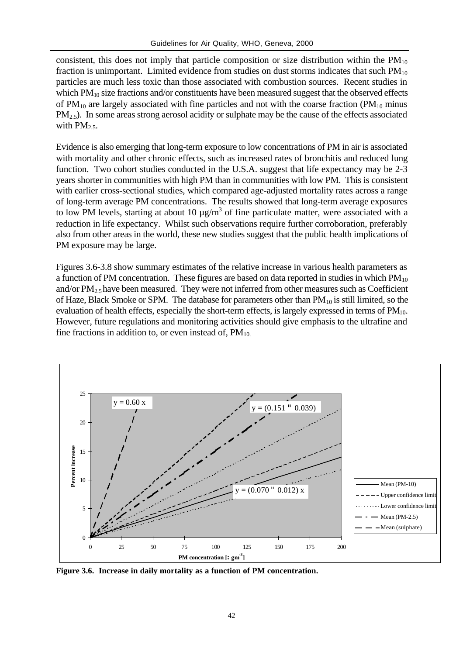consistent, this does not imply that particle composition or size distribution within the  $PM_{10}$ fraction is unimportant. Limited evidence from studies on dust storms indicates that such  $PM_{10}$ particles are much less toxic than those associated with combustion sources. Recent studies in which  $PM_{10}$  size fractions and/or constituents have been measured suggest that the observed effects of  $PM_{10}$  are largely associated with fine particles and not with the coarse fraction ( $PM_{10}$  minus  $PM_{2.5}$ ). In some areas strong aerosol acidity or sulphate may be the cause of the effects associated with  $PM<sub>2.5</sub>$ .

Evidence is also emerging that long-term exposure to low concentrations of PM in air is associated with mortality and other chronic effects, such as increased rates of bronchitis and reduced lung function. Two cohort studies conducted in the U.S.A. suggest that life expectancy may be 2-3 years shorter in communities with high PM than in communities with low PM. This is consistent with earlier cross-sectional studies, which compared age-adjusted mortality rates across a range of long-term average PM concentrations. The results showed that long-term average exposures to low PM levels, starting at about 10  $\mu$ g/m<sup>3</sup> of fine particulate matter, were associated with a reduction in life expectancy. Whilst such observations require further corroboration, preferably also from other areas in the world, these new studies suggest that the public health implications of PM exposure may be large.

Figures 3.6-3.8 show summary estimates of the relative increase in various health parameters as a function of PM concentration. These figures are based on data reported in studies in which  $PM_{10}$ and/or  $PM<sub>2.5</sub>$  have been measured. They were not inferred from other measures such as Coefficient of Haze, Black Smoke or SPM. The database for parameters other than PM<sub>10</sub> is still limited, so the evaluation of health effects, especially the short-term effects, is largely expressed in terms of  $PM_{10}$ . However, future regulations and monitoring activities should give emphasis to the ultrafine and fine fractions in addition to, or even instead of,  $PM_{10}$ .



**Figure 3.6. Increase in daily mortality as a function of PM concentration.**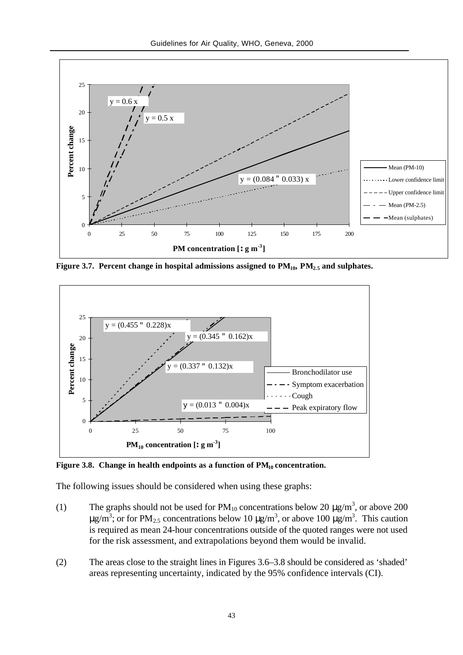

**Figure 3.7. Percent change in hospital admissions assigned to PM10, PM2.5 and sulphates.**



**Figure 3.8. Change in health endpoints as a function of PM10 concentration.**

The following issues should be considered when using these graphs:

- (1) The graphs should not be used for  $PM_{10}$  concentrations below 20  $\mu$ g/m<sup>3</sup>, or above 200 μg/m<sup>3</sup>; or for PM<sub>2.5</sub> concentrations below 10 μg/m<sup>3</sup>, or above 100 μg/m<sup>3</sup>. This caution is required as mean 24-hour concentrations outside of the quoted ranges were not used for the risk assessment, and extrapolations beyond them would be invalid.
- (2) The areas close to the straight lines in Figures 3.6–3.8 should be considered as 'shaded' areas representing uncertainty, indicated by the 95% confidence intervals (CI).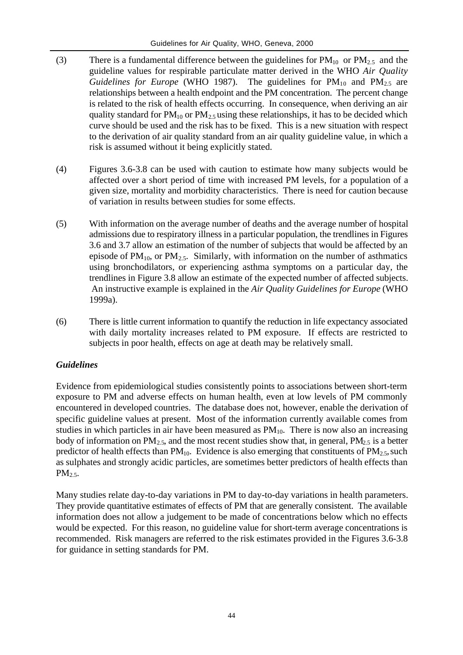- (3) There is a fundamental difference between the guidelines for  $PM_{10}$  or  $PM_{2.5}$  and the guideline values for respirable particulate matter derived in the WHO *Air Quality Guidelines for Europe* (WHO 1987). The guidelines for  $PM_{10}$  and  $PM_{2.5}$  are relationships between a health endpoint and the PM concentration. The percent change is related to the risk of health effects occurring. In consequence, when deriving an air quality standard for  $PM_{10}$  or  $PM_{2.5}$  using these relationships, it has to be decided which curve should be used and the risk has to be fixed. This is a new situation with respect to the derivation of air quality standard from an air quality guideline value, in which a risk is assumed without it being explicitly stated.
- (4) Figures 3.6-3.8 can be used with caution to estimate how many subjects would be affected over a short period of time with increased PM levels, for a population of a given size, mortality and morbidity characteristics. There is need for caution because of variation in results between studies for some effects.
- (5) With information on the average number of deaths and the average number of hospital admissions due to respiratory illness in a particular population, the trendlines in Figures 3.6 and 3.7 allow an estimation of the number of subjects that would be affected by an episode of  $PM_{10}$ , or  $PM_{2.5}$ . Similarly, with information on the number of asthmatics using bronchodilators, or experiencing asthma symptoms on a particular day, the trendlines in Figure 3.8 allow an estimate of the expected number of affected subjects. An instructive example is explained in the *Air Quality Guidelines for Europe* (WHO 1999a).
- (6) There is little current information to quantify the reduction in life expectancy associated with daily mortality increases related to PM exposure. If effects are restricted to subjects in poor health, effects on age at death may be relatively small.

### *Guidelines*

Evidence from epidemiological studies consistently points to associations between short-term exposure to PM and adverse effects on human health, even at low levels of PM commonly encountered in developed countries. The database does not, however, enable the derivation of specific guideline values at present. Most of the information currently available comes from studies in which particles in air have been measured as  $PM_{10}$ . There is now also an increasing body of information on  $PM_{2.5}$ , and the most recent studies show that, in general,  $PM_{2.5}$  is a better predictor of health effects than  $PM_{10}$ . Evidence is also emerging that constituents of  $PM_{2.5}$ , such as sulphates and strongly acidic particles, are sometimes better predictors of health effects than  $PM<sub>2.5</sub>$ .

Many studies relate day-to-day variations in PM to day-to-day variations in health parameters. They provide quantitative estimates of effects of PM that are generally consistent. The available information does not allow a judgement to be made of concentrations below which no effects would be expected. For this reason, no guideline value for short-term average concentrations is recommended. Risk managers are referred to the risk estimates provided in the Figures 3.6-3.8 for guidance in setting standards for PM.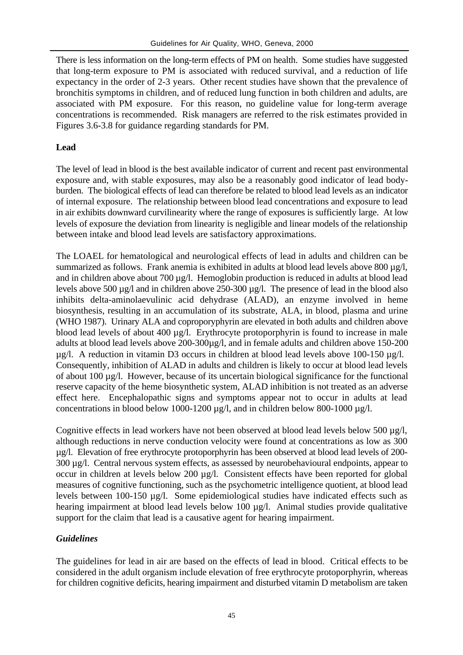There is less information on the long-term effects of PM on health. Some studies have suggested that long-term exposure to PM is associated with reduced survival, and a reduction of life expectancy in the order of 2-3 years. Other recent studies have shown that the prevalence of bronchitis symptoms in children, and of reduced lung function in both children and adults, are associated with PM exposure. For this reason, no guideline value for long-term average concentrations is recommended. Risk managers are referred to the risk estimates provided in Figures 3.6-3.8 for guidance regarding standards for PM.

#### **Lead**

The level of lead in blood is the best available indicator of current and recent past environmental exposure and, with stable exposures, may also be a reasonably good indicator of lead bodyburden. The biological effects of lead can therefore be related to blood lead levels as an indicator of internal exposure. The relationship between blood lead concentrations and exposure to lead in air exhibits downward curvilinearity where the range of exposures is sufficiently large. At low levels of exposure the deviation from linearity is negligible and linear models of the relationship between intake and blood lead levels are satisfactory approximations.

The LOAEL for hematological and neurological effects of lead in adults and children can be summarized as follows. Frank anemia is exhibited in adults at blood lead levels above 800 µg/l, and in children above about 700 µg/l. Hemoglobin production is reduced in adults at blood lead levels above 500 µg/l and in children above 250-300 µg/l. The presence of lead in the blood also inhibits delta-aminolaevulinic acid dehydrase (ALAD), an enzyme involved in heme biosynthesis, resulting in an accumulation of its substrate, ALA, in blood, plasma and urine (WHO 1987). Urinary ALA and coproporyphyrin are elevated in both adults and children above blood lead levels of about 400  $\mu$ g/l. Erythrocyte protoporphyrin is found to increase in male adults at blood lead levels above 200-300µg/l, and in female adults and children above 150-200  $\mu$ g/l. A reduction in vitamin D3 occurs in children at blood lead levels above 100-150  $\mu$ g/l. Consequently, inhibition of ALAD in adults and children is likely to occur at blood lead levels of about 100 µg/l. However, because of its uncertain biological significance for the functional reserve capacity of the heme biosynthetic system, ALAD inhibition is not treated as an adverse effect here. Encephalopathic signs and symptoms appear not to occur in adults at lead concentrations in blood below 1000-1200  $\mu$ g/l, and in children below 800-1000  $\mu$ g/l.

Cognitive effects in lead workers have not been observed at blood lead levels below 500 ug/l. although reductions in nerve conduction velocity were found at concentrations as low as 300 µg/l. Elevation of free erythrocyte protoporphyrin has been observed at blood lead levels of 200- 300 µg/l. Central nervous system effects, as assessed by neurobehavioural endpoints, appear to occur in children at levels below 200 µg/l. Consistent effects have been reported for global measures of cognitive functioning, such as the psychometric intelligence quotient, at blood lead levels between 100-150 µg/l. Some epidemiological studies have indicated effects such as hearing impairment at blood lead levels below 100  $\mu$ g/l. Animal studies provide qualitative support for the claim that lead is a causative agent for hearing impairment.

### *Guidelines*

The guidelines for lead in air are based on the effects of lead in blood. Critical effects to be considered in the adult organism include elevation of free erythrocyte protoporphyrin, whereas for children cognitive deficits, hearing impairment and disturbed vitamin D metabolism are taken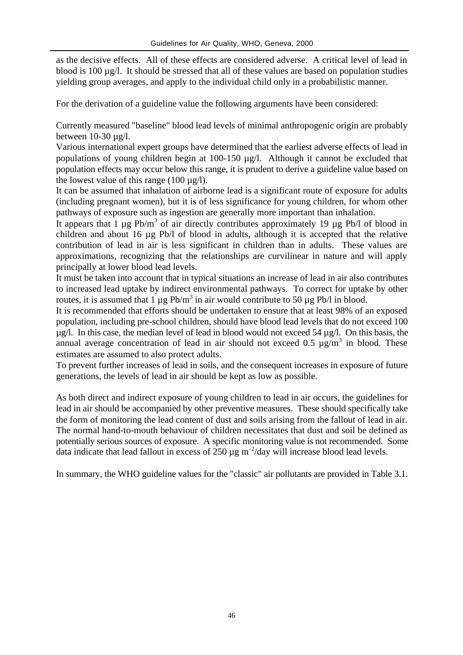as the decisive effects. All of these effects are considered adverse. A critical level of lead in blood is 100  $\mu$ g/l. It should be stressed that all of these values are based on population studies yielding group averages, and apply to the individual child only in a probabilistic manner.

For the derivation of a guideline value the following arguments have been considered:

Currently measured "baseline" blood lead levels of minimal anthropogenic origin are probably between 10-30 µg/l.

Various international expert groups have determined that the earliest adverse effects of lead in populations of young children begin at 100-150 µg/l. Although it cannot be excluded that population effects may occur below this range, it is prudent to derive a guideline value based on the lowest value of this range  $(100 \mu g/l)$ .

It can be assumed that inhalation of airborne lead is a significant route of exposure for adults (including pregnant women), but it is of less significance for young children, for whom other pathways of exposure such as ingestion are generally more important than inhalation.

It appears that 1  $\mu$ g Pb/m<sup>3</sup> of air directly contributes approximately 19  $\mu$ g Pb/l of blood in children and about 16 µg Pb/l of blood in adults, although it is accepted that the relative contribution of lead in air is less significant in children than in adults. These values are approximations, recognizing that the relationships are curvilinear in nature and will apply principally at lower blood lead levels.

It must be taken into account that in typical situations an increase of lead in air also contributes to increased lead uptake by indirect environmental pathways. To correct for uptake by other routes, it is assumed that 1  $\mu$ g Pb/m<sup>3</sup> in air would contribute to 50  $\mu$ g Pb/l in blood.

It is recommended that efforts should be undertaken to ensure that at least 98% of an exposed population, including pre-school children, should have blood lead levels that do not exceed 100  $\mu$ g/l. In this case, the median level of lead in blood would not exceed 54  $\mu$ g/l. On this basis, the annual average concentration of lead in air should not exceed 0.5  $\mu$ g/m<sup>3</sup> in blood. These estimates are assumed to also protect adults.

To prevent further increases of lead in soils, and the consequent increases in exposure of future generations, the levels of lead in air should be kept as low as possible.

As both direct and indirect exposure of young children to lead in air occurs, the guidelines for lead in air should be accompanied by other preventive measures. These should specifically take the form of monitoring the lead content of dust and soils arising from the fallout of lead in air. The normal hand-to-mouth behaviour of children necessitates that dust and soil be defined as potentially serious sources of exposure. A specific monitoring value is not recommended. Some data indicate that lead fallout in excess of 250  $\mu$ g m<sup>-2</sup>/day will increase blood lead levels.

In summary, the WHO guideline values for the "classic" air pollutants are provided in Table 3.1.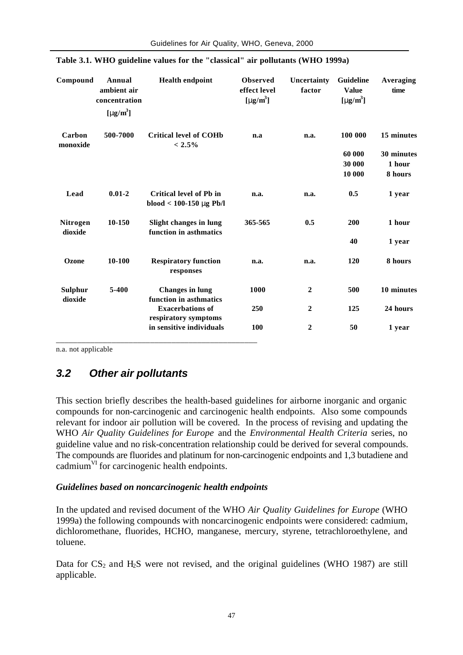| Guidelines for Air Quality, WHO, Geneva, 2000 |  |  |  |  |
|-----------------------------------------------|--|--|--|--|
|-----------------------------------------------|--|--|--|--|

| Compound                  | Annual<br>ambient air<br>concentration<br>[mg/m <sup>3</sup> ] | <b>Health endpoint</b>                                      | <b>Observed</b><br>effect level<br>[mg/m <sup>3</sup> ] | Uncertainty<br>factor | Guideline<br><b>Value</b><br>[mg/m <sup>3</sup> ] | Averaging<br>time |
|---------------------------|----------------------------------------------------------------|-------------------------------------------------------------|---------------------------------------------------------|-----------------------|---------------------------------------------------|-------------------|
| Carbon<br>monoxide        | 500-7000                                                       | <b>Critical level of COHb</b><br>$< 2.5\%$                  | n.a                                                     | n.a.                  | 100 000                                           | 15 minutes        |
|                           |                                                                |                                                             |                                                         |                       | 60 000                                            | 30 minutes        |
|                           |                                                                |                                                             |                                                         |                       | 30 000                                            | 1 hour            |
|                           |                                                                |                                                             |                                                         |                       | 10 000                                            | 8 hours           |
| Lead                      | $0.01 - 2$                                                     | <b>Critical level of Pb in</b><br>blood $< 100-150$ mg Pb/l | n.a.                                                    | n.a.                  | 0.5                                               | 1 year            |
| Nitrogen<br>dioxide       | 10-150                                                         | <b>Slight changes in lung</b><br>function in asthmatics     | 365-565                                                 | 0.5                   | 200                                               | 1 hour            |
|                           |                                                                |                                                             |                                                         |                       | 40                                                | 1 year            |
| Ozone                     | 10-100                                                         | <b>Respiratory function</b><br>responses                    | n.a.                                                    | n.a.                  | <b>120</b>                                        | 8 hours           |
| <b>Sulphur</b><br>dioxide | 5-400                                                          | <b>Changes</b> in lung<br>function in asthmatics            | 1000                                                    | $\overline{2}$        | 500                                               | 10 minutes        |
|                           |                                                                | <b>Exacerbations of</b><br>respiratory symptoms             | 250                                                     | $\overline{2}$        | 125                                               | 24 hours          |
|                           |                                                                | in sensitive individuals                                    | 100                                                     | $\overline{2}$        | 50                                                | 1 year            |
|                           |                                                                |                                                             |                                                         |                       |                                                   |                   |

|  |  |  | Table 3.1. WHO guideline values for the "classical" air pollutants (WHO 1999a) |  |  |  |
|--|--|--|--------------------------------------------------------------------------------|--|--|--|

n.a. not applicable

## *3.2 Other air pollutants*

This section briefly describes the health-based guidelines for airborne inorganic and organic compounds for non-carcinogenic and carcinogenic health endpoints. Also some compounds relevant for indoor air pollution will be covered. In the process of revising and updating the WHO *Air Quality Guidelines for Europe* and the *Environmental Health Criteria* series, no guideline value and no risk-concentration relationship could be derived for several compounds. The compounds are fluorides and platinum for non-carcinogenic endpoints and 1,3 butadiene and  $cadmium<sup>VI</sup>$  for carcinogenic health endpoints.

### *Guidelines based on noncarcinogenic health endpoints*

In the updated and revised document of the WHO *Air Quality Guidelines for Europe* (WHO 1999a) the following compounds with noncarcinogenic endpoints were considered: cadmium, dichloromethane, fluorides, HCHO, manganese, mercury, styrene, tetrachloroethylene, and toluene.

Data for  $CS_2$  and  $H_2S$  were not revised, and the original guidelines (WHO 1987) are still applicable.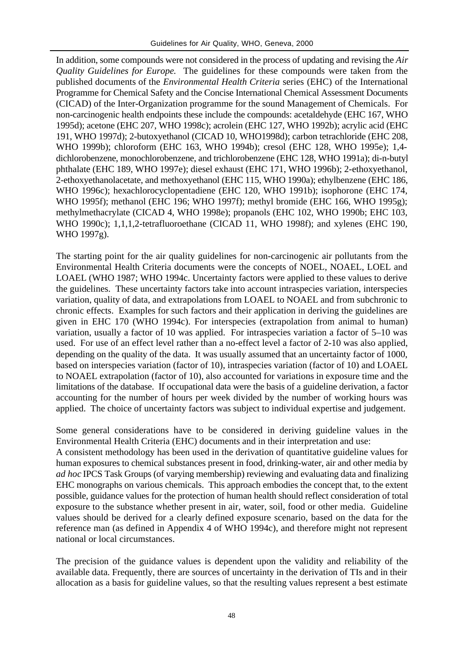In addition, some compounds were not considered in the process of updating and revising the *Air Quality Guidelines for Europe*. The guidelines for these compounds were taken from the published documents of the *Environmental Health Criteria* series (EHC) of the International Programme for Chemical Safety and the Concise International Chemical Assessment Documents (CICAD) of the Inter-Organization programme for the sound Management of Chemicals. For non-carcinogenic health endpoints these include the compounds: acetaldehyde (EHC 167, WHO 1995d); acetone (EHC 207, WHO 1998c); acrolein (EHC 127, WHO 1992b); acrylic acid (EHC 191, WHO 1997d); 2-butoxyethanol (CICAD 10, WHO1998d); carbon tetrachloride (EHC 208, WHO 1999b); chloroform (EHC 163, WHO 1994b); cresol (EHC 128, WHO 1995e); 1,4 dichlorobenzene, monochlorobenzene, and trichlorobenzene (EHC 128, WHO 1991a); di-n-butyl phthalate (EHC 189, WHO 1997e); diesel exhaust (EHC 171, WHO 1996b); 2-ethoxyethanol, 2-ethoxyethanolacetate, and methoxyethanol (EHC 115, WHO 1990a); ethylbenzene (EHC 186, WHO 1996c); hexachlorocyclopentadiene (EHC 120, WHO 1991b); isophorone (EHC 174, WHO 1995f); methanol (EHC 196; WHO 1997f); methyl bromide (EHC 166, WHO 1995g); methylmethacrylate (CICAD 4, WHO 1998e); propanols (EHC 102, WHO 1990b; EHC 103, WHO 1990c); 1,1,1,2-tetrafluoroethane (CICAD 11, WHO 1998f); and xylenes (EHC 190, WHO 1997g).

The starting point for the air quality guidelines for non-carcinogenic air pollutants from the Environmental Health Criteria documents were the concepts of NOEL, NOAEL, LOEL and LOAEL (WHO 1987; WHO 1994c. Uncertainty factors were applied to these values to derive the guidelines. These uncertainty factors take into account intraspecies variation, interspecies variation, quality of data, and extrapolations from LOAEL to NOAEL and from subchronic to chronic effects. Examples for such factors and their application in deriving the guidelines are given in EHC 170 (WHO 1994c). For interspecies (extrapolation from animal to human) variation, usually a factor of 10 was applied. For intraspecies variation a factor of 5–10 was used. For use of an effect level rather than a no-effect level a factor of 2-10 was also applied, depending on the quality of the data. It was usually assumed that an uncertainty factor of 1000, based on interspecies variation (factor of 10), intraspecies variation (factor of 10) and LOAEL to NOAEL extrapolation (factor of 10), also accounted for variations in exposure time and the limitations of the database. If occupational data were the basis of a guideline derivation, a factor accounting for the number of hours per week divided by the number of working hours was applied. The choice of uncertainty factors was subject to individual expertise and judgement.

Some general considerations have to be considered in deriving guideline values in the Environmental Health Criteria (EHC) documents and in their interpretation and use:

A consistent methodology has been used in the derivation of quantitative guideline values for human exposures to chemical substances present in food, drinking-water, air and other media by *ad hoc* IPCS Task Groups (of varying membership) reviewing and evaluating data and finalizing EHC monographs on various chemicals. This approach embodies the concept that, to the extent possible, guidance values for the protection of human health should reflect consideration of total exposure to the substance whether present in air, water, soil, food or other media. Guideline values should be derived for a clearly defined exposure scenario, based on the data for the reference man (as defined in Appendix 4 of WHO 1994c), and therefore might not represent national or local circumstances.

The precision of the guidance values is dependent upon the validity and reliability of the available data. Frequently, there are sources of uncertainty in the derivation of TIs and in their allocation as a basis for guideline values, so that the resulting values represent a best estimate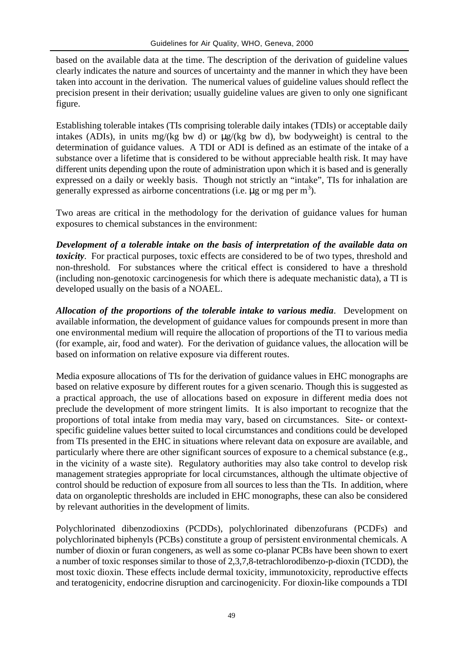based on the available data at the time. The description of the derivation of guideline values clearly indicates the nature and sources of uncertainty and the manner in which they have been taken into account in the derivation. The numerical values of guideline values should reflect the precision present in their derivation; usually guideline values are given to only one significant figure.

Establishing tolerable intakes (TIs comprising tolerable daily intakes (TDIs) or acceptable daily intakes (ADIs), in units mg/(kg bw d) or  $\mu$ g/(kg bw d), bw bodyweight) is central to the determination of guidance values. A TDI or ADI is defined as an estimate of the intake of a substance over a lifetime that is considered to be without appreciable health risk. It may have different units depending upon the route of administration upon which it is based and is generally expressed on a daily or weekly basis. Though not strictly an "intake", TIs for inhalation are generally expressed as airborne concentrations (i.e.  $\mu$ g or mg per m<sup>3</sup>).

Two areas are critical in the methodology for the derivation of guidance values for human exposures to chemical substances in the environment:

*Development of a tolerable intake on the basis of interpretation of the available data on toxicity*. For practical purposes, toxic effects are considered to be of two types, threshold and non-threshold. For substances where the critical effect is considered to have a threshold (including non-genotoxic carcinogenesis for which there is adequate mechanistic data), a TI is developed usually on the basis of a NOAEL.

*Allocation of the proportions of the tolerable intake to various media.* Development on available information, the development of guidance values for compounds present in more than one environmental medium will require the allocation of proportions of the TI to various media (for example, air, food and water). For the derivation of guidance values, the allocation will be based on information on relative exposure via different routes.

Media exposure allocations of TIs for the derivation of guidance values in EHC monographs are based on relative exposure by different routes for a given scenario. Though this is suggested as a practical approach, the use of allocations based on exposure in different media does not preclude the development of more stringent limits. It is also important to recognize that the proportions of total intake from media may vary, based on circumstances. Site- or contextspecific guideline values better suited to local circumstances and conditions could be developed from TIs presented in the EHC in situations where relevant data on exposure are available, and particularly where there are other significant sources of exposure to a chemical substance (e.g., in the vicinity of a waste site). Regulatory authorities may also take control to develop risk management strategies appropriate for local circumstances, although the ultimate objective of control should be reduction of exposure from all sources to less than the TIs. In addition, where data on organoleptic thresholds are included in EHC monographs, these can also be considered by relevant authorities in the development of limits.

Polychlorinated dibenzodioxins (PCDDs), polychlorinated dibenzofurans (PCDFs) and polychlorinated biphenyls (PCBs) constitute a group of persistent environmental chemicals. A number of dioxin or furan congeners, as well as some co-planar PCBs have been shown to exert a number of toxic responses similar to those of 2,3,7,8-tetrachlorodibenzo-p-dioxin (TCDD), the most toxic dioxin. These effects include dermal toxicity, immunotoxicity, reproductive effects and teratogenicity, endocrine disruption and carcinogenicity. For dioxin-like compounds a TDI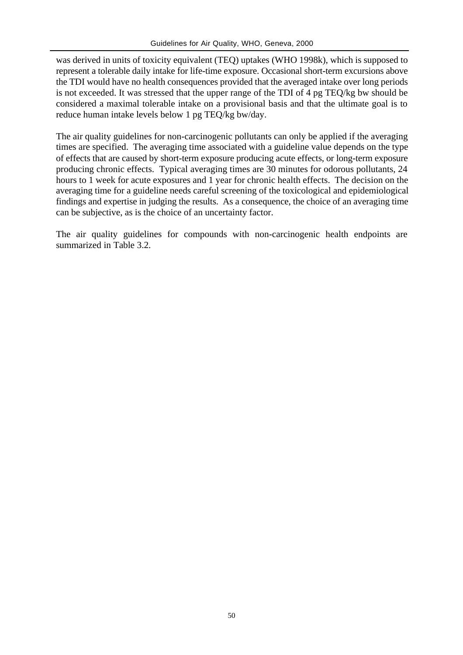was derived in units of toxicity equivalent (TEQ) uptakes (WHO 1998k), which is supposed to represent a tolerable daily intake for life-time exposure. Occasional short-term excursions above the TDI would have no health consequences provided that the averaged intake over long periods is not exceeded. It was stressed that the upper range of the TDI of 4 pg TEQ/kg bw should be considered a maximal tolerable intake on a provisional basis and that the ultimate goal is to reduce human intake levels below 1 pg TEQ/kg bw/day.

The air quality guidelines for non-carcinogenic pollutants can only be applied if the averaging times are specified. The averaging time associated with a guideline value depends on the type of effects that are caused by short-term exposure producing acute effects, or long-term exposure producing chronic effects. Typical averaging times are 30 minutes for odorous pollutants, 24 hours to 1 week for acute exposures and 1 year for chronic health effects. The decision on the averaging time for a guideline needs careful screening of the toxicological and epidemiological findings and expertise in judging the results. As a consequence, the choice of an averaging time can be subjective, as is the choice of an uncertainty factor.

The air quality guidelines for compounds with non-carcinogenic health endpoints are summarized in Table 3.2.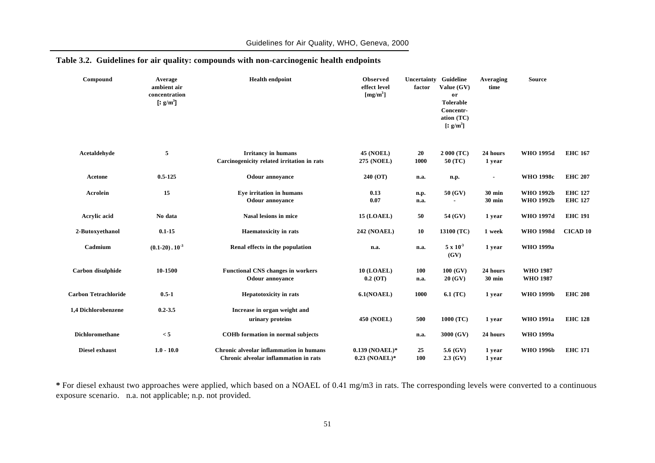| Compound                    | Average<br>ambient air<br>concentration<br>$[:g/m^3]$ | <b>Health endpoint</b>                                                           | Observed<br>effect level<br>[mg/m <sup>3</sup> ] | Uncertainty Guideline<br>factor | Value (GV)<br>or<br><b>Tolerable</b><br>Concentr-<br>ation (TC)<br>$[:g/m^3]$ | Averaging<br>time         | <b>Source</b>                        |                                  |
|-----------------------------|-------------------------------------------------------|----------------------------------------------------------------------------------|--------------------------------------------------|---------------------------------|-------------------------------------------------------------------------------|---------------------------|--------------------------------------|----------------------------------|
| Acetaldehyde                | 5                                                     | <b>Irritancy in humans</b><br>Carcinogenicity related irritation in rats         | <b>45 (NOEL)</b><br>275 (NOEL)                   | 20<br>1000                      | 2 000 (TC)<br>50 (TC)                                                         | 24 hours<br>1 year        | <b>WHO 1995d</b>                     | <b>EHC 167</b>                   |
| Acetone                     | $0.5 - 125$                                           | <b>Odour</b> annovance                                                           | 240 (OT)                                         | n.a.                            | n.p.                                                                          | $\blacksquare$            | <b>WHO 1998c</b>                     | <b>EHC 207</b>                   |
| Acrolein                    | 15                                                    | Eye irritation in humans<br>Odour annoyance                                      | 0.13<br>0.07                                     | n.p.<br>n.a.                    | 50 (GV)                                                                       | 30 min<br><b>30 min</b>   | <b>WHO 1992b</b><br><b>WHO 1992b</b> | <b>EHC 127</b><br><b>EHC 127</b> |
| Acrylic acid                | No data                                               | Nasal lesions in mice                                                            | <b>15 (LOAEL)</b>                                | 50                              | 54 (GV)                                                                       | 1 year                    | <b>WHO 1997d</b>                     | <b>EHC 191</b>                   |
| 2-Butoxyethanol             | $0.1 - 15$                                            | Haematoxicity in rats                                                            | <b>242 (NOAEL)</b>                               | 10                              | 13100 (TC)                                                                    | 1 week                    | <b>WHO 1998d</b>                     | <b>CICAD 10</b>                  |
| Cadmium                     | $(0.1-20)$ , $10^{-3}$                                | Renal effects in the population                                                  | n.a.                                             | n.a.                            | $5 \times 10^{-3}$<br>(GV)                                                    | 1 year                    | <b>WHO 1999a</b>                     |                                  |
| Carbon disulphide           | 10-1500                                               | <b>Functional CNS changes in workers</b><br>Odour annoyance                      | <b>10 (LOAEL)</b><br>$0.2$ (OT)                  | 100<br>n.a.                     | 100(GV)<br>20(GV)                                                             | 24 hours<br><b>30 min</b> | <b>WHO 1987</b><br><b>WHO 1987</b>   |                                  |
| <b>Carbon Tetrachloride</b> | $0.5 - 1$                                             | <b>Hepatotoxicity</b> in rats                                                    | 6.1(NOAEL)                                       | 1000                            | $6.1$ (TC)                                                                    | 1 year                    | <b>WHO 1999b</b>                     | <b>EHC 208</b>                   |
| 1,4 Dichlorobenzene         | $0.2 - 3.5$                                           | Increase in organ weight and<br>urinary proteins                                 | <b>450 (NOEL)</b>                                | 500                             | 1000 (TC)                                                                     | 1 year                    | <b>WHO 1991a</b>                     | <b>EHC 128</b>                   |
| <b>Dichloromethane</b>      | < 5                                                   | COHb formation in normal subjects                                                |                                                  | n.a.                            | 3000 (GV)                                                                     | 24 hours                  | <b>WHO 1999a</b>                     |                                  |
| <b>Diesel exhaust</b>       | $1.0 - 10.0$                                          | Chronic alveolar inflammation in humans<br>Chronic alveolar inflammation in rats | $0.139$ (NOAEL)*<br>$0.23$ (NOAEL)*              | 25<br>100                       | 5.6 (GV)<br>2.3(GV)                                                           | 1 year<br>1 year          | <b>WHO 1996b</b>                     | <b>EHC 171</b>                   |

#### **Table 3.2. Guidelines for air quality: compounds with non-carcinogenic health endpoints**

**\*** For diesel exhaust two approaches were applied, which based on a NOAEL of 0.41 mg/m3 in rats. The corresponding levels were converted to a continuous exposure scenario. n.a. not applicable; n.p. not provided.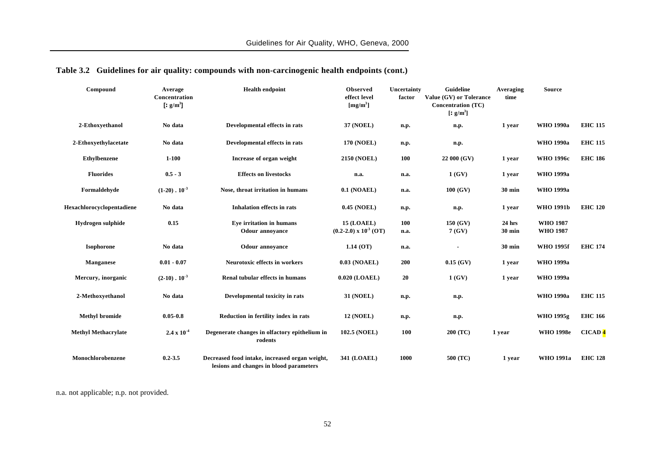| Compound                   | Average<br>Concentration<br>$[:g/m^3]$ | <b>Health endpoint</b>                                                                    | Observed<br>effect level<br>[mg/m <sup>3</sup> ] | Uncertainty<br>factor | Guideline<br>Value (GV) or Tolerance<br>Concentration (TC)<br>$[:g/m^3]$ | Averaging<br>time | <b>Source</b>                      |                           |
|----------------------------|----------------------------------------|-------------------------------------------------------------------------------------------|--------------------------------------------------|-----------------------|--------------------------------------------------------------------------|-------------------|------------------------------------|---------------------------|
| 2-Ethoxyethanol            | No data                                | Developmental effects in rats                                                             | 37 (NOEL)                                        | n.p.                  | n.p.                                                                     | 1 year            | <b>WHO 1990a</b>                   | <b>EHC 115</b>            |
| 2-Ethoxyethylacetate       | No data                                | Developmental effects in rats                                                             | <b>170 (NOEL)</b>                                | n.p.                  | n.p.                                                                     |                   | <b>WHO 1990a</b>                   | <b>EHC 115</b>            |
| <b>Ethylbenzene</b>        | $1 - 100$                              | Increase of organ weight                                                                  | <b>2150 (NOEL)</b>                               | 100                   | 22 000 (GV)                                                              | 1 year            | <b>WHO 1996c</b>                   | <b>EHC 186</b>            |
| <b>Fluorides</b>           | $0.5 - 3$                              | <b>Effects on livestocks</b>                                                              | n.a.                                             | n.a.                  | 1(GV)                                                                    | 1 year            | <b>WHO 1999a</b>                   |                           |
| Formaldehyde               | $(1-20)$ . $10^{-3}$                   | Nose, throat irritation in humans                                                         | $0.1$ (NOAEL)                                    | n.a.                  | 100(GV)                                                                  | <b>30 min</b>     | <b>WHO 1999a</b>                   |                           |
| Hexachlorocyclopentadiene  | No data                                | <b>Inhalation effects in rats</b>                                                         | 0.45 (NOEL)                                      | n.p.                  | n.p.                                                                     | 1 year            | <b>WHO 1991b</b>                   | <b>EHC 120</b>            |
| <b>Hydrogen sulphide</b>   | 0.15                                   | Eye irritation in humans<br>Odour annoyance                                               | $15$ (LOAEL)<br>$(0.2-2.0)$ x $10^3$ (OT)        | 100<br>n.a.           | 150 (GV)<br>7(GV)                                                        | 24 hrs<br>30 min  | <b>WHO 1987</b><br><b>WHO 1987</b> |                           |
| Isophorone                 | No data                                | <b>Odour</b> annoyance                                                                    | 1.14 (OT)                                        | n.a.                  |                                                                          | 30 min            | <b>WHO 1995f</b>                   | <b>EHC 174</b>            |
| Manganese                  | $0.01 - 0.07$                          | Neurotoxic effects in workers                                                             | $0.03$ (NOAEL)                                   | 200                   | $0.15$ (GV)                                                              | 1 year            | <b>WHO 1999a</b>                   |                           |
| Mercury, inorganic         | $(2-10)$ . $10^{-3}$                   | Renal tubular effects in humans                                                           | $0.020$ (LOAEL)                                  | 20                    | 1(GV)                                                                    | 1 year            | <b>WHO 1999a</b>                   |                           |
| 2-Methoxyethanol           | No data                                | Developmental toxicity in rats                                                            | 31 (NOEL)                                        | n.p.                  | n.p.                                                                     |                   | <b>WHO 1990a</b>                   | <b>EHC 115</b>            |
| <b>Methyl</b> bromide      | $0.05 - 0.8$                           | Reduction in fertility index in rats                                                      | <b>12 (NOEL)</b>                                 | n.p.                  | n.p.                                                                     |                   | <b>WHO 1995g</b>                   | <b>EHC 166</b>            |
| <b>Methyl Methacrylate</b> | $2.4 \times 10^{-4}$                   | Degenerate changes in olfactory epithelium in<br>rodents                                  | 102.5 (NOEL)                                     | 100                   | 200 (TC)                                                                 | 1 year            | <b>WHO 1998e</b>                   | <b>CICAD</b> <sup>4</sup> |
| Monochlorobenzene          | $0.2 - 3.5$                            | Decreased food intake, increased organ weight,<br>lesions and changes in blood parameters | 341 (LOAEL)                                      | 1000                  | 500 (TC)                                                                 | 1 year            | <b>WHO 1991a</b>                   | <b>EHC 128</b>            |

**Table 3.2 Guidelines for air quality: compounds with non-carcinogenic health endpoints (cont.)**

n.a. not applicable; n.p. not provided.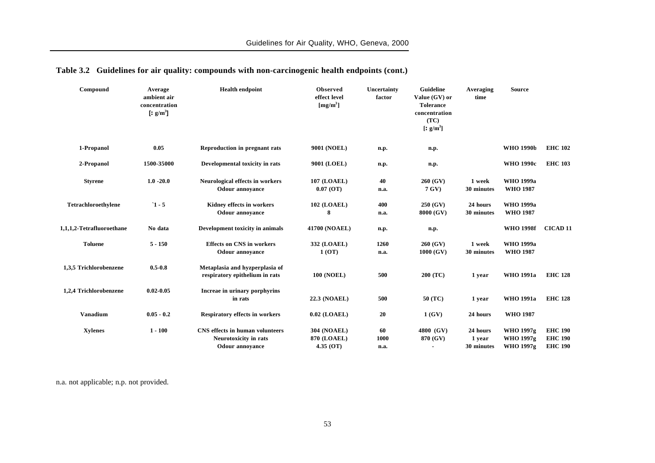| Compound                  | Average<br>ambient air<br>concentration<br>$[: g/m^3]$ | <b>Health endpoint</b>                                           | <b>Observed</b><br>effect level<br>[mg/m <sup>3</sup> ] | Uncertainty<br>factor | <b>Guideline</b><br>Value (GV) or<br><b>Tolerance</b><br>concentration<br>(TC)<br>$[: g/m^3]$ | Averaging<br>time | <b>Source</b>    |                 |
|---------------------------|--------------------------------------------------------|------------------------------------------------------------------|---------------------------------------------------------|-----------------------|-----------------------------------------------------------------------------------------------|-------------------|------------------|-----------------|
| 1-Propanol                | 0.05                                                   | Reproduction in pregnant rats                                    | 9001 (NOEL)                                             | n.p.                  | n.p.                                                                                          |                   | <b>WHO 1990b</b> | <b>EHC 102</b>  |
| 2-Propanol                | 1500-35000                                             | Developmental toxicity in rats                                   | 9001 (LOEL)                                             | n.p.                  | n.p.                                                                                          |                   | <b>WHO 1990c</b> | <b>EHC 103</b>  |
| <b>Styrene</b>            | $1.0 - 20.0$                                           | Neurological effects in workers                                  | <b>107 (LOAEL)</b>                                      | 40                    | 260 (GV)                                                                                      | 1 week            | <b>WHO 1999a</b> |                 |
|                           |                                                        | <b>Odour</b> annoyance                                           | $0.07$ (OT)                                             | n.a.                  | 7 GV)                                                                                         | 30 minutes        | <b>WHO 1987</b>  |                 |
| Tetrachloroethylene       | $1 - 5$                                                | Kidney effects in workers                                        | <b>102 (LOAEL)</b>                                      | 400                   | $250$ (GV)                                                                                    | 24 hours          | <b>WHO 1999a</b> |                 |
|                           |                                                        | <b>Odour</b> annovance                                           | 8                                                       | n.a.                  | 8000 (GV)                                                                                     | 30 minutes        | <b>WHO 1987</b>  |                 |
| 1,1,1,2-Tetrafluoroethane | No data                                                | Development toxicity in animals                                  | 41700 (NOAEL)                                           | n.p.                  | n.p.                                                                                          |                   | <b>WHO 1998f</b> | <b>CICAD 11</b> |
| <b>Toluene</b>            | $5 - 150$                                              | <b>Effects on CNS in workers</b>                                 | 332 (LOAEL)                                             | 1260                  | 260 (GV)                                                                                      | 1 week            | <b>WHO 1999a</b> |                 |
|                           |                                                        | <b>Odour</b> annoyance                                           | 1(OT)                                                   | n.a.                  | 1000(GV)                                                                                      | 30 minutes        | <b>WHO 1987</b>  |                 |
| 1,3,5 Trichlorobenzene    | $0.5 - 0.8$                                            | Metaplasia and hyzperplasia of<br>respiratory epithelium in rats | <b>100 (NOEL)</b>                                       | 500                   | 200 (TC)                                                                                      | 1 year            | <b>WHO 1991a</b> | <b>EHC 128</b>  |
| 1,2,4 Trichlorobenzene    | $0.02 - 0.05$                                          | Increae in urinary porphyrins<br>in rats                         | 22.3 (NOAEL)                                            | 500                   | 50 (TC)                                                                                       | 1 year            | <b>WHO 1991a</b> | <b>EHC 128</b>  |
| Vanadium                  | $0.05 - 0.2$                                           | <b>Respiratory effects in workers</b>                            | $0.02$ (LOAEL)                                          | 20                    | 1(GV)                                                                                         | 24 hours          | <b>WHO 1987</b>  |                 |
| <b>Xylenes</b>            | $1 - 100$                                              | CNS effects in human volunteers                                  | 304 (NOAEL)                                             | 60                    | 4800 (GV)                                                                                     | 24 hours          | <b>WHO 1997g</b> | <b>EHC 190</b>  |
|                           |                                                        | Neurotoxicity in rats                                            | 870 (LOAEL)                                             | 1000                  | 870 (GV)                                                                                      | 1 year            | <b>WHO 1997g</b> | <b>EHC 190</b>  |
|                           |                                                        | <b>Odour</b> annovance                                           | 4.35(OT)                                                | n.a.                  |                                                                                               | 30 minutes        | <b>WHO 1997g</b> | <b>EHC 190</b>  |

**Table 3.2 Guidelines for air quality: compounds with non-carcinogenic health endpoints (cont.)**

n.a. not applicable; n.p. not provided.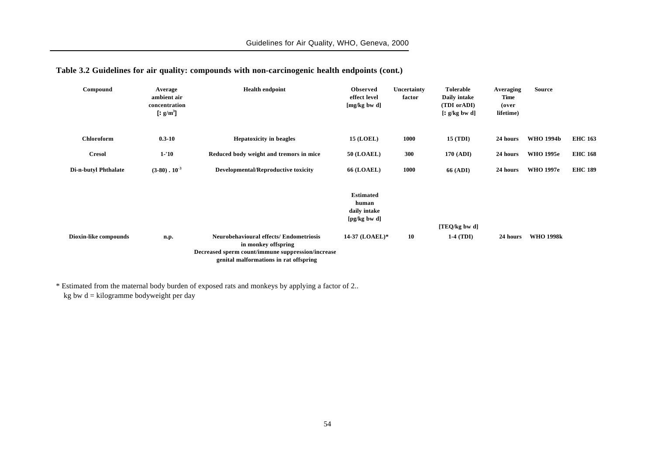| Compound              | Average<br>ambient air<br>concentration<br>$[:g/m^3]$ | <b>Health endpoint</b>                                                                                                                                              | Observed<br>effect level<br>[mg/kg bw d]                  | Uncertainty<br>factor | Tolerable<br>Daily intake<br>(TDI orADI)<br>$[: g/kg$ bw d] | Averaging<br>Time<br>(over<br>lifetime) | <b>Source</b>    |                |
|-----------------------|-------------------------------------------------------|---------------------------------------------------------------------------------------------------------------------------------------------------------------------|-----------------------------------------------------------|-----------------------|-------------------------------------------------------------|-----------------------------------------|------------------|----------------|
| <b>Chloroform</b>     | $0.3 - 10$                                            | <b>Hepatoxicity in beagles</b>                                                                                                                                      | <b>15 (LOEL)</b>                                          | 1000                  | 15 (TDI)                                                    | 24 hours                                | <b>WHO 1994b</b> | <b>EHC 163</b> |
| <b>Cresol</b>         | $1 - 10$                                              | Reduced body weight and tremors in mice                                                                                                                             | <b>50 (LOAEL)</b>                                         | 300                   | 170 (ADI)                                                   | 24 hours                                | <b>WHO 1995e</b> | <b>EHC 168</b> |
| Di-n-butyl Phthalate  | $(3-80)$ . $10^{-3}$                                  | <b>Developmental/Reproductive toxicity</b>                                                                                                                          | <b>66 (LOAEL)</b>                                         | 1000                  | <b>66 (ADI)</b>                                             | 24 hours                                | <b>WHO 1997e</b> | <b>EHC 189</b> |
|                       |                                                       |                                                                                                                                                                     | <b>Estimated</b><br>human<br>daily intake<br>[pg/kg bw d] |                       |                                                             |                                         |                  |                |
|                       |                                                       |                                                                                                                                                                     |                                                           |                       | $[TEO/kg$ bw d]                                             |                                         |                  |                |
| Dioxin-like compounds | n.p.                                                  | <b>Neurobehavioural effects/Endometriosis</b><br>in monkey offspring<br>Decreased sperm count/immune suppression/increase<br>genital malformations in rat offspring | 14-37 (LOAEL)*                                            | 10                    | $1-4$ (TDI)                                                 | 24 hours                                | <b>WHO 1998k</b> |                |

#### **Table 3.2 Guidelines for air quality: compounds with non-carcinogenic health endpoints (cont.)**

\* Estimated from the maternal body burden of exposed rats and monkeys by applying a factor of 2.. kg bw  $d =$  kilogramme bodyweight per day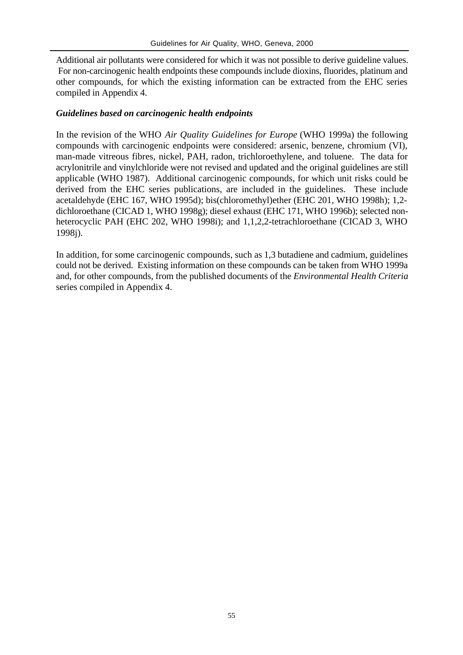Additional air pollutants were considered for which it was not possible to derive guideline values. For non-carcinogenic health endpoints these compounds include dioxins, fluorides, platinum and other compounds, for which the existing information can be extracted from the EHC series compiled in Appendix 4.

#### *Guidelines based on carcinogenic health endpoints*

In the revision of the WHO *Air Quality Guidelines for Europe* (WHO 1999a) the following compounds with carcinogenic endpoints were considered: arsenic, benzene, chromium (VI), man-made vitreous fibres, nickel, PAH, radon, trichloroethylene, and toluene. The data for acrylonitrile and vinylchloride were not revised and updated and the original guidelines are still applicable (WHO 1987). Additional carcinogenic compounds, for which unit risks could be derived from the EHC series publications, are included in the guidelines. These include acetaldehyde (EHC 167, WHO 1995d); bis(chloromethyl)ether (EHC 201, WHO 1998h); 1,2 dichloroethane (CICAD 1, WHO 1998g); diesel exhaust (EHC 171, WHO 1996b); selected nonheterocyclic PAH (EHC 202, WHO 1998i); and 1,1,2,2-tetrachloroethane (CICAD 3, WHO 1998j).

In addition, for some carcinogenic compounds, such as 1,3 butadiene and cadmium, guidelines could not be derived. Existing information on these compounds can be taken from WHO 1999a and, for other compounds, from the published documents of the *Environmental Health Criteria* series compiled in Appendix 4.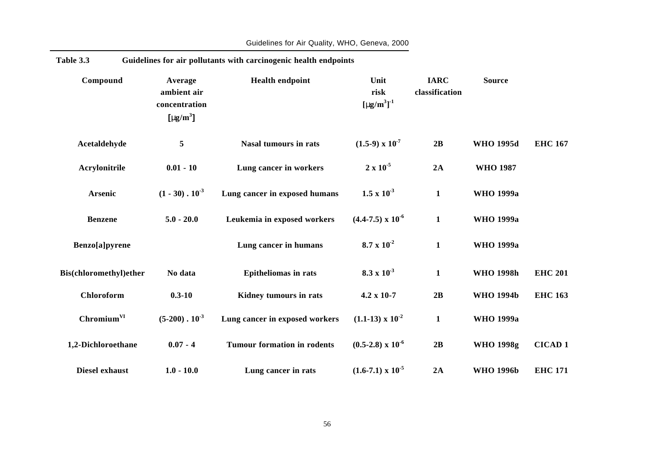Guidelines for Air Quality, WHO, Geneva, 2000

| Compound               | Average<br>ambient air<br>concentration<br>$[mg/m^3]$ | <b>Health endpoint</b>             | Unit<br>risk<br>$\left[\frac{mg}{m^3}\right]^{-1}$ | <b>IARC</b><br>classification | <b>Source</b>    |                |
|------------------------|-------------------------------------------------------|------------------------------------|----------------------------------------------------|-------------------------------|------------------|----------------|
| Acetaldehyde           | 5                                                     | <b>Nasal tumours in rats</b>       | $(1.5-9) \times 10^{-7}$                           | 2B                            | <b>WHO 1995d</b> | <b>EHC 167</b> |
| Acrylonitrile          | $0.01 - 10$                                           | Lung cancer in workers             | $2 \times 10^{-5}$                                 | 2A                            | <b>WHO 1987</b>  |                |
| <b>Arsenic</b>         | $(1 - 30)$ . $10^{-3}$                                | Lung cancer in exposed humans      | $1.5 \times 10^{-3}$                               | $\mathbf{1}$                  | <b>WHO 1999a</b> |                |
| <b>Benzene</b>         | $5.0 - 20.0$                                          | Leukemia in exposed workers        | $(4.4-7.5) \times 10^{-6}$                         | $\mathbf{1}$                  | <b>WHO 1999a</b> |                |
| Benzo[a]pyrene         |                                                       | Lung cancer in humans              | $8.7 \times 10^{-2}$                               | $\mathbf{1}$                  | <b>WHO 1999a</b> |                |
| Bis(chloromethyl)ether | No data                                               | <b>Epitheliomas in rats</b>        | $8.3 \times 10^{-3}$                               | $\mathbf{1}$                  | <b>WHO 1998h</b> | <b>EHC 201</b> |
| Chloroform             | $0.3 - 10$                                            | Kidney tumours in rats             | $4.2 \times 10-7$                                  | 2B                            | <b>WHO 1994b</b> | <b>EHC 163</b> |
| Chromium <sup>VI</sup> | $(5-200)$ . $10^{-3}$                                 | Lung cancer in exposed workers     | $(1.1-13) \times 10^{-2}$                          | $\mathbf{1}$                  | <b>WHO 1999a</b> |                |
| 1,2-Dichloroethane     | $0.07 - 4$                                            | <b>Tumour formation in rodents</b> | $(0.5-2.8) \times 10^{-6}$                         | 2B                            | <b>WHO 1998g</b> | <b>CICAD1</b>  |
| <b>Diesel exhaust</b>  | $1.0 - 10.0$                                          | Lung cancer in rats                | $(1.6-7.1) \times 10^{-5}$                         | 2A                            | <b>WHO 1996b</b> | <b>EHC 171</b> |

#### **Table 3.3 Guidelines for air pollutants with carcinogenic health endpoints**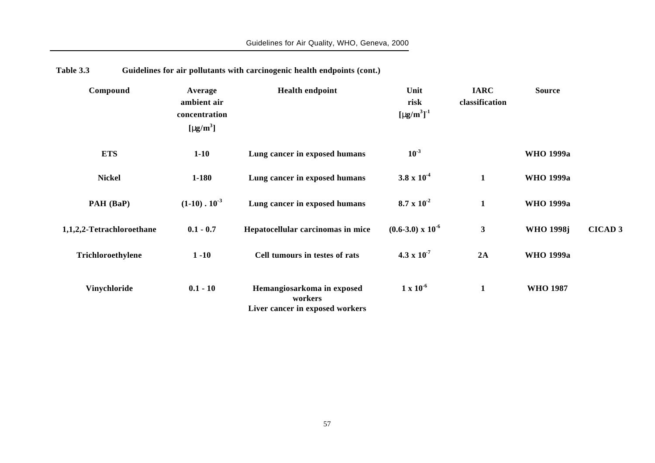Guidelines for Air Quality, WHO, Geneva, 2000

## **Table 3.3 Guidelines for air pollutants with carcinogenic health endpoints (cont.)**

| Compound                  | Average<br>ambient air<br>concentration<br>[mg/m <sup>3</sup> ] | <b>Health endpoint</b>                                                   | Unit<br>risk<br>$[mg/m^3]$ <sup>-1</sup> | <b>IARC</b><br>classification | <b>Source</b>    |                |
|---------------------------|-----------------------------------------------------------------|--------------------------------------------------------------------------|------------------------------------------|-------------------------------|------------------|----------------|
| <b>ETS</b>                | $1-10$                                                          | Lung cancer in exposed humans                                            | 10 <sup>3</sup>                          |                               | <b>WHO 1999a</b> |                |
| <b>Nickel</b>             | $1 - 180$                                                       | Lung cancer in exposed humans                                            | $3.8 \times 10^{-4}$                     | $\mathbf{1}$                  | <b>WHO 1999a</b> |                |
| PAH (BaP)                 | $(1-10)$ . $10^{-3}$                                            | Lung cancer in exposed humans                                            | $8.7 \times 10^{-2}$                     | $\mathbf{1}$                  | <b>WHO 1999a</b> |                |
| 1,1,2,2-Tetrachloroethane | $0.1 - 0.7$                                                     | Hepatocellular carcinomas in mice                                        | $(0.6-3.0) \times 10^{-6}$               | $\mathbf{3}$                  | <b>WHO 1998j</b> | <b>CICAD 3</b> |
| Trichloroethylene         | $1 - 10$                                                        | Cell tumours in testes of rats                                           | $4.3 \times 10^{-7}$                     | 2A                            | <b>WHO 1999a</b> |                |
| Vinychloride              | $0.1 - 10$                                                      | Hemangiosarkoma in exposed<br>workers<br>Liver cancer in exposed workers | $1 \times 10^{-6}$                       | 1                             | <b>WHO 1987</b>  |                |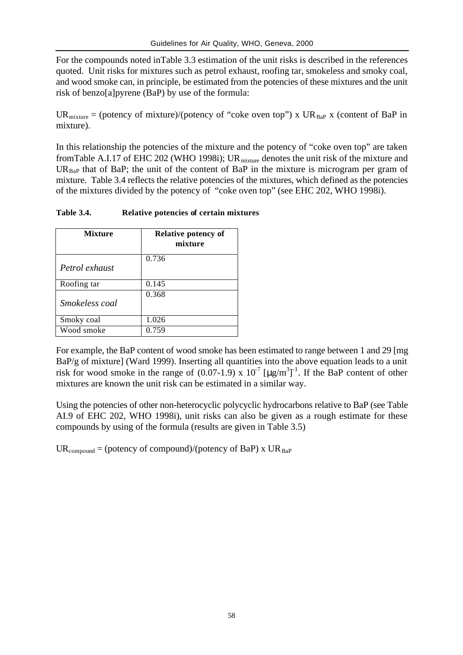For the compounds noted inTable 3.3 estimation of the unit risks is described in the references quoted. Unit risks for mixtures such as petrol exhaust, roofing tar, smokeless and smoky coal, and wood smoke can, in principle, be estimated from the potencies of these mixtures and the unit risk of benzo[a]pyrene (BaP) by use of the formula:

 $UR<sub>mixture</sub> = (potency of mixture)/(potency of "coke oven top")$  x  $UR<sub>BaP</sub>$  x (content of BaP in mixture).

In this relationship the potencies of the mixture and the potency of "coke oven top" are taken fromTable A.I.17 of EHC 202 (WHO 1998i); UR  $_{\text{mixture}}$  denotes the unit risk of the mixture and  $UR_{BaP}$  that of BaP; the unit of the content of BaP in the mixture is microgram per gram of mixture. Table 3.4 reflects the relative potencies of the mixtures, which defined as the potencies of the mixtures divided by the potency of "coke oven top" (see EHC 202, WHO 1998i).

| Relative potencies of certain mixtures | Table 3.4. |  |  |  |  |
|----------------------------------------|------------|--|--|--|--|
|----------------------------------------|------------|--|--|--|--|

| <b>Mixture</b>        | <b>Relative potency of</b><br>mixture |
|-----------------------|---------------------------------------|
| Petrol exhaust        | 0.736                                 |
| Roofing tar           | 0.145                                 |
| <i>Smokeless coal</i> | 0.368                                 |
| Smoky coal            | 1.026                                 |
| Wood smoke            | 0.759                                 |

For example, the BaP content of wood smoke has been estimated to range between 1 and 29 [mg BaP/g of mixture] (Ward 1999). Inserting all quantities into the above equation leads to a unit risk for wood smoke in the range of  $(0.07\t{-}1.9) \times 10^{-7}$  [ $\mu$ g/m<sup>3</sup>]<sup>-1</sup>. If the BaP content of other mixtures are known the unit risk can be estimated in a similar way.

Using the potencies of other non-heterocyclic polycyclic hydrocarbons relative to BaP (see Table AI.9 of EHC 202, WHO 1998i), unit risks can also be given as a rough estimate for these compounds by using of the formula (results are given in Table 3.5)

 $UR_{\rm compound} =$  (potency of compound)/(potency of BaP) x  $UR_{\rm BaP}$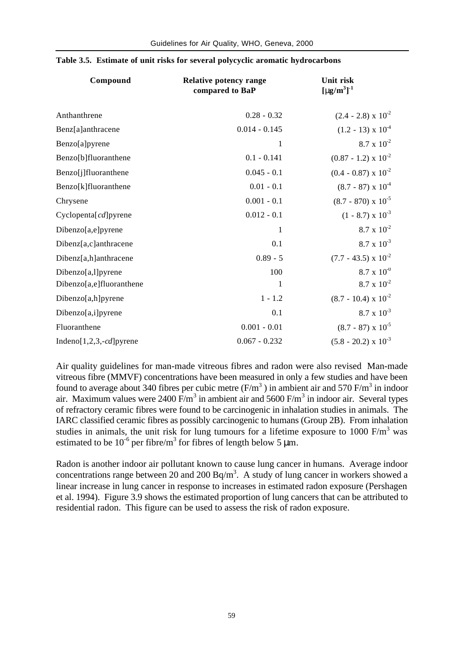| Compound                    | <b>Relative potency range</b><br>compared to BaP | Unit risk<br>$\left[\frac{mg}{m^3}\right]^{-1}$ |
|-----------------------------|--------------------------------------------------|-------------------------------------------------|
| Anthanthrene                | $0.28 - 0.32$                                    | $(2.4 - 2.8) \times 10^{-2}$                    |
| Benz[a]anthracene           | $0.014 - 0.145$                                  | $(1.2 - 13) \times 10^{-4}$                     |
| Benzo[a]pyrene              | 1                                                | $8.7 \times 10^{-2}$                            |
| Benzo[b]fluoranthene        | $0.1 - 0.141$                                    | $(0.87 - 1.2) \times 10^{-2}$                   |
| Benzo[j]fluoranthene        | $0.045 - 0.1$                                    | $(0.4 - 0.87) \times 10^{-2}$                   |
| Benzo[k]fluoranthene        | $0.01 - 0.1$                                     | $(8.7 - 87) \times 10^{-4}$                     |
| Chrysene                    | $0.001 - 0.1$                                    | $(8.7 - 870) \times 10^{-5}$                    |
| Cyclopenta[cd]pyrene        | $0.012 - 0.1$                                    | $(1 - 8.7) \times 10^{-3}$                      |
| Dibenzo[a,e]pyrene          | 1                                                | $8.7 \times 10^{-2}$                            |
| Dibenz[a,c]anthracene       | 0.1                                              | $8.7 \times 10^{-3}$                            |
| Dibenz[a,h]anthracene       | $0.89 - 5$                                       | $(7.7 - 43.5) \times 10^{-2}$                   |
| Dibenzo[a,l]pyrene          | 100                                              | $8.7 \times 10^{-0}$                            |
| Dibenzo[a,e]fluoranthene    | 1                                                | $8.7 \times 10^{-2}$                            |
| Dibenzo[a,h]pyrene          | $1 - 1.2$                                        | $(8.7 - 10.4) \times 10^{-2}$                   |
| Dibenzo[a,i]pyrene          | 0.1                                              | $8.7 \times 10^{-3}$                            |
| Fluoranthene                | $0.001 - 0.01$                                   | $(8.7 - 87) \times 10^{-5}$                     |
| Indeno $[1,2,3,-cd]$ pyrene | $0.067 - 0.232$                                  | $(5.8 - 20.2) \times 10^{-3}$                   |

#### **Table 3.5. Estimate of unit risks for several polycyclic aromatic hydrocarbons**

Air quality guidelines for man-made vitreous fibres and radon were also revised Man-made vitreous fibre (MMVF) concentrations have been measured in only a few studies and have been found to average about 340 fibres per cubic metre ( $F/m<sup>3</sup>$ ) in ambient air and 570  $F/m<sup>3</sup>$  in indoor air. Maximum values were 2400  $\text{F/m}^3$  in ambient air and 5600  $\text{F/m}^3$  in indoor air. Several types of refractory ceramic fibres were found to be carcinogenic in inhalation studies in animals. The IARC classified ceramic fibres as possibly carcinogenic to humans (Group 2B). From inhalation studies in animals, the unit risk for lung tumours for a lifetime exposure to 1000  $F/m<sup>3</sup>$  was estimated to be 10<sup>-6</sup> per fibre/m<sup>3</sup> for fibres of length below 5  $\mu$ m.

Radon is another indoor air pollutant known to cause lung cancer in humans. Average indoor concentrations range between 20 and 200 Bq/m<sup>3</sup>. A study of lung cancer in workers showed a linear increase in lung cancer in response to increases in estimated radon exposure (Pershagen et al. 1994). Figure 3.9 shows the estimated proportion of lung cancers that can be attributed to residential radon. This figure can be used to assess the risk of radon exposure.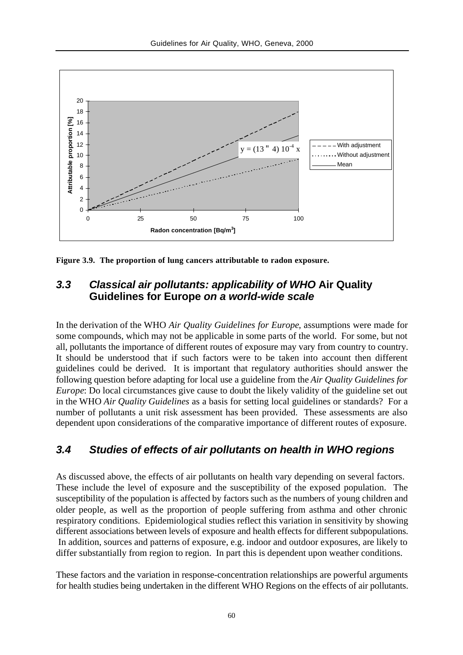

**Figure 3.9. The proportion of lung cancers attributable to radon exposure.**

## *3.3 Classical air pollutants: applicability of WHO* **Air Quality Guidelines for Europe** *on a world-wide scale*

In the derivation of the WHO *Air Quality Guidelines for Europe*, assumptions were made for some compounds, which may not be applicable in some parts of the world. For some, but not all, pollutants the importance of different routes of exposure may vary from country to country. It should be understood that if such factors were to be taken into account then different guidelines could be derived. It is important that regulatory authorities should answer the following question before adapting for local use a guideline from the *Air Quality Guidelines for Europe*: Do local circumstances give cause to doubt the likely validity of the guideline set out in the WHO *Air Quality Guidelines* as a basis for setting local guidelines or standards? For a number of pollutants a unit risk assessment has been provided. These assessments are also dependent upon considerations of the comparative importance of different routes of exposure.

## *3.4 Studies of effects of air pollutants on health in WHO regions*

As discussed above, the effects of air pollutants on health vary depending on several factors. These include the level of exposure and the susceptibility of the exposed population. The susceptibility of the population is affected by factors such as the numbers of young children and older people, as well as the proportion of people suffering from asthma and other chronic respiratory conditions. Epidemiological studies reflect this variation in sensitivity by showing different associations between levels of exposure and health effects for different subpopulations. In addition, sources and patterns of exposure, e.g. indoor and outdoor exposures, are likely to differ substantially from region to region. In part this is dependent upon weather conditions.

These factors and the variation in response-concentration relationships are powerful arguments for health studies being undertaken in the different WHO Regions on the effects of air pollutants.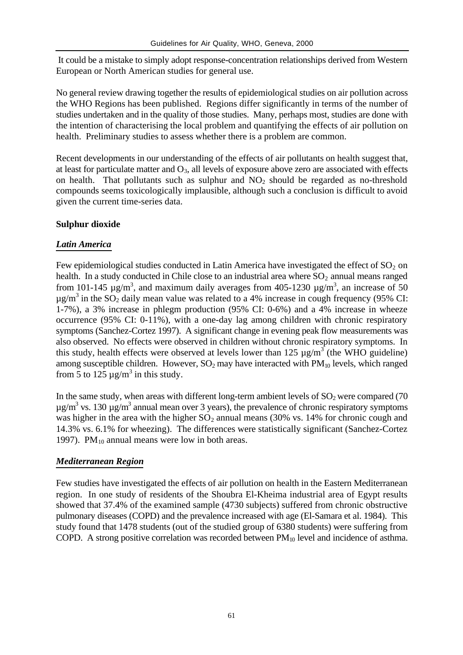It could be a mistake to simply adopt response-concentration relationships derived from Western European or North American studies for general use.

No general review drawing together the results of epidemiological studies on air pollution across the WHO Regions has been published. Regions differ significantly in terms of the number of studies undertaken and in the quality of those studies. Many, perhaps most, studies are done with the intention of characterising the local problem and quantifying the effects of air pollution on health. Preliminary studies to assess whether there is a problem are common.

Recent developments in our understanding of the effects of air pollutants on health suggest that, at least for particulate matter and  $O_3$ , all levels of exposure above zero are associated with effects on health. That pollutants such as sulphur and  $NO<sub>2</sub>$  should be regarded as no-threshold compounds seems toxicologically implausible, although such a conclusion is difficult to avoid given the current time-series data.

#### **Sulphur dioxide**

#### *Latin America*

Few epidemiological studies conducted in Latin America have investigated the effect of  $SO<sub>2</sub>$  on health. In a study conducted in Chile close to an industrial area where  $SO_2$  annual means ranged from 101-145  $\mu$ g/m<sup>3</sup>, and maximum daily averages from 405-1230  $\mu$ g/m<sup>3</sup>, an increase of 50  $\mu$ g/m<sup>3</sup> in the SO<sub>2</sub> daily mean value was related to a 4% increase in cough frequency (95% CI: 1-7%), a 3% increase in phlegm production (95% CI: 0-6%) and a 4% increase in wheeze occurrence (95% CI: 0-11%), with a one-day lag among children with chronic respiratory symptoms (Sanchez-Cortez 1997). A significant change in evening peak flow measurements was also observed. No effects were observed in children without chronic respiratory symptoms. In this study, health effects were observed at levels lower than 125  $\mu$ g/m<sup>3</sup> (the WHO guideline) among susceptible children. However,  $SO_2$  may have interacted with  $PM_{10}$  levels, which ranged from 5 to 125  $\mu$ g/m<sup>3</sup> in this study.

In the same study, when areas with different long-term ambient levels of  $SO<sub>2</sub>$  were compared (70)  $\mu$ g/m<sup>3</sup> vs. 130  $\mu$ g/m<sup>3</sup> annual mean over 3 years), the prevalence of chronic respiratory symptoms was higher in the area with the higher  $SO_2$  annual means (30% vs. 14% for chronic cough and 14.3% vs. 6.1% for wheezing). The differences were statistically significant (Sanchez-Cortez 1997). PM $_{10}$  annual means were low in both areas.

#### *Mediterranean Region*

Few studies have investigated the effects of air pollution on health in the Eastern Mediterranean region. In one study of residents of the Shoubra El-Kheima industrial area of Egypt results showed that 37.4% of the examined sample (4730 subjects) suffered from chronic obstructive pulmonary diseases (COPD) and the prevalence increased with age (El-Samara et al. 1984). This study found that 1478 students (out of the studied group of 6380 students) were suffering from COPD. A strong positive correlation was recorded between  $PM_{10}$  level and incidence of asthma.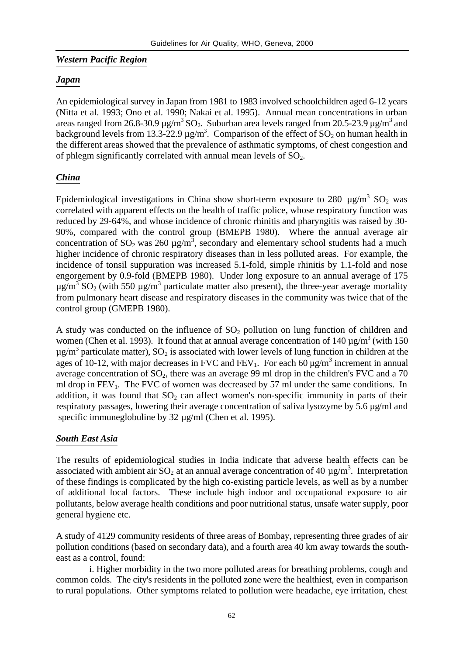#### *Western Pacific Region*

### *Japan*

An epidemiological survey in Japan from 1981 to 1983 involved schoolchildren aged 6-12 years (Nitta et al. 1993; Ono et al. 1990; Nakai et al. 1995). Annual mean concentrations in urban areas ranged from 26.8-30.9 µg/m<sup>3</sup> SO<sub>2</sub>. Suburban area levels ranged from 20.5-23.9 µg/m<sup>3</sup> and background levels from 13.3-22.9  $\mu$ g/m<sup>3</sup>. Comparison of the effect of SO<sub>2</sub> on human health in the different areas showed that the prevalence of asthmatic symptoms, of chest congestion and of phlegm significantly correlated with annual mean levels of  $SO_2$ .

### *China*

Epidemiological investigations in China show short-term exposure to 280  $\mu$ g/m<sup>3</sup> SO<sub>2</sub> was correlated with apparent effects on the health of traffic police, whose respiratory function was reduced by 29-64%, and whose incidence of chronic rhinitis and pharyngitis was raised by 30- 90%, compared with the control group (BMEPB 1980). Where the annual average air concentration of SO<sub>2</sub> was 260  $\mu$ g/m<sup>3</sup>, secondary and elementary school students had a much higher incidence of chronic respiratory diseases than in less polluted areas. For example, the incidence of tonsil suppuration was increased 5.1-fold, simple rhinitis by 1.1-fold and nose engorgement by 0.9-fold (BMEPB 1980). Under long exposure to an annual average of 175  $\mu$ g/m<sup>3</sup> SO<sub>2</sub> (with 550  $\mu$ g/m<sup>3</sup> particulate matter also present), the three-year average mortality from pulmonary heart disease and respiratory diseases in the community was twice that of the control group (GMEPB 1980).

A study was conducted on the influence of  $SO_2$  pollution on lung function of children and women (Chen et al. 1993). It found that at annual average concentration of 140  $\mu$ g/m<sup>3</sup> (with 150  $\mu$ g/m<sup>3</sup> particulate matter), SO<sub>2</sub> is associated with lower levels of lung function in children at the ages of 10-12, with major decreases in FVC and FEV<sub>1</sub>. For each 60  $\mu$ g/m<sup>3</sup> increment in annual average concentration of  $SO_2$ , there was an average 99 ml drop in the children's FVC and a 70 ml drop in FEV<sub>1</sub>. The FVC of women was decreased by 57 ml under the same conditions. In addition, it was found that  $SO_2$  can affect women's non-specific immunity in parts of their respiratory passages, lowering their average concentration of saliva lysozyme by 5.6 µg/ml and specific immuneglobuline by 32 µg/ml (Chen et al. 1995).

### *South East Asia*

The results of epidemiological studies in India indicate that adverse health effects can be associated with ambient air SO<sub>2</sub> at an annual average concentration of 40  $\mu$ g/m<sup>3</sup>. Interpretation of these findings is complicated by the high co-existing particle levels, as well as by a number of additional local factors. These include high indoor and occupational exposure to air pollutants, below average health conditions and poor nutritional status, unsafe water supply, poor general hygiene etc.

A study of 4129 community residents of three areas of Bombay, representing three grades of air pollution conditions (based on secondary data), and a fourth area 40 km away towards the southeast as a control, found:

i. Higher morbidity in the two more polluted areas for breathing problems, cough and common colds. The city's residents in the polluted zone were the healthiest, even in comparison to rural populations. Other symptoms related to pollution were headache, eye irritation, chest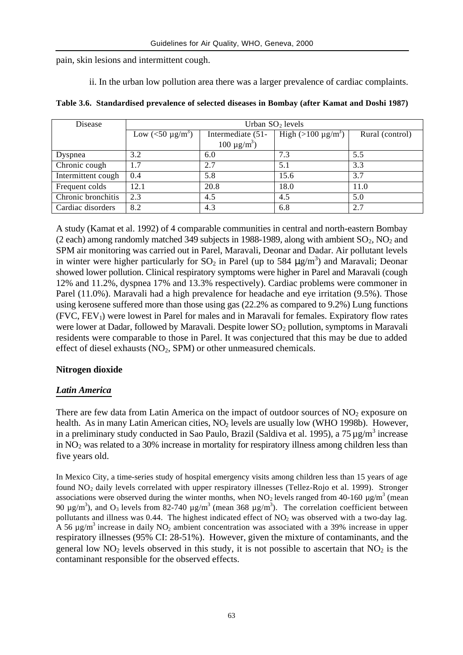pain, skin lesions and intermittent cough.

ii. In the urban low pollution area there was a larger prevalence of cardiac complaints.

| Disease            | Urban $SO_2$ levels               |                   |                           |                 |  |  |
|--------------------|-----------------------------------|-------------------|---------------------------|-----------------|--|--|
|                    | Low (<50 $\mu$ g/m <sup>3</sup> ) | Intermediate (51- | High ( $>100 \mu g/m^3$ ) | Rural (control) |  |  |
|                    |                                   | $100 \mu g/m^3$ ) |                           |                 |  |  |
| Dyspnea            | 3.2                               | 6.0               | 7.3                       | 5.5             |  |  |
| Chronic cough      | 1.7                               | 2.7               | 5.1                       | 3.3             |  |  |
| Intermittent cough | 0.4                               | 5.8               | 15.6                      | 3.7             |  |  |
| Frequent colds     | 12.1                              | 20.8              | 18.0                      | 11.0            |  |  |
| Chronic bronchitis | 2.3                               | 4.5               | 4.5                       | 5.0             |  |  |
| Cardiac disorders  | 8.2                               | 4.3               | 6.8                       | 2.7             |  |  |

**Table 3.6. Standardised prevalence of selected diseases in Bombay (after Kamat and Doshi 1987)**

A study (Kamat et al. 1992) of 4 comparable communities in central and north-eastern Bombay (2 each) among randomly matched 349 subjects in 1988-1989, along with ambient  $SO_2$ ,  $NO_2$  and SPM air monitoring was carried out in Parel, Maravali, Deonar and Dadar. Air pollutant levels in winter were higher particularly for  $SO_2$  in Parel (up to 584  $\mu$ g/m<sup>3</sup>) and Maravali; Deonar showed lower pollution. Clinical respiratory symptoms were higher in Parel and Maravali (cough 12% and 11.2%, dyspnea 17% and 13.3% respectively). Cardiac problems were commoner in Parel (11.0%). Maravali had a high prevalence for headache and eye irritation (9.5%). Those using kerosene suffered more than those using gas (22.2% as compared to 9.2%) Lung functions  $(FVC, FEV<sub>1</sub>)$  were lowest in Parel for males and in Maravali for females. Expiratory flow rates were lower at Dadar, followed by Maravali. Despite lower  $SO_2$  pollution, symptoms in Maravali residents were comparable to those in Parel. It was conjectured that this may be due to added effect of diesel exhausts  $(NO<sub>2</sub>, SPM)$  or other unmeasured chemicals.

### **Nitrogen dioxide**

### *Latin America*

There are few data from Latin America on the impact of outdoor sources of  $NO<sub>2</sub>$  exposure on health. As in many Latin American cities,  $NO<sub>2</sub>$  levels are usually low (WHO 1998b). However, in a preliminary study conducted in Sao Paulo, Brazil (Saldiva et al. 1995), a 75  $\mu$ g/m<sup>3</sup> increase in NO2 was related to a 30% increase in mortality for respiratory illness among children less than five years old.

In Mexico City, a time-series study of hospital emergency visits among children less than 15 years of age found NO2 daily levels correlated with upper respiratory illnesses (Tellez-Rojo et al. 1999). Stronger associations were observed during the winter months, when  $NO_2$  levels ranged from 40-160  $\mu$ g/m<sup>3</sup> (mean 90  $\mu$ g/m<sup>3</sup>), and O<sub>3</sub> levels from 82-740  $\mu$ g/m<sup>3</sup> (mean 368  $\mu$ g/m<sup>3</sup>). The correlation coefficient between pollutants and illness was 0.44. The highest indicated effect of NO<sub>2</sub> was observed with a two-day lag. A 56  $\mu$ g/m<sup>3</sup> increase in daily NO<sub>2</sub> ambient concentration was associated with a 39% increase in upper respiratory illnesses (95% CI: 28-51%). However, given the mixture of contaminants, and the general low  $NO<sub>2</sub>$  levels observed in this study, it is not possible to ascertain that  $NO<sub>2</sub>$  is the contaminant responsible for the observed effects.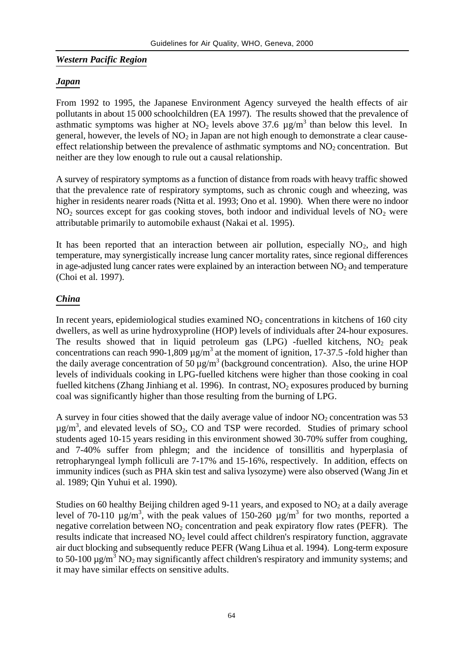#### *Western Pacific Region*

#### *Japan*

From 1992 to 1995, the Japanese Environment Agency surveyed the health effects of air pollutants in about 15 000 schoolchildren (EA 1997). The results showed that the prevalence of asthmatic symptoms was higher at  $NO<sub>2</sub>$  levels above 37.6  $\mu$ g/m<sup>3</sup> than below this level. In general, however, the levels of  $NO<sub>2</sub>$  in Japan are not high enough to demonstrate a clear causeeffect relationship between the prevalence of asthmatic symptoms and  $NO<sub>2</sub>$  concentration. But neither are they low enough to rule out a causal relationship.

A survey of respiratory symptoms as a function of distance from roads with heavy traffic showed that the prevalence rate of respiratory symptoms, such as chronic cough and wheezing, was higher in residents nearer roads (Nitta et al. 1993; Ono et al. 1990). When there were no indoor  $NO<sub>2</sub>$  sources except for gas cooking stoves, both indoor and individual levels of  $NO<sub>2</sub>$  were attributable primarily to automobile exhaust (Nakai et al. 1995).

It has been reported that an interaction between air pollution, especially  $NO<sub>2</sub>$ , and high temperature, may synergistically increase lung cancer mortality rates, since regional differences in age-adjusted lung cancer rates were explained by an interaction between  $NO<sub>2</sub>$  and temperature (Choi et al. 1997).

### *China*

In recent years, epidemiological studies examined  $NO<sub>2</sub>$  concentrations in kitchens of 160 city dwellers, as well as urine hydroxyproline (HOP) levels of individuals after 24-hour exposures. The results showed that in liquid petroleum gas  $(LPG)$  -fuelled kitchens,  $NO<sub>2</sub>$  peak concentrations can reach 990-1,809  $\mu$ g/m<sup>3</sup> at the moment of ignition, 17-37.5 -fold higher than the daily average concentration of 50  $\mu$ g/m<sup>3</sup> (background concentration). Also, the urine HOP levels of individuals cooking in LPG-fuelled kitchens were higher than those cooking in coal fuelled kitchens (Zhang Jinhiang et al. 1996). In contrast,  $NO<sub>2</sub>$  exposures produced by burning coal was significantly higher than those resulting from the burning of LPG.

A survey in four cities showed that the daily average value of indoor  $NO<sub>2</sub>$  concentration was 53  $\mu$ g/m<sup>3</sup>, and elevated levels of SO<sub>2</sub>, CO and TSP were recorded. Studies of primary school students aged 10-15 years residing in this environment showed 30-70% suffer from coughing, and 7-40% suffer from phlegm; and the incidence of tonsillitis and hyperplasia of retropharyngeal lymph folliculi are 7-17% and 15-16%, respectively. In addition, effects on immunity indices (such as PHA skin test and saliva lysozyme) were also observed (Wang Jin et al. 1989; Qin Yuhui et al. 1990).

Studies on 60 healthy Beijing children aged 9-11 years, and exposed to  $NO<sub>2</sub>$  at a daily average level of 70-110  $\mu$ g/m<sup>3</sup>, with the peak values of 150-260  $\mu$ g/m<sup>3</sup> for two months, reported a negative correlation between  $NO<sub>2</sub>$  concentration and peak expiratory flow rates (PEFR). The results indicate that increased  $NO<sub>2</sub>$  level could affect children's respiratory function, aggravate air duct blocking and subsequently reduce PEFR (Wang Lihua et al. 1994). Long-term exposure to 50-100  $\mu$ g/m<sup>3</sup> NO<sub>2</sub> may significantly affect children's respiratory and immunity systems; and it may have similar effects on sensitive adults.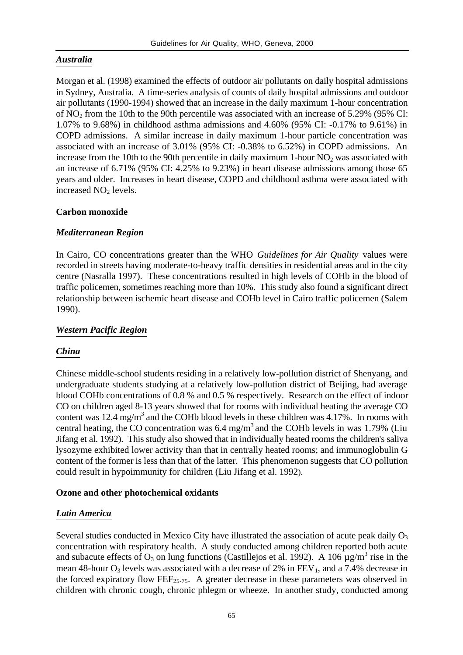#### *Australia*

Morgan et al. (1998) examined the effects of outdoor air pollutants on daily hospital admissions in Sydney, Australia. A time-series analysis of counts of daily hospital admissions and outdoor air pollutants (1990-1994) showed that an increase in the daily maximum 1-hour concentration of NO2 from the 10th to the 90th percentile was associated with an increase of 5.29% (95% CI: 1.07% to 9.68%) in childhood asthma admissions and 4.60% (95% CI: -0.17% to 9.61%) in COPD admissions. A similar increase in daily maximum 1-hour particle concentration was associated with an increase of 3.01% (95% CI: -0.38% to 6.52%) in COPD admissions. An increase from the 10th to the 90th percentile in daily maximum 1-hour  $NO<sub>2</sub>$  was associated with an increase of 6.71% (95% CI: 4.25% to 9.23%) in heart disease admissions among those 65 years and older. Increases in heart disease, COPD and childhood asthma were associated with increased NO<sub>2</sub> levels.

#### **Carbon monoxide**

#### *Mediterranean Region*

In Cairo, CO concentrations greater than the WHO *Guidelines for Air Quality* values were recorded in streets having moderate-to-heavy traffic densities in residential areas and in the city centre (Nasralla 1997). These concentrations resulted in high levels of COHb in the blood of traffic policemen, sometimes reaching more than 10%. This study also found a significant direct relationship between ischemic heart disease and COHb level in Cairo traffic policemen (Salem 1990).

#### *Western Pacific Region*

### *China*

Chinese middle-school students residing in a relatively low-pollution district of Shenyang, and undergraduate students studying at a relatively low-pollution district of Beijing, had average blood COHb concentrations of 0.8 % and 0.5 % respectively. Research on the effect of indoor CO on children aged 8-13 years showed that for rooms with individual heating the average CO content was 12.4 mg/m<sup>3</sup> and the COHb blood levels in these children was 4.17%. In rooms with central heating, the CO concentration was  $6.4 \text{ mg/m}^3$  and the COHb levels in was 1.79% (Liu Jifang et al. 1992). This study also showed that in individually heated rooms the children's saliva lysozyme exhibited lower activity than that in centrally heated rooms; and immunoglobulin G content of the former is less than that of the latter. This phenomenon suggests that CO pollution could result in hypoimmunity for children (Liu Jifang et al. 1992).

#### **Ozone and other photochemical oxidants**

#### *Latin America*

Several studies conducted in Mexico City have illustrated the association of acute peak daily  $O<sub>3</sub>$ concentration with respiratory health. A study conducted among children reported both acute and subacute effects of O<sub>3</sub> on lung functions (Castillejos et al. 1992). A 106  $\mu$ g/m<sup>3</sup> rise in the mean 48-hour  $O_3$  levels was associated with a decrease of 2% in  $FEV_1$ , and a 7.4% decrease in the forced expiratory flow  $\text{FEF}_{25-75}$ . A greater decrease in these parameters was observed in children with chronic cough, chronic phlegm or wheeze. In another study, conducted among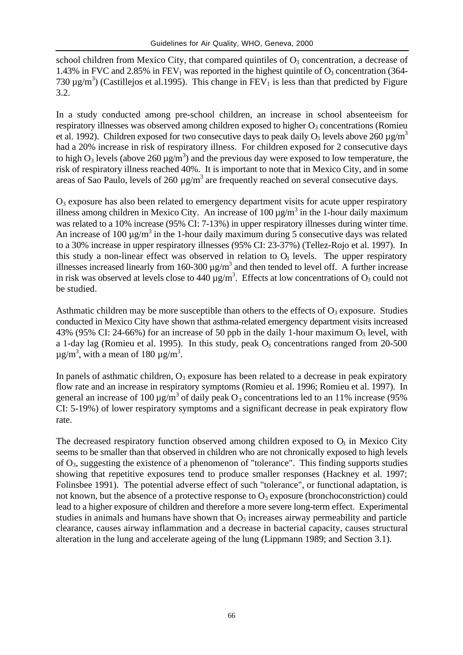school children from Mexico City, that compared quintiles of  $O_3$  concentration, a decrease of 1.43% in FVC and 2.85% in FEV<sub>1</sub> was reported in the highest quintile of  $O_3$  concentration (364-730  $\mu$ g/m<sup>3</sup>) (Castillejos et al.1995). This change in FEV<sub>1</sub> is less than that predicted by Figure 3.2.

In a study conducted among pre-school children, an increase in school absenteeism for respiratory illnesses was observed among children exposed to higher  $O_3$  concentrations (Romieu et al. 1992). Children exposed for two consecutive days to peak daily  $O_3$  levels above 260  $\mu$ g/m<sup>3</sup> had a 20% increase in risk of respiratory illness. For children exposed for 2 consecutive days to high  $O_3$  levels (above 260  $\mu$ g/m<sup>3</sup>) and the previous day were exposed to low temperature, the risk of respiratory illness reached 40%. It is important to note that in Mexico City, and in some areas of Sao Paulo, levels of 260  $\mu$ g/m<sup>3</sup> are frequently reached on several consecutive days.

 $O_3$  exposure has also been related to emergency department visits for acute upper respiratory illness among children in Mexico City. An increase of  $100 \mu g/m^3$  in the 1-hour daily maximum was related to a 10% increase (95% CI: 7-13%) in upper respiratory illnesses during winter time. An increase of 100  $\mu$ g/m<sup>3</sup> in the 1-hour daily maximum during 5 consecutive days was related to a 30% increase in upper respiratory illnesses (95% CI: 23-37%) (Tellez-Rojo et al. 1997). In this study a non-linear effect was observed in relation to  $O<sub>3</sub>$  levels. The upper respiratory illnesses increased linearly from 160-300  $\mu$ g/m<sup>3</sup> and then tended to level off. A further increase in risk was observed at levels close to 440  $\mu$ g/m<sup>3</sup>. Effects at low concentrations of O<sub>3</sub> could not be studied.

Asthmatic children may be more susceptible than others to the effects of  $O_3$  exposure. Studies conducted in Mexico City have shown that asthma-related emergency department visits increased 43% (95% CI: 24-66%) for an increase of 50 ppb in the daily 1-hour maximum  $O_3$  level, with a 1-day lag (Romieu et al. 1995). In this study, peak  $O_3$  concentrations ranged from 20-500  $\mu$ g/m<sup>3</sup>, with a mean of 180  $\mu$ g/m<sup>3</sup>.

In panels of asthmatic children,  $O_3$  exposure has been related to a decrease in peak expiratory flow rate and an increase in respiratory symptoms (Romieu et al. 1996; Romieu et al. 1997). In general an increase of 100  $\mu$ g/m<sup>3</sup> of daily peak O<sub>3</sub> concentrations led to an 11% increase (95% CI: 5-19%) of lower respiratory symptoms and a significant decrease in peak expiratory flow rate.

The decreased respiratory function observed among children exposed to  $O<sub>3</sub>$  in Mexico City seems to be smaller than that observed in children who are not chronically exposed to high levels of O3, suggesting the existence of a phenomenon of "tolerance". This finding supports studies showing that repetitive exposures tend to produce smaller responses (Hackney et al. 1997; Folinsbee 1991). The potential adverse effect of such "tolerance", or functional adaptation, is not known, but the absence of a protective response to  $O_3$  exposure (bronchoconstriction) could lead to a higher exposure of children and therefore a more severe long-term effect. Experimental studies in animals and humans have shown that  $O<sub>3</sub>$  increases airway permeability and particle clearance, causes airway inflammation and a decrease in bacterial capacity, causes structural alteration in the lung and accelerate ageing of the lung (Lippmann 1989; and Section 3.1).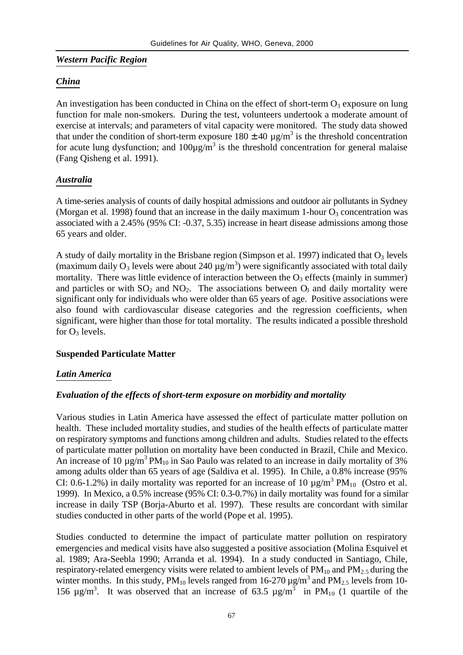#### *Western Pacific Region*

#### *China*

An investigation has been conducted in China on the effect of short-term  $O_3$  exposure on lung function for male non-smokers. During the test, volunteers undertook a moderate amount of exercise at intervals; and parameters of vital capacity were monitored. The study data showed that under the condition of short-term exposure  $180 \pm 40 \,\mu g/m^3$  is the threshold concentration for acute lung dysfunction; and  $100\mu\text{g/m}^3$  is the threshold concentration for general malaise (Fang Qisheng et al. 1991).

#### *Australia*

A time-series analysis of counts of daily hospital admissions and outdoor air pollutants in Sydney (Morgan et al. 1998) found that an increase in the daily maximum 1-hour  $O_3$  concentration was associated with a 2.45% (95% CI: -0.37, 5.35) increase in heart disease admissions among those 65 years and older.

A study of daily mortality in the Brisbane region (Simpson et al. 1997) indicated that  $O_3$  levels (maximum daily O<sub>3</sub> levels were about 240  $\mu$ g/m<sup>3</sup>) were significantly associated with total daily mortality. There was little evidence of interaction between the  $O_3$  effects (mainly in summer) and particles or with  $SO_2$  and  $NO_2$ . The associations between  $O_3$  and daily mortality were significant only for individuals who were older than 65 years of age. Positive associations were also found with cardiovascular disease categories and the regression coefficients, when significant, were higher than those for total mortality. The results indicated a possible threshold for  $O_3$  levels.

#### **Suspended Particulate Matter**

#### *Latin America*

#### *Evaluation of the effects of short-term exposure on morbidity and mortality*

Various studies in Latin America have assessed the effect of particulate matter pollution on health. These included mortality studies, and studies of the health effects of particulate matter on respiratory symptoms and functions among children and adults. Studies related to the effects of particulate matter pollution on mortality have been conducted in Brazil, Chile and Mexico. An increase of 10  $\mu$ g/m<sup>3</sup> PM<sub>10</sub> in Sao Paulo was related to an increase in daily mortality of 3% among adults older than 65 years of age (Saldiva et al. 1995). In Chile, a 0.8% increase (95% CI: 0.6-1.2%) in daily mortality was reported for an increase of 10  $\mu$ g/m<sup>3</sup> PM<sub>10</sub> (Ostro et al. 1999). In Mexico, a 0.5% increase (95% CI: 0.3-0.7%) in daily mortality was found for a similar increase in daily TSP (Borja-Aburto et al. 1997). These results are concordant with similar studies conducted in other parts of the world (Pope et al. 1995).

Studies conducted to determine the impact of particulate matter pollution on respiratory emergencies and medical visits have also suggested a positive association (Molina Esquivel et al. 1989; Ara-Seebla 1990; Arranda et al. 1994). In a study conducted in Santiago, Chile, respiratory-related emergency visits were related to ambient levels of  $PM_{10}$  and  $PM_{2.5}$  during the winter months. In this study,  $PM_{10}$  levels ranged from 16-270  $\mu$ g/m<sup>3</sup> and  $PM_{2.5}$  levels from 10-156  $\mu$ g/m<sup>3</sup>. It was observed that an increase of 63.5  $\mu$ g/m<sup>3</sup> in PM<sub>10</sub> (1 quartile of the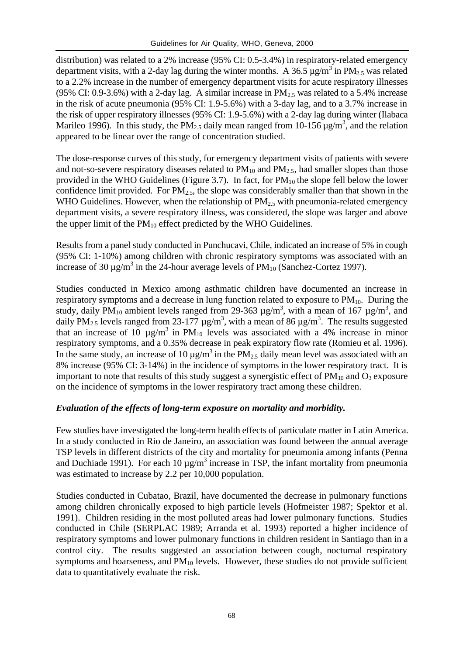distribution) was related to a 2% increase (95% CI: 0.5-3.4%) in respiratory-related emergency department visits, with a 2-day lag during the winter months. A 36.5  $\mu$ g/m<sup>3</sup> in PM<sub>2.5</sub> was related to a 2.2% increase in the number of emergency department visits for acute respiratory illnesses (95% CI: 0.9-3.6%) with a 2-day lag. A similar increase in  $PM_{2.5}$  was related to a 5.4% increase in the risk of acute pneumonia (95% CI: 1.9-5.6%) with a 3-day lag, and to a 3.7% increase in the risk of upper respiratory illnesses (95% CI: 1.9-5.6%) with a 2-day lag during winter (Ilabaca Marileo 1996). In this study, the PM<sub>2.5</sub> daily mean ranged from 10-156  $\mu$ g/m<sup>3</sup>, and the relation appeared to be linear over the range of concentration studied.

The dose-response curves of this study, for emergency department visits of patients with severe and not-so-severe respiratory diseases related to  $PM_{10}$  and  $PM_{2.5}$ , had smaller slopes than those provided in the WHO Guidelines (Figure 3.7). In fact, for  $PM_{10}$  the slope fell below the lower confidence limit provided. For  $PM<sub>2.5</sub>$ , the slope was considerably smaller than that shown in the WHO Guidelines. However, when the relationship of  $PM_2$ , with pneumonia-related emergency department visits, a severe respiratory illness, was considered, the slope was larger and above the upper limit of the  $PM_{10}$  effect predicted by the WHO Guidelines.

Results from a panel study conducted in Punchucavi, Chile, indicated an increase of 5% in cough (95% CI: 1-10%) among children with chronic respiratory symptoms was associated with an increase of 30  $\mu$ g/m<sup>3</sup> in the 24-hour average levels of PM<sub>10</sub> (Sanchez-Cortez 1997).

Studies conducted in Mexico among asthmatic children have documented an increase in respiratory symptoms and a decrease in lung function related to exposure to  $PM<sub>10</sub>$ . During the study, daily PM<sub>10</sub> ambient levels ranged from 29-363  $\mu$ g/m<sup>3</sup>, with a mean of 167  $\mu$ g/m<sup>3</sup>, and daily PM<sub>2.5</sub> levels ranged from 23-177  $\mu$ g/m<sup>3</sup>, with a mean of 86  $\mu$ g/m<sup>3</sup>. The results suggested that an increase of 10  $\mu$ g/m<sup>3</sup> in PM<sub>10</sub> levels was associated with a 4% increase in minor respiratory symptoms, and a 0.35% decrease in peak expiratory flow rate (Romieu et al. 1996). In the same study, an increase of 10  $\mu$ g/m<sup>3</sup> in the PM<sub>2.5</sub> daily mean level was associated with an 8% increase (95% CI: 3-14%) in the incidence of symptoms in the lower respiratory tract. It is important to note that results of this study suggest a synergistic effect of  $PM_{10}$  and  $O_3$  exposure on the incidence of symptoms in the lower respiratory tract among these children.

#### *Evaluation of the effects of long-term exposure on mortality and morbidity.*

Few studies have investigated the long-term health effects of particulate matter in Latin America. In a study conducted in Rio de Janeiro, an association was found between the annual average TSP levels in different districts of the city and mortality for pneumonia among infants (Penna and Duchiade 1991). For each 10  $\mu$ g/m<sup>3</sup> increase in TSP, the infant mortality from pneumonia was estimated to increase by 2.2 per 10,000 population.

Studies conducted in Cubatao, Brazil, have documented the decrease in pulmonary functions among children chronically exposed to high particle levels (Hofmeister 1987; Spektor et al. 1991). Children residing in the most polluted areas had lower pulmonary functions. Studies conducted in Chile (SERPLAC 1989; Arranda et al. 1993) reported a higher incidence of respiratory symptoms and lower pulmonary functions in children resident in Santiago than in a control city. The results suggested an association between cough, nocturnal respiratory symptoms and hoarseness, and  $PM_{10}$  levels. However, these studies do not provide sufficient data to quantitatively evaluate the risk.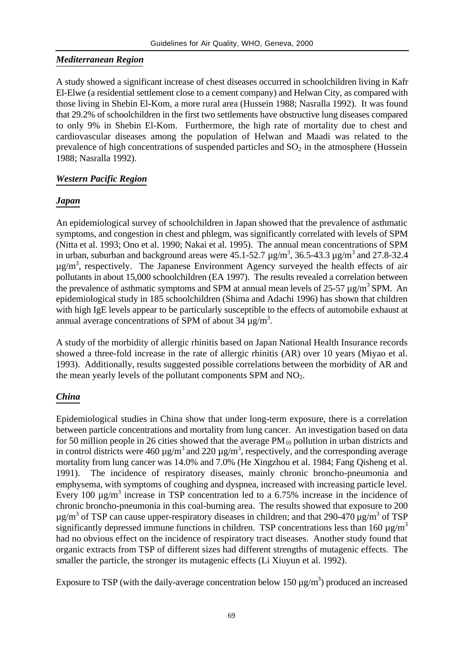#### *Mediterranean Region*

A study showed a significant increase of chest diseases occurred in schoolchildren living in Kafr El-Elwe (a residential settlement close to a cement company) and Helwan City, as compared with those living in Shebin El-Kom, a more rural area (Hussein 1988; Nasralla 1992). It was found that 29.2% of schoolchildren in the first two settlements have obstructive lung diseases compared to only 9% in Shebin El-Kom. Furthermore, the high rate of mortality due to chest and cardiovascular diseases among the population of Helwan and Maadi was related to the prevalence of high concentrations of suspended particles and  $SO<sub>2</sub>$  in the atmosphere (Hussein 1988; Nasralla 1992).

### *Western Pacific Region*

#### *Japan*

An epidemiological survey of schoolchildren in Japan showed that the prevalence of asthmatic symptoms, and congestion in chest and phlegm, was significantly correlated with levels of SPM (Nitta et al. 1993; Ono et al. 1990; Nakai et al. 1995). The annual mean concentrations of SPM in urban, suburban and background areas were  $45.1$ - $52.7 \mu$ g/m<sup>3</sup>,  $36.5$ - $43.3 \mu$ g/m<sup>3</sup> and  $27.8$ - $32.4$  $\mu$ g/m<sup>3</sup>, respectively. The Japanese Environment Agency surveyed the health effects of air pollutants in about 15,000 schoolchildren (EA 1997). The results revealed a correlation between the prevalence of asthmatic symptoms and SPM at annual mean levels of 25-57  $\mu$ g/m<sup>3</sup> SPM. An epidemiological study in 185 schoolchildren (Shima and Adachi 1996) has shown that children with high IgE levels appear to be particularly susceptible to the effects of automobile exhaust at annual average concentrations of SPM of about  $34 \mu g/m^3$ .

A study of the morbidity of allergic rhinitis based on Japan National Health Insurance records showed a three-fold increase in the rate of allergic rhinitis (AR) over 10 years (Miyao et al. 1993). Additionally, results suggested possible correlations between the morbidity of AR and the mean yearly levels of the pollutant components  $SPM$  and  $NO<sub>2</sub>$ .

### *China*

Epidemiological studies in China show that under long-term exposure, there is a correlation between particle concentrations and mortality from lung cancer. An investigation based on data for 50 million people in 26 cities showed that the average  $PM_{10}$  pollution in urban districts and in control districts were 460  $\mu$ g/m<sup>3</sup> and 220  $\mu$ g/m<sup>3</sup>, respectively, and the corresponding average mortality from lung cancer was 14.0% and 7.0% (He Xingzhou et al. 1984; Fang Qisheng et al. 1991). The incidence of respiratory diseases, mainly chronic broncho-pneumonia and emphysema, with symptoms of coughing and dyspnea, increased with increasing particle level. Every 100  $\mu$ g/m<sup>3</sup> increase in TSP concentration led to a 6.75% increase in the incidence of chronic broncho-pneumonia in this coal-burning area. The results showed that exposure to 200  $\mu$ g/m<sup>3</sup> of TSP can cause upper-respiratory diseases in children; and that 290-470  $\mu$ g/m<sup>3</sup> of TSP significantly depressed immune functions in children. TSP concentrations less than 160  $\mu$ g/m<sup>3</sup> had no obvious effect on the incidence of respiratory tract diseases. Another study found that organic extracts from TSP of different sizes had different strengths of mutagenic effects. The smaller the particle, the stronger its mutagenic effects (Li Xiuyun et al. 1992).

Exposure to TSP (with the daily-average concentration below 150  $\mu$ g/m<sup>3</sup>) produced an increased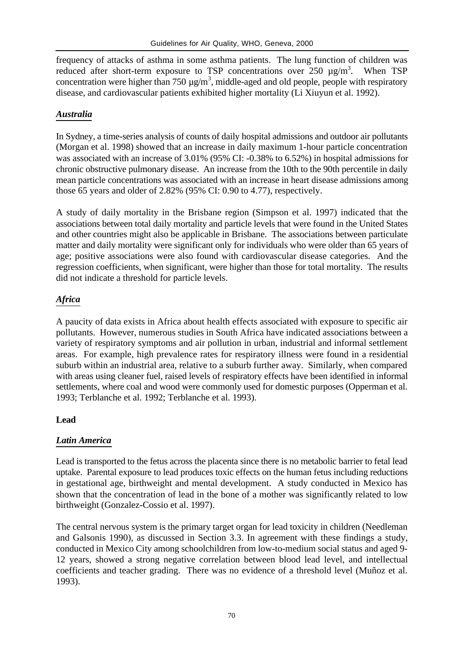frequency of attacks of asthma in some asthma patients. The lung function of children was reduced after short-term exposure to TSP concentrations over  $250 \mu g/m^3$ . . When TSP concentration were higher than 750  $\mu$ g/m<sup>3</sup>, middle-aged and old people, people with respiratory disease, and cardiovascular patients exhibited higher mortality (Li Xiuyun et al. 1992).

#### *Australia*

In Sydney, a time-series analysis of counts of daily hospital admissions and outdoor air pollutants (Morgan et al. 1998) showed that an increase in daily maximum 1-hour particle concentration was associated with an increase of 3.01% (95% CI: -0.38% to 6.52%) in hospital admissions for chronic obstructive pulmonary disease. An increase from the 10th to the 90th percentile in daily mean particle concentrations was associated with an increase in heart disease admissions among those 65 years and older of 2.82% (95% CI: 0.90 to 4.77), respectively.

A study of daily mortality in the Brisbane region (Simpson et al. 1997) indicated that the associations between total daily mortality and particle levels that were found in the United States and other countries might also be applicable in Brisbane. The associations between particulate matter and daily mortality were significant only for individuals who were older than 65 years of age; positive associations were also found with cardiovascular disease categories. And the regression coefficients, when significant, were higher than those for total mortality. The results did not indicate a threshold for particle levels.

### *Africa*

A paucity of data exists in Africa about health effects associated with exposure to specific air pollutants. However, numerous studies in South Africa have indicated associations between a variety of respiratory symptoms and air pollution in urban, industrial and informal settlement areas. For example, high prevalence rates for respiratory illness were found in a residential suburb within an industrial area, relative to a suburb further away. Similarly, when compared with areas using cleaner fuel, raised levels of respiratory effects have been identified in informal settlements, where coal and wood were commonly used for domestic purposes (Opperman et al. 1993; Terblanche et al. 1992; Terblanche et al. 1993).

#### **Lead**

#### *Latin America*

Lead is transported to the fetus across the placenta since there is no metabolic barrier to fetal lead uptake. Parental exposure to lead produces toxic effects on the human fetus including reductions in gestational age, birthweight and mental development. A study conducted in Mexico has shown that the concentration of lead in the bone of a mother was significantly related to low birthweight (Gonzalez-Cossio et al. 1997).

The central nervous system is the primary target organ for lead toxicity in children (Needleman and Galsonis 1990), as discussed in Section 3.3. In agreement with these findings a study, conducted in Mexico City among schoolchildren from low-to-medium social status and aged 9- 12 years, showed a strong negative correlation between blood lead level, and intellectual coefficients and teacher grading. There was no evidence of a threshold level (Muñoz et al. 1993).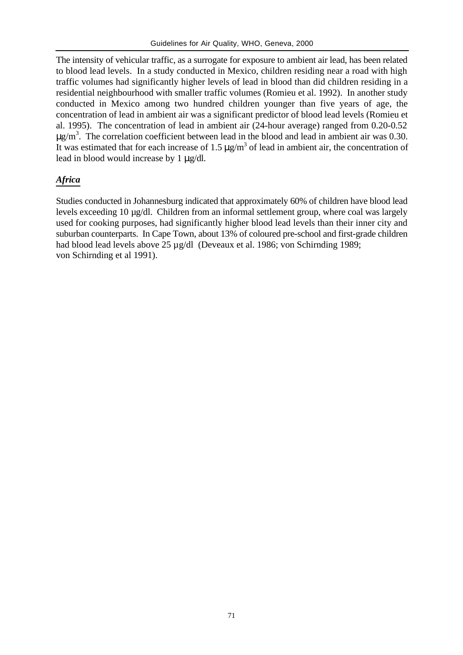The intensity of vehicular traffic, as a surrogate for exposure to ambient air lead, has been related to blood lead levels. In a study conducted in Mexico, children residing near a road with high traffic volumes had significantly higher levels of lead in blood than did children residing in a residential neighbourhood with smaller traffic volumes (Romieu et al. 1992). In another study conducted in Mexico among two hundred children younger than five years of age, the concentration of lead in ambient air was a significant predictor of blood lead levels (Romieu et al. 1995). The concentration of lead in ambient air (24-hour average) ranged from 0.20-0.52  $\mu$ g/m<sup>3</sup>. The correlation coefficient between lead in the blood and lead in ambient air was 0.30. It was estimated that for each increase of 1.5  $\mu$ g/m<sup>3</sup> of lead in ambient air, the concentration of lead in blood would increase by 1 μg/dl.

### *Africa*

Studies conducted in Johannesburg indicated that approximately 60% of children have blood lead levels exceeding 10 µg/dl. Children from an informal settlement group, where coal was largely used for cooking purposes, had significantly higher blood lead levels than their inner city and suburban counterparts. In Cape Town, about 13% of coloured pre-school and first-grade children had blood lead levels above 25 µg/dl (Deveaux et al. 1986; von Schirnding 1989; von Schirnding et al 1991).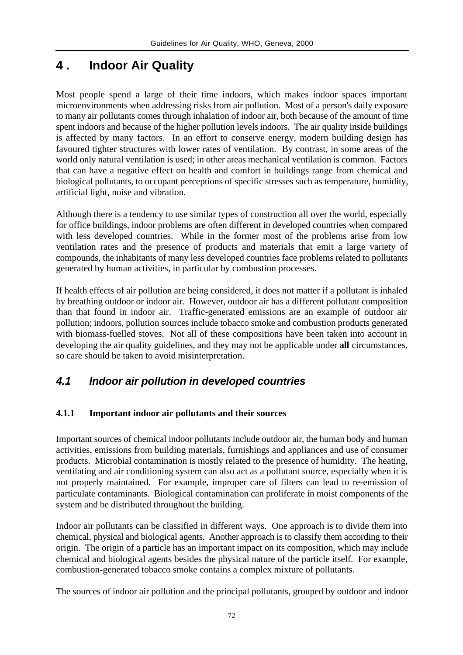# **4 . Indoor Air Quality**

Most people spend a large of their time indoors, which makes indoor spaces important microenvironments when addressing risks from air pollution. Most of a person's daily exposure to many air pollutants comes through inhalation of indoor air, both because of the amount of time spent indoors and because of the higher pollution levels indoors. The air quality inside buildings is affected by many factors. In an effort to conserve energy, modern building design has favoured tighter structures with lower rates of ventilation. By contrast, in some areas of the world only natural ventilation is used; in other areas mechanical ventilation is common. Factors that can have a negative effect on health and comfort in buildings range from chemical and biological pollutants, to occupant perceptions of specific stresses such as temperature, humidity, artificial light, noise and vibration.

Although there is a tendency to use similar types of construction all over the world, especially for office buildings, indoor problems are often different in developed countries when compared with less developed countries. While in the former most of the problems arise from low ventilation rates and the presence of products and materials that emit a large variety of compounds, the inhabitants of many less developed countries face problems related to pollutants generated by human activities, in particular by combustion processes.

If health effects of air pollution are being considered, it does not matter if a pollutant is inhaled by breathing outdoor or indoor air. However, outdoor air has a different pollutant composition than that found in indoor air. Traffic-generated emissions are an example of outdoor air pollution; indoors, pollution sources include tobacco smoke and combustion products generated with biomass-fuelled stoves. Not all of these compositions have been taken into account in developing the air quality guidelines, and they may not be applicable under **all** circumstances, so care should be taken to avoid misinterpretation.

## *4.1 Indoor air pollution in developed countries*

### **4.1.1 Important indoor air pollutants and their sources**

Important sources of chemical indoor pollutants include outdoor air, the human body and human activities, emissions from building materials, furnishings and appliances and use of consumer products. Microbial contamination is mostly related to the presence of humidity. The heating, ventilating and air conditioning system can also act as a pollutant source, especially when it is not properly maintained. For example, improper care of filters can lead to re-emission of particulate contaminants. Biological contamination can proliferate in moist components of the system and be distributed throughout the building.

Indoor air pollutants can be classified in different ways. One approach is to divide them into chemical, physical and biological agents. Another approach is to classify them according to their origin. The origin of a particle has an important impact on its composition, which may include chemical and biological agents besides the physical nature of the particle itself. For example, combustion-generated tobacco smoke contains a complex mixture of pollutants.

The sources of indoor air pollution and the principal pollutants, grouped by outdoor and indoor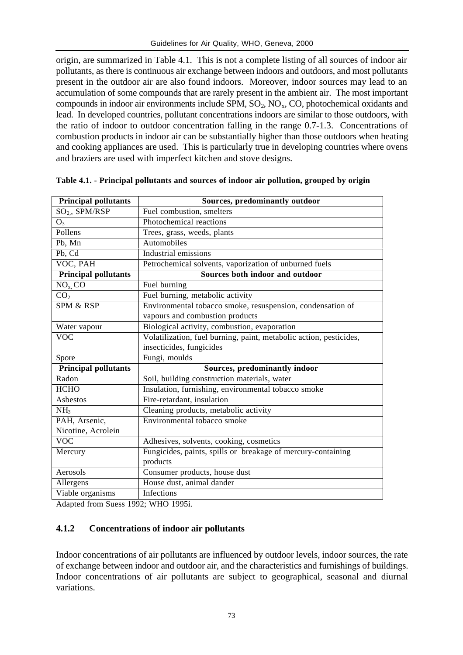origin, are summarized in Table 4.1. This is not a complete listing of all sources of indoor air pollutants, as there is continuous air exchange between indoors and outdoors, and most pollutants present in the outdoor air are also found indoors. Moreover, indoor sources may lead to an accumulation of some compounds that are rarely present in the ambient air. The most important compounds in indoor air environments include SPM,  $SO_2$ ,  $NO_x$ ,  $CO$ , photochemical oxidants and lead. In developed countries, pollutant concentrations indoors are similar to those outdoors, with the ratio of indoor to outdoor concentration falling in the range 0.7-1.3. Concentrations of combustion products in indoor air can be substantially higher than those outdoors when heating and cooking appliances are used. This is particularly true in developing countries where ovens and braziers are used with imperfect kitchen and stove designs.

| <b>Principal pollutants</b> | <b>Sources, predominantly outdoor</b>                              |
|-----------------------------|--------------------------------------------------------------------|
| $SO2$ , SPM/RSP             | Fuel combustion, smelters                                          |
| $O_3$                       | Photochemical reactions                                            |
| Pollens                     | Trees, grass, weeds, plants                                        |
| Pb, Mn                      | Automobiles                                                        |
| Pb, Cd                      | Industrial emissions                                               |
| VOC, PAH                    | Petrochemical solvents, vaporization of unburned fuels             |
| <b>Principal pollutants</b> | Sources both indoor and outdoor                                    |
| $NO_{x}$ , $CO$             | Fuel burning                                                       |
| CO <sub>2</sub>             | Fuel burning, metabolic activity                                   |
| <b>SPM &amp; RSP</b>        | Environmental tobacco smoke, resuspension, condensation of         |
|                             | vapours and combustion products                                    |
| Water vapour                | Biological activity, combustion, evaporation                       |
| <b>VOC</b>                  | Volatilization, fuel burning, paint, metabolic action, pesticides, |
|                             | insecticides, fungicides                                           |
| Spore                       | Fungi, moulds                                                      |
| <b>Principal pollutants</b> | Sources, predominantly indoor                                      |
| Radon                       | Soil, building construction materials, water                       |
| <b>HCHO</b>                 | Insulation, furnishing, environmental tobacco smoke                |
| Asbestos                    | Fire-retardant, insulation                                         |
| NH <sub>3</sub>             | Cleaning products, metabolic activity                              |
| PAH, Arsenic,               | Environmental tobacco smoke                                        |
| Nicotine, Acrolein          |                                                                    |
| VOC                         | Adhesives, solvents, cooking, cosmetics                            |
| Mercury                     | Fungicides, paints, spills or breakage of mercury-containing       |
|                             | products                                                           |
| Aerosols                    | Consumer products, house dust                                      |
| Allergens                   | House dust, animal dander                                          |
| Viable organisms            | Infections                                                         |

|  |  | Table 4.1. - Principal pollutants and sources of indoor air pollution, grouped by origin |  |
|--|--|------------------------------------------------------------------------------------------|--|
|  |  |                                                                                          |  |

Adapted from Suess 1992; WHO 1995i.

#### **4.1.2 Concentrations of indoor air pollutants**

Indoor concentrations of air pollutants are influenced by outdoor levels, indoor sources, the rate of exchange between indoor and outdoor air, and the characteristics and furnishings of buildings. Indoor concentrations of air pollutants are subject to geographical, seasonal and diurnal variations.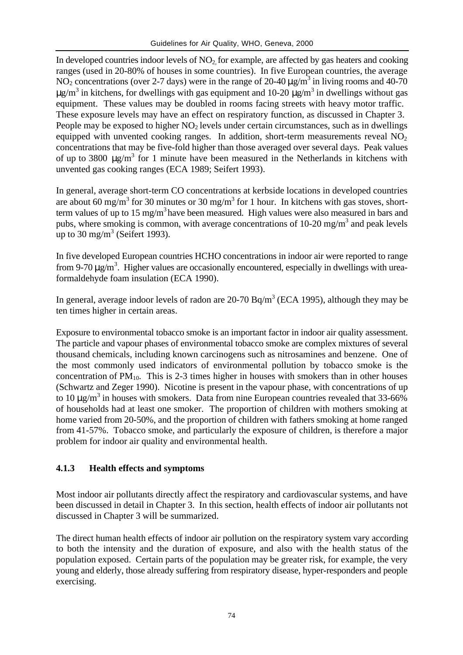In developed countries indoor levels of  $NO<sub>2</sub>$  for example, are affected by gas heaters and cooking ranges (used in 20-80% of houses in some countries). In five European countries, the average NO<sub>2</sub> concentrations (over 2-7 days) were in the range of 20-40  $\mu$ g/m<sup>3</sup> in living rooms and 40-70 μg/m<sup>3</sup> in kitchens, for dwellings with gas equipment and 10-20 μg/m<sup>3</sup> in dwellings without gas equipment. These values may be doubled in rooms facing streets with heavy motor traffic. These exposure levels may have an effect on respiratory function, as discussed in Chapter 3. People may be exposed to higher  $NO<sub>2</sub>$  levels under certain circumstances, such as in dwellings equipped with unvented cooking ranges. In addition, short-term measurements reveal  $NO<sub>2</sub>$ concentrations that may be five-fold higher than those averaged over several days. Peak values of up to 3800  $\mu$ g/m<sup>3</sup> for 1 minute have been measured in the Netherlands in kitchens with unvented gas cooking ranges (ECA 1989; Seifert 1993).

In general, average short-term CO concentrations at kerbside locations in developed countries are about 60 mg/m<sup>3</sup> for 30 minutes or 30 mg/m<sup>3</sup> for 1 hour. In kitchens with gas stoves, shortterm values of up to 15 mg/m<sup>3</sup> have been measured. High values were also measured in bars and pubs, where smoking is common, with average concentrations of  $10{\text -}20$  mg/m<sup>3</sup> and peak levels up to 30 mg/m<sup>3</sup> (Seifert 1993).

In five developed European countries HCHO concentrations in indoor air were reported to range from 9-70  $\mu$ g/m<sup>3</sup>. Higher values are occasionally encountered, especially in dwellings with ureaformaldehyde foam insulation (ECA 1990).

In general, average indoor levels of radon are 20-70 Bq/m<sup>3</sup> (ECA 1995), although they may be ten times higher in certain areas.

Exposure to environmental tobacco smoke is an important factor in indoor air quality assessment. The particle and vapour phases of environmental tobacco smoke are complex mixtures of several thousand chemicals, including known carcinogens such as nitrosamines and benzene. One of the most commonly used indicators of environmental pollution by tobacco smoke is the concentration of  $PM_{10}$ . This is 2-3 times higher in houses with smokers than in other houses (Schwartz and Zeger 1990). Nicotine is present in the vapour phase, with concentrations of up to 10 μg/m<sup>3</sup> in houses with smokers. Data from nine European countries revealed that 33-66% of households had at least one smoker. The proportion of children with mothers smoking at home varied from 20-50%, and the proportion of children with fathers smoking at home ranged from 41-57%. Tobacco smoke, and particularly the exposure of children, is therefore a major problem for indoor air quality and environmental health.

### **4.1.3 Health effects and symptoms**

Most indoor air pollutants directly affect the respiratory and cardiovascular systems, and have been discussed in detail in Chapter 3. In this section, health effects of indoor air pollutants not discussed in Chapter 3 will be summarized.

The direct human health effects of indoor air pollution on the respiratory system vary according to both the intensity and the duration of exposure, and also with the health status of the population exposed. Certain parts of the population may be greater risk, for example, the very young and elderly, those already suffering from respiratory disease, hyper-responders and people exercising.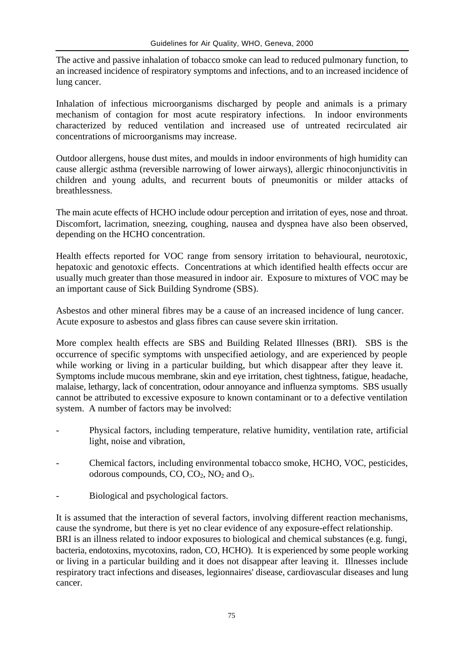The active and passive inhalation of tobacco smoke can lead to reduced pulmonary function, to an increased incidence of respiratory symptoms and infections, and to an increased incidence of lung cancer.

Inhalation of infectious microorganisms discharged by people and animals is a primary mechanism of contagion for most acute respiratory infections. In indoor environments characterized by reduced ventilation and increased use of untreated recirculated air concentrations of microorganisms may increase.

Outdoor allergens, house dust mites, and moulds in indoor environments of high humidity can cause allergic asthma (reversible narrowing of lower airways), allergic rhinoconjunctivitis in children and young adults, and recurrent bouts of pneumonitis or milder attacks of breathlessness.

The main acute effects of HCHO include odour perception and irritation of eyes, nose and throat. Discomfort, lacrimation, sneezing, coughing, nausea and dyspnea have also been observed, depending on the HCHO concentration.

Health effects reported for VOC range from sensory irritation to behavioural, neurotoxic, hepatoxic and genotoxic effects. Concentrations at which identified health effects occur are usually much greater than those measured in indoor air. Exposure to mixtures of VOC may be an important cause of Sick Building Syndrome (SBS).

Asbestos and other mineral fibres may be a cause of an increased incidence of lung cancer. Acute exposure to asbestos and glass fibres can cause severe skin irritation.

More complex health effects are SBS and Building Related Illnesses (BRI). SBS is the occurrence of specific symptoms with unspecified aetiology, and are experienced by people while working or living in a particular building, but which disappear after they leave it. Symptoms include mucous membrane, skin and eye irritation, chest tightness, fatigue, headache, malaise, lethargy, lack of concentration, odour annoyance and influenza symptoms. SBS usually cannot be attributed to excessive exposure to known contaminant or to a defective ventilation system. A number of factors may be involved:

- Physical factors, including temperature, relative humidity, ventilation rate, artificial light, noise and vibration,
- Chemical factors, including environmental tobacco smoke, HCHO, VOC, pesticides, odorous compounds,  $CO$ ,  $CO<sub>2</sub>$ ,  $NO<sub>2</sub>$  and  $O<sub>3</sub>$ .
- Biological and psychological factors.

It is assumed that the interaction of several factors, involving different reaction mechanisms, cause the syndrome, but there is yet no clear evidence of any exposure-effect relationship. BRI is an illness related to indoor exposures to biological and chemical substances (e.g. fungi, bacteria, endotoxins, mycotoxins, radon, CO, HCHO). It is experienced by some people working or living in a particular building and it does not disappear after leaving it. Illnesses include respiratory tract infections and diseases, legionnaires' disease, cardiovascular diseases and lung cancer.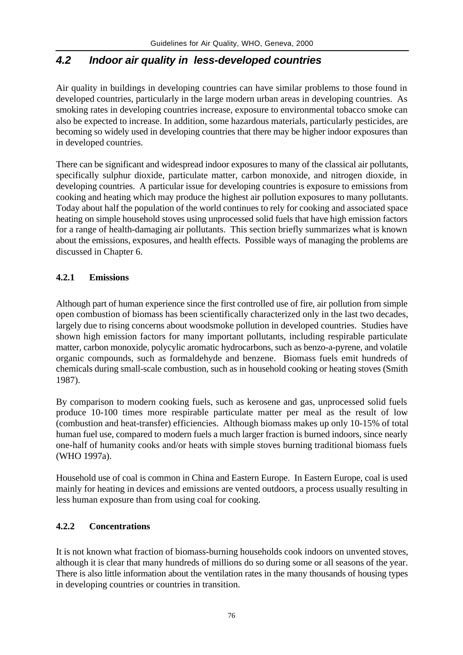## *4.2 Indoor air quality in less-developed countries*

Air quality in buildings in developing countries can have similar problems to those found in developed countries, particularly in the large modern urban areas in developing countries. As smoking rates in developing countries increase, exposure to environmental tobacco smoke can also be expected to increase. In addition, some hazardous materials, particularly pesticides, are becoming so widely used in developing countries that there may be higher indoor exposures than in developed countries.

There can be significant and widespread indoor exposures to many of the classical air pollutants, specifically sulphur dioxide, particulate matter, carbon monoxide, and nitrogen dioxide, in developing countries. A particular issue for developing countries is exposure to emissions from cooking and heating which may produce the highest air pollution exposures to many pollutants. Today about half the population of the world continues to rely for cooking and associated space heating on simple household stoves using unprocessed solid fuels that have high emission factors for a range of health-damaging air pollutants. This section briefly summarizes what is known about the emissions, exposures, and health effects. Possible ways of managing the problems are discussed in Chapter 6.

#### **4.2.1 Emissions**

Although part of human experience since the first controlled use of fire, air pollution from simple open combustion of biomass has been scientifically characterized only in the last two decades, largely due to rising concerns about woodsmoke pollution in developed countries. Studies have shown high emission factors for many important pollutants, including respirable particulate matter, carbon monoxide, polycylic aromatic hydrocarbons, such as benzo-a-pyrene, and volatile organic compounds, such as formaldehyde and benzene. Biomass fuels emit hundreds of chemicals during small-scale combustion, such as in household cooking or heating stoves (Smith 1987).

By comparison to modern cooking fuels, such as kerosene and gas, unprocessed solid fuels produce 10-100 times more respirable particulate matter per meal as the result of low (combustion and heat-transfer) efficiencies. Although biomass makes up only 10-15% of total human fuel use, compared to modern fuels a much larger fraction is burned indoors, since nearly one-half of humanity cooks and/or heats with simple stoves burning traditional biomass fuels (WHO 1997a).

Household use of coal is common in China and Eastern Europe. In Eastern Europe, coal is used mainly for heating in devices and emissions are vented outdoors, a process usually resulting in less human exposure than from using coal for cooking.

### **4.2.2 Concentrations**

It is not known what fraction of biomass-burning households cook indoors on unvented stoves, although it is clear that many hundreds of millions do so during some or all seasons of the year. There is also little information about the ventilation rates in the many thousands of housing types in developing countries or countries in transition.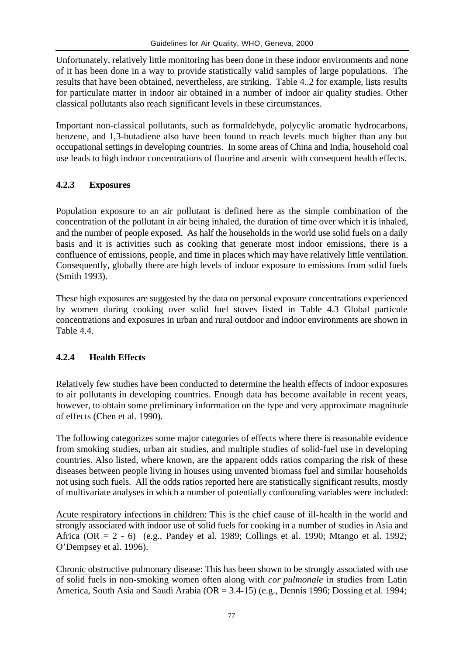Unfortunately, relatively little monitoring has been done in these indoor environments and none of it has been done in a way to provide statistically valid samples of large populations. The results that have been obtained, nevertheless, are striking. Table 4..2 for example, lists results for particulate matter in indoor air obtained in a number of indoor air quality studies. Other classical pollutants also reach significant levels in these circumstances.

Important non-classical pollutants, such as formaldehyde, polycylic aromatic hydrocarbons, benzene, and 1,3-butadiene also have been found to reach levels much higher than any but occupational settings in developing countries. In some areas of China and India, household coal use leads to high indoor concentrations of fluorine and arsenic with consequent health effects.

### **4.2.3 Exposures**

Population exposure to an air pollutant is defined here as the simple combination of the concentration of the pollutant in air being inhaled, the duration of time over which it is inhaled, and the number of people exposed. As half the households in the world use solid fuels on a daily basis and it is activities such as cooking that generate most indoor emissions, there is a confluence of emissions, people, and time in places which may have relatively little ventilation. Consequently, globally there are high levels of indoor exposure to emissions from solid fuels (Smith 1993).

These high exposures are suggested by the data on personal exposure concentrations experienced by women during cooking over solid fuel stoves listed in Table 4.3 Global particule concentrations and exposures in urban and rural outdoor and indoor environments are shown in Table 44

## **4.2.4 Health Effects**

Relatively few studies have been conducted to determine the health effects of indoor exposures to air pollutants in developing countries. Enough data has become available in recent years, however, to obtain some preliminary information on the type and very approximate magnitude of effects (Chen et al. 1990).

The following categorizes some major categories of effects where there is reasonable evidence from smoking studies, urban air studies, and multiple studies of solid-fuel use in developing countries. Also listed, where known, are the apparent odds ratios comparing the risk of these diseases between people living in houses using unvented biomass fuel and similar households not using such fuels. All the odds ratios reported here are statistically significant results, mostly of multivariate analyses in which a number of potentially confounding variables were included:

Acute respiratory infections in children: This is the chief cause of ill-health in the world and strongly associated with indoor use of solid fuels for cooking in a number of studies in Asia and Africa (OR = 2 - 6) (e.g., Pandey et al. 1989; Collings et al. 1990; Mtango et al. 1992; O'Dempsey et al. 1996).

Chronic obstructive pulmonary disease: This has been shown to be strongly associated with use of solid fuels in non-smoking women often along with *cor pulmonale* in studies from Latin America, South Asia and Saudi Arabia (OR = 3.4-15) (e.g., Dennis 1996; Dossing et al. 1994;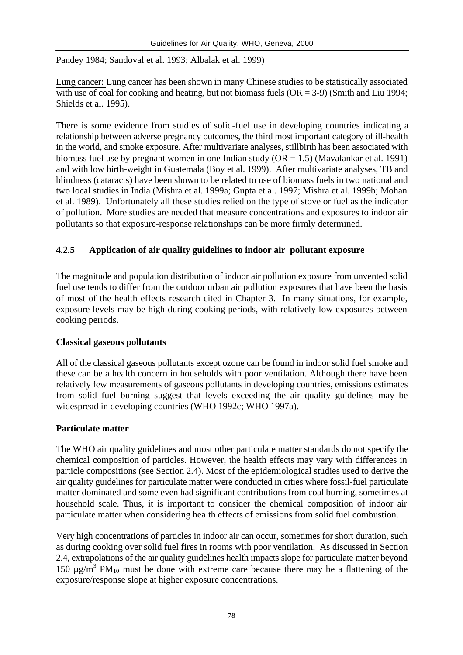Pandey 1984; Sandoval et al. 1993; Albalak et al. 1999)

Lung cancer: Lung cancer has been shown in many Chinese studies to be statistically associated with use of coal for cooking and heating, but not biomass fuels  $(OR = 3-9)$  (Smith and Liu 1994; Shields et al. 1995).

There is some evidence from studies of solid-fuel use in developing countries indicating a relationship between adverse pregnancy outcomes, the third most important category of ill-health in the world, and smoke exposure. After multivariate analyses, stillbirth has been associated with biomass fuel use by pregnant women in one Indian study ( $OR = 1.5$ ) (Mavalankar et al. 1991) and with low birth-weight in Guatemala (Boy et al. 1999). After multivariate analyses, TB and blindness (cataracts) have been shown to be related to use of biomass fuels in two national and two local studies in India (Mishra et al. 1999a; Gupta et al. 1997; Mishra et al. 1999b; Mohan et al. 1989). Unfortunately all these studies relied on the type of stove or fuel as the indicator of pollution. More studies are needed that measure concentrations and exposures to indoor air pollutants so that exposure-response relationships can be more firmly determined.

#### **4.2.5 Application of air quality guidelines to indoor air pollutant exposure**

The magnitude and population distribution of indoor air pollution exposure from unvented solid fuel use tends to differ from the outdoor urban air pollution exposures that have been the basis of most of the health effects research cited in Chapter 3. In many situations, for example, exposure levels may be high during cooking periods, with relatively low exposures between cooking periods.

#### **Classical gaseous pollutants**

All of the classical gaseous pollutants except ozone can be found in indoor solid fuel smoke and these can be a health concern in households with poor ventilation. Although there have been relatively few measurements of gaseous pollutants in developing countries, emissions estimates from solid fuel burning suggest that levels exceeding the air quality guidelines may be widespread in developing countries (WHO 1992c; WHO 1997a).

#### **Particulate matter**

The WHO air quality guidelines and most other particulate matter standards do not specify the chemical composition of particles. However, the health effects may vary with differences in particle compositions (see Section 2.4). Most of the epidemiological studies used to derive the air quality guidelines for particulate matter were conducted in cities where fossil-fuel particulate matter dominated and some even had significant contributions from coal burning, sometimes at household scale. Thus, it is important to consider the chemical composition of indoor air particulate matter when considering health effects of emissions from solid fuel combustion.

Very high concentrations of particles in indoor air can occur, sometimes for short duration, such as during cooking over solid fuel fires in rooms with poor ventilation. As discussed in Section 2.4, extrapolations of the air quality guidelines health impacts slope for particulate matter beyond 150  $\mu$ g/m<sup>3</sup> PM<sub>10</sub> must be done with extreme care because there may be a flattening of the exposure/response slope at higher exposure concentrations.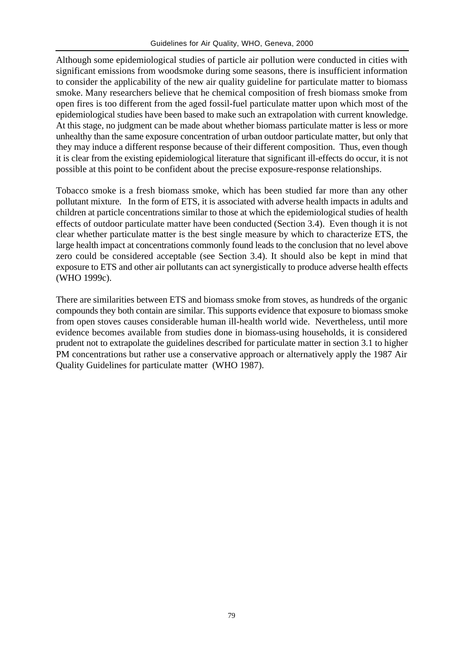Although some epidemiological studies of particle air pollution were conducted in cities with significant emissions from woodsmoke during some seasons, there is insufficient information to consider the applicability of the new air quality guideline for particulate matter to biomass smoke. Many researchers believe that he chemical composition of fresh biomass smoke from open fires is too different from the aged fossil-fuel particulate matter upon which most of the epidemiological studies have been based to make such an extrapolation with current knowledge. At this stage, no judgment can be made about whether biomass particulate matter is less or more unhealthy than the same exposure concentration of urban outdoor particulate matter, but only that they may induce a different response because of their different composition. Thus, even though it is clear from the existing epidemiological literature that significant ill-effects do occur, it is not possible at this point to be confident about the precise exposure-response relationships.

Tobacco smoke is a fresh biomass smoke, which has been studied far more than any other pollutant mixture. In the form of ETS, it is associated with adverse health impacts in adults and children at particle concentrations similar to those at which the epidemiological studies of health effects of outdoor particulate matter have been conducted (Section 3.4). Even though it is not clear whether particulate matter is the best single measure by which to characterize ETS, the large health impact at concentrations commonly found leads to the conclusion that no level above zero could be considered acceptable (see Section 3.4). It should also be kept in mind that exposure to ETS and other air pollutants can act synergistically to produce adverse health effects (WHO 1999c).

There are similarities between ETS and biomass smoke from stoves, as hundreds of the organic compounds they both contain are similar. This supports evidence that exposure to biomass smoke from open stoves causes considerable human ill-health world wide. Nevertheless, until more evidence becomes available from studies done in biomass-using households, it is considered prudent not to extrapolate the guidelines described for particulate matter in section 3.1 to higher PM concentrations but rather use a conservative approach or alternatively apply the 1987 Air Quality Guidelines for particulate matter (WHO 1987).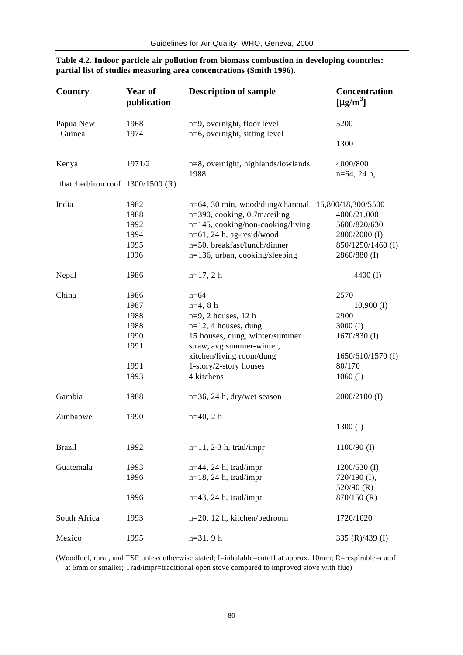| <b>Country</b>                     | Year of<br>publication | <b>Description of sample</b>                        | <b>Concentration</b><br>[mg/m <sup>3</sup> ] |
|------------------------------------|------------------------|-----------------------------------------------------|----------------------------------------------|
| Papua New                          | 1968                   | n=9, overnight, floor level                         | 5200                                         |
| Guinea                             | 1974                   | n=6, overnight, sitting level                       |                                              |
|                                    |                        |                                                     | 1300                                         |
| Kenya                              | 1971/2                 | n=8, overnight, highlands/lowlands                  | 4000/800                                     |
|                                    |                        | 1988                                                | $n=64$ , 24 h,                               |
| thatched/iron roof $1300/1500$ (R) |                        |                                                     |                                              |
| India                              | 1982                   | n=64, 30 min, wood/dung/charcoal 15,800/18,300/5500 |                                              |
|                                    | 1988                   | n=390, cooking, 0.7m/ceiling                        | 4000/21,000                                  |
|                                    | 1992                   | $n=145$ , cooking/non-cooking/living                | 5600/820/630                                 |
|                                    | 1994                   | n=61, 24 h, ag-resid/wood                           | 2800/2000 (I)                                |
|                                    | 1995                   | n=50, breakfast/lunch/dinner                        | 850/1250/1460(I)                             |
|                                    | 1996                   | n=136, urban, cooking/sleeping                      | 2860/880 (I)                                 |
| Nepal                              | 1986                   | $n=17, 2 h$                                         | 4400 (I)                                     |
| China                              | 1986                   | $n = 64$                                            | 2570                                         |
|                                    | 1987                   | $n=4$ , 8 h                                         | $10,900$ (I)                                 |
|                                    | 1988                   | $n=9$ , 2 houses, 12 h                              | 2900                                         |
|                                    | 1988                   | $n=12$ , 4 houses, dung                             | $3000$ (I)                                   |
|                                    | 1990                   | 15 houses, dung, winter/summer                      | $1670/830$ (I)                               |
|                                    | 1991                   | straw, avg summer-winter,                           |                                              |
|                                    |                        | kitchen/living room/dung                            | 1650/610/1570 (I)                            |
|                                    | 1991                   | 1-story/2-story houses                              | 80/170                                       |
|                                    | 1993                   | 4 kitchens                                          | $1060$ (I)                                   |
| Gambia                             | 1988                   | $n=36$ , 24 h, dry/wet season                       | 2000/2100 (I)                                |
| Zimbabwe                           | 1990                   | $n=40$ , 2 h                                        |                                              |
|                                    |                        |                                                     | $1300$ (I)                                   |
| <b>Brazil</b>                      | 1992                   | $n=11$ , 2-3 h, trad/impr                           | $1100/90$ (I)                                |
| Guatemala                          | 1993                   | $n=44$ , 24 h, trad/impr                            | $1200/530$ (I)                               |
|                                    | 1996                   | $n=18$ , 24 h, trad/impr                            | 720/190 (I),                                 |
|                                    |                        |                                                     | $520/90$ (R)                                 |
|                                    | 1996                   | $n=43$ , 24 h, trad/impr                            | 870/150 (R)                                  |
| South Africa                       | 1993                   | n=20, 12 h, kitchen/bedroom                         | 1720/1020                                    |
| Mexico                             | 1995                   | $n=31, 9 h$                                         | 335 (R)/439 (I)                              |

#### **Table 4.2. Indoor particle air pollution from biomass combustion in developing countries: partial list of studies measuring area concentrations (Smith 1996).**

(Woodfuel, rural, and TSP unless otherwise stated; I=inhalable=cutoff at approx. 10mm; R=respirable=cutoff at 5mm or smaller; Trad/impr=traditional open stove compared to improved stove with flue)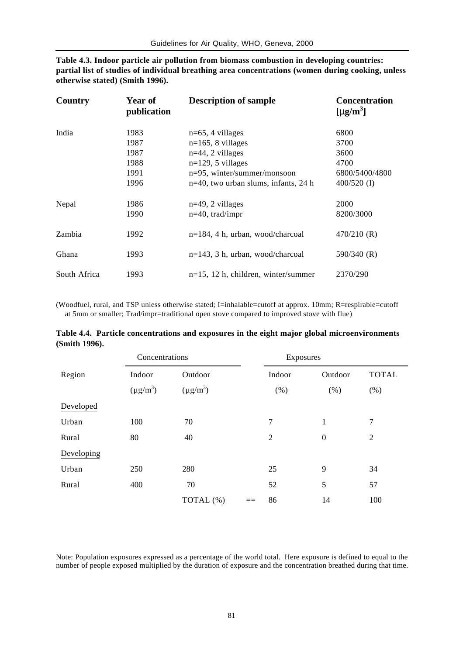| Country | Year of<br>publication | <b>Description of sample</b>         | <b>Concentration</b><br>$[mg/m^3]$ |  |  |  |  |
|---------|------------------------|--------------------------------------|------------------------------------|--|--|--|--|
| India   | 1983                   | $n=65$ , 4 villages                  | 6800                               |  |  |  |  |
|         | 1987                   | $n=165$ , 8 villages                 | 3700                               |  |  |  |  |
|         | 1987                   | $n=44$ , 2 villages                  | 3600                               |  |  |  |  |
|         | 1988                   | $n=129$ , 5 villages                 | 4700                               |  |  |  |  |
|         | 1991                   | n=95, winter/summer/monsoon          | 6800/5400/4800                     |  |  |  |  |
|         | 1996                   | n=40, two urban slums, infants, 24 h | $400/520$ (I)                      |  |  |  |  |
| Nepal   | 1986                   | $n=49$ , 2 villages                  | 2000                               |  |  |  |  |
|         | 1990                   | $n=40$ , trad/impr                   | 8200/3000                          |  |  |  |  |
| Zambia  | 1992                   | $n=184$ , 4 h, urban, wood/charcoal  | $470/210$ (R)                      |  |  |  |  |
| Ghana   | 1993                   | $n=143$ , 3 h, urban, wood/charcoal  | 590/340 (R)                        |  |  |  |  |

**Table 4.3. Indoor particle air pollution from biomass combustion in developing countries: partial list of studies of individual breathing area concentrations (women during cooking, unless otherwise stated) (Smith 1996).**

(Woodfuel, rural, and TSP unless otherwise stated; I=inhalable=cutoff at approx. 10mm; R=respirable=cutoff at 5mm or smaller; Trad/impr=traditional open stove compared to improved stove with flue)

South Africa 1993 n=15, 12 h, children, winter/summer 2370/290

|               | Table 4.4. Particle concentrations and exposures in the eight major global microenvironments |  |  |  |  |
|---------------|----------------------------------------------------------------------------------------------|--|--|--|--|
| (Smith 1996). |                                                                                              |  |  |  |  |

|            | Concentrations |               | Exposures      |                  |              |
|------------|----------------|---------------|----------------|------------------|--------------|
| Region     | Indoor         | Outdoor       | Indoor         | Outdoor          | <b>TOTAL</b> |
|            | $(\mu g/m^3)$  | $(\mu g/m^3)$ | (% )           | (% )             | (% )         |
| Developed  |                |               |                |                  |              |
| Urban      | 100            | 70            | 7              | 1                | 7            |
| Rural      | 80             | 40            | $\overline{2}$ | $\boldsymbol{0}$ | 2            |
| Developing |                |               |                |                  |              |
| Urban      | 250            | 280           | 25             | 9                | 34           |
| Rural      | 400            | 70            | 52             | 5                | 57           |
|            |                | TOTAL (%)     | 86             | 14               | 100          |

Note: Population exposures expressed as a percentage of the world total. Here exposure is defined to equal to the number of people exposed multiplied by the duration of exposure and the concentration breathed during that time.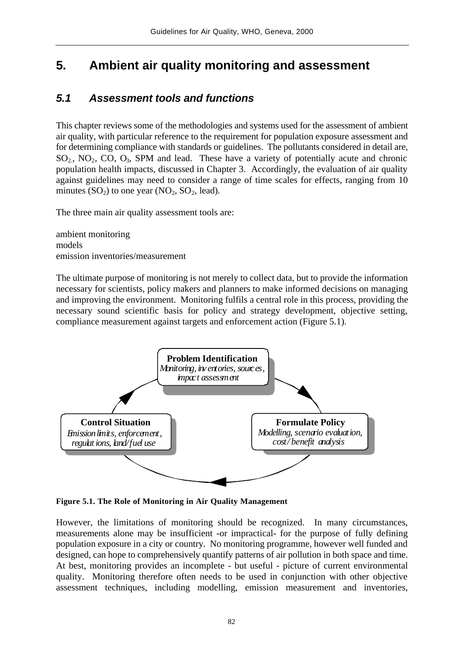# **5. Ambient air quality monitoring and assessment**

## *5.1 Assessment tools and functions*

This chapter reviews some of the methodologies and systems used for the assessment of ambient air quality, with particular reference to the requirement for population exposure assessment and for determining compliance with standards or guidelines. The pollutants considered in detail are,  $SO_2$ ,  $NO_2$ ,  $CO$ ,  $O_3$ ,  $SPM$  and lead. These have a variety of potentially acute and chronic population health impacts, discussed in Chapter 3. Accordingly, the evaluation of air quality against guidelines may need to consider a range of time scales for effects, ranging from 10 minutes  $(SO_2)$  to one year  $(NO_2, SO_2, lead)$ .

The three main air quality assessment tools are:

ambient monitoring models emission inventories/measurement

The ultimate purpose of monitoring is not merely to collect data, but to provide the information necessary for scientists, policy makers and planners to make informed decisions on managing and improving the environment. Monitoring fulfils a central role in this process, providing the necessary sound scientific basis for policy and strategy development, objective setting, compliance measurement against targets and enforcement action (Figure 5.1).



**Figure 5.1. The Role of Monitoring in Air Quality Management**

However, the limitations of monitoring should be recognized. In many circumstances, measurements alone may be insufficient -or impractical- for the purpose of fully defining population exposure in a city or country. No monitoring programme, however well funded and designed, can hope to comprehensively quantify patterns of air pollution in both space and time. At best, monitoring provides an incomplete - but useful - picture of current environmental quality. Monitoring therefore often needs to be used in conjunction with other objective assessment techniques, including modelling, emission measurement and inventories,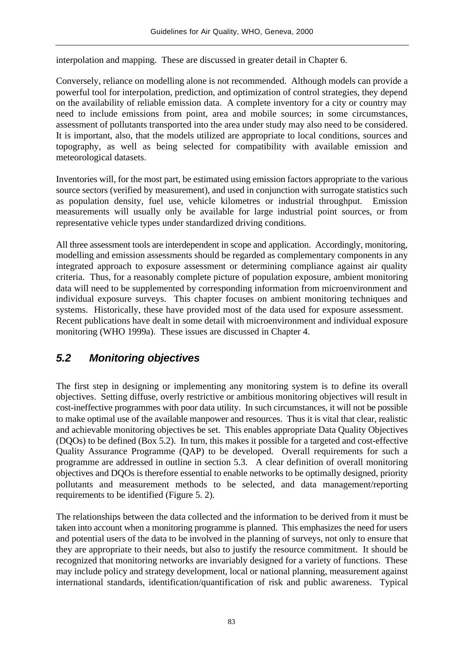interpolation and mapping. These are discussed in greater detail in Chapter 6.

Conversely, reliance on modelling alone is not recommended. Although models can provide a powerful tool for interpolation, prediction, and optimization of control strategies, they depend on the availability of reliable emission data. A complete inventory for a city or country may need to include emissions from point, area and mobile sources; in some circumstances, assessment of pollutants transported into the area under study may also need to be considered. It is important, also, that the models utilized are appropriate to local conditions, sources and topography, as well as being selected for compatibility with available emission and meteorological datasets.

Inventories will, for the most part, be estimated using emission factors appropriate to the various source sectors (verified by measurement), and used in conjunction with surrogate statistics such as population density, fuel use, vehicle kilometres or industrial throughput. Emission measurements will usually only be available for large industrial point sources, or from representative vehicle types under standardized driving conditions.

All three assessment tools are interdependent in scope and application. Accordingly, monitoring, modelling and emission assessments should be regarded as complementary components in any integrated approach to exposure assessment or determining compliance against air quality criteria. Thus, for a reasonably complete picture of population exposure, ambient monitoring data will need to be supplemented by corresponding information from microenvironment and individual exposure surveys. This chapter focuses on ambient monitoring techniques and systems. Historically, these have provided most of the data used for exposure assessment. Recent publications have dealt in some detail with microenvironment and individual exposure monitoring (WHO 1999a). These issues are discussed in Chapter 4.

## *5.2 Monitoring objectives*

The first step in designing or implementing any monitoring system is to define its overall objectives. Setting diffuse, overly restrictive or ambitious monitoring objectives will result in cost-ineffective programmes with poor data utility. In such circumstances, it will not be possible to make optimal use of the available manpower and resources. Thus it is vital that clear, realistic and achievable monitoring objectives be set. This enables appropriate Data Quality Objectives (DQOs) to be defined (Box 5.2). In turn, this makes it possible for a targeted and cost-effective Quality Assurance Programme (QAP) to be developed. Overall requirements for such a programme are addressed in outline in section 5.3. A clear definition of overall monitoring objectives and DQOs is therefore essential to enable networks to be optimally designed, priority pollutants and measurement methods to be selected, and data management/reporting requirements to be identified (Figure 5. 2).

The relationships between the data collected and the information to be derived from it must be taken into account when a monitoring programme is planned. This emphasizes the need for users and potential users of the data to be involved in the planning of surveys, not only to ensure that they are appropriate to their needs, but also to justify the resource commitment. It should be recognized that monitoring networks are invariably designed for a variety of functions. These may include policy and strategy development, local or national planning, measurement against international standards, identification/quantification of risk and public awareness. Typical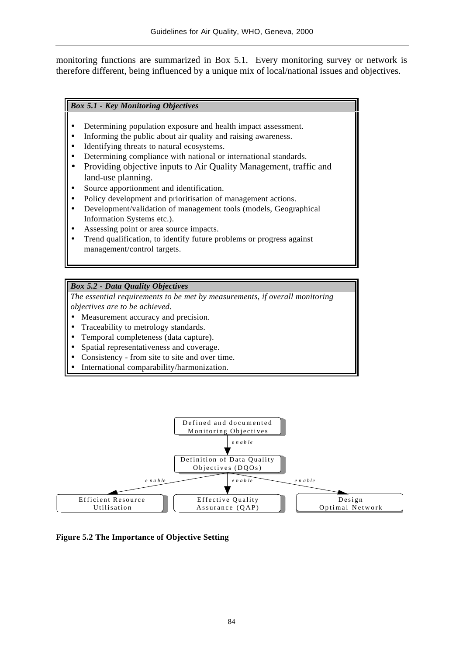monitoring functions are summarized in Box 5.1. Every monitoring survey or network is therefore different, being influenced by a unique mix of local/national issues and objectives.

#### *Box 5.1 - Key Monitoring Objectives*

- Determining population exposure and health impact assessment.
- Informing the public about air quality and raising awareness.
- Identifying threats to natural ecosystems.
- Determining compliance with national or international standards.
- Providing objective inputs to Air Quality Management, traffic and land-use planning.
- Source apportionment and identification.
- Policy development and prioritisation of management actions.
- Development/validation of management tools (models, Geographical Information Systems etc.).
- Assessing point or area source impacts.
- Trend qualification, to identify future problems or progress against management/control targets.

#### *Box 5.2 - Data Quality Objectives*

*The essential requirements to be met by measurements, if overall monitoring objectives are to be achieved.*

- Measurement accuracy and precision.
- Traceability to metrology standards.
- Temporal completeness (data capture).
- Spatial representativeness and coverage.
- Consistency from site to site and over time.
- International comparability/harmonization.



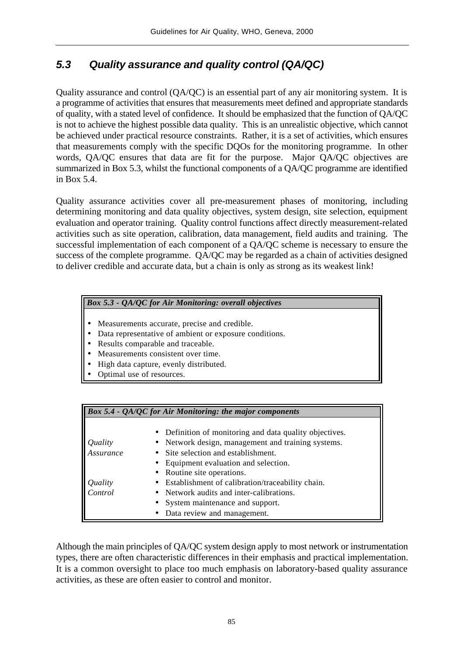## *5.3 Quality assurance and quality control (QA/QC)*

Quality assurance and control (QA/QC) is an essential part of any air monitoring system. It is a programme of activities that ensures that measurements meet defined and appropriate standards of quality, with a stated level of confidence. It should be emphasized that the function of QA/QC is not to achieve the highest possible data quality. This is an unrealistic objective, which cannot be achieved under practical resource constraints. Rather, it is a set of activities, which ensures that measurements comply with the specific DQOs for the monitoring programme. In other words, QA/QC ensures that data are fit for the purpose. Major QA/QC objectives are summarized in Box 5.3, whilst the functional components of a QA/QC programme are identified in Box 5.4.

Quality assurance activities cover all pre-measurement phases of monitoring, including determining monitoring and data quality objectives, system design, site selection, equipment evaluation and operator training. Quality control functions affect directly measurement-related activities such as site operation, calibration, data management, field audits and training. The successful implementation of each component of a QA/QC scheme is necessary to ensure the success of the complete programme. QA/QC may be regarded as a chain of activities designed to deliver credible and accurate data, but a chain is only as strong as its weakest link!

#### *Box 5.3 - QA/QC for Air Monitoring: overall objectives*

- Measurements accurate, precise and credible.
- Data representative of ambient or exposure conditions.
- Results comparable and traceable.
- Measurements consistent over time.
- High data capture, evenly distributed.
- Optimal use of resources.

| <b>Box 5.4 - QA/QC</b> for Air Monitoring: the major components |                                                                                                                                                                                                                                                   |  |  |
|-----------------------------------------------------------------|---------------------------------------------------------------------------------------------------------------------------------------------------------------------------------------------------------------------------------------------------|--|--|
| Quality<br>Assurance                                            | • Definition of monitoring and data quality objectives.<br>• Network design, management and training systems.<br>• Site selection and establishment.<br>Equipment evaluation and selection.<br>$\bullet$<br>Routine site operations.<br>$\bullet$ |  |  |
| <i>Quality</i><br>Control                                       | Establishment of calibration/traceability chain.<br>٠<br>• Network audits and inter-calibrations.<br>System maintenance and support.<br>$\bullet$<br>Data review and management.<br>$\bullet$                                                     |  |  |

Although the main principles of QA/QC system design apply to most network or instrumentation types, there are often characteristic differences in their emphasis and practical implementation. It is a common oversight to place too much emphasis on laboratory-based quality assurance activities, as these are often easier to control and monitor.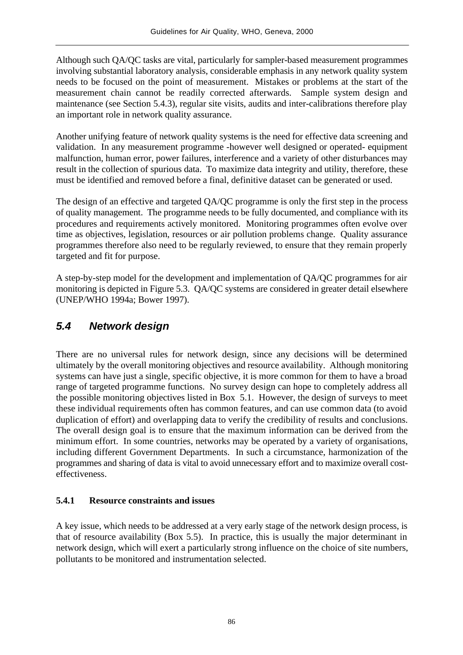Although such QA/QC tasks are vital, particularly for sampler-based measurement programmes involving substantial laboratory analysis, considerable emphasis in any network quality system needs to be focused on the point of measurement. Mistakes or problems at the start of the measurement chain cannot be readily corrected afterwards. Sample system design and maintenance (see Section 5.4.3), regular site visits, audits and inter-calibrations therefore play an important role in network quality assurance.

Another unifying feature of network quality systems is the need for effective data screening and validation. In any measurement programme -however well designed or operated- equipment malfunction, human error, power failures, interference and a variety of other disturbances may result in the collection of spurious data. To maximize data integrity and utility, therefore, these must be identified and removed before a final, definitive dataset can be generated or used.

The design of an effective and targeted QA/QC programme is only the first step in the process of quality management. The programme needs to be fully documented, and compliance with its procedures and requirements actively monitored. Monitoring programmes often evolve over time as objectives, legislation, resources or air pollution problems change. Quality assurance programmes therefore also need to be regularly reviewed, to ensure that they remain properly targeted and fit for purpose.

A step-by-step model for the development and implementation of QA/QC programmes for air monitoring is depicted in Figure 5.3. QA/QC systems are considered in greater detail elsewhere (UNEP/WHO 1994a; Bower 1997).

## *5.4 Network design*

There are no universal rules for network design, since any decisions will be determined ultimately by the overall monitoring objectives and resource availability. Although monitoring systems can have just a single, specific objective, it is more common for them to have a broad range of targeted programme functions. No survey design can hope to completely address all the possible monitoring objectives listed in Box 5.1. However, the design of surveys to meet these individual requirements often has common features, and can use common data (to avoid duplication of effort) and overlapping data to verify the credibility of results and conclusions. The overall design goal is to ensure that the maximum information can be derived from the minimum effort. In some countries, networks may be operated by a variety of organisations, including different Government Departments. In such a circumstance, harmonization of the programmes and sharing of data is vital to avoid unnecessary effort and to maximize overall costeffectiveness.

### **5.4.1 Resource constraints and issues**

A key issue, which needs to be addressed at a very early stage of the network design process, is that of resource availability (Box 5.5). In practice, this is usually the major determinant in network design, which will exert a particularly strong influence on the choice of site numbers, pollutants to be monitored and instrumentation selected.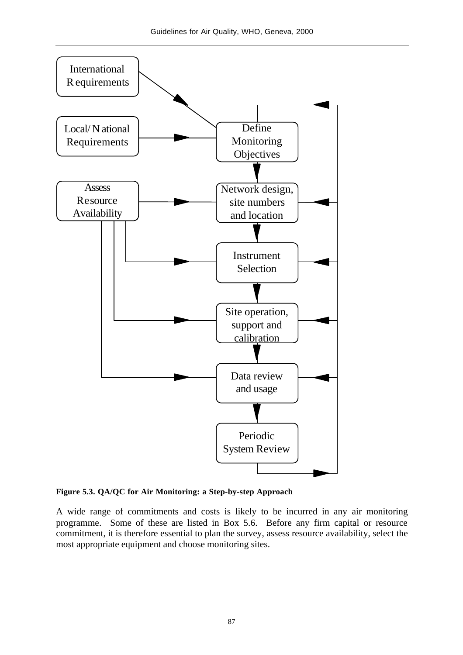

**Figure 5.3. QA/QC for Air Monitoring: a Step-by-step Approach**

A wide range of commitments and costs is likely to be incurred in any air monitoring programme. Some of these are listed in Box 5.6. Before any firm capital or resource commitment, it is therefore essential to plan the survey, assess resource availability, select the most appropriate equipment and choose monitoring sites.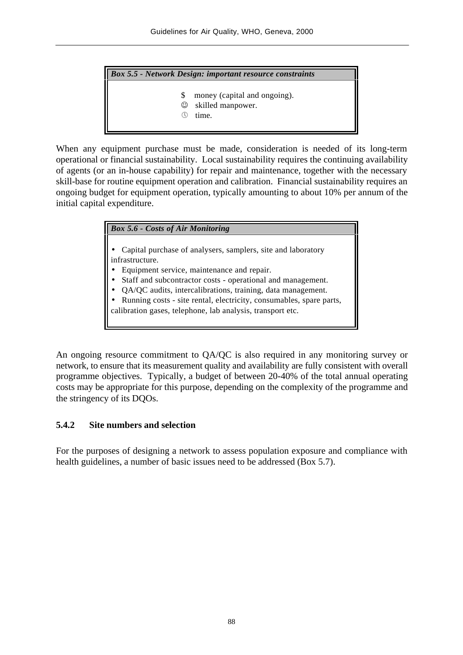*Box 5.5 - Network Design: important resource constraints*

- \$ money (capital and ongoing).
- $\odot$  skilled manpower.
- ª time.

When any equipment purchase must be made, consideration is needed of its long-term operational or financial sustainability. Local sustainability requires the continuing availability of agents (or an in-house capability) for repair and maintenance, together with the necessary skill-base for routine equipment operation and calibration. Financial sustainability requires an ongoing budget for equipment operation, typically amounting to about 10% per annum of the initial capital expenditure.

## *Box 5.6 - Costs of Air Monitoring*

- Capital purchase of analysers, samplers, site and laboratory infrastructure.
- Equipment service, maintenance and repair.
- Staff and subcontractor costs operational and management.
- QA/QC audits, intercalibrations, training, data management.
- Running costs site rental, electricity, consumables, spare parts,

calibration gases, telephone, lab analysis, transport etc.

An ongoing resource commitment to QA/QC is also required in any monitoring survey or network, to ensure that its measurement quality and availability are fully consistent with overall programme objectives. Typically, a budget of between 20-40% of the total annual operating costs may be appropriate for this purpose, depending on the complexity of the programme and the stringency of its DQOs.

## **5.4.2 Site numbers and selection**

For the purposes of designing a network to assess population exposure and compliance with health guidelines, a number of basic issues need to be addressed (Box 5.7).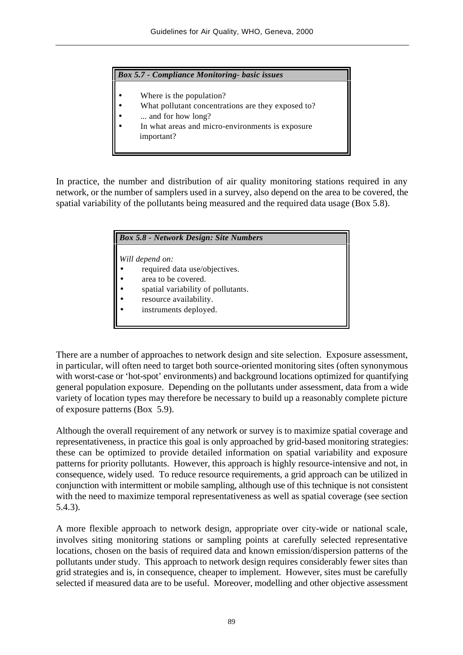*Box 5.7 - Compliance Monitoring- basic issues*

- Where is the population?
- What pollutant concentrations are they exposed to?
- ... and for how long?
- In what areas and micro-environments is exposure important?

In practice, the number and distribution of air quality monitoring stations required in any network, or the number of samplers used in a survey, also depend on the area to be covered, the spatial variability of the pollutants being measured and the required data usage (Box 5.8).

| <b>Box 5.8 - Network Design: Site Numbers</b> |                                    |  |  |
|-----------------------------------------------|------------------------------------|--|--|
|                                               |                                    |  |  |
|                                               | Will depend on:                    |  |  |
|                                               | required data use/objectives.      |  |  |
|                                               | area to be covered.                |  |  |
|                                               | spatial variability of pollutants. |  |  |
|                                               | resource availability.             |  |  |
|                                               | instruments deployed.              |  |  |
|                                               |                                    |  |  |

There are a number of approaches to network design and site selection. Exposure assessment, in particular, will often need to target both source-oriented monitoring sites (often synonymous with worst-case or 'hot-spot' environments) and background locations optimized for quantifying general population exposure. Depending on the pollutants under assessment, data from a wide variety of location types may therefore be necessary to build up a reasonably complete picture of exposure patterns (Box 5.9).

Although the overall requirement of any network or survey is to maximize spatial coverage and representativeness, in practice this goal is only approached by grid-based monitoring strategies: these can be optimized to provide detailed information on spatial variability and exposure patterns for priority pollutants. However, this approach is highly resource-intensive and not, in consequence, widely used. To reduce resource requirements, a grid approach can be utilized in conjunction with intermittent or mobile sampling, although use of this technique is not consistent with the need to maximize temporal representativeness as well as spatial coverage (see section 5.4.3).

A more flexible approach to network design, appropriate over city-wide or national scale, involves siting monitoring stations or sampling points at carefully selected representative locations, chosen on the basis of required data and known emission/dispersion patterns of the pollutants under study. This approach to network design requires considerably fewer sites than grid strategies and is, in consequence, cheaper to implement. However, sites must be carefully selected if measured data are to be useful. Moreover, modelling and other objective assessment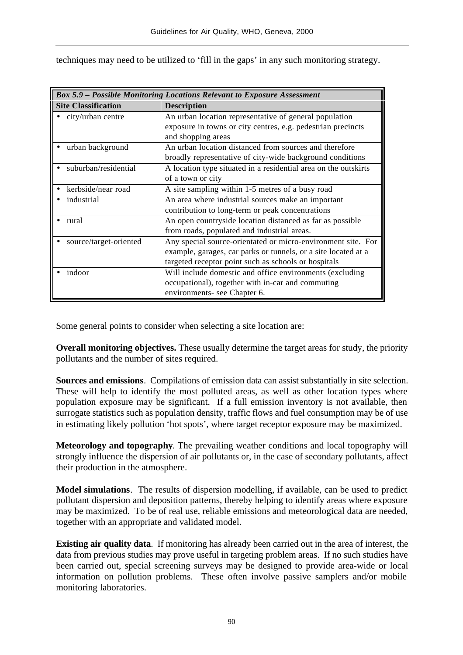techniques may need to be utilized to 'fill in the gaps' in any such monitoring strategy.

| Box 5.9 - Possible Monitoring Locations Relevant to Exposure Assessment |                                                                 |  |  |
|-------------------------------------------------------------------------|-----------------------------------------------------------------|--|--|
| <b>Site Classification</b>                                              | <b>Description</b>                                              |  |  |
| city/urban centre                                                       | An urban location representative of general population          |  |  |
|                                                                         | exposure in towns or city centres, e.g. pedestrian precincts    |  |  |
|                                                                         | and shopping areas                                              |  |  |
| urban background                                                        | An urban location distanced from sources and therefore          |  |  |
|                                                                         | broadly representative of city-wide background conditions       |  |  |
| suburban/residential                                                    | A location type situated in a residential area on the outskirts |  |  |
|                                                                         | of a town or city                                               |  |  |
| kerbside/near road                                                      | A site sampling within 1-5 metres of a busy road                |  |  |
| industrial                                                              | An area where industrial sources make an important              |  |  |
|                                                                         | contribution to long-term or peak concentrations                |  |  |
| rural                                                                   | An open countryside location distanced as far as possible       |  |  |
|                                                                         | from roads, populated and industrial areas.                     |  |  |
| source/target-oriented                                                  | Any special source-orientated or micro-environment site. For    |  |  |
|                                                                         | example, garages, car parks or tunnels, or a site located at a  |  |  |
|                                                                         | targeted receptor point such as schools or hospitals            |  |  |
| indoor                                                                  | Will include domestic and office environments (excluding        |  |  |
|                                                                         | occupational), together with in-car and commuting               |  |  |
|                                                                         | environments- see Chapter 6.                                    |  |  |

Some general points to consider when selecting a site location are:

**Overall monitoring objectives.** These usually determine the target areas for study, the priority pollutants and the number of sites required.

**Sources and emissions**. Compilations of emission data can assist substantially in site selection. These will help to identify the most polluted areas, as well as other location types where population exposure may be significant. If a full emission inventory is not available, then surrogate statistics such as population density, traffic flows and fuel consumption may be of use in estimating likely pollution 'hot spots', where target receptor exposure may be maximized.

**Meteorology and topography**. The prevailing weather conditions and local topography will strongly influence the dispersion of air pollutants or, in the case of secondary pollutants, affect their production in the atmosphere.

**Model simulations**. The results of dispersion modelling, if available, can be used to predict pollutant dispersion and deposition patterns, thereby helping to identify areas where exposure may be maximized. To be of real use, reliable emissions and meteorological data are needed, together with an appropriate and validated model.

**Existing air quality data**. If monitoring has already been carried out in the area of interest, the data from previous studies may prove useful in targeting problem areas. If no such studies have been carried out, special screening surveys may be designed to provide area-wide or local information on pollution problems. These often involve passive samplers and/or mobile monitoring laboratories.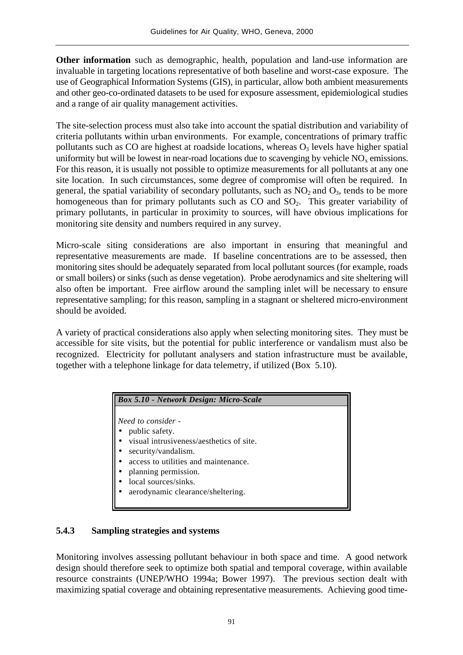**Other information** such as demographic, health, population and land-use information are invaluable in targeting locations representative of both baseline and worst-case exposure. The use of Geographical Information Systems (GIS), in particular, allow both ambient measurements and other geo-co-ordinated datasets to be used for exposure assessment, epidemiological studies and a range of air quality management activities.

The site-selection process must also take into account the spatial distribution and variability of criteria pollutants within urban environments. For example, concentrations of primary traffic pollutants such as CO are highest at roadside locations, whereas  $O<sub>3</sub>$  levels have higher spatial uniformity but will be lowest in near-road locations due to scavenging by vehicle  $NO<sub>x</sub>$  emissions. For this reason, it is usually not possible to optimize measurements for all pollutants at any one site location. In such circumstances, some degree of compromise will often be required. In general, the spatial variability of secondary pollutants, such as  $NO_2$  and  $O_3$ , tends to be more homogeneous than for primary pollutants such as  $CO$  and  $SO<sub>2</sub>$ . This greater variability of primary pollutants, in particular in proximity to sources, will have obvious implications for monitoring site density and numbers required in any survey.

Micro-scale siting considerations are also important in ensuring that meaningful and representative measurements are made. If baseline concentrations are to be assessed, then monitoring sites should be adequately separated from local pollutant sources (for example, roads or small boilers) or sinks (such as dense vegetation). Probe aerodynamics and site sheltering will also often be important. Free airflow around the sampling inlet will be necessary to ensure representative sampling; for this reason, sampling in a stagnant or sheltered micro-environment should be avoided.

A variety of practical considerations also apply when selecting monitoring sites. They must be accessible for site visits, but the potential for public interference or vandalism must also be recognized. Electricity for pollutant analysers and station infrastructure must be available, together with a telephone linkage for data telemetry, if utilized (Box 5.10).

## *Box 5.10 - Network Design: Micro-Scale*

*Need to consider* -

- public safety.
- visual intrusiveness/aesthetics of site.
- security/vandalism.
- access to utilities and maintenance.
- planning permission.
- local sources/sinks.
- aerodynamic clearance/sheltering.

## **5.4.3 Sampling strategies and systems**

Monitoring involves assessing pollutant behaviour in both space and time. A good network design should therefore seek to optimize both spatial and temporal coverage, within available resource constraints (UNEP/WHO 1994a; Bower 1997). The previous section dealt with maximizing spatial coverage and obtaining representative measurements. Achieving good time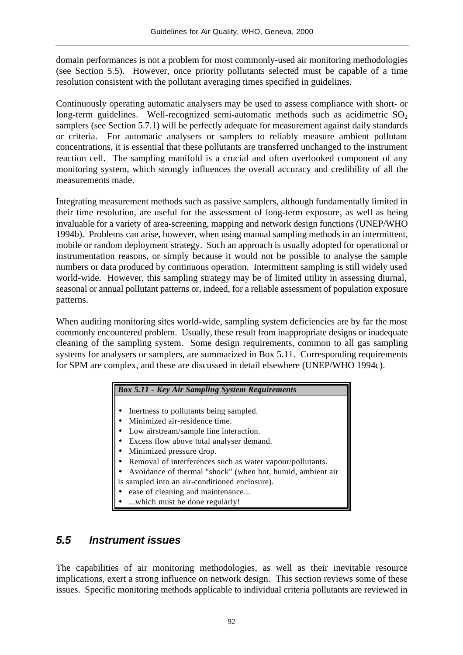domain performances is not a problem for most commonly-used air monitoring methodologies (see Section 5.5). However, once priority pollutants selected must be capable of a time resolution consistent with the pollutant averaging times specified in guidelines.

Continuously operating automatic analysers may be used to assess compliance with short- or long-term guidelines. Well-recognized semi-automatic methods such as acidimetric  $SO_2$ samplers (see Section 5.7.1) will be perfectly adequate for measurement against daily standards or criteria. For automatic analysers or samplers to reliably measure ambient pollutant concentrations, it is essential that these pollutants are transferred unchanged to the instrument reaction cell. The sampling manifold is a crucial and often overlooked component of any monitoring system, which strongly influences the overall accuracy and credibility of all the measurements made.

Integrating measurement methods such as passive samplers, although fundamentally limited in their time resolution, are useful for the assessment of long-term exposure, as well as being invaluable for a variety of area-screening, mapping and network design functions (UNEP/WHO 1994b). Problems can arise, however, when using manual sampling methods in an intermittent, mobile or random deployment strategy. Such an approach is usually adopted for operational or instrumentation reasons, or simply because it would not be possible to analyse the sample numbers or data produced by continuous operation. Intermittent sampling is still widely used world-wide. However, this sampling strategy may be of limited utility in assessing diurnal, seasonal or annual pollutant patterns or, indeed, for a reliable assessment of population exposure patterns.

When auditing monitoring sites world-wide, sampling system deficiencies are by far the most commonly encountered problem. Usually, these result from inappropriate designs or inadequate cleaning of the sampling system. Some design requirements, common to all gas sampling systems for analysers or samplers, are summarized in Box 5.11. Corresponding requirements for SPM are complex, and these are discussed in detail elsewhere (UNEP/WHO 1994c).

#### *Box 5.11 - Key Air Sampling System Requirements*

- Inertness to pollutants being sampled.
- Minimized air-residence time.
- Low airstream/sample line interaction.
- Excess flow above total analyser demand.
- Minimized pressure drop.
- Removal of interferences such as water vapour/pollutants.
- Avoidance of thermal "shock" (when hot, humid, ambient air is sampled into an air-conditioned enclosure).
- ease of cleaning and maintenance...
- ...which must be done regularly!

## *5.5 Instrument issues*

The capabilities of air monitoring methodologies, as well as their inevitable resource implications, exert a strong influence on network design. This section reviews some of these issues. Specific monitoring methods applicable to individual criteria pollutants are reviewed in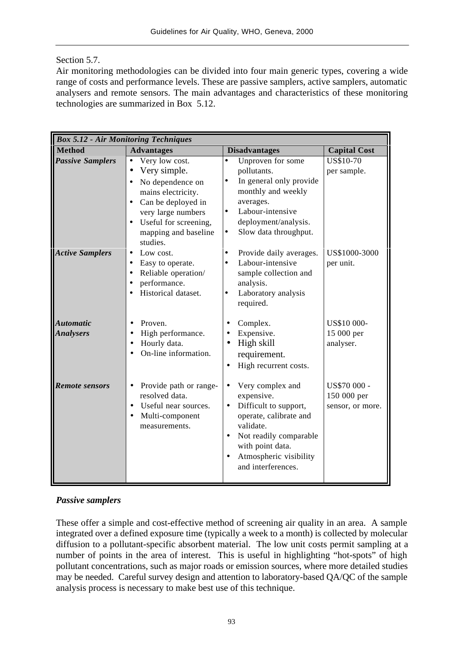## Section 5.7.

Air monitoring methodologies can be divided into four main generic types, covering a wide range of costs and performance levels. These are passive samplers, active samplers, automatic analysers and remote sensors. The main advantages and characteristics of these monitoring technologies are summarized in Box 5.12.

| <b>Box 5.12 - Air Monitoring Techniques</b> |                                                                                                                                                                                                             |                                                                                                                                                                                                                                                  |                                                 |
|---------------------------------------------|-------------------------------------------------------------------------------------------------------------------------------------------------------------------------------------------------------------|--------------------------------------------------------------------------------------------------------------------------------------------------------------------------------------------------------------------------------------------------|-------------------------------------------------|
| <b>Method</b>                               | <b>Advantages</b>                                                                                                                                                                                           | <b>Disadvantages</b>                                                                                                                                                                                                                             | <b>Capital Cost</b>                             |
| <b>Passive Samplers</b>                     | Very low cost.<br>Very simple.<br>$\bullet$<br>No dependence on<br>mains electricity.<br>Can be deployed in<br>$\bullet$<br>very large numbers<br>Useful for screening,<br>mapping and baseline<br>studies. | Unproven for some<br>$\bullet$<br>pollutants.<br>In general only provide<br>$\bullet$<br>monthly and weekly<br>averages.<br>Labour-intensive<br>$\bullet$<br>deployment/analysis.<br>Slow data throughput.<br>$\bullet$                          | <b>US\$10-70</b><br>per sample.                 |
| <b>Active Samplers</b>                      | Low cost.<br>Easy to operate.<br>$\bullet$<br>Reliable operation/<br>$\bullet$<br>performance.<br>$\bullet$<br>Historical dataset.                                                                          | Provide daily averages.<br>$\bullet$<br>Labour-intensive<br>$\bullet$<br>sample collection and<br>analysis.<br>Laboratory analysis<br>$\bullet$<br>required.                                                                                     | US\$1000-3000<br>per unit.                      |
| <b>Automatic</b><br><b>Analysers</b>        | Proven.<br>High performance.<br>Hourly data.<br>$\bullet$<br>On-line information.                                                                                                                           | Complex.<br>Expensive.<br>High skill<br>requirement.<br>High recurrent costs.<br>$\bullet$                                                                                                                                                       | US\$10 000-<br>15 000 per<br>analyser.          |
| <b>Remote sensors</b>                       | Provide path or range-<br>$\bullet$<br>resolved data.<br>Useful near sources.<br>$\bullet$<br>Multi-component<br>$\bullet$<br>measurements.                                                                 | Very complex and<br>$\bullet$<br>expensive.<br>Difficult to support,<br>$\bullet$<br>operate, calibrate and<br>validate.<br>Not readily comparable<br>$\bullet$<br>with point data.<br>Atmospheric visibility<br>$\bullet$<br>and interferences. | US\$70 000 -<br>150 000 per<br>sensor, or more. |

## *Passive samplers*

These offer a simple and cost-effective method of screening air quality in an area. A sample integrated over a defined exposure time (typically a week to a month) is collected by molecular diffusion to a pollutant-specific absorbent material. The low unit costs permit sampling at a number of points in the area of interest. This is useful in highlighting "hot-spots" of high pollutant concentrations, such as major roads or emission sources, where more detailed studies may be needed. Careful survey design and attention to laboratory-based QA/QC of the sample analysis process is necessary to make best use of this technique.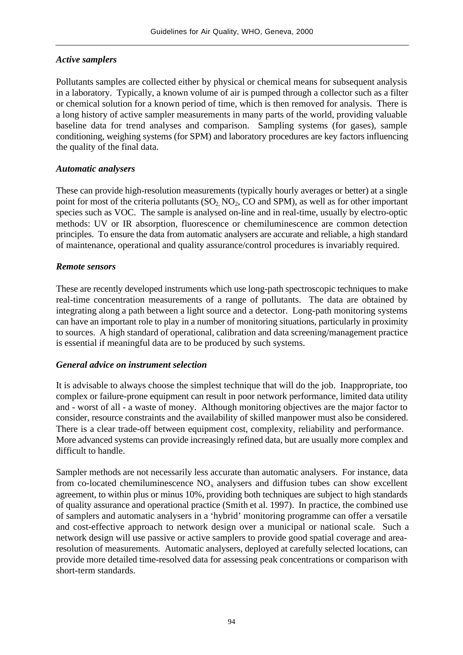## *Active samplers*

Pollutants samples are collected either by physical or chemical means for subsequent analysis in a laboratory. Typically, a known volume of air is pumped through a collector such as a filter or chemical solution for a known period of time, which is then removed for analysis. There is a long history of active sampler measurements in many parts of the world, providing valuable baseline data for trend analyses and comparison. Sampling systems (for gases), sample conditioning, weighing systems (for SPM) and laboratory procedures are key factors influencing the quality of the final data.

## *Automatic analysers*

These can provide high-resolution measurements (typically hourly averages or better) at a single point for most of the criteria pollutants  $(SO_2 NO_2, CO$  and SPM), as well as for other important species such as VOC. The sample is analysed on-line and in real-time, usually by electro-optic methods: UV or IR absorption, fluorescence or chemiluminescence are common detection principles. To ensure the data from automatic analysers are accurate and reliable, a high standard of maintenance, operational and quality assurance/control procedures is invariably required.

## *Remote sensors*

These are recently developed instruments which use long-path spectroscopic techniques to make real-time concentration measurements of a range of pollutants. The data are obtained by integrating along a path between a light source and a detector. Long-path monitoring systems can have an important role to play in a number of monitoring situations, particularly in proximity to sources. A high standard of operational, calibration and data screening/management practice is essential if meaningful data are to be produced by such systems.

## *General advice on instrument selection*

It is advisable to always choose the simplest technique that will do the job. Inappropriate, too complex or failure-prone equipment can result in poor network performance, limited data utility and - worst of all - a waste of money. Although monitoring objectives are the major factor to consider, resource constraints and the availability of skilled manpower must also be considered. There is a clear trade-off between equipment cost, complexity, reliability and performance. More advanced systems can provide increasingly refined data, but are usually more complex and difficult to handle.

Sampler methods are not necessarily less accurate than automatic analysers. For instance, data from co-located chemiluminescence  $NO<sub>x</sub>$  analysers and diffusion tubes can show excellent agreement, to within plus or minus 10%, providing both techniques are subject to high standards of quality assurance and operational practice (Smith et al. 1997). In practice, the combined use of samplers and automatic analysers in a 'hybrid' monitoring programme can offer a versatile and cost-effective approach to network design over a municipal or national scale. Such a network design will use passive or active samplers to provide good spatial coverage and arearesolution of measurements. Automatic analysers, deployed at carefully selected locations, can provide more detailed time-resolved data for assessing peak concentrations or comparison with short-term standards.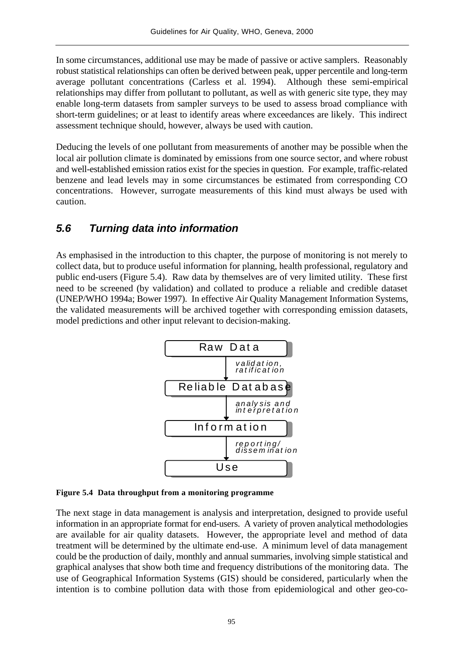In some circumstances, additional use may be made of passive or active samplers. Reasonably robust statistical relationships can often be derived between peak, upper percentile and long-term average pollutant concentrations (Carless et al. 1994). Although these semi-empirical relationships may differ from pollutant to pollutant, as well as with generic site type, they may enable long-term datasets from sampler surveys to be used to assess broad compliance with short-term guidelines; or at least to identify areas where exceedances are likely. This indirect assessment technique should, however, always be used with caution.

Deducing the levels of one pollutant from measurements of another may be possible when the local air pollution climate is dominated by emissions from one source sector, and where robust and well-established emission ratios exist for the species in question. For example, traffic-related benzene and lead levels may in some circumstances be estimated from corresponding CO concentrations. However, surrogate measurements of this kind must always be used with caution.

# *5.6 Turning data into information*

As emphasised in the introduction to this chapter, the purpose of monitoring is not merely to collect data, but to produce useful information for planning, health professional, regulatory and public end-users (Figure 5.4). Raw data by themselves are of very limited utility. These first need to be screened (by validation) and collated to produce a reliable and credible dataset (UNEP/WHO 1994a; Bower 1997). In effective Air Quality Management Information Systems, the validated measurements will be archived together with corresponding emission datasets, model predictions and other input relevant to decision-making.



**Figure 5.4 Data throughput from a monitoring programme**

The next stage in data management is analysis and interpretation, designed to provide useful information in an appropriate format for end-users. A variety of proven analytical methodologies are available for air quality datasets. However, the appropriate level and method of data treatment will be determined by the ultimate end-use. A minimum level of data management could be the production of daily, monthly and annual summaries, involving simple statistical and graphical analyses that show both time and frequency distributions of the monitoring data. The use of Geographical Information Systems (GIS) should be considered, particularly when the intention is to combine pollution data with those from epidemiological and other geo-co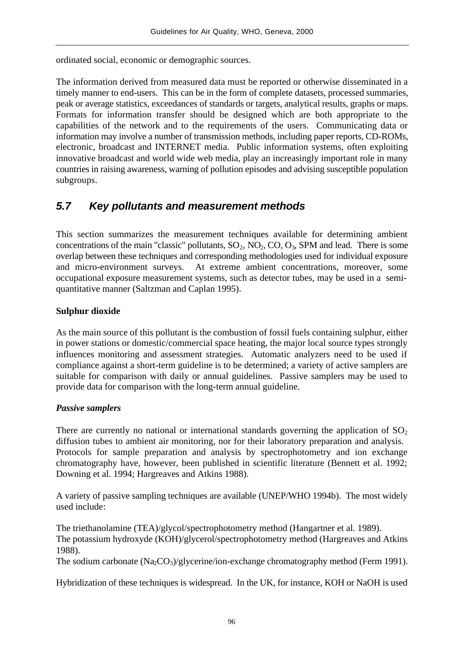ordinated social, economic or demographic sources.

The information derived from measured data must be reported or otherwise disseminated in a timely manner to end-users. This can be in the form of complete datasets, processed summaries, peak or average statistics, exceedances of standards or targets, analytical results, graphs or maps. Formats for information transfer should be designed which are both appropriate to the capabilities of the network and to the requirements of the users. Communicating data or information may involve a number of transmission methods, including paper reports, CD-ROMs, electronic, broadcast and INTERNET media. Public information systems, often exploiting innovative broadcast and world wide web media, play an increasingly important role in many countries in raising awareness, warning of pollution episodes and advising susceptible population subgroups.

# *5.7 Key pollutants and measurement methods*

This section summarizes the measurement techniques available for determining ambient concentrations of the main "classic" pollutants,  $SO_2$ ,  $NO_2$ ,  $CO$ ,  $O_3$ ,  $SPM$  and lead. There is some overlap between these techniques and corresponding methodologies used for individual exposure and micro-environment surveys. At extreme ambient concentrations, moreover, some occupational exposure measurement systems, such as detector tubes, may be used in a semiquantitative manner (Saltzman and Caplan 1995).

## **Sulphur dioxide**

As the main source of this pollutant is the combustion of fossil fuels containing sulphur, either in power stations or domestic/commercial space heating, the major local source types strongly influences monitoring and assessment strategies. Automatic analyzers need to be used if compliance against a short-term guideline is to be determined; a variety of active samplers are suitable for comparison with daily or annual guidelines. Passive samplers may be used to provide data for comparison with the long-term annual guideline.

## *Passive samplers*

There are currently no national or international standards governing the application of  $SO<sub>2</sub>$ diffusion tubes to ambient air monitoring, nor for their laboratory preparation and analysis. Protocols for sample preparation and analysis by spectrophotometry and ion exchange chromatography have, however, been published in scientific literature (Bennett et al. 1992; Downing et al. 1994; Hargreaves and Atkins 1988).

A variety of passive sampling techniques are available (UNEP/WHO 1994b). The most widely used include:

The triethanolamine (TEA)/glycol/spectrophotometry method (Hangartner et al. 1989). The potassium hydroxyde (KOH)/glycerol/spectrophotometry method (Hargreaves and Atkins 1988).

The sodium carbonate  $(Na_2CO_3)/glycerine/ion-exchange$  chromatography method (Ferm 1991).

Hybridization of these techniques is widespread. In the UK, for instance, KOH or NaOH is used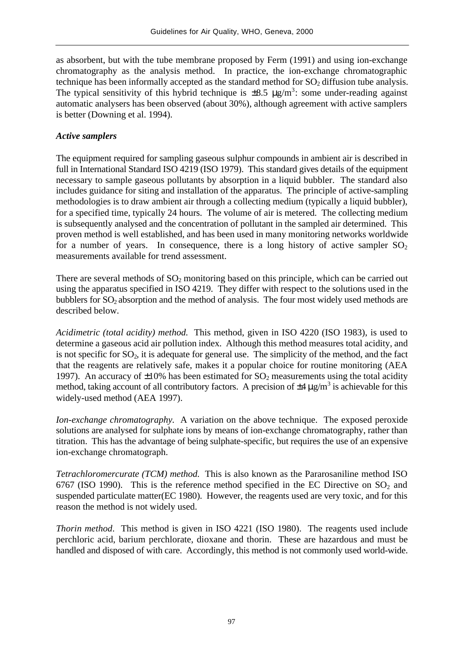as absorbent, but with the tube membrane proposed by Ferm (1991) and using ion-exchange chromatography as the analysis method. In practice, the ion-exchange chromatographic technique has been informally accepted as the standard method for  $SO<sub>2</sub>$  diffusion tube analysis. The typical sensitivity of this hybrid technique is  $\pm 8.5 \ \mu$ g/m<sup>3</sup>: some under-reading against automatic analysers has been observed (about 30%), although agreement with active samplers is better (Downing et al. 1994).

## *Active samplers*

The equipment required for sampling gaseous sulphur compounds in ambient air is described in full in International Standard ISO 4219 (ISO 1979). This standard gives details of the equipment necessary to sample gaseous pollutants by absorption in a liquid bubbler. The standard also includes guidance for siting and installation of the apparatus. The principle of active-sampling methodologies is to draw ambient air through a collecting medium (typically a liquid bubbler), for a specified time, typically 24 hours. The volume of air is metered. The collecting medium is subsequently analysed and the concentration of pollutant in the sampled air determined. This proven method is well established, and has been used in many monitoring networks worldwide for a number of years. In consequence, there is a long history of active sampler  $SO_2$ measurements available for trend assessment.

There are several methods of  $SO_2$  monitoring based on this principle, which can be carried out using the apparatus specified in ISO 4219. They differ with respect to the solutions used in the bubblers for  $SO_2$  absorption and the method of analysis. The four most widely used methods are described below.

*Acidimetric (total acidity) method.* This method, given in ISO 4220 (ISO 1983), is used to determine a gaseous acid air pollution index. Although this method measures total acidity, and is not specific for  $SO_2$ , it is adequate for general use. The simplicity of the method, and the fact that the reagents are relatively safe, makes it a popular choice for routine monitoring (AEA 1997). An accuracy of  $\pm 10\%$  has been estimated for  $SO_2$  measurements using the total acidity method, taking account of all contributory factors. A precision of  $\pm 4 \mu$ g/m<sup>3</sup> is achievable for this widely-used method (AEA 1997).

*Ion-exchange chromatography.* A variation on the above technique. The exposed peroxide solutions are analysed for sulphate ions by means of ion-exchange chromatography, rather than titration. This has the advantage of being sulphate-specific, but requires the use of an expensive ion-exchange chromatograph.

*Tetrachloromercurate (TCM) method.* This is also known as the Pararosaniline method ISO 6767 (ISO 1990). This is the reference method specified in the EC Directive on  $SO_2$  and suspended particulate matter(EC 1980). However, the reagents used are very toxic, and for this reason the method is not widely used.

*Thorin method*. This method is given in ISO 4221 (ISO 1980). The reagents used include perchloric acid, barium perchlorate, dioxane and thorin. These are hazardous and must be handled and disposed of with care. Accordingly, this method is not commonly used world-wide.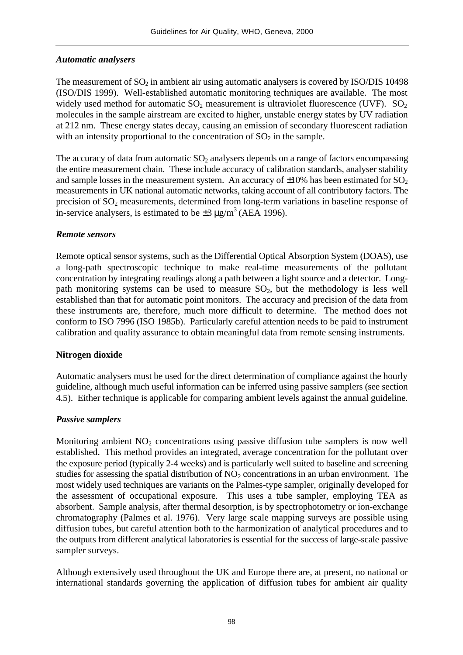## *Automatic analysers*

The measurement of  $SO<sub>2</sub>$  in ambient air using automatic analysers is covered by ISO/DIS 10498 (ISO/DIS 1999). Well-established automatic monitoring techniques are available. The most widely used method for automatic  $SO_2$  measurement is ultraviolet fluorescence (UVF).  $SO_2$ molecules in the sample airstream are excited to higher, unstable energy states by UV radiation at 212 nm. These energy states decay, causing an emission of secondary fluorescent radiation with an intensity proportional to the concentration of  $SO<sub>2</sub>$  in the sample.

The accuracy of data from automatic  $SO_2$  analysers depends on a range of factors encompassing the entire measurement chain. These include accuracy of calibration standards, analyser stability and sample losses in the measurement system. An accuracy of  $\pm 10\%$  has been estimated for  $SO_2$ measurements in UK national automatic networks, taking account of all contributory factors. The precision of SO<sub>2</sub> measurements, determined from long-term variations in baseline response of in-service analysers, is estimated to be  $\pm 3 \mu g/m^3$  (AEA 1996).

## *Remote sensors*

Remote optical sensor systems, such as the Differential Optical Absorption System (DOAS), use a long-path spectroscopic technique to make real-time measurements of the pollutant concentration by integrating readings along a path between a light source and a detector. Longpath monitoring systems can be used to measure  $SO_2$ , but the methodology is less well established than that for automatic point monitors. The accuracy and precision of the data from these instruments are, therefore, much more difficult to determine. The method does not conform to ISO 7996 (ISO 1985b). Particularly careful attention needs to be paid to instrument calibration and quality assurance to obtain meaningful data from remote sensing instruments.

## **Nitrogen dioxide**

Automatic analysers must be used for the direct determination of compliance against the hourly guideline, although much useful information can be inferred using passive samplers (see section 4.5). Either technique is applicable for comparing ambient levels against the annual guideline.

## *Passive samplers*

Monitoring ambient  $NO<sub>2</sub>$  concentrations using passive diffusion tube samplers is now well established. This method provides an integrated, average concentration for the pollutant over the exposure period (typically 2-4 weeks) and is particularly well suited to baseline and screening studies for assessing the spatial distribution of  $NO<sub>2</sub>$  concentrations in an urban environment. The most widely used techniques are variants on the Palmes-type sampler, originally developed for the assessment of occupational exposure. This uses a tube sampler, employing TEA as absorbent. Sample analysis, after thermal desorption, is by spectrophotometry or ion-exchange chromatography (Palmes et al. 1976). Very large scale mapping surveys are possible using diffusion tubes, but careful attention both to the harmonization of analytical procedures and to the outputs from different analytical laboratories is essential for the success of large-scale passive sampler surveys.

Although extensively used throughout the UK and Europe there are, at present, no national or international standards governing the application of diffusion tubes for ambient air quality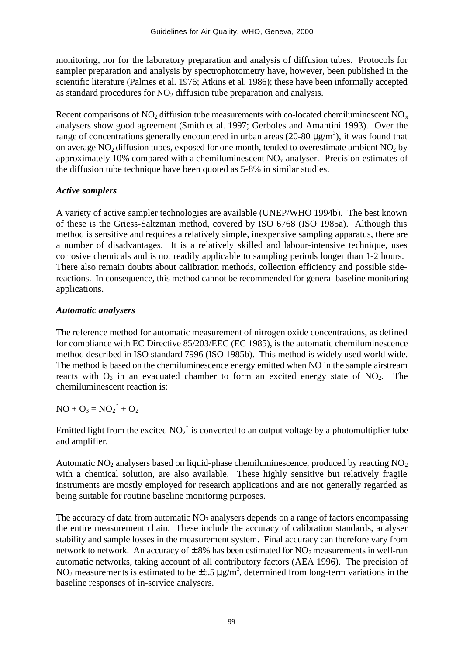monitoring, nor for the laboratory preparation and analysis of diffusion tubes. Protocols for sampler preparation and analysis by spectrophotometry have, however, been published in the scientific literature (Palmes et al. 1976; Atkins et al. 1986); these have been informally accepted as standard procedures for  $NO<sub>2</sub>$  diffusion tube preparation and analysis.

Recent comparisons of  $NO_2$  diffusion tube measurements with co-located chemiluminescent  $NO_x$ analysers show good agreement (Smith et al. 1997; Gerboles and Amantini 1993). Over the range of concentrations generally encountered in urban areas (20-80  $\mu$ g/m<sup>3</sup>), it was found that on average  $NO<sub>2</sub>$  diffusion tubes, exposed for one month, tended to overestimate ambient  $NO<sub>2</sub>$  by approximately 10% compared with a chemiluminescent  $NO<sub>x</sub>$  analyser. Precision estimates of the diffusion tube technique have been quoted as 5-8% in similar studies.

## *Active samplers*

A variety of active sampler technologies are available (UNEP/WHO 1994b). The best known of these is the Griess-Saltzman method, covered by ISO 6768 (ISO 1985a). Although this method is sensitive and requires a relatively simple, inexpensive sampling apparatus, there are a number of disadvantages. It is a relatively skilled and labour-intensive technique, uses corrosive chemicals and is not readily applicable to sampling periods longer than 1-2 hours. There also remain doubts about calibration methods, collection efficiency and possible sidereactions. In consequence, this method cannot be recommended for general baseline monitoring applications.

## *Automatic analysers*

The reference method for automatic measurement of nitrogen oxide concentrations, as defined for compliance with EC Directive 85/203/EEC (EC 1985), is the automatic chemiluminescence method described in ISO standard 7996 (ISO 1985b). This method is widely used world wide. The method is based on the chemiluminescence energy emitted when NO in the sample airstream reacts with  $O_3$  in an evacuated chamber to form an excited energy state of  $NO_2$ . The chemiluminescent reaction is:

## $NO + O_3 = NO_2^* + O_2$

Emitted light from the excited NO<sub>2</sub><sup>\*</sup> is converted to an output voltage by a photomultiplier tube and amplifier.

Automatic  $NO<sub>2</sub>$  analysers based on liquid-phase chemiluminescence, produced by reacting  $NO<sub>2</sub>$ with a chemical solution, are also available. These highly sensitive but relatively fragile instruments are mostly employed for research applications and are not generally regarded as being suitable for routine baseline monitoring purposes.

The accuracy of data from automatic  $NO<sub>2</sub>$  analysers depends on a range of factors encompassing the entire measurement chain. These include the accuracy of calibration standards, analyser stability and sample losses in the measurement system. Final accuracy can therefore vary from network to network. An accuracy of  $\pm 8\%$  has been estimated for NO<sub>2</sub> measurements in well-run automatic networks, taking account of all contributory factors (AEA 1996). The precision of NO<sub>2</sub> measurements is estimated to be  $\pm$ 6.5 µg/m<sup>3</sup>, determined from long-term variations in the baseline responses of in-service analysers.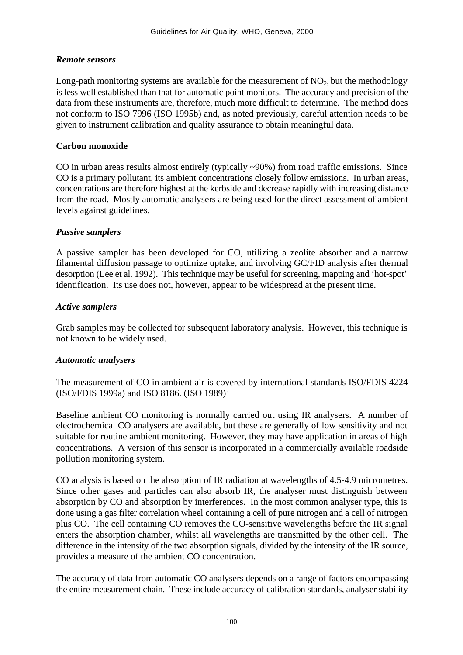## *Remote sensors*

Long-path monitoring systems are available for the measurement of  $NO<sub>2</sub>$ , but the methodology is less well established than that for automatic point monitors. The accuracy and precision of the data from these instruments are, therefore, much more difficult to determine. The method does not conform to ISO 7996 (ISO 1995b) and, as noted previously, careful attention needs to be given to instrument calibration and quality assurance to obtain meaningful data.

## **Carbon monoxide**

CO in urban areas results almost entirely (typically ~90%) from road traffic emissions. Since CO is a primary pollutant, its ambient concentrations closely follow emissions. In urban areas, concentrations are therefore highest at the kerbside and decrease rapidly with increasing distance from the road. Mostly automatic analysers are being used for the direct assessment of ambient levels against guidelines.

## *Passive samplers*

A passive sampler has been developed for CO, utilizing a zeolite absorber and a narrow filamental diffusion passage to optimize uptake, and involving GC/FID analysis after thermal desorption (Lee et al. 1992). This technique may be useful for screening, mapping and 'hot-spot' identification. Its use does not, however, appear to be widespread at the present time.

## *Active samplers*

Grab samples may be collected for subsequent laboratory analysis. However, this technique is not known to be widely used.

## *Automatic analysers*

The measurement of CO in ambient air is covered by international standards ISO/FDIS 4224 (ISO/FDIS 1999a) and ISO 8186. (ISO 1989).

Baseline ambient CO monitoring is normally carried out using IR analysers. A number of electrochemical CO analysers are available, but these are generally of low sensitivity and not suitable for routine ambient monitoring. However, they may have application in areas of high concentrations. A version of this sensor is incorporated in a commercially available roadside pollution monitoring system.

CO analysis is based on the absorption of IR radiation at wavelengths of 4.5-4.9 micrometres. Since other gases and particles can also absorb IR, the analyser must distinguish between absorption by CO and absorption by interferences. In the most common analyser type, this is done using a gas filter correlation wheel containing a cell of pure nitrogen and a cell of nitrogen plus CO. The cell containing CO removes the CO-sensitive wavelengths before the IR signal enters the absorption chamber, whilst all wavelengths are transmitted by the other cell. The difference in the intensity of the two absorption signals, divided by the intensity of the IR source, provides a measure of the ambient CO concentration.

The accuracy of data from automatic CO analysers depends on a range of factors encompassing the entire measurement chain. These include accuracy of calibration standards, analyser stability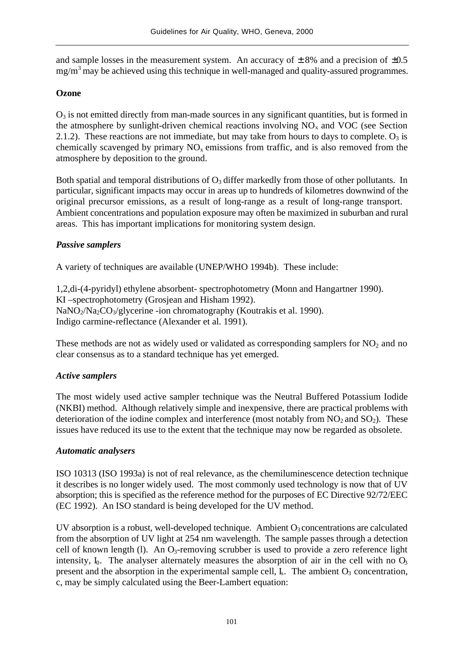and sample losses in the measurement system. An accuracy of  $\pm 8\%$  and a precision of  $\pm 0.5$  $mg/m<sup>3</sup>$  may be achieved using this technique in well-managed and quality-assured programmes.

## **Ozone**

 $O<sub>3</sub>$  is not emitted directly from man-made sources in any significant quantities, but is formed in the atmosphere by sunlight-driven chemical reactions involving  $NO<sub>x</sub>$  and  $VOC$  (see Section 2.1.2). These reactions are not immediate, but may take from hours to days to complete.  $O_3$  is chemically scavenged by primary  $NO<sub>x</sub>$  emissions from traffic, and is also removed from the atmosphere by deposition to the ground.

Both spatial and temporal distributions of  $O_3$  differ markedly from those of other pollutants. In particular, significant impacts may occur in areas up to hundreds of kilometres downwind of the original precursor emissions, as a result of long-range as a result of long-range transport. Ambient concentrations and population exposure may often be maximized in suburban and rural areas. This has important implications for monitoring system design.

## *Passive samplers*

A variety of techniques are available (UNEP/WHO 1994b). These include:

1,2,di-(4-pyridyl) ethylene absorbent- spectrophotometry (Monn and Hangartner 1990). KI –spectrophotometry (Grosjean and Hisham 1992).  $NaNO<sub>2</sub>/Na<sub>2</sub>CO<sub>3</sub>/glycerine -ion chromatography (Koutrakis et al. 1990).$ Indigo carmine-reflectance (Alexander et al. 1991).

These methods are not as widely used or validated as corresponding samplers for  $NO<sub>2</sub>$  and no clear consensus as to a standard technique has yet emerged.

## *Active samplers*

The most widely used active sampler technique was the Neutral Buffered Potassium Iodide (NKBI) method. Although relatively simple and inexpensive, there are practical problems with deterioration of the iodine complex and interference (most notably from  $NO_2$  and  $SO_2$ ). These issues have reduced its use to the extent that the technique may now be regarded as obsolete.

## *Automatic analysers*

ISO 10313 (ISO 1993a) is not of real relevance, as the chemiluminescence detection technique it describes is no longer widely used. The most commonly used technology is now that of UV absorption; this is specified as the reference method for the purposes of EC Directive 92/72/EEC (EC 1992). An ISO standard is being developed for the UV method.

UV absorption is a robust, well-developed technique. Ambient  $O_3$  concentrations are calculated from the absorption of UV light at 254 nm wavelength. The sample passes through a detection cell of known length (1). An  $O_3$ -removing scrubber is used to provide a zero reference light intensity,  $I_0$ . The analyser alternately measures the absorption of air in the cell with no  $O_3$ present and the absorption in the experimental sample cell,  $I_s$ . The ambient  $O_3$  concentration, c, may be simply calculated using the Beer-Lambert equation: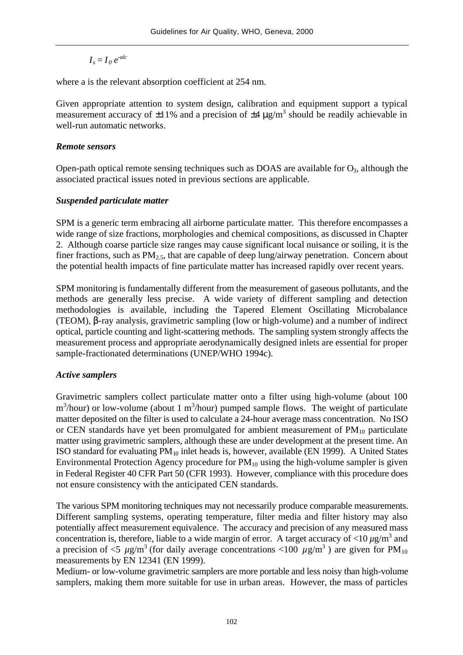$I_s = I_0 e^{-alc}$ 

where a is the relevant absorption coefficient at 254 nm.

Given appropriate attention to system design, calibration and equipment support a typical measurement accuracy of  $\pm 11\%$  and a precision of  $\pm 4 \mu$ g/m<sup>3</sup> should be readily achievable in well-run automatic networks.

## *Remote sensors*

Open-path optical remote sensing techniques such as DOAS are available for  $O_3$ , although the associated practical issues noted in previous sections are applicable.

## *Suspended particulate matter*

SPM is a generic term embracing all airborne particulate matter. This therefore encompasses a wide range of size fractions, morphologies and chemical compositions, as discussed in Chapter 2. Although coarse particle size ranges may cause significant local nuisance or soiling, it is the finer fractions, such as  $PM_{2.5}$ , that are capable of deep lung/airway penetration. Concern about the potential health impacts of fine particulate matter has increased rapidly over recent years.

SPM monitoring is fundamentally different from the measurement of gaseous pollutants, and the methods are generally less precise. A wide variety of different sampling and detection methodologies is available, including the Tapered Element Oscillating Microbalance (TEOM), β-ray analysis, gravimetric sampling (low or high-volume) and a number of indirect optical, particle counting and light-scattering methods. The sampling system strongly affects the measurement process and appropriate aerodynamically designed inlets are essential for proper sample-fractionated determinations (UNEP/WHO 1994c).

## *Active samplers*

Gravimetric samplers collect particulate matter onto a filter using high-volume (about 100  $m<sup>3</sup>/hour$ ) or low-volume (about 1  $m<sup>3</sup>/hour$ ) pumped sample flows. The weight of particulate matter deposited on the filter is used to calculate a 24-hour average mass concentration. No ISO or CEN standards have yet been promulgated for ambient measurement of  $PM_{10}$  particulate matter using gravimetric samplers, although these are under development at the present time. An ISO standard for evaluating PM10 inlet heads is, however, available (EN 1999). A United States Environmental Protection Agency procedure for  $PM_{10}$  using the high-volume sampler is given in Federal Register 40 CFR Part 50 (CFR 1993). However, compliance with this procedure does not ensure consistency with the anticipated CEN standards.

The various SPM monitoring techniques may not necessarily produce comparable measurements. Different sampling systems, operating temperature, filter media and filter history may also potentially affect measurement equivalence. The accuracy and precision of any measured mass concentration is, therefore, liable to a wide margin of error. A target accuracy of  $<$ 10  $\mu$ g/m<sup>3</sup> and a precision of  $\langle 5 \mu g/m^3$  (for daily average concentrations  $\langle 100 \mu g/m^3 \rangle$ ) are given for PM<sub>10</sub> measurements by EN 12341 (EN 1999).

Medium- or low-volume gravimetric samplers are more portable and less noisy than high-volume samplers, making them more suitable for use in urban areas. However, the mass of particles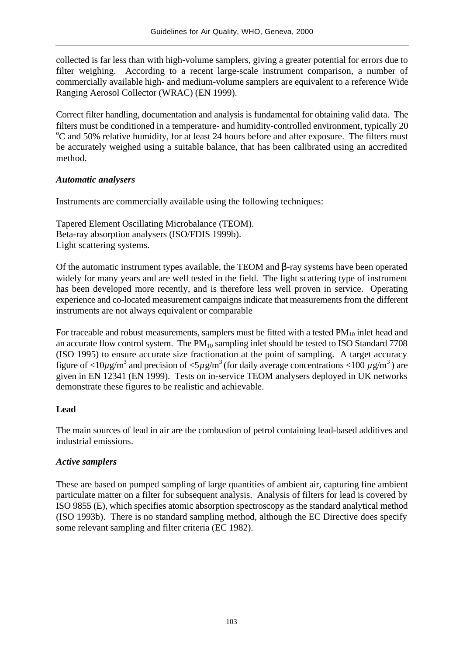collected is far less than with high-volume samplers, giving a greater potential for errors due to filter weighing. According to a recent large-scale instrument comparison, a number of commercially available high- and medium-volume samplers are equivalent to a reference Wide Ranging Aerosol Collector (WRAC) (EN 1999).

Correct filter handling, documentation and analysis is fundamental for obtaining valid data. The filters must be conditioned in a temperature- and humidity-controlled environment, typically 20 <sup>o</sup>C and 50% relative humidity, for at least 24 hours before and after exposure. The filters must be accurately weighed using a suitable balance, that has been calibrated using an accredited method.

#### *Automatic analysers*

Instruments are commercially available using the following techniques:

Tapered Element Oscillating Microbalance (TEOM). Beta-ray absorption analysers (ISO/FDIS 1999b). Light scattering systems.

Of the automatic instrument types available, the TEOM and β-ray systems have been operated widely for many years and are well tested in the field. The light scattering type of instrument has been developed more recently, and is therefore less well proven in service. Operating experience and co-located measurement campaigns indicate that measurements from the different instruments are not always equivalent or comparable

For traceable and robust measurements, samplers must be fitted with a tested PM<sub>10</sub> inlet head and an accurate flow control system. The  $PM_{10}$  sampling inlet should be tested to ISO Standard 7708 (ISO 1995) to ensure accurate size fractionation at the point of sampling. A target accuracy figure of  $\langle 10\mu$ g/m<sup>3</sup> and precision of  $\langle 5\mu$ g/m<sup>3</sup> (for daily average concentrations  $\langle 100 \mu$ g/m<sup>3</sup>) are given in EN 12341 (EN 1999). Tests on in-service TEOM analysers deployed in UK networks demonstrate these figures to be realistic and achievable.

## **Lead**

The main sources of lead in air are the combustion of petrol containing lead-based additives and industrial emissions.

## *Active samplers*

These are based on pumped sampling of large quantities of ambient air, capturing fine ambient particulate matter on a filter for subsequent analysis. Analysis of filters for lead is covered by ISO 9855 (E), which specifies atomic absorption spectroscopy as the standard analytical method (ISO 1993b). There is no standard sampling method, although the EC Directive does specify some relevant sampling and filter criteria (EC 1982).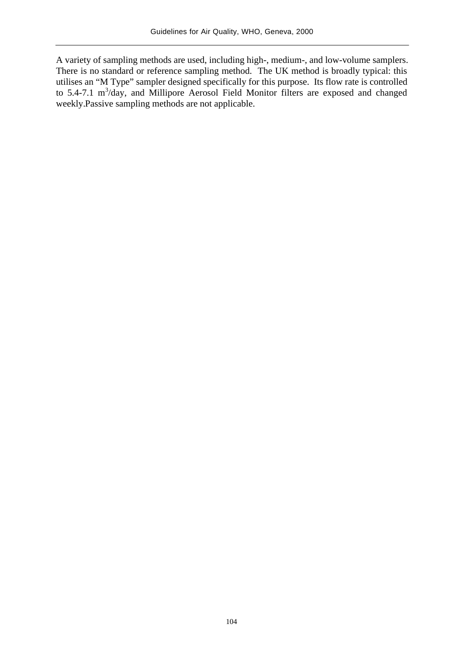A variety of sampling methods are used, including high-, medium-, and low-volume samplers. There is no standard or reference sampling method. The UK method is broadly typical: this utilises an "M Type" sampler designed specifically for this purpose. Its flow rate is controlled to 5.4-7.1 m<sup>3</sup>/day, and Millipore Aerosol Field Monitor filters are exposed and changed weekly.Passive sampling methods are not applicable.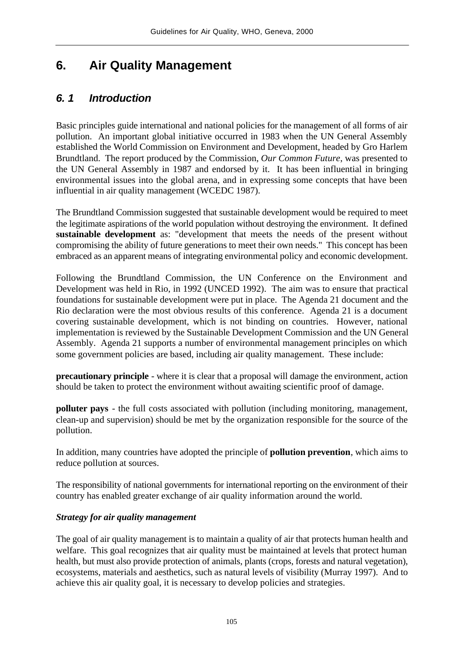# **6. Air Quality Management**

# *6. 1 Introduction*

Basic principles guide international and national policies for the management of all forms of air pollution. An important global initiative occurred in 1983 when the UN General Assembly established the World Commission on Environment and Development, headed by Gro Harlem Brundtland. The report produced by the Commission, *Our Common Future*, was presented to the UN General Assembly in 1987 and endorsed by it. It has been influential in bringing environmental issues into the global arena, and in expressing some concepts that have been influential in air quality management (WCEDC 1987).

The Brundtland Commission suggested that sustainable development would be required to meet the legitimate aspirations of the world population without destroying the environment. It defined **sustainable development** as: "development that meets the needs of the present without compromising the ability of future generations to meet their own needs." This concept has been embraced as an apparent means of integrating environmental policy and economic development.

Following the Brundtland Commission, the UN Conference on the Environment and Development was held in Rio, in 1992 (UNCED 1992). The aim was to ensure that practical foundations for sustainable development were put in place. The Agenda 21 document and the Rio declaration were the most obvious results of this conference. Agenda 21 is a document covering sustainable development, which is not binding on countries. However, national implementation is reviewed by the Sustainable Development Commission and the UN General Assembly. Agenda 21 supports a number of environmental management principles on which some government policies are based, including air quality management. These include:

**precautionary principle** - where it is clear that a proposal will damage the environment, action should be taken to protect the environment without awaiting scientific proof of damage.

**polluter pays** - the full costs associated with pollution (including monitoring, management, clean-up and supervision) should be met by the organization responsible for the source of the pollution.

In addition, many countries have adopted the principle of **pollution prevention**, which aims to reduce pollution at sources.

The responsibility of national governments for international reporting on the environment of their country has enabled greater exchange of air quality information around the world.

## *Strategy for air quality management*

The goal of air quality management is to maintain a quality of air that protects human health and welfare. This goal recognizes that air quality must be maintained at levels that protect human health, but must also provide protection of animals, plants (crops, forests and natural vegetation), ecosystems, materials and aesthetics, such as natural levels of visibility (Murray 1997). And to achieve this air quality goal, it is necessary to develop policies and strategies.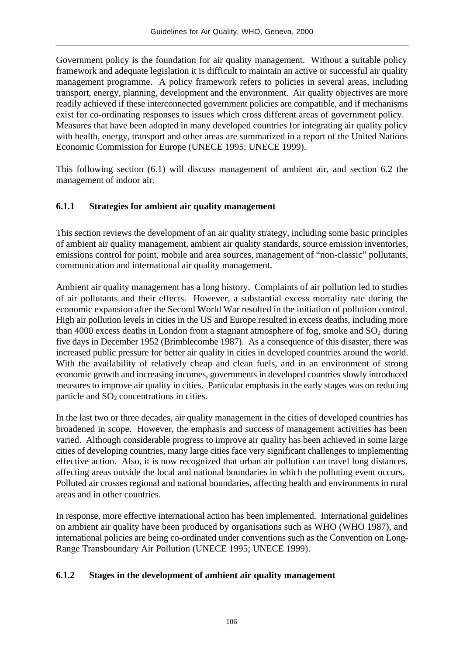Government policy is the foundation for air quality management. Without a suitable policy framework and adequate legislation it is difficult to maintain an active or successful air quality management programme. A policy framework refers to policies in several areas, including transport, energy, planning, development and the environment. Air quality objectives are more readily achieved if these interconnected government policies are compatible, and if mechanisms exist for co-ordinating responses to issues which cross different areas of government policy. Measures that have been adopted in many developed countries for integrating air quality policy with health, energy, transport and other areas are summarized in a report of the United Nations Economic Commission for Europe (UNECE 1995; UNECE 1999).

This following section (6.1) will discuss management of ambient air, and section 6.2 the management of indoor air.

## **6.1.1 Strategies for ambient air quality management**

This section reviews the development of an air quality strategy, including some basic principles of ambient air quality management, ambient air quality standards, source emission inventories, emissions control for point, mobile and area sources, management of "non-classic" pollutants, communication and international air quality management.

Ambient air quality management has a long history. Complaints of air pollution led to studies of air pollutants and their effects. However, a substantial excess mortality rate during the economic expansion after the Second World War resulted in the initiation of pollution control. High air pollution levels in cities in the US and Europe resulted in excess deaths, including more than 4000 excess deaths in London from a stagnant atmosphere of fog, smoke and  $SO_2$  during five days in December 1952 (Brimblecombe 1987). As a consequence of this disaster, there was increased public pressure for better air quality in cities in developed countries around the world. With the availability of relatively cheap and clean fuels, and in an environment of strong economic growth and increasing incomes, governments in developed countries slowly introduced measures to improve air quality in cities. Particular emphasis in the early stages was on reducing particle and  $SO<sub>2</sub>$  concentrations in cities.

In the last two or three decades, air quality management in the cities of developed countries has broadened in scope. However, the emphasis and success of management activities has been varied. Although considerable progress to improve air quality has been achieved in some large cities of developing countries, many large cities face very significant challenges to implementing effective action. Also, it is now recognized that urban air pollution can travel long distances, affecting areas outside the local and national boundaries in which the polluting event occurs. Polluted air crosses regional and national boundaries, affecting health and environments in rural areas and in other countries.

In response, more effective international action has been implemented. International guidelines on ambient air quality have been produced by organisations such as WHO (WHO 1987), and international policies are being co-ordinated under conventions such as the Convention on Long-Range Transboundary Air Pollution (UNECE 1995; UNECE 1999).

## **6.1.2 Stages in the development of ambient air quality management**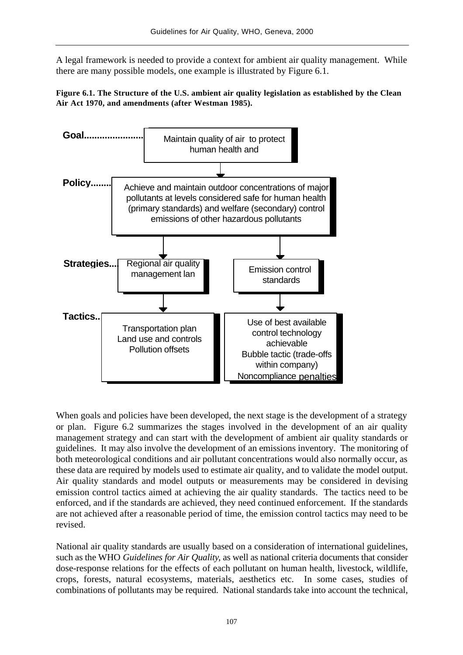A legal framework is needed to provide a context for ambient air quality management. While there are many possible models, one example is illustrated by Figure 6.1.

**Figure 6.1. The Structure of the U.S. ambient air quality legislation as established by the Clean Air Act 1970, and amendments (after Westman 1985).**



When goals and policies have been developed, the next stage is the development of a strategy or plan. Figure 6.2 summarizes the stages involved in the development of an air quality management strategy and can start with the development of ambient air quality standards or guidelines. It may also involve the development of an emissions inventory. The monitoring of both meteorological conditions and air pollutant concentrations would also normally occur, as these data are required by models used to estimate air quality, and to validate the model output. Air quality standards and model outputs or measurements may be considered in devising emission control tactics aimed at achieving the air quality standards. The tactics need to be enforced, and if the standards are achieved, they need continued enforcement. If the standards are not achieved after a reasonable period of time, the emission control tactics may need to be revised.

National air quality standards are usually based on a consideration of international guidelines, such as the WHO *Guidelines for Air Quality*, as well as national criteria documents that consider dose-response relations for the effects of each pollutant on human health, livestock, wildlife, crops, forests, natural ecosystems, materials, aesthetics etc. In some cases, studies of combinations of pollutants may be required. National standards take into account the technical,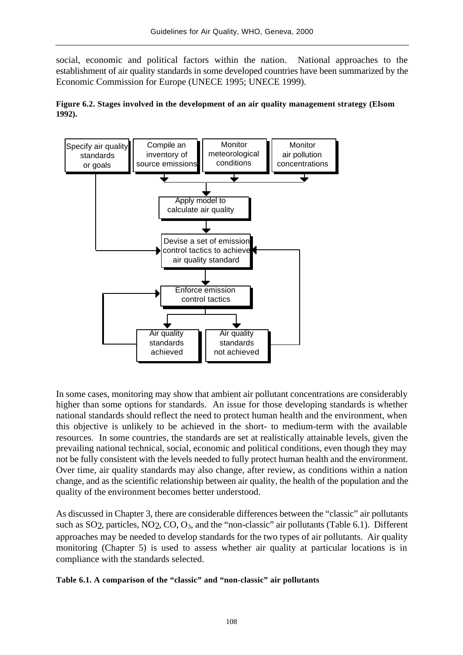social, economic and political factors within the nation. National approaches to the establishment of air quality standards in some developed countries have been summarized by the Economic Commission for Europe (UNECE 1995; UNECE 1999).





In some cases, monitoring may show that ambient air pollutant concentrations are considerably higher than some options for standards. An issue for those developing standards is whether national standards should reflect the need to protect human health and the environment, when this objective is unlikely to be achieved in the short- to medium-term with the available resources. In some countries, the standards are set at realistically attainable levels, given the prevailing national technical, social, economic and political conditions, even though they may not be fully consistent with the levels needed to fully protect human health and the environment. Over time, air quality standards may also change, after review, as conditions within a nation change, and as the scientific relationship between air quality, the health of the population and the quality of the environment becomes better understood.

As discussed in Chapter 3, there are considerable differences between the "classic" air pollutants such as SO<sub>2</sub>, particles, NO<sub>2</sub>, CO, O<sub>3</sub>, and the "non-classic" air pollutants (Table 6.1). Different approaches may be needed to develop standards for the two types of air pollutants. Air quality monitoring (Chapter 5) is used to assess whether air quality at particular locations is in compliance with the standards selected.

#### **Table 6.1. A comparison of the "classic" and "non-classic" air pollutants**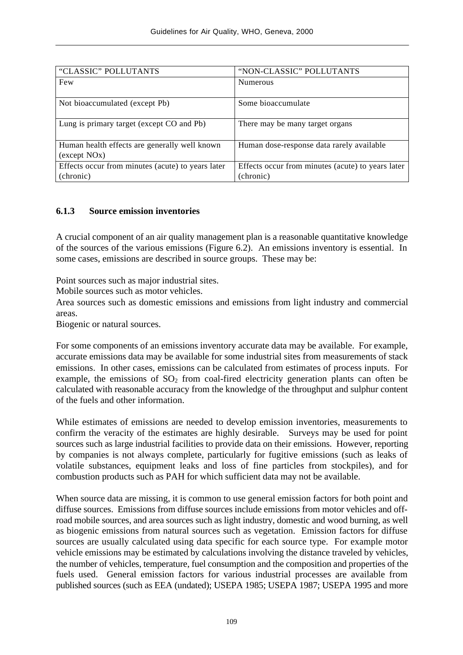| "CLASSIC" POLLUTANTS                                                       | "NON-CLASSIC" POLLUTANTS                          |
|----------------------------------------------------------------------------|---------------------------------------------------|
| Few                                                                        | <b>Numerous</b>                                   |
|                                                                            |                                                   |
| Not bioaccumulated (except Pb)                                             | Some bioaccumulate                                |
| Lung is primary target (except CO and Pb)                                  | There may be many target organs                   |
| Human health effects are generally well known<br>(except NO <sub>x</sub> ) | Human dose-response data rarely available         |
| Effects occur from minutes (acute) to years later                          | Effects occur from minutes (acute) to years later |
| (chronic)                                                                  | (chronic)                                         |

## **6.1.3 Source emission inventories**

A crucial component of an air quality management plan is a reasonable quantitative knowledge of the sources of the various emissions (Figure 6.2). An emissions inventory is essential. In some cases, emissions are described in source groups. These may be:

Point sources such as major industrial sites.

Mobile sources such as motor vehicles.

Area sources such as domestic emissions and emissions from light industry and commercial areas.

Biogenic or natural sources.

For some components of an emissions inventory accurate data may be available. For example, accurate emissions data may be available for some industrial sites from measurements of stack emissions. In other cases, emissions can be calculated from estimates of process inputs. For example, the emissions of  $SO<sub>2</sub>$  from coal-fired electricity generation plants can often be calculated with reasonable accuracy from the knowledge of the throughput and sulphur content of the fuels and other information.

While estimates of emissions are needed to develop emission inventories, measurements to confirm the veracity of the estimates are highly desirable. Surveys may be used for point sources such as large industrial facilities to provide data on their emissions. However, reporting by companies is not always complete, particularly for fugitive emissions (such as leaks of volatile substances, equipment leaks and loss of fine particles from stockpiles), and for combustion products such as PAH for which sufficient data may not be available.

When source data are missing, it is common to use general emission factors for both point and diffuse sources. Emissions from diffuse sources include emissions from motor vehicles and offroad mobile sources, and area sources such as light industry, domestic and wood burning, as well as biogenic emissions from natural sources such as vegetation. Emission factors for diffuse sources are usually calculated using data specific for each source type. For example motor vehicle emissions may be estimated by calculations involving the distance traveled by vehicles, the number of vehicles, temperature, fuel consumption and the composition and properties of the fuels used. General emission factors for various industrial processes are available from published sources (such as EEA (undated); USEPA 1985; USEPA 1987; USEPA 1995 and more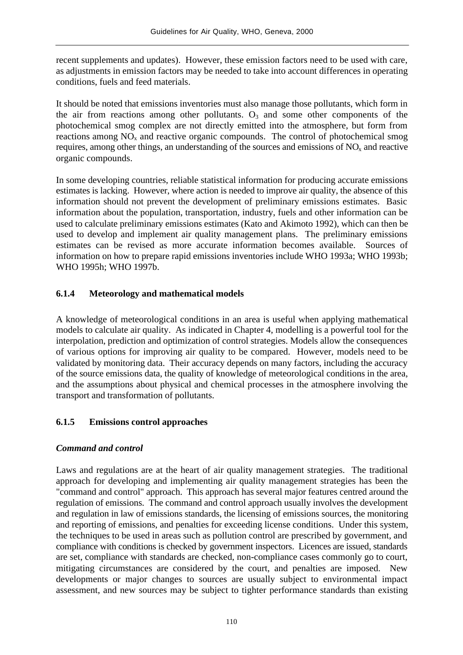recent supplements and updates). However, these emission factors need to be used with care, as adjustments in emission factors may be needed to take into account differences in operating conditions, fuels and feed materials.

It should be noted that emissions inventories must also manage those pollutants, which form in the air from reactions among other pollutants.  $O_3$  and some other components of the photochemical smog complex are not directly emitted into the atmosphere, but form from reactions among  $NO<sub>x</sub>$  and reactive organic compounds. The control of photochemical smog requires, among other things, an understanding of the sources and emissions of  $NO<sub>x</sub>$  and reactive organic compounds.

In some developing countries, reliable statistical information for producing accurate emissions estimates is lacking. However, where action is needed to improve air quality, the absence of this information should not prevent the development of preliminary emissions estimates. Basic information about the population, transportation, industry, fuels and other information can be used to calculate preliminary emissions estimates (Kato and Akimoto 1992), which can then be used to develop and implement air quality management plans. The preliminary emissions estimates can be revised as more accurate information becomes available. Sources of information on how to prepare rapid emissions inventories include WHO 1993a; WHO 1993b; WHO 1995h; WHO 1997b.

## **6.1.4 Meteorology and mathematical models**

A knowledge of meteorological conditions in an area is useful when applying mathematical models to calculate air quality. As indicated in Chapter 4, modelling is a powerful tool for the interpolation, prediction and optimization of control strategies. Models allow the consequences of various options for improving air quality to be compared. However, models need to be validated by monitoring data. Their accuracy depends on many factors, including the accuracy of the source emissions data, the quality of knowledge of meteorological conditions in the area, and the assumptions about physical and chemical processes in the atmosphere involving the transport and transformation of pollutants.

## **6.1.5 Emissions control approaches**

## *Command and control*

Laws and regulations are at the heart of air quality management strategies. The traditional approach for developing and implementing air quality management strategies has been the "command and control" approach. This approach has several major features centred around the regulation of emissions. The command and control approach usually involves the development and regulation in law of emissions standards, the licensing of emissions sources, the monitoring and reporting of emissions, and penalties for exceeding license conditions. Under this system, the techniques to be used in areas such as pollution control are prescribed by government, and compliance with conditions is checked by government inspectors. Licences are issued, standards are set, compliance with standards are checked, non-compliance cases commonly go to court, mitigating circumstances are considered by the court, and penalties are imposed. New developments or major changes to sources are usually subject to environmental impact assessment, and new sources may be subject to tighter performance standards than existing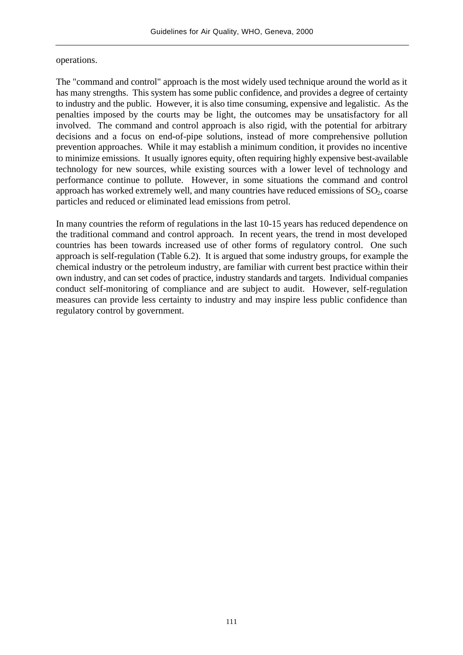#### operations.

The "command and control" approach is the most widely used technique around the world as it has many strengths. This system has some public confidence, and provides a degree of certainty to industry and the public. However, it is also time consuming, expensive and legalistic. As the penalties imposed by the courts may be light, the outcomes may be unsatisfactory for all involved. The command and control approach is also rigid, with the potential for arbitrary decisions and a focus on end-of-pipe solutions, instead of more comprehensive pollution prevention approaches. While it may establish a minimum condition, it provides no incentive to minimize emissions. It usually ignores equity, often requiring highly expensive best-available technology for new sources, while existing sources with a lower level of technology and performance continue to pollute. However, in some situations the command and control approach has worked extremely well, and many countries have reduced emissions of  $SO<sub>2</sub>$ , coarse particles and reduced or eliminated lead emissions from petrol.

In many countries the reform of regulations in the last 10-15 years has reduced dependence on the traditional command and control approach. In recent years, the trend in most developed countries has been towards increased use of other forms of regulatory control. One such approach is self-regulation (Table 6.2). It is argued that some industry groups, for example the chemical industry or the petroleum industry, are familiar with current best practice within their own industry, and can set codes of practice, industry standards and targets. Individual companies conduct self-monitoring of compliance and are subject to audit. However, self-regulation measures can provide less certainty to industry and may inspire less public confidence than regulatory control by government.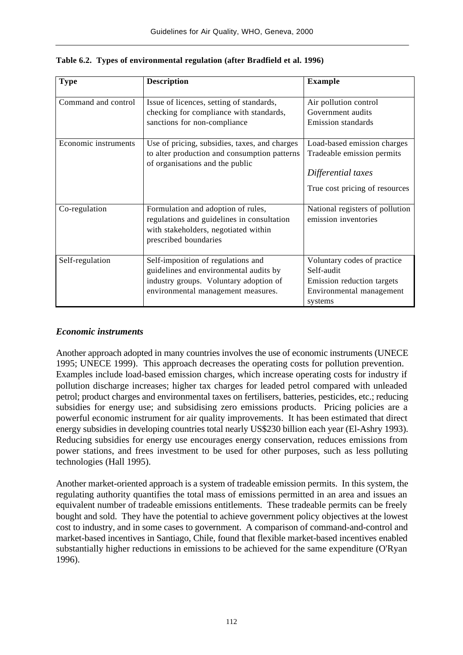| <b>Type</b>          | <b>Description</b>                                                                                                                                           | <b>Example</b>                                                                                                    |
|----------------------|--------------------------------------------------------------------------------------------------------------------------------------------------------------|-------------------------------------------------------------------------------------------------------------------|
| Command and control  | Issue of licences, setting of standards,<br>checking for compliance with standards,<br>sanctions for non-compliance                                          | Air pollution control<br>Government audits<br><b>Emission standards</b>                                           |
| Economic instruments | Use of pricing, subsidies, taxes, and charges<br>to alter production and consumption patterns<br>of organisations and the public                             | Load-based emission charges<br>Tradeable emission permits<br>Differential taxes<br>True cost pricing of resources |
| Co-regulation        | Formulation and adoption of rules,<br>regulations and guidelines in consultation<br>with stakeholders, negotiated within<br>prescribed boundaries            | National registers of pollution<br>emission inventories                                                           |
| Self-regulation      | Self-imposition of regulations and<br>guidelines and environmental audits by<br>industry groups. Voluntary adoption of<br>environmental management measures. | Voluntary codes of practice<br>Self-audit<br>Emission reduction targets<br>Environmental management<br>systems    |

**Table 6.2. Types of environmental regulation (after Bradfield et al. 1996)**

## *Economic instruments*

Another approach adopted in many countries involves the use of economic instruments (UNECE 1995; UNECE 1999). This approach decreases the operating costs for pollution prevention. Examples include load-based emission charges, which increase operating costs for industry if pollution discharge increases; higher tax charges for leaded petrol compared with unleaded petrol; product charges and environmental taxes on fertilisers, batteries, pesticides, etc.; reducing subsidies for energy use; and subsidising zero emissions products. Pricing policies are a powerful economic instrument for air quality improvements. It has been estimated that direct energy subsidies in developing countries total nearly US\$230 billion each year (El-Ashry 1993). Reducing subsidies for energy use encourages energy conservation, reduces emissions from power stations, and frees investment to be used for other purposes, such as less polluting technologies (Hall 1995).

Another market-oriented approach is a system of tradeable emission permits. In this system, the regulating authority quantifies the total mass of emissions permitted in an area and issues an equivalent number of tradeable emissions entitlements. These tradeable permits can be freely bought and sold. They have the potential to achieve government policy objectives at the lowest cost to industry, and in some cases to government. A comparison of command-and-control and market-based incentives in Santiago, Chile, found that flexible market-based incentives enabled substantially higher reductions in emissions to be achieved for the same expenditure (O'Ryan 1996).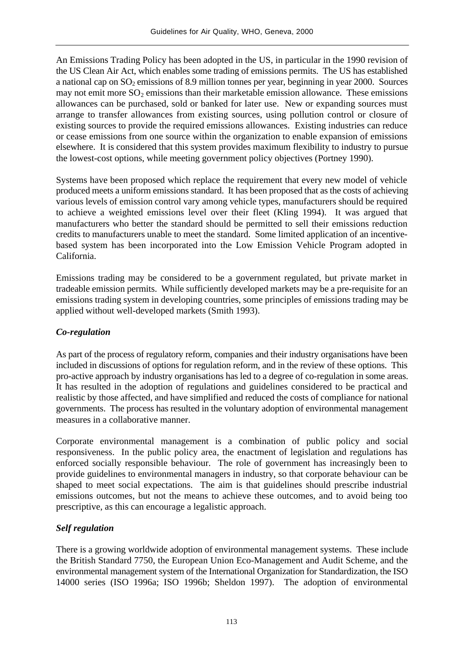An Emissions Trading Policy has been adopted in the US, in particular in the 1990 revision of the US Clean Air Act, which enables some trading of emissions permits. The US has established a national cap on  $SO_2$  emissions of 8.9 million tonnes per year, beginning in year 2000. Sources may not emit more  $SO_2$  emissions than their marketable emission allowance. These emissions allowances can be purchased, sold or banked for later use. New or expanding sources must arrange to transfer allowances from existing sources, using pollution control or closure of existing sources to provide the required emissions allowances. Existing industries can reduce or cease emissions from one source within the organization to enable expansion of emissions elsewhere. It is considered that this system provides maximum flexibility to industry to pursue the lowest-cost options, while meeting government policy objectives (Portney 1990).

Systems have been proposed which replace the requirement that every new model of vehicle produced meets a uniform emissions standard. It has been proposed that as the costs of achieving various levels of emission control vary among vehicle types, manufacturers should be required to achieve a weighted emissions level over their fleet (Kling 1994). It was argued that manufacturers who better the standard should be permitted to sell their emissions reduction credits to manufacturers unable to meet the standard. Some limited application of an incentivebased system has been incorporated into the Low Emission Vehicle Program adopted in California.

Emissions trading may be considered to be a government regulated, but private market in tradeable emission permits. While sufficiently developed markets may be a pre-requisite for an emissions trading system in developing countries, some principles of emissions trading may be applied without well-developed markets (Smith 1993).

## *Co-regulation*

As part of the process of regulatory reform, companies and their industry organisations have been included in discussions of options for regulation reform, and in the review of these options. This pro-active approach by industry organisations has led to a degree of co-regulation in some areas. It has resulted in the adoption of regulations and guidelines considered to be practical and realistic by those affected, and have simplified and reduced the costs of compliance for national governments. The process has resulted in the voluntary adoption of environmental management measures in a collaborative manner.

Corporate environmental management is a combination of public policy and social responsiveness. In the public policy area, the enactment of legislation and regulations has enforced socially responsible behaviour. The role of government has increasingly been to provide guidelines to environmental managers in industry, so that corporate behaviour can be shaped to meet social expectations. The aim is that guidelines should prescribe industrial emissions outcomes, but not the means to achieve these outcomes, and to avoid being too prescriptive, as this can encourage a legalistic approach.

## *Self regulation*

There is a growing worldwide adoption of environmental management systems. These include the British Standard 7750, the European Union Eco-Management and Audit Scheme, and the environmental management system of the International Organization for Standardization, the ISO 14000 series (ISO 1996a; ISO 1996b; Sheldon 1997). The adoption of environmental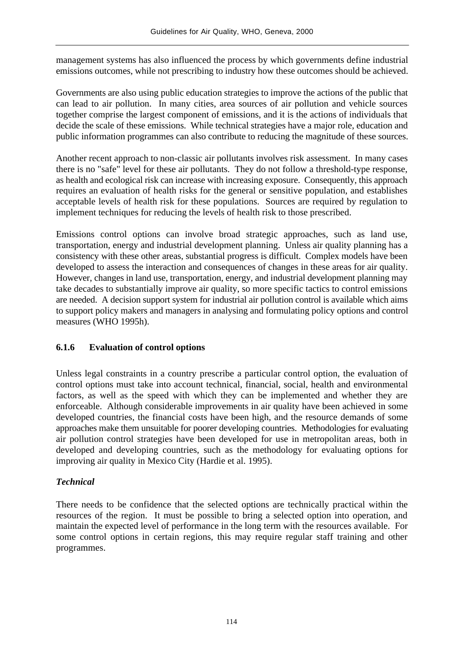management systems has also influenced the process by which governments define industrial emissions outcomes, while not prescribing to industry how these outcomes should be achieved.

Governments are also using public education strategies to improve the actions of the public that can lead to air pollution. In many cities, area sources of air pollution and vehicle sources together comprise the largest component of emissions, and it is the actions of individuals that decide the scale of these emissions. While technical strategies have a major role, education and public information programmes can also contribute to reducing the magnitude of these sources.

Another recent approach to non-classic air pollutants involves risk assessment. In many cases there is no "safe" level for these air pollutants. They do not follow a threshold-type response, as health and ecological risk can increase with increasing exposure. Consequently, this approach requires an evaluation of health risks for the general or sensitive population, and establishes acceptable levels of health risk for these populations. Sources are required by regulation to implement techniques for reducing the levels of health risk to those prescribed.

Emissions control options can involve broad strategic approaches, such as land use, transportation, energy and industrial development planning. Unless air quality planning has a consistency with these other areas, substantial progress is difficult. Complex models have been developed to assess the interaction and consequences of changes in these areas for air quality. However, changes in land use, transportation, energy, and industrial development planning may take decades to substantially improve air quality, so more specific tactics to control emissions are needed. A decision support system for industrial air pollution control is available which aims to support policy makers and managers in analysing and formulating policy options and control measures (WHO 1995h).

## **6.1.6 Evaluation of control options**

Unless legal constraints in a country prescribe a particular control option, the evaluation of control options must take into account technical, financial, social, health and environmental factors, as well as the speed with which they can be implemented and whether they are enforceable. Although considerable improvements in air quality have been achieved in some developed countries, the financial costs have been high, and the resource demands of some approaches make them unsuitable for poorer developing countries. Methodologies for evaluating air pollution control strategies have been developed for use in metropolitan areas, both in developed and developing countries, such as the methodology for evaluating options for improving air quality in Mexico City (Hardie et al. 1995).

## *Technical*

There needs to be confidence that the selected options are technically practical within the resources of the region. It must be possible to bring a selected option into operation, and maintain the expected level of performance in the long term with the resources available. For some control options in certain regions, this may require regular staff training and other programmes.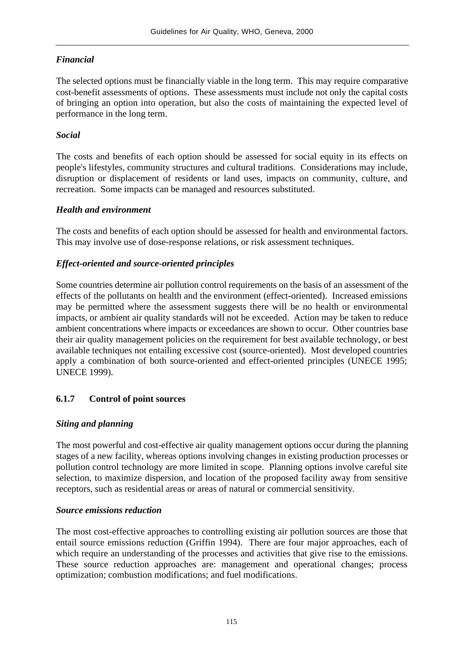## *Financial*

The selected options must be financially viable in the long term. This may require comparative cost-benefit assessments of options. These assessments must include not only the capital costs of bringing an option into operation, but also the costs of maintaining the expected level of performance in the long term.

## *Social*

The costs and benefits of each option should be assessed for social equity in its effects on people's lifestyles, community structures and cultural traditions. Considerations may include, disruption or displacement of residents or land uses, impacts on community, culture, and recreation. Some impacts can be managed and resources substituted.

## *Health and environment*

The costs and benefits of each option should be assessed for health and environmental factors. This may involve use of dose-response relations, or risk assessment techniques.

## *Effect-oriented and source-oriented principles*

Some countries determine air pollution control requirements on the basis of an assessment of the effects of the pollutants on health and the environment (effect-oriented). Increased emissions may be permitted where the assessment suggests there will be no health or environmental impacts, or ambient air quality standards will not be exceeded. Action may be taken to reduce ambient concentrations where impacts or exceedances are shown to occur. Other countries base their air quality management policies on the requirement for best available technology, or best available techniques not entailing excessive cost (source-oriented). Most developed countries apply a combination of both source-oriented and effect-oriented principles (UNECE 1995; UNECE 1999).

## **6.1.7 Control of point sources**

## *Siting and planning*

The most powerful and cost-effective air quality management options occur during the planning stages of a new facility, whereas options involving changes in existing production processes or pollution control technology are more limited in scope. Planning options involve careful site selection, to maximize dispersion, and location of the proposed facility away from sensitive receptors, such as residential areas or areas of natural or commercial sensitivity.

## *Source emissions reduction*

The most cost-effective approaches to controlling existing air pollution sources are those that entail source emissions reduction (Griffin 1994). There are four major approaches, each of which require an understanding of the processes and activities that give rise to the emissions. These source reduction approaches are: management and operational changes; process optimization; combustion modifications; and fuel modifications.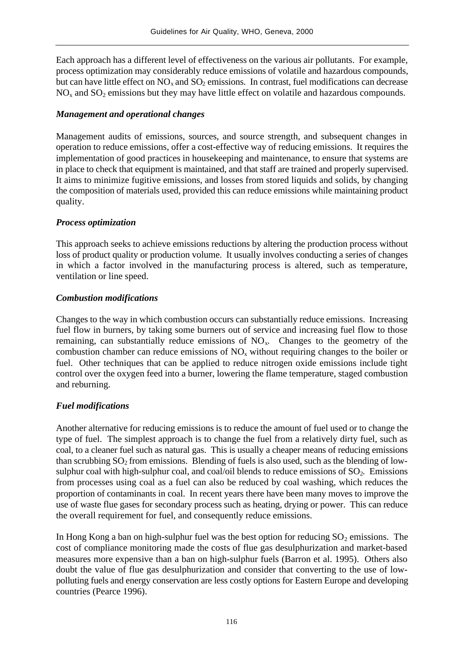Each approach has a different level of effectiveness on the various air pollutants. For example, process optimization may considerably reduce emissions of volatile and hazardous compounds, but can have little effect on  $NO<sub>x</sub>$  and  $SO<sub>2</sub>$  emissions. In contrast, fuel modifications can decrease  $NO<sub>x</sub>$  and  $SO<sub>2</sub>$  emissions but they may have little effect on volatile and hazardous compounds.

## *Management and operational changes*

Management audits of emissions, sources, and source strength, and subsequent changes in operation to reduce emissions, offer a cost-effective way of reducing emissions. It requires the implementation of good practices in housekeeping and maintenance, to ensure that systems are in place to check that equipment is maintained, and that staff are trained and properly supervised. It aims to minimize fugitive emissions, and losses from stored liquids and solids, by changing the composition of materials used, provided this can reduce emissions while maintaining product quality.

## *Process optimization*

This approach seeks to achieve emissions reductions by altering the production process without loss of product quality or production volume. It usually involves conducting a series of changes in which a factor involved in the manufacturing process is altered, such as temperature, ventilation or line speed.

#### *Combustion modifications*

Changes to the way in which combustion occurs can substantially reduce emissions. Increasing fuel flow in burners, by taking some burners out of service and increasing fuel flow to those remaining, can substantially reduce emissions of  $NO<sub>x</sub>$ . Changes to the geometry of the combustion chamber can reduce emissions of  $NO<sub>x</sub>$  without requiring changes to the boiler or fuel. Other techniques that can be applied to reduce nitrogen oxide emissions include tight control over the oxygen feed into a burner, lowering the flame temperature, staged combustion and reburning.

## *Fuel modifications*

Another alternative for reducing emissions is to reduce the amount of fuel used or to change the type of fuel. The simplest approach is to change the fuel from a relatively dirty fuel, such as coal, to a cleaner fuel such as natural gas. This is usually a cheaper means of reducing emissions than scrubbing  $SO_2$  from emissions. Blending of fuels is also used, such as the blending of lowsulphur coal with high-sulphur coal, and coal/oil blends to reduce emissions of  $SO_2$ . Emissions from processes using coal as a fuel can also be reduced by coal washing, which reduces the proportion of contaminants in coal. In recent years there have been many moves to improve the use of waste flue gases for secondary process such as heating, drying or power. This can reduce the overall requirement for fuel, and consequently reduce emissions.

In Hong Kong a ban on high-sulphur fuel was the best option for reducing  $SO_2$  emissions. The cost of compliance monitoring made the costs of flue gas desulphurization and market-based measures more expensive than a ban on high-sulphur fuels (Barron et al. 1995). Others also doubt the value of flue gas desulphurization and consider that converting to the use of lowpolluting fuels and energy conservation are less costly options for Eastern Europe and developing countries (Pearce 1996).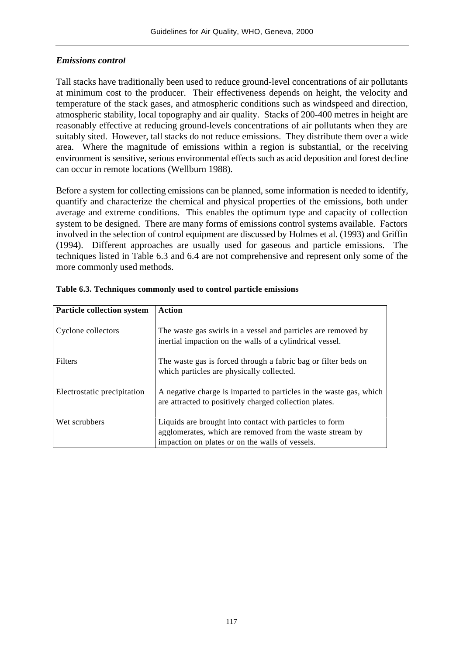## *Emissions control*

Tall stacks have traditionally been used to reduce ground-level concentrations of air pollutants at minimum cost to the producer. Their effectiveness depends on height, the velocity and temperature of the stack gases, and atmospheric conditions such as windspeed and direction, atmospheric stability, local topography and air quality. Stacks of 200-400 metres in height are reasonably effective at reducing ground-levels concentrations of air pollutants when they are suitably sited. However, tall stacks do not reduce emissions. They distribute them over a wide area. Where the magnitude of emissions within a region is substantial, or the receiving environment is sensitive, serious environmental effects such as acid deposition and forest decline can occur in remote locations (Wellburn 1988).

Before a system for collecting emissions can be planned, some information is needed to identify, quantify and characterize the chemical and physical properties of the emissions, both under average and extreme conditions. This enables the optimum type and capacity of collection system to be designed. There are many forms of emissions control systems available. Factors involved in the selection of control equipment are discussed by Holmes et al. (1993) and Griffin (1994). Different approaches are usually used for gaseous and particle emissions. The techniques listed in Table 6.3 and 6.4 are not comprehensive and represent only some of the more commonly used methods.

| <b>Particle collection system</b> | Action                                                                                                                                                                 |
|-----------------------------------|------------------------------------------------------------------------------------------------------------------------------------------------------------------------|
|                                   |                                                                                                                                                                        |
| Cyclone collectors                | The waste gas swirls in a vessel and particles are removed by<br>inertial impaction on the walls of a cylindrical vessel.                                              |
| <b>Filters</b>                    | The waste gas is forced through a fabric bag or filter beds on<br>which particles are physically collected.                                                            |
| Electrostatic precipitation       | A negative charge is imparted to particles in the waste gas, which<br>are attracted to positively charged collection plates.                                           |
| Wet scrubbers                     | Liquids are brought into contact with particles to form<br>agglomerates, which are removed from the waste stream by<br>impaction on plates or on the walls of vessels. |

| Table 6.3. Techniques commonly used to control particle emissions |  |  |  |
|-------------------------------------------------------------------|--|--|--|
|-------------------------------------------------------------------|--|--|--|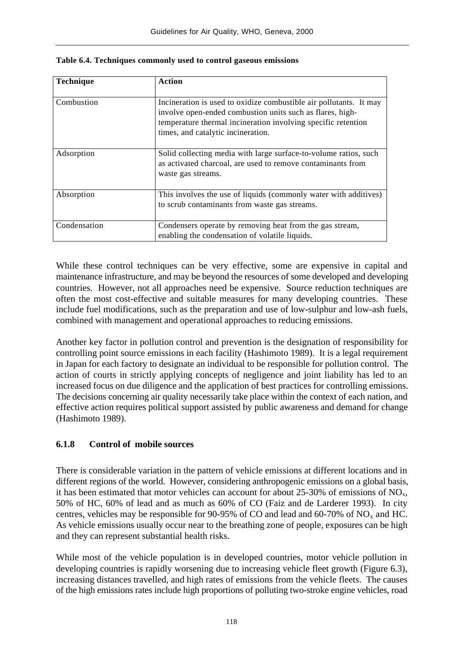| Technique    | <b>Action</b>                                                                                                                                                                                                                          |
|--------------|----------------------------------------------------------------------------------------------------------------------------------------------------------------------------------------------------------------------------------------|
| Combustion   | Incineration is used to oxidize combustible air pollutants. It may<br>involve open-ended combustion units such as flares, high-<br>temperature thermal incineration involving specific retention<br>times, and catalytic incineration. |
| Adsorption   | Solid collecting media with large surface-to-volume ratios, such<br>as activated charcoal, are used to remove contaminants from<br>waste gas streams.                                                                                  |
| Absorption   | This involves the use of liquids (commonly water with additives)<br>to scrub contaminants from waste gas streams.                                                                                                                      |
| Condensation | Condensers operate by removing heat from the gas stream,<br>enabling the condensation of volatile liquids.                                                                                                                             |

|  |  | Table 6.4. Techniques commonly used to control gaseous emissions |
|--|--|------------------------------------------------------------------|
|  |  |                                                                  |

While these control techniques can be very effective, some are expensive in capital and maintenance infrastructure, and may be beyond the resources of some developed and developing countries. However, not all approaches need be expensive. Source reduction techniques are often the most cost-effective and suitable measures for many developing countries. These include fuel modifications, such as the preparation and use of low-sulphur and low-ash fuels, combined with management and operational approaches to reducing emissions.

Another key factor in pollution control and prevention is the designation of responsibility for controlling point source emissions in each facility (Hashimoto 1989). It is a legal requirement in Japan for each factory to designate an individual to be responsible for pollution control. The action of courts in strictly applying concepts of negligence and joint liability has led to an increased focus on due diligence and the application of best practices for controlling emissions. The decisions concerning air quality necessarily take place within the context of each nation, and effective action requires political support assisted by public awareness and demand for change (Hashimoto 1989).

## **6.1.8 Control of mobile sources**

There is considerable variation in the pattern of vehicle emissions at different locations and in different regions of the world. However, considering anthropogenic emissions on a global basis, it has been estimated that motor vehicles can account for about  $25{\text -}30\%$  of emissions of NO<sub>x</sub>, 50% of HC, 60% of lead and as much as 60% of CO (Faiz and de Larderer 1993). In city centres, vehicles may be responsible for 90-95% of CO and lead and 60-70% of  $NO_x$  and HC. As vehicle emissions usually occur near to the breathing zone of people, exposures can be high and they can represent substantial health risks.

While most of the vehicle population is in developed countries, motor vehicle pollution in developing countries is rapidly worsening due to increasing vehicle fleet growth (Figure 6.3), increasing distances travelled, and high rates of emissions from the vehicle fleets. The causes of the high emissions rates include high proportions of polluting two-stroke engine vehicles, road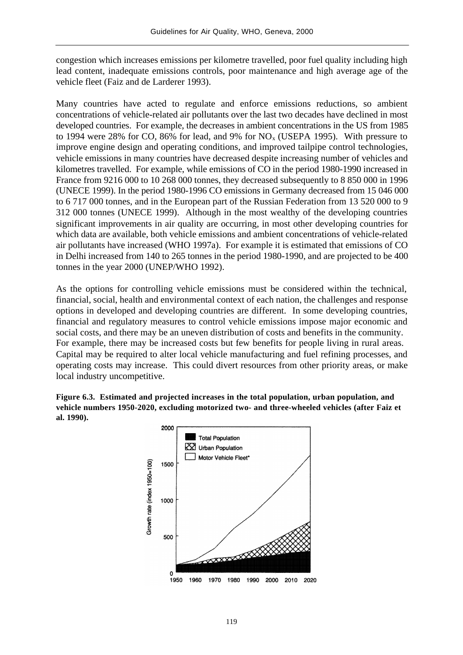congestion which increases emissions per kilometre travelled, poor fuel quality including high lead content, inadequate emissions controls, poor maintenance and high average age of the vehicle fleet (Faiz and de Larderer 1993).

Many countries have acted to regulate and enforce emissions reductions, so ambient concentrations of vehicle-related air pollutants over the last two decades have declined in most developed countries. For example, the decreases in ambient concentrations in the US from 1985 to 1994 were 28% for CO, 86% for lead, and 9% for  $NO<sub>x</sub>$  (USEPA 1995). With pressure to improve engine design and operating conditions, and improved tailpipe control technologies, vehicle emissions in many countries have decreased despite increasing number of vehicles and kilometres travelled. For example, while emissions of CO in the period 1980-1990 increased in France from 9216 000 to 10 268 000 tonnes, they decreased subsequently to 8 850 000 in 1996 (UNECE 1999). In the period 1980-1996 CO emissions in Germany decreased from 15 046 000 to 6 717 000 tonnes, and in the European part of the Russian Federation from 13 520 000 to 9 312 000 tonnes (UNECE 1999). Although in the most wealthy of the developing countries significant improvements in air quality are occurring, in most other developing countries for which data are available, both vehicle emissions and ambient concentrations of vehicle-related air pollutants have increased (WHO 1997a). For example it is estimated that emissions of CO in Delhi increased from 140 to 265 tonnes in the period 1980-1990, and are projected to be 400 tonnes in the year 2000 (UNEP/WHO 1992).

As the options for controlling vehicle emissions must be considered within the technical, financial, social, health and environmental context of each nation, the challenges and response options in developed and developing countries are different. In some developing countries, financial and regulatory measures to control vehicle emissions impose major economic and social costs, and there may be an uneven distribution of costs and benefits in the community. For example, there may be increased costs but few benefits for people living in rural areas. Capital may be required to alter local vehicle manufacturing and fuel refining processes, and operating costs may increase. This could divert resources from other priority areas, or make local industry uncompetitive.



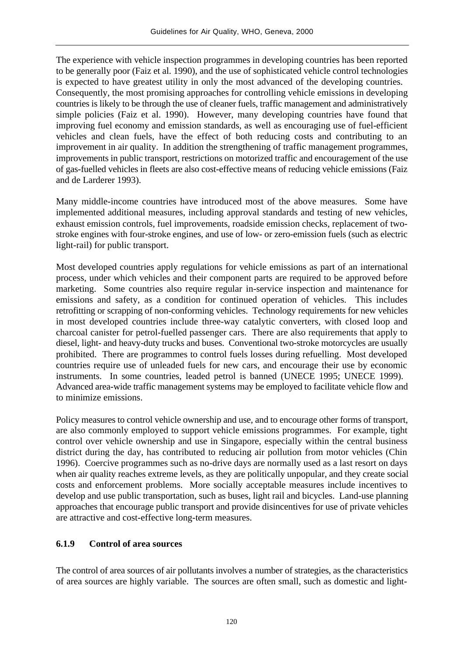The experience with vehicle inspection programmes in developing countries has been reported to be generally poor (Faiz et al. 1990), and the use of sophisticated vehicle control technologies is expected to have greatest utility in only the most advanced of the developing countries. Consequently, the most promising approaches for controlling vehicle emissions in developing countries is likely to be through the use of cleaner fuels, traffic management and administratively simple policies (Faiz et al. 1990). However, many developing countries have found that improving fuel economy and emission standards, as well as encouraging use of fuel-efficient vehicles and clean fuels, have the effect of both reducing costs and contributing to an improvement in air quality. In addition the strengthening of traffic management programmes, improvements in public transport, restrictions on motorized traffic and encouragement of the use of gas-fuelled vehicles in fleets are also cost-effective means of reducing vehicle emissions (Faiz and de Larderer 1993).

Many middle-income countries have introduced most of the above measures. Some have implemented additional measures, including approval standards and testing of new vehicles, exhaust emission controls, fuel improvements, roadside emission checks, replacement of twostroke engines with four-stroke engines, and use of low- or zero-emission fuels (such as electric light-rail) for public transport.

Most developed countries apply regulations for vehicle emissions as part of an international process, under which vehicles and their component parts are required to be approved before marketing. Some countries also require regular in-service inspection and maintenance for emissions and safety, as a condition for continued operation of vehicles. This includes retrofitting or scrapping of non-conforming vehicles. Technology requirements for new vehicles in most developed countries include three-way catalytic converters, with closed loop and charcoal canister for petrol-fuelled passenger cars. There are also requirements that apply to diesel, light- and heavy-duty trucks and buses. Conventional two-stroke motorcycles are usually prohibited. There are programmes to control fuels losses during refuelling. Most developed countries require use of unleaded fuels for new cars, and encourage their use by economic instruments. In some countries, leaded petrol is banned (UNECE 1995; UNECE 1999). Advanced area-wide traffic management systems may be employed to facilitate vehicle flow and to minimize emissions.

Policy measures to control vehicle ownership and use, and to encourage other forms of transport, are also commonly employed to support vehicle emissions programmes. For example, tight control over vehicle ownership and use in Singapore, especially within the central business district during the day, has contributed to reducing air pollution from motor vehicles (Chin 1996). Coercive programmes such as no-drive days are normally used as a last resort on days when air quality reaches extreme levels, as they are politically unpopular, and they create social costs and enforcement problems. More socially acceptable measures include incentives to develop and use public transportation, such as buses, light rail and bicycles. Land-use planning approaches that encourage public transport and provide disincentives for use of private vehicles are attractive and cost-effective long-term measures.

## **6.1.9 Control of area sources**

The control of area sources of air pollutants involves a number of strategies, as the characteristics of area sources are highly variable. The sources are often small, such as domestic and light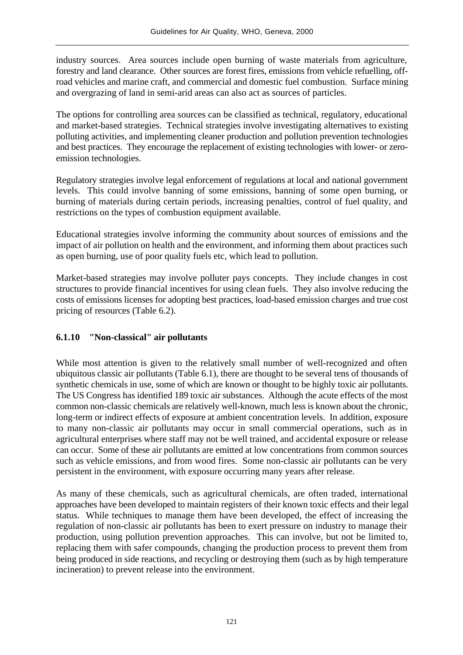industry sources. Area sources include open burning of waste materials from agriculture, forestry and land clearance. Other sources are forest fires, emissions from vehicle refuelling, offroad vehicles and marine craft, and commercial and domestic fuel combustion. Surface mining and overgrazing of land in semi-arid areas can also act as sources of particles.

The options for controlling area sources can be classified as technical, regulatory, educational and market-based strategies. Technical strategies involve investigating alternatives to existing polluting activities, and implementing cleaner production and pollution prevention technologies and best practices. They encourage the replacement of existing technologies with lower- or zeroemission technologies.

Regulatory strategies involve legal enforcement of regulations at local and national government levels. This could involve banning of some emissions, banning of some open burning, or burning of materials during certain periods, increasing penalties, control of fuel quality, and restrictions on the types of combustion equipment available.

Educational strategies involve informing the community about sources of emissions and the impact of air pollution on health and the environment, and informing them about practices such as open burning, use of poor quality fuels etc, which lead to pollution.

Market-based strategies may involve polluter pays concepts. They include changes in cost structures to provide financial incentives for using clean fuels. They also involve reducing the costs of emissions licenses for adopting best practices, load-based emission charges and true cost pricing of resources (Table 6.2).

## **6.1.10 "Non-classical" air pollutants**

While most attention is given to the relatively small number of well-recognized and often ubiquitous classic air pollutants (Table 6.1), there are thought to be several tens of thousands of synthetic chemicals in use, some of which are known or thought to be highly toxic air pollutants. The US Congress has identified 189 toxic air substances. Although the acute effects of the most common non-classic chemicals are relatively well-known, much less is known about the chronic, long-term or indirect effects of exposure at ambient concentration levels. In addition, exposure to many non-classic air pollutants may occur in small commercial operations, such as in agricultural enterprises where staff may not be well trained, and accidental exposure or release can occur. Some of these air pollutants are emitted at low concentrations from common sources such as vehicle emissions, and from wood fires. Some non-classic air pollutants can be very persistent in the environment, with exposure occurring many years after release.

As many of these chemicals, such as agricultural chemicals, are often traded, international approaches have been developed to maintain registers of their known toxic effects and their legal status. While techniques to manage them have been developed, the effect of increasing the regulation of non-classic air pollutants has been to exert pressure on industry to manage their production, using pollution prevention approaches. This can involve, but not be limited to, replacing them with safer compounds, changing the production process to prevent them from being produced in side reactions, and recycling or destroying them (such as by high temperature incineration) to prevent release into the environment.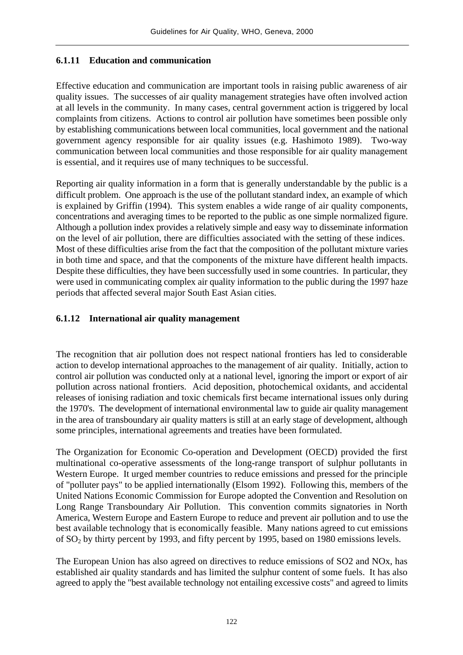## **6.1.11 Education and communication**

Effective education and communication are important tools in raising public awareness of air quality issues. The successes of air quality management strategies have often involved action at all levels in the community. In many cases, central government action is triggered by local complaints from citizens. Actions to control air pollution have sometimes been possible only by establishing communications between local communities, local government and the national government agency responsible for air quality issues (e.g. Hashimoto 1989). Two-way communication between local communities and those responsible for air quality management is essential, and it requires use of many techniques to be successful.

Reporting air quality information in a form that is generally understandable by the public is a difficult problem. One approach is the use of the pollutant standard index, an example of which is explained by Griffin (1994). This system enables a wide range of air quality components, concentrations and averaging times to be reported to the public as one simple normalized figure. Although a pollution index provides a relatively simple and easy way to disseminate information on the level of air pollution, there are difficulties associated with the setting of these indices. Most of these difficulties arise from the fact that the composition of the pollutant mixture varies in both time and space, and that the components of the mixture have different health impacts. Despite these difficulties, they have been successfully used in some countries. In particular, they were used in communicating complex air quality information to the public during the 1997 haze periods that affected several major South East Asian cities.

## **6.1.12 International air quality management**

The recognition that air pollution does not respect national frontiers has led to considerable action to develop international approaches to the management of air quality. Initially, action to control air pollution was conducted only at a national level, ignoring the import or export of air pollution across national frontiers. Acid deposition, photochemical oxidants, and accidental releases of ionising radiation and toxic chemicals first became international issues only during the 1970's. The development of international environmental law to guide air quality management in the area of transboundary air quality matters is still at an early stage of development, although some principles, international agreements and treaties have been formulated.

The Organization for Economic Co-operation and Development (OECD) provided the first multinational co-operative assessments of the long-range transport of sulphur pollutants in Western Europe. It urged member countries to reduce emissions and pressed for the principle of "polluter pays" to be applied internationally (Elsom 1992). Following this, members of the United Nations Economic Commission for Europe adopted the Convention and Resolution on Long Range Transboundary Air Pollution. This convention commits signatories in North America, Western Europe and Eastern Europe to reduce and prevent air pollution and to use the best available technology that is economically feasible. Many nations agreed to cut emissions of SO2 by thirty percent by 1993, and fifty percent by 1995, based on 1980 emissions levels.

The European Union has also agreed on directives to reduce emissions of SO2 and NOx, has established air quality standards and has limited the sulphur content of some fuels. It has also agreed to apply the "best available technology not entailing excessive costs" and agreed to limits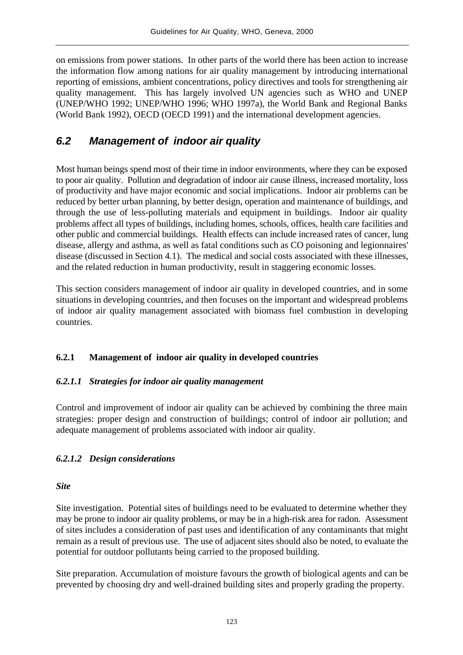on emissions from power stations. In other parts of the world there has been action to increase the information flow among nations for air quality management by introducing international reporting of emissions, ambient concentrations, policy directives and tools for strengthening air quality management. This has largely involved UN agencies such as WHO and UNEP (UNEP/WHO 1992; UNEP/WHO 1996; WHO 1997a), the World Bank and Regional Banks (World Bank 1992), OECD (OECD 1991) and the international development agencies.

# *6.2 Management of indoor air quality*

Most human beings spend most of their time in indoor environments, where they can be exposed to poor air quality. Pollution and degradation of indoor air cause illness, increased mortality, loss of productivity and have major economic and social implications. Indoor air problems can be reduced by better urban planning, by better design, operation and maintenance of buildings, and through the use of less-polluting materials and equipment in buildings. Indoor air quality problems affect all types of buildings, including homes, schools, offices, health care facilities and other public and commercial buildings. Health effects can include increased rates of cancer, lung disease, allergy and asthma, as well as fatal conditions such as CO poisoning and legionnaires' disease (discussed in Section 4.1). The medical and social costs associated with these illnesses, and the related reduction in human productivity, result in staggering economic losses.

This section considers management of indoor air quality in developed countries, and in some situations in developing countries, and then focuses on the important and widespread problems of indoor air quality management associated with biomass fuel combustion in developing countries.

## **6.2.1 Management of indoor air quality in developed countries**

## *6.2.1.1 Strategies for indoor air quality management*

Control and improvement of indoor air quality can be achieved by combining the three main strategies: proper design and construction of buildings; control of indoor air pollution; and adequate management of problems associated with indoor air quality.

## *6.2.1.2 Design considerations*

## *Site*

Site investigation. Potential sites of buildings need to be evaluated to determine whether they may be prone to indoor air quality problems, or may be in a high-risk area for radon. Assessment of sites includes a consideration of past uses and identification of any contaminants that might remain as a result of previous use. The use of adjacent sites should also be noted, to evaluate the potential for outdoor pollutants being carried to the proposed building.

Site preparation. Accumulation of moisture favours the growth of biological agents and can be prevented by choosing dry and well-drained building sites and properly grading the property.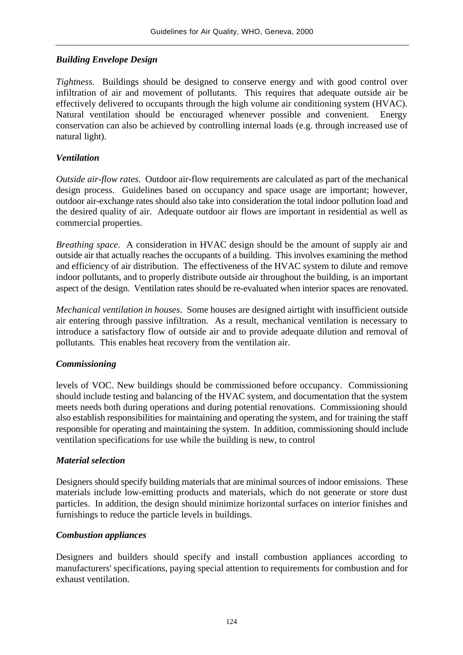### *Building Envelope Design*

*Tightness.* Buildings should be designed to conserve energy and with good control over infiltration of air and movement of pollutants. This requires that adequate outside air be effectively delivered to occupants through the high volume air conditioning system (HVAC). Natural ventilation should be encouraged whenever possible and convenient. Energy conservation can also be achieved by controlling internal loads (e.g. through increased use of natural light).

### *Ventilation*

*Outside air-flow rates*. Outdoor air-flow requirements are calculated as part of the mechanical design process. Guidelines based on occupancy and space usage are important; however, outdoor air-exchange rates should also take into consideration the total indoor pollution load and the desired quality of air. Adequate outdoor air flows are important in residential as well as commercial properties.

*Breathing space*. A consideration in HVAC design should be the amount of supply air and outside air that actually reaches the occupants of a building. This involves examining the method and efficiency of air distribution. The effectiveness of the HVAC system to dilute and remove indoor pollutants, and to properly distribute outside air throughout the building, is an important aspect of the design. Ventilation rates should be re-evaluated when interior spaces are renovated.

*Mechanical ventilation in houses*. Some houses are designed airtight with insufficient outside air entering through passive infiltration. As a result, mechanical ventilation is necessary to introduce a satisfactory flow of outside air and to provide adequate dilution and removal of pollutants. This enables heat recovery from the ventilation air.

#### *Commissioning*

levels of VOC. New buildings should be commissioned before occupancy. Commissioning should include testing and balancing of the HVAC system, and documentation that the system meets needs both during operations and during potential renovations. Commissioning should also establish responsibilities for maintaining and operating the system, and for training the staff responsible for operating and maintaining the system. In addition, commissioning should include ventilation specifications for use while the building is new, to control

#### *Material selection*

Designers should specify building materials that are minimal sources of indoor emissions. These materials include low-emitting products and materials, which do not generate or store dust particles. In addition, the design should minimize horizontal surfaces on interior finishes and furnishings to reduce the particle levels in buildings.

#### *Combustion appliances*

Designers and builders should specify and install combustion appliances according to manufacturers' specifications, paying special attention to requirements for combustion and for exhaust ventilation.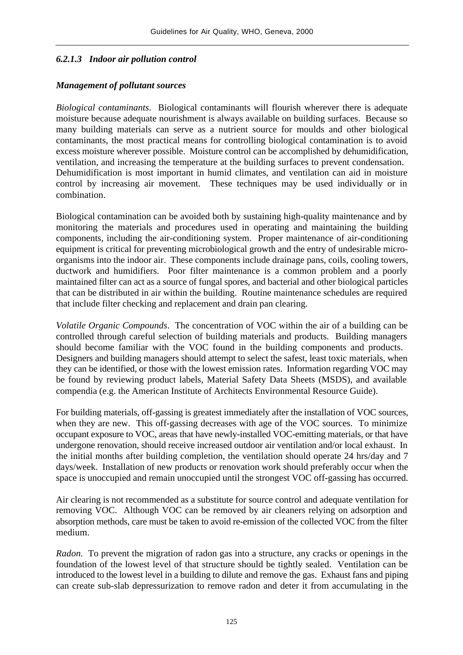#### *6.2.1.3 Indoor air pollution control*

#### *Management of pollutant sources*

*Biological contaminants*. Biological contaminants will flourish wherever there is adequate moisture because adequate nourishment is always available on building surfaces. Because so many building materials can serve as a nutrient source for moulds and other biological contaminants, the most practical means for controlling biological contamination is to avoid excess moisture wherever possible. Moisture control can be accomplished by dehumidification, ventilation, and increasing the temperature at the building surfaces to prevent condensation. Dehumidification is most important in humid climates, and ventilation can aid in moisture control by increasing air movement. These techniques may be used individually or in combination.

Biological contamination can be avoided both by sustaining high-quality maintenance and by monitoring the materials and procedures used in operating and maintaining the building components, including the air-conditioning system. Proper maintenance of air-conditioning equipment is critical for preventing microbiological growth and the entry of undesirable microorganisms into the indoor air. These components include drainage pans, coils, cooling towers, ductwork and humidifiers. Poor filter maintenance is a common problem and a poorly maintained filter can act as a source of fungal spores, and bacterial and other biological particles that can be distributed in air within the building. Routine maintenance schedules are required that include filter checking and replacement and drain pan clearing.

*Volatile Organic Compounds*. The concentration of VOC within the air of a building can be controlled through careful selection of building materials and products. Building managers should become familiar with the VOC found in the building components and products. Designers and building managers should attempt to select the safest, least toxic materials, when they can be identified, or those with the lowest emission rates. Information regarding VOC may be found by reviewing product labels, Material Safety Data Sheets (MSDS), and available compendia (e.g. the American Institute of Architects Environmental Resource Guide).

For building materials, off-gassing is greatest immediately after the installation of VOC sources, when they are new. This off-gassing decreases with age of the VOC sources. To minimize occupant exposure to VOC, areas that have newly-installed VOC-emitting materials, or that have undergone renovation, should receive increased outdoor air ventilation and/or local exhaust. In the initial months after building completion, the ventilation should operate 24 hrs/day and 7 days/week. Installation of new products or renovation work should preferably occur when the space is unoccupied and remain unoccupied until the strongest VOC off-gassing has occurred.

Air clearing is not recommended as a substitute for source control and adequate ventilation for removing VOC. Although VOC can be removed by air cleaners relying on adsorption and absorption methods, care must be taken to avoid re-emission of the collected VOC from the filter medium.

*Radon.* To prevent the migration of radon gas into a structure, any cracks or openings in the foundation of the lowest level of that structure should be tightly sealed. Ventilation can be introduced to the lowest level in a building to dilute and remove the gas. Exhaust fans and piping can create sub-slab depressurization to remove radon and deter it from accumulating in the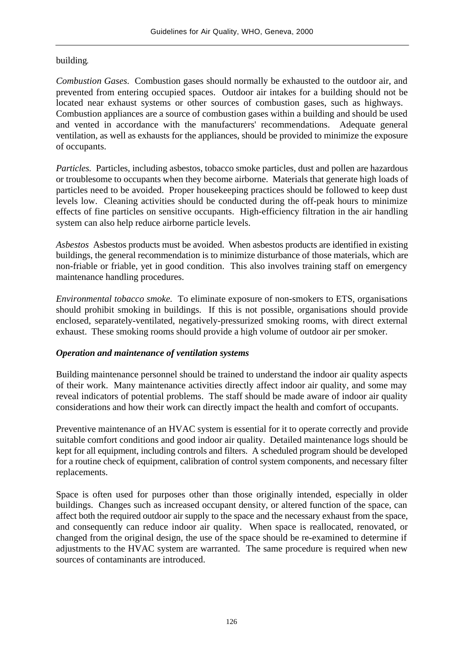building.

*Combustion Gases.* Combustion gases should normally be exhausted to the outdoor air, and prevented from entering occupied spaces. Outdoor air intakes for a building should not be located near exhaust systems or other sources of combustion gases, such as highways. Combustion appliances are a source of combustion gases within a building and should be used and vented in accordance with the manufacturers' recommendations. Adequate general ventilation, as well as exhausts for the appliances, should be provided to minimize the exposure of occupants.

*Particles.* Particles, including asbestos, tobacco smoke particles, dust and pollen are hazardous or troublesome to occupants when they become airborne. Materials that generate high loads of particles need to be avoided. Proper housekeeping practices should be followed to keep dust levels low. Cleaning activities should be conducted during the off-peak hours to minimize effects of fine particles on sensitive occupants. High-efficiency filtration in the air handling system can also help reduce airborne particle levels.

*Asbestos* Asbestos products must be avoided. When asbestos products are identified in existing buildings, the general recommendation is to minimize disturbance of those materials, which are non-friable or friable, yet in good condition. This also involves training staff on emergency maintenance handling procedures.

*Environmental tobacco smoke.* To eliminate exposure of non-smokers to ETS, organisations should prohibit smoking in buildings. If this is not possible, organisations should provide enclosed, separately-ventilated, negatively-pressurized smoking rooms, with direct external exhaust. These smoking rooms should provide a high volume of outdoor air per smoker.

#### *Operation and maintenance of ventilation systems*

Building maintenance personnel should be trained to understand the indoor air quality aspects of their work. Many maintenance activities directly affect indoor air quality, and some may reveal indicators of potential problems. The staff should be made aware of indoor air quality considerations and how their work can directly impact the health and comfort of occupants.

Preventive maintenance of an HVAC system is essential for it to operate correctly and provide suitable comfort conditions and good indoor air quality. Detailed maintenance logs should be kept for all equipment, including controls and filters. A scheduled program should be developed for a routine check of equipment, calibration of control system components, and necessary filter replacements.

Space is often used for purposes other than those originally intended, especially in older buildings. Changes such as increased occupant density, or altered function of the space, can affect both the required outdoor air supply to the space and the necessary exhaust from the space, and consequently can reduce indoor air quality. When space is reallocated, renovated, or changed from the original design, the use of the space should be re-examined to determine if adjustments to the HVAC system are warranted. The same procedure is required when new sources of contaminants are introduced.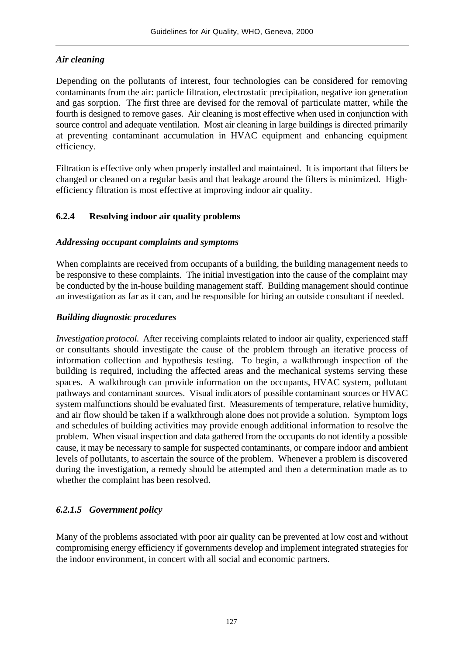### *Air cleaning*

Depending on the pollutants of interest, four technologies can be considered for removing contaminants from the air: particle filtration, electrostatic precipitation, negative ion generation and gas sorption. The first three are devised for the removal of particulate matter, while the fourth is designed to remove gases. Air cleaning is most effective when used in conjunction with source control and adequate ventilation. Most air cleaning in large buildings is directed primarily at preventing contaminant accumulation in HVAC equipment and enhancing equipment efficiency.

Filtration is effective only when properly installed and maintained. It is important that filters be changed or cleaned on a regular basis and that leakage around the filters is minimized. Highefficiency filtration is most effective at improving indoor air quality.

### **6.2.4 Resolving indoor air quality problems**

#### *Addressing occupant complaints and symptoms*

When complaints are received from occupants of a building, the building management needs to be responsive to these complaints. The initial investigation into the cause of the complaint may be conducted by the in-house building management staff. Building management should continue an investigation as far as it can, and be responsible for hiring an outside consultant if needed.

#### *Building diagnostic procedures*

*Investigation protocol.* After receiving complaints related to indoor air quality, experienced staff or consultants should investigate the cause of the problem through an iterative process of information collection and hypothesis testing. To begin, a walkthrough inspection of the building is required, including the affected areas and the mechanical systems serving these spaces. A walkthrough can provide information on the occupants, HVAC system, pollutant pathways and contaminant sources. Visual indicators of possible contaminant sources or HVAC system malfunctions should be evaluated first. Measurements of temperature, relative humidity, and air flow should be taken if a walkthrough alone does not provide a solution. Symptom logs and schedules of building activities may provide enough additional information to resolve the problem. When visual inspection and data gathered from the occupants do not identify a possible cause, it may be necessary to sample for suspected contaminants, or compare indoor and ambient levels of pollutants, to ascertain the source of the problem. Whenever a problem is discovered during the investigation, a remedy should be attempted and then a determination made as to whether the complaint has been resolved.

#### *6.2.1.5 Government policy*

Many of the problems associated with poor air quality can be prevented at low cost and without compromising energy efficiency if governments develop and implement integrated strategies for the indoor environment, in concert with all social and economic partners.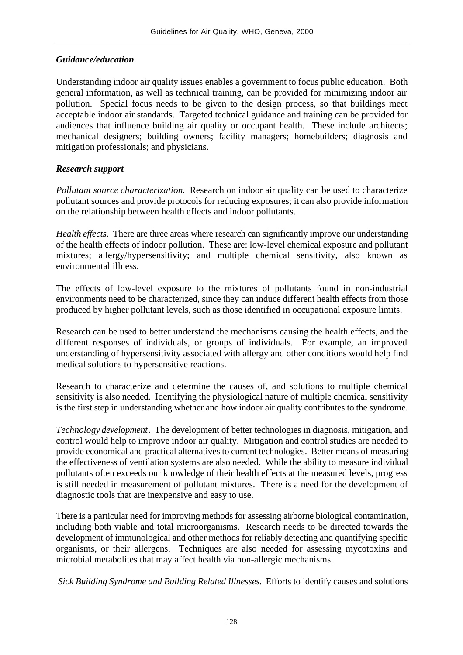#### *Guidance/education*

Understanding indoor air quality issues enables a government to focus public education. Both general information, as well as technical training, can be provided for minimizing indoor air pollution. Special focus needs to be given to the design process, so that buildings meet acceptable indoor air standards. Targeted technical guidance and training can be provided for audiences that influence building air quality or occupant health. These include architects; mechanical designers; building owners; facility managers; homebuilders; diagnosis and mitigation professionals; and physicians.

### *Research support*

*Pollutant source characterization.* Research on indoor air quality can be used to characterize pollutant sources and provide protocols for reducing exposures; it can also provide information on the relationship between health effects and indoor pollutants.

*Health effects*. There are three areas where research can significantly improve our understanding of the health effects of indoor pollution. These are: low-level chemical exposure and pollutant mixtures; allergy/hypersensitivity; and multiple chemical sensitivity, also known as environmental illness.

The effects of low-level exposure to the mixtures of pollutants found in non-industrial environments need to be characterized, since they can induce different health effects from those produced by higher pollutant levels, such as those identified in occupational exposure limits.

Research can be used to better understand the mechanisms causing the health effects, and the different responses of individuals, or groups of individuals. For example, an improved understanding of hypersensitivity associated with allergy and other conditions would help find medical solutions to hypersensitive reactions.

Research to characterize and determine the causes of, and solutions to multiple chemical sensitivity is also needed. Identifying the physiological nature of multiple chemical sensitivity is the first step in understanding whether and how indoor air quality contributes to the syndrome.

*Technology development*. The development of better technologies in diagnosis, mitigation, and control would help to improve indoor air quality. Mitigation and control studies are needed to provide economical and practical alternatives to current technologies. Better means of measuring the effectiveness of ventilation systems are also needed. While the ability to measure individual pollutants often exceeds our knowledge of their health effects at the measured levels, progress is still needed in measurement of pollutant mixtures. There is a need for the development of diagnostic tools that are inexpensive and easy to use.

There is a particular need for improving methods for assessing airborne biological contamination, including both viable and total microorganisms. Research needs to be directed towards the development of immunological and other methods for reliably detecting and quantifying specific organisms, or their allergens. Techniques are also needed for assessing mycotoxins and microbial metabolites that may affect health via non-allergic mechanisms.

 *Sick Building Syndrome and Building Related Illnesses.* Efforts to identify causes and solutions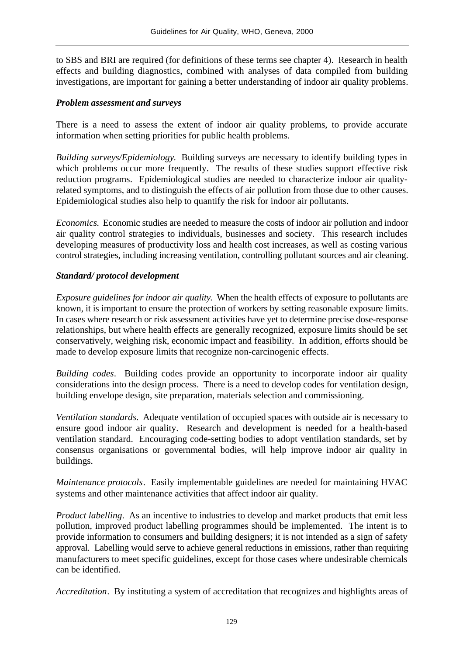to SBS and BRI are required (for definitions of these terms see chapter 4). Research in health effects and building diagnostics, combined with analyses of data compiled from building investigations, are important for gaining a better understanding of indoor air quality problems.

#### *Problem assessment and surveys*

There is a need to assess the extent of indoor air quality problems, to provide accurate information when setting priorities for public health problems.

*Building surveys/Epidemiology*. Building surveys are necessary to identify building types in which problems occur more frequently. The results of these studies support effective risk reduction programs. Epidemiological studies are needed to characterize indoor air qualityrelated symptoms, and to distinguish the effects of air pollution from those due to other causes. Epidemiological studies also help to quantify the risk for indoor air pollutants.

*Economics.* Economic studies are needed to measure the costs of indoor air pollution and indoor air quality control strategies to individuals, businesses and society. This research includes developing measures of productivity loss and health cost increases, as well as costing various control strategies, including increasing ventilation, controlling pollutant sources and air cleaning.

#### *Standard/ protocol development*

*Exposure guidelines for indoor air quality*. When the health effects of exposure to pollutants are known, it is important to ensure the protection of workers by setting reasonable exposure limits. In cases where research or risk assessment activities have yet to determine precise dose-response relationships, but where health effects are generally recognized, exposure limits should be set conservatively, weighing risk, economic impact and feasibility. In addition, efforts should be made to develop exposure limits that recognize non-carcinogenic effects.

*Building codes*. Building codes provide an opportunity to incorporate indoor air quality considerations into the design process. There is a need to develop codes for ventilation design, building envelope design, site preparation, materials selection and commissioning.

*Ventilation standards*. Adequate ventilation of occupied spaces with outside air is necessary to ensure good indoor air quality. Research and development is needed for a health-based ventilation standard. Encouraging code-setting bodies to adopt ventilation standards, set by consensus organisations or governmental bodies, will help improve indoor air quality in buildings.

*Maintenance protocols*. Easily implementable guidelines are needed for maintaining HVAC systems and other maintenance activities that affect indoor air quality.

*Product labelling*. As an incentive to industries to develop and market products that emit less pollution, improved product labelling programmes should be implemented. The intent is to provide information to consumers and building designers; it is not intended as a sign of safety approval. Labelling would serve to achieve general reductions in emissions, rather than requiring manufacturers to meet specific guidelines, except for those cases where undesirable chemicals can be identified.

*Accreditation*. By instituting a system of accreditation that recognizes and highlights areas of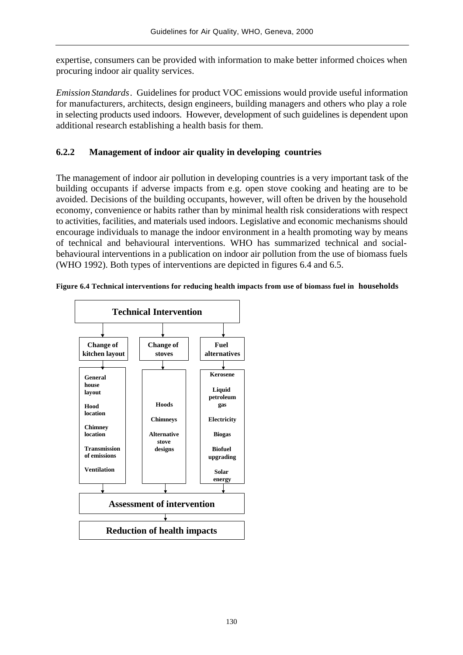expertise, consumers can be provided with information to make better informed choices when procuring indoor air quality services.

*Emission Standards*. Guidelines for product VOC emissions would provide useful information for manufacturers, architects, design engineers, building managers and others who play a role in selecting products used indoors. However, development of such guidelines is dependent upon additional research establishing a health basis for them.

### **6.2.2 Management of indoor air quality in developing countries**

The management of indoor air pollution in developing countries is a very important task of the building occupants if adverse impacts from e.g. open stove cooking and heating are to be avoided. Decisions of the building occupants, however, will often be driven by the household economy, convenience or habits rather than by minimal health risk considerations with respect to activities, facilities, and materials used indoors. Legislative and economic mechanisms should encourage individuals to manage the indoor environment in a health promoting way by means of technical and behavioural interventions. WHO has summarized technical and socialbehavioural interventions in a publication on indoor air pollution from the use of biomass fuels (WHO 1992). Both types of interventions are depicted in figures 6.4 and 6.5.



**Figure 6.4 Technical interventions for reducing health impacts from use of biomass fuel in households**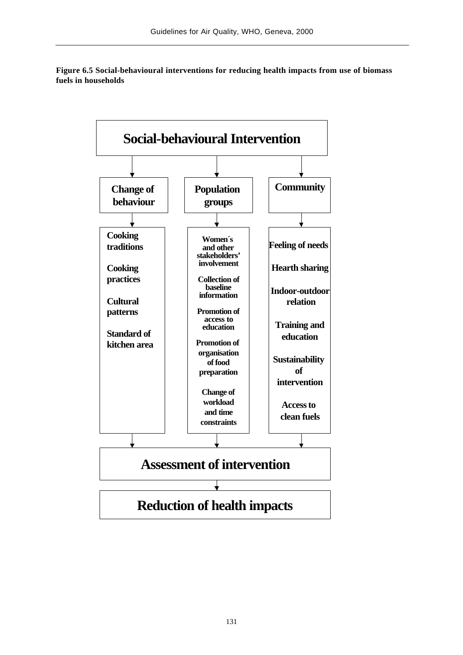**Figure 6.5 Social-behavioural interventions for reducing health impacts from use of biomass fuels in households**

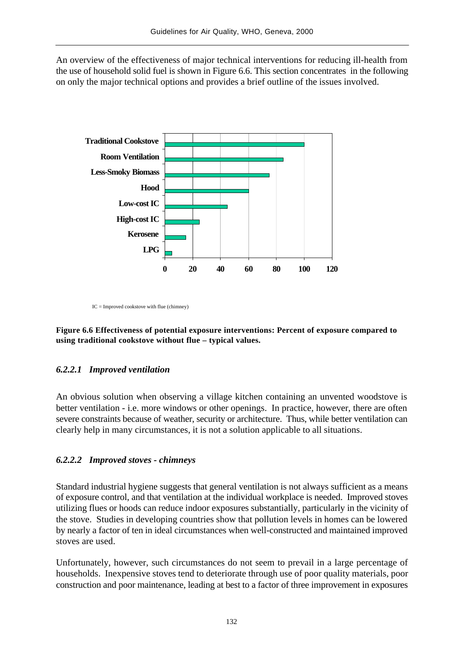An overview of the effectiveness of major technical interventions for reducing ill-health from the use of household solid fuel is shown in Figure 6.6. This section concentrates in the following on only the major technical options and provides a brief outline of the issues involved.



IC = Improved cookstove with flue (chimney)



#### *6.2.2.1 Improved ventilation*

An obvious solution when observing a village kitchen containing an unvented woodstove is better ventilation - i.e. more windows or other openings. In practice, however, there are often severe constraints because of weather, security or architecture. Thus, while better ventilation can clearly help in many circumstances, it is not a solution applicable to all situations.

#### *6.2.2.2 Improved stoves - chimneys*

Standard industrial hygiene suggests that general ventilation is not always sufficient as a means of exposure control, and that ventilation at the individual workplace is needed. Improved stoves utilizing flues or hoods can reduce indoor exposures substantially, particularly in the vicinity of the stove. Studies in developing countries show that pollution levels in homes can be lowered by nearly a factor of ten in ideal circumstances when well-constructed and maintained improved stoves are used.

Unfortunately, however, such circumstances do not seem to prevail in a large percentage of households. Inexpensive stoves tend to deteriorate through use of poor quality materials, poor construction and poor maintenance, leading at best to a factor of three improvement in exposures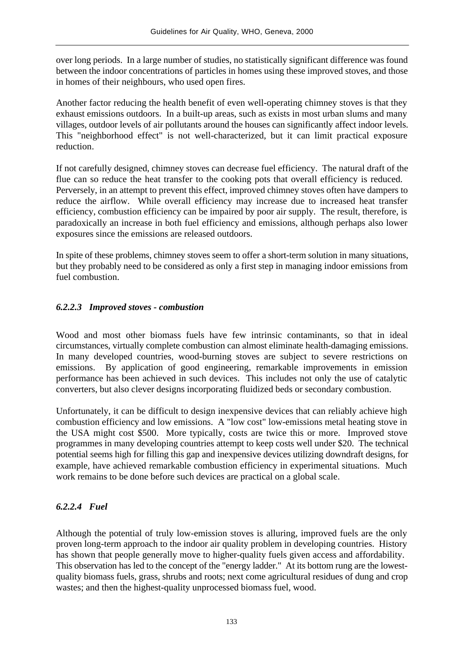over long periods. In a large number of studies, no statistically significant difference was found between the indoor concentrations of particles in homes using these improved stoves, and those in homes of their neighbours, who used open fires.

Another factor reducing the health benefit of even well-operating chimney stoves is that they exhaust emissions outdoors. In a built-up areas, such as exists in most urban slums and many villages, outdoor levels of air pollutants around the houses can significantly affect indoor levels. This "neighborhood effect" is not well-characterized, but it can limit practical exposure reduction.

If not carefully designed, chimney stoves can decrease fuel efficiency. The natural draft of the flue can so reduce the heat transfer to the cooking pots that overall efficiency is reduced. Perversely, in an attempt to prevent this effect, improved chimney stoves often have dampers to reduce the airflow. While overall efficiency may increase due to increased heat transfer efficiency, combustion efficiency can be impaired by poor air supply. The result, therefore, is paradoxically an increase in both fuel efficiency and emissions, although perhaps also lower exposures since the emissions are released outdoors.

In spite of these problems, chimney stoves seem to offer a short-term solution in many situations, but they probably need to be considered as only a first step in managing indoor emissions from fuel combustion.

### *6.2.2.3 Improved stoves - combustion*

Wood and most other biomass fuels have few intrinsic contaminants, so that in ideal circumstances, virtually complete combustion can almost eliminate health-damaging emissions. In many developed countries, wood-burning stoves are subject to severe restrictions on emissions. By application of good engineering, remarkable improvements in emission performance has been achieved in such devices. This includes not only the use of catalytic converters, but also clever designs incorporating fluidized beds or secondary combustion.

Unfortunately, it can be difficult to design inexpensive devices that can reliably achieve high combustion efficiency and low emissions. A "low cost" low-emissions metal heating stove in the USA might cost \$500. More typically, costs are twice this or more. Improved stove programmes in many developing countries attempt to keep costs well under \$20. The technical potential seems high for filling this gap and inexpensive devices utilizing downdraft designs, for example, have achieved remarkable combustion efficiency in experimental situations. Much work remains to be done before such devices are practical on a global scale.

### *6.2.2.4 Fuel*

Although the potential of truly low-emission stoves is alluring, improved fuels are the only proven long-term approach to the indoor air quality problem in developing countries. History has shown that people generally move to higher-quality fuels given access and affordability. This observation has led to the concept of the "energy ladder." At its bottom rung are the lowestquality biomass fuels, grass, shrubs and roots; next come agricultural residues of dung and crop wastes; and then the highest-quality unprocessed biomass fuel, wood.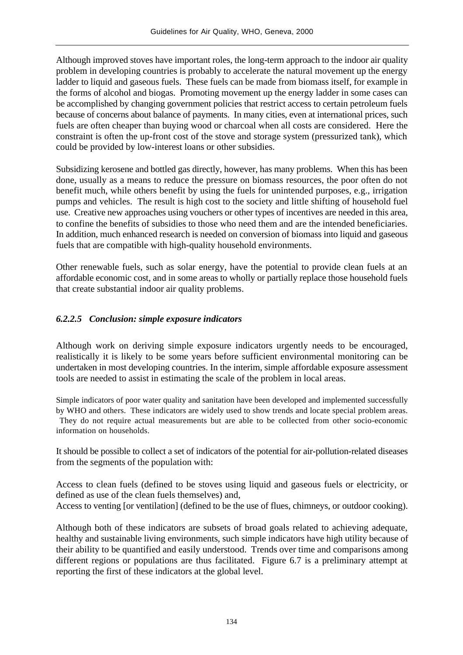Although improved stoves have important roles, the long-term approach to the indoor air quality problem in developing countries is probably to accelerate the natural movement up the energy ladder to liquid and gaseous fuels. These fuels can be made from biomass itself, for example in the forms of alcohol and biogas. Promoting movement up the energy ladder in some cases can be accomplished by changing government policies that restrict access to certain petroleum fuels because of concerns about balance of payments. In many cities, even at international prices, such fuels are often cheaper than buying wood or charcoal when all costs are considered. Here the constraint is often the up-front cost of the stove and storage system (pressurized tank), which could be provided by low-interest loans or other subsidies.

Subsidizing kerosene and bottled gas directly, however, has many problems. When this has been done, usually as a means to reduce the pressure on biomass resources, the poor often do not benefit much, while others benefit by using the fuels for unintended purposes, e.g., irrigation pumps and vehicles. The result is high cost to the society and little shifting of household fuel use. Creative new approaches using vouchers or other types of incentives are needed in this area, to confine the benefits of subsidies to those who need them and are the intended beneficiaries. In addition, much enhanced research is needed on conversion of biomass into liquid and gaseous fuels that are compatible with high-quality household environments.

Other renewable fuels, such as solar energy, have the potential to provide clean fuels at an affordable economic cost, and in some areas to wholly or partially replace those household fuels that create substantial indoor air quality problems.

### *6.2.2.5 Conclusion: simple exposure indicators*

Although work on deriving simple exposure indicators urgently needs to be encouraged, realistically it is likely to be some years before sufficient environmental monitoring can be undertaken in most developing countries. In the interim, simple affordable exposure assessment tools are needed to assist in estimating the scale of the problem in local areas.

Simple indicators of poor water quality and sanitation have been developed and implemented successfully by WHO and others. These indicators are widely used to show trends and locate special problem areas. They do not require actual measurements but are able to be collected from other socio-economic information on households.

It should be possible to collect a set of indicators of the potential for air-pollution-related diseases from the segments of the population with:

Access to clean fuels (defined to be stoves using liquid and gaseous fuels or electricity, or defined as use of the clean fuels themselves) and, Access to venting [or ventilation] (defined to be the use of flues, chimneys, or outdoor cooking).

Although both of these indicators are subsets of broad goals related to achieving adequate, healthy and sustainable living environments, such simple indicators have high utility because of their ability to be quantified and easily understood. Trends over time and comparisons among different regions or populations are thus facilitated. Figure 6.7 is a preliminary attempt at reporting the first of these indicators at the global level.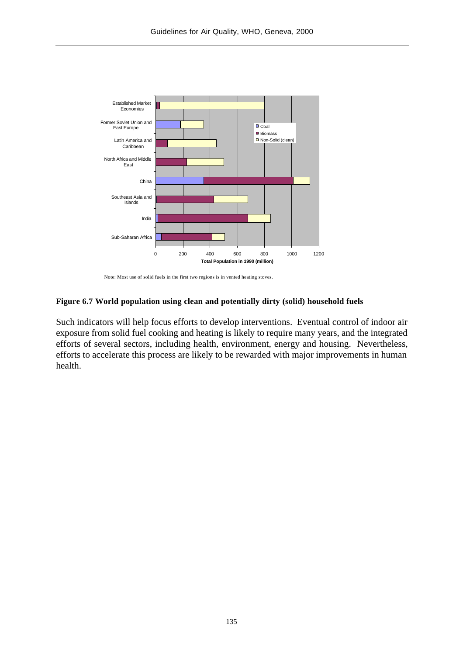

Note: Most use of solid fuels in the first two regions is in vented heating stoves.

#### **Figure 6.7 World population using clean and potentially dirty (solid) household fuels**

Such indicators will help focus efforts to develop interventions. Eventual control of indoor air exposure from solid fuel cooking and heating is likely to require many years, and the integrated efforts of several sectors, including health, environment, energy and housing. Nevertheless, efforts to accelerate this process are likely to be rewarded with major improvements in human health.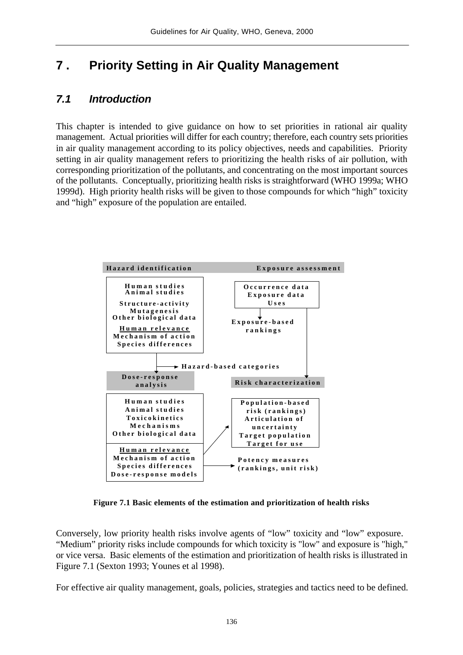# **7 . Priority Setting in Air Quality Management**

### *7.1 Introduction*

This chapter is intended to give guidance on how to set priorities in rational air quality management. Actual priorities will differ for each country; therefore, each country sets priorities in air quality management according to its policy objectives, needs and capabilities. Priority setting in air quality management refers to prioritizing the health risks of air pollution, with corresponding prioritization of the pollutants, and concentrating on the most important sources of the pollutants. Conceptually, prioritizing health risks is straightforward (WHO 1999a; WHO 1999d). High priority health risks will be given to those compounds for which "high" toxicity and "high" exposure of the population are entailed.



**Figure 7.1 Basic elements of the estimation and prioritization of health risks**

Conversely, low priority health risks involve agents of "low" toxicity and "low" exposure. "Medium" priority risks include compounds for which toxicity is "low" and exposure is "high," or vice versa. Basic elements of the estimation and prioritization of health risks is illustrated in Figure 7.1 (Sexton 1993; Younes et al 1998).

For effective air quality management, goals, policies, strategies and tactics need to be defined.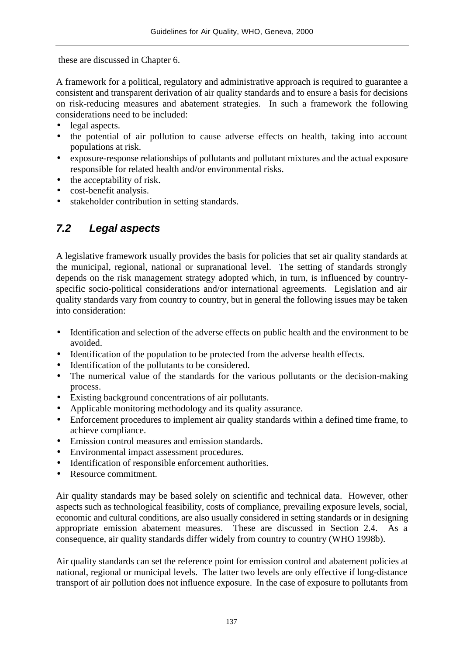these are discussed in Chapter 6.

A framework for a political, regulatory and administrative approach is required to guarantee a consistent and transparent derivation of air quality standards and to ensure a basis for decisions on risk-reducing measures and abatement strategies. In such a framework the following considerations need to be included:

- legal aspects.
- the potential of air pollution to cause adverse effects on health, taking into account populations at risk.
- exposure-response relationships of pollutants and pollutant mixtures and the actual exposure responsible for related health and/or environmental risks.
- the acceptability of risk.
- cost-benefit analysis.
- stakeholder contribution in setting standards.

### *7.2 Legal aspects*

A legislative framework usually provides the basis for policies that set air quality standards at the municipal, regional, national or supranational level. The setting of standards strongly depends on the risk management strategy adopted which, in turn, is influenced by countryspecific socio-political considerations and/or international agreements. Legislation and air quality standards vary from country to country, but in general the following issues may be taken into consideration:

- Identification and selection of the adverse effects on public health and the environment to be avoided.
- Identification of the population to be protected from the adverse health effects.
- Identification of the pollutants to be considered.
- The numerical value of the standards for the various pollutants or the decision-making process.
- Existing background concentrations of air pollutants.
- Applicable monitoring methodology and its quality assurance.
- Enforcement procedures to implement air quality standards within a defined time frame, to achieve compliance.
- Emission control measures and emission standards.
- Environmental impact assessment procedures.
- Identification of responsible enforcement authorities.
- Resource commitment.

Air quality standards may be based solely on scientific and technical data. However, other aspects such as technological feasibility, costs of compliance, prevailing exposure levels, social, economic and cultural conditions, are also usually considered in setting standards or in designing appropriate emission abatement measures. These are discussed in Section 2.4. As a consequence, air quality standards differ widely from country to country (WHO 1998b).

Air quality standards can set the reference point for emission control and abatement policies at national, regional or municipal levels. The latter two levels are only effective if long-distance transport of air pollution does not influence exposure. In the case of exposure to pollutants from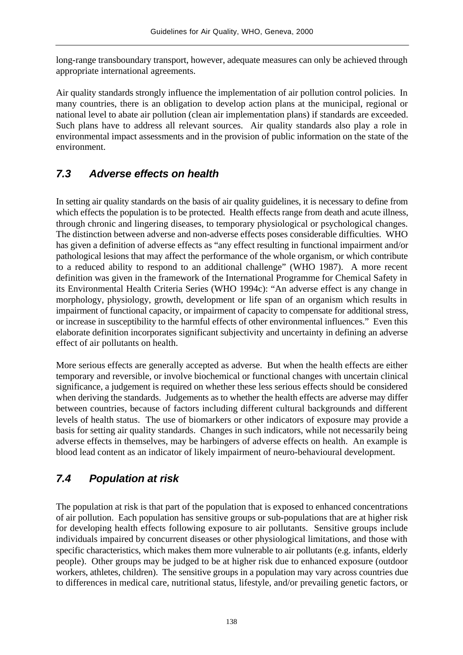long-range transboundary transport, however, adequate measures can only be achieved through appropriate international agreements.

Air quality standards strongly influence the implementation of air pollution control policies. In many countries, there is an obligation to develop action plans at the municipal, regional or national level to abate air pollution (clean air implementation plans) if standards are exceeded. Such plans have to address all relevant sources. Air quality standards also play a role in environmental impact assessments and in the provision of public information on the state of the environment.

# *7.3 Adverse effects on health*

In setting air quality standards on the basis of air quality guidelines, it is necessary to define from which effects the population is to be protected. Health effects range from death and acute illness, through chronic and lingering diseases, to temporary physiological or psychological changes. The distinction between adverse and non-adverse effects poses considerable difficulties. WHO has given a definition of adverse effects as "any effect resulting in functional impairment and/or pathological lesions that may affect the performance of the whole organism, or which contribute to a reduced ability to respond to an additional challenge" (WHO 1987). A more recent definition was given in the framework of the International Programme for Chemical Safety in its Environmental Health Criteria Series (WHO 1994c): "An adverse effect is any change in morphology, physiology, growth, development or life span of an organism which results in impairment of functional capacity, or impairment of capacity to compensate for additional stress, or increase in susceptibility to the harmful effects of other environmental influences." Even this elaborate definition incorporates significant subjectivity and uncertainty in defining an adverse effect of air pollutants on health.

More serious effects are generally accepted as adverse. But when the health effects are either temporary and reversible, or involve biochemical or functional changes with uncertain clinical significance, a judgement is required on whether these less serious effects should be considered when deriving the standards. Judgements as to whether the health effects are adverse may differ between countries, because of factors including different cultural backgrounds and different levels of health status. The use of biomarkers or other indicators of exposure may provide a basis for setting air quality standards. Changes in such indicators, while not necessarily being adverse effects in themselves, may be harbingers of adverse effects on health. An example is blood lead content as an indicator of likely impairment of neuro-behavioural development.

# *7.4 Population at risk*

The population at risk is that part of the population that is exposed to enhanced concentrations of air pollution. Each population has sensitive groups or sub-populations that are at higher risk for developing health effects following exposure to air pollutants. Sensitive groups include individuals impaired by concurrent diseases or other physiological limitations, and those with specific characteristics, which makes them more vulnerable to air pollutants (e.g. infants, elderly people). Other groups may be judged to be at higher risk due to enhanced exposure (outdoor workers, athletes, children). The sensitive groups in a population may vary across countries due to differences in medical care, nutritional status, lifestyle, and/or prevailing genetic factors, or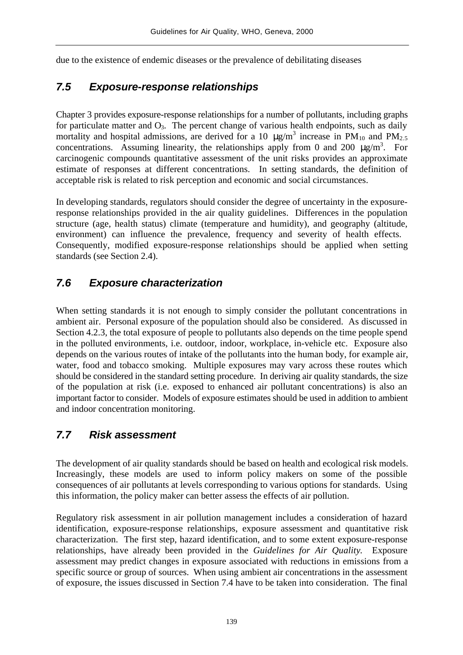due to the existence of endemic diseases or the prevalence of debilitating diseases

### *7.5 Exposure-response relationships*

Chapter 3 provides exposure-response relationships for a number of pollutants, including graphs for particulate matter and  $O_3$ . The percent change of various health endpoints, such as daily mortality and hospital admissions, are derived for a 10  $\mu$ g/m<sup>3</sup> increase in PM<sub>10</sub> and PM<sub>2.5</sub> concentrations. Assuming linearity, the relationships apply from 0 and 200  $\mu$ g/m<sup>3</sup>. For carcinogenic compounds quantitative assessment of the unit risks provides an approximate estimate of responses at different concentrations. In setting standards, the definition of acceptable risk is related to risk perception and economic and social circumstances.

In developing standards, regulators should consider the degree of uncertainty in the exposureresponse relationships provided in the air quality guidelines. Differences in the population structure (age, health status) climate (temperature and humidity), and geography (altitude, environment) can influence the prevalence, frequency and severity of health effects. Consequently, modified exposure-response relationships should be applied when setting standards (see Section 2.4).

### *7.6 Exposure characterization*

When setting standards it is not enough to simply consider the pollutant concentrations in ambient air. Personal exposure of the population should also be considered. As discussed in Section 4.2.3, the total exposure of people to pollutants also depends on the time people spend in the polluted environments, i.e. outdoor, indoor, workplace, in-vehicle etc. Exposure also depends on the various routes of intake of the pollutants into the human body, for example air, water, food and tobacco smoking. Multiple exposures may vary across these routes which should be considered in the standard setting procedure. In deriving air quality standards, the size of the population at risk (i.e. exposed to enhanced air pollutant concentrations) is also an important factor to consider. Models of exposure estimates should be used in addition to ambient and indoor concentration monitoring.

### *7.7 Risk assessment*

The development of air quality standards should be based on health and ecological risk models. Increasingly, these models are used to inform policy makers on some of the possible consequences of air pollutants at levels corresponding to various options for standards. Using this information, the policy maker can better assess the effects of air pollution.

Regulatory risk assessment in air pollution management includes a consideration of hazard identification, exposure-response relationships, exposure assessment and quantitative risk characterization. The first step, hazard identification, and to some extent exposure-response relationships, have already been provided in the *Guidelines for Air Quality*. Exposure assessment may predict changes in exposure associated with reductions in emissions from a specific source or group of sources. When using ambient air concentrations in the assessment of exposure, the issues discussed in Section 7.4 have to be taken into consideration. The final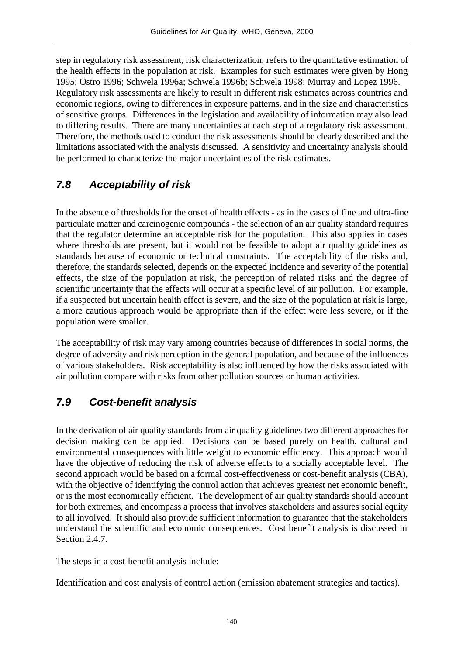step in regulatory risk assessment, risk characterization, refers to the quantitative estimation of the health effects in the population at risk. Examples for such estimates were given by Hong 1995; Ostro 1996; Schwela 1996a; Schwela 1996b; Schwela 1998; Murray and Lopez 1996. Regulatory risk assessments are likely to result in different risk estimates across countries and economic regions, owing to differences in exposure patterns, and in the size and characteristics of sensitive groups. Differences in the legislation and availability of information may also lead to differing results. There are many uncertainties at each step of a regulatory risk assessment. Therefore, the methods used to conduct the risk assessments should be clearly described and the limitations associated with the analysis discussed. A sensitivity and uncertainty analysis should be performed to characterize the major uncertainties of the risk estimates.

# *7.8 Acceptability of risk*

In the absence of thresholds for the onset of health effects - as in the cases of fine and ultra-fine particulate matter and carcinogenic compounds - the selection of an air quality standard requires that the regulator determine an acceptable risk for the population. This also applies in cases where thresholds are present, but it would not be feasible to adopt air quality guidelines as standards because of economic or technical constraints. The acceptability of the risks and, therefore, the standards selected, depends on the expected incidence and severity of the potential effects, the size of the population at risk, the perception of related risks and the degree of scientific uncertainty that the effects will occur at a specific level of air pollution. For example, if a suspected but uncertain health effect is severe, and the size of the population at risk is large, a more cautious approach would be appropriate than if the effect were less severe, or if the population were smaller.

The acceptability of risk may vary among countries because of differences in social norms, the degree of adversity and risk perception in the general population, and because of the influences of various stakeholders. Risk acceptability is also influenced by how the risks associated with air pollution compare with risks from other pollution sources or human activities.

# *7.9 Cost-benefit analysis*

In the derivation of air quality standards from air quality guidelines two different approaches for decision making can be applied. Decisions can be based purely on health, cultural and environmental consequences with little weight to economic efficiency. This approach would have the objective of reducing the risk of adverse effects to a socially acceptable level. The second approach would be based on a formal cost-effectiveness or cost-benefit analysis (CBA), with the objective of identifying the control action that achieves greatest net economic benefit, or is the most economically efficient. The development of air quality standards should account for both extremes, and encompass a process that involves stakeholders and assures social equity to all involved. It should also provide sufficient information to guarantee that the stakeholders understand the scientific and economic consequences. Cost benefit analysis is discussed in Section 2.4.7.

The steps in a cost-benefit analysis include:

Identification and cost analysis of control action (emission abatement strategies and tactics).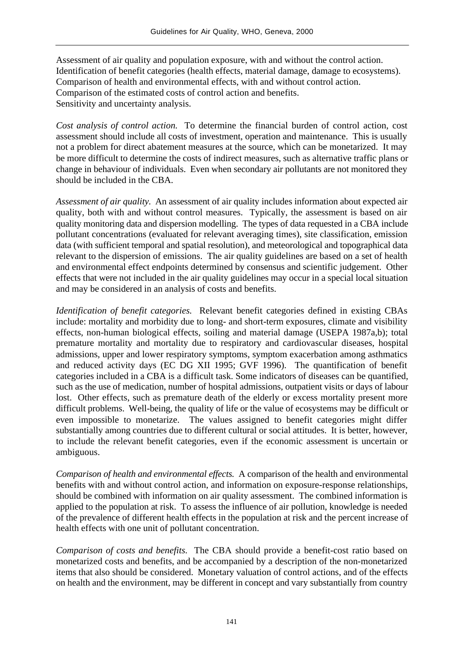Assessment of air quality and population exposure, with and without the control action. Identification of benefit categories (health effects, material damage, damage to ecosystems). Comparison of health and environmental effects, with and without control action. Comparison of the estimated costs of control action and benefits. Sensitivity and uncertainty analysis.

*Cost analysis of control action.* To determine the financial burden of control action, cost assessment should include all costs of investment, operation and maintenance. This is usually not a problem for direct abatement measures at the source, which can be monetarized. It may be more difficult to determine the costs of indirect measures, such as alternative traffic plans or change in behaviour of individuals. Even when secondary air pollutants are not monitored they should be included in the CBA.

*Assessment of air quality.* An assessment of air quality includes information about expected air quality, both with and without control measures. Typically, the assessment is based on air quality monitoring data and dispersion modelling. The types of data requested in a CBA include pollutant concentrations (evaluated for relevant averaging times), site classification, emission data (with sufficient temporal and spatial resolution), and meteorological and topographical data relevant to the dispersion of emissions. The air quality guidelines are based on a set of health and environmental effect endpoints determined by consensus and scientific judgement. Other effects that were not included in the air quality guidelines may occur in a special local situation and may be considered in an analysis of costs and benefits.

*Identification of benefit categories.* Relevant benefit categories defined in existing CBAs include: mortality and morbidity due to long- and short-term exposures, climate and visibility effects, non-human biological effects, soiling and material damage (USEPA 1987a,b); total premature mortality and mortality due to respiratory and cardiovascular diseases, hospital admissions, upper and lower respiratory symptoms, symptom exacerbation among asthmatics and reduced activity days (EC DG XII 1995; GVF 1996). The quantification of benefit categories included in a CBA is a difficult task. Some indicators of diseases can be quantified, such as the use of medication, number of hospital admissions, outpatient visits or days of labour lost. Other effects, such as premature death of the elderly or excess mortality present more difficult problems. Well-being, the quality of life or the value of ecosystems may be difficult or even impossible to monetarize. The values assigned to benefit categories might differ substantially among countries due to different cultural or social attitudes. It is better, however, to include the relevant benefit categories, even if the economic assessment is uncertain or ambiguous.

*Comparison of health and environmental effects.* A comparison of the health and environmental benefits with and without control action, and information on exposure-response relationships, should be combined with information on air quality assessment. The combined information is applied to the population at risk. To assess the influence of air pollution, knowledge is needed of the prevalence of different health effects in the population at risk and the percent increase of health effects with one unit of pollutant concentration.

*Comparison of costs and benefits.* The CBA should provide a benefit-cost ratio based on monetarized costs and benefits, and be accompanied by a description of the non-monetarized items that also should be considered. Monetary valuation of control actions, and of the effects on health and the environment, may be different in concept and vary substantially from country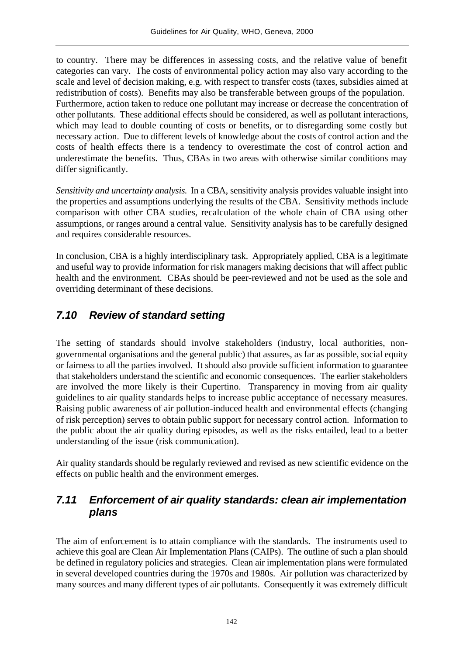to country. There may be differences in assessing costs, and the relative value of benefit categories can vary. The costs of environmental policy action may also vary according to the scale and level of decision making, e.g. with respect to transfer costs (taxes, subsidies aimed at redistribution of costs). Benefits may also be transferable between groups of the population. Furthermore, action taken to reduce one pollutant may increase or decrease the concentration of other pollutants. These additional effects should be considered, as well as pollutant interactions, which may lead to double counting of costs or benefits, or to disregarding some costly but necessary action. Due to different levels of knowledge about the costs of control action and the costs of health effects there is a tendency to overestimate the cost of control action and underestimate the benefits. Thus, CBAs in two areas with otherwise similar conditions may differ significantly.

*Sensitivity and uncertainty analysis.* In a CBA, sensitivity analysis provides valuable insight into the properties and assumptions underlying the results of the CBA. Sensitivity methods include comparison with other CBA studies, recalculation of the whole chain of CBA using other assumptions, or ranges around a central value. Sensitivity analysis has to be carefully designed and requires considerable resources.

In conclusion, CBA is a highly interdisciplinary task. Appropriately applied, CBA is a legitimate and useful way to provide information for risk managers making decisions that will affect public health and the environment. CBAs should be peer-reviewed and not be used as the sole and overriding determinant of these decisions.

# *7.10 Review of standard setting*

The setting of standards should involve stakeholders (industry, local authorities, nongovernmental organisations and the general public) that assures, as far as possible, social equity or fairness to all the parties involved. It should also provide sufficient information to guarantee that stakeholders understand the scientific and economic consequences. The earlier stakeholders are involved the more likely is their Cupertino. Transparency in moving from air quality guidelines to air quality standards helps to increase public acceptance of necessary measures. Raising public awareness of air pollution-induced health and environmental effects (changing of risk perception) serves to obtain public support for necessary control action. Information to the public about the air quality during episodes, as well as the risks entailed, lead to a better understanding of the issue (risk communication).

Air quality standards should be regularly reviewed and revised as new scientific evidence on the effects on public health and the environment emerges.

### *7.11 Enforcement of air quality standards: clean air implementation plans*

The aim of enforcement is to attain compliance with the standards. The instruments used to achieve this goal are Clean Air Implementation Plans (CAIPs). The outline of such a plan should be defined in regulatory policies and strategies. Clean air implementation plans were formulated in several developed countries during the 1970s and 1980s. Air pollution was characterized by many sources and many different types of air pollutants. Consequently it was extremely difficult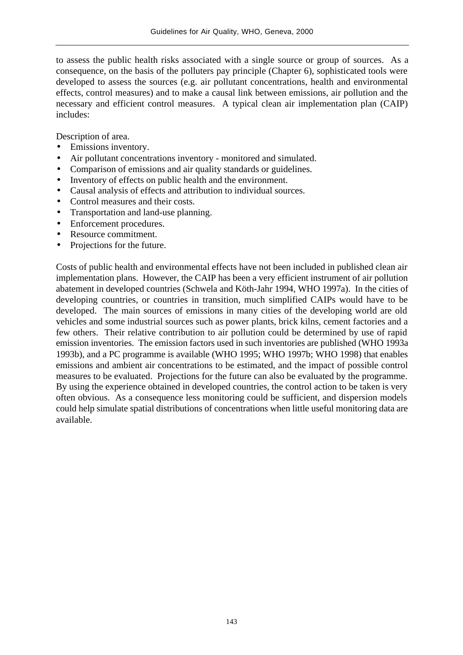to assess the public health risks associated with a single source or group of sources. As a consequence, on the basis of the polluters pay principle (Chapter 6), sophisticated tools were developed to assess the sources (e.g. air pollutant concentrations, health and environmental effects, control measures) and to make a causal link between emissions, air pollution and the necessary and efficient control measures. A typical clean air implementation plan (CAIP) includes:

Description of area.

- Emissions inventory.
- Air pollutant concentrations inventory monitored and simulated.
- Comparison of emissions and air quality standards or guidelines.
- Inventory of effects on public health and the environment.
- Causal analysis of effects and attribution to individual sources.
- Control measures and their costs.
- Transportation and land-use planning.
- Enforcement procedures.
- Resource commitment.
- Projections for the future.

Costs of public health and environmental effects have not been included in published clean air implementation plans. However, the CAIP has been a very efficient instrument of air pollution abatement in developed countries (Schwela and Köth-Jahr 1994, WHO 1997a). In the cities of developing countries, or countries in transition, much simplified CAIPs would have to be developed. The main sources of emissions in many cities of the developing world are old vehicles and some industrial sources such as power plants, brick kilns, cement factories and a few others. Their relative contribution to air pollution could be determined by use of rapid emission inventories. The emission factors used in such inventories are published (WHO 1993a 1993b), and a PC programme is available (WHO 1995; WHO 1997b; WHO 1998) that enables emissions and ambient air concentrations to be estimated, and the impact of possible control measures to be evaluated. Projections for the future can also be evaluated by the programme. By using the experience obtained in developed countries, the control action to be taken is very often obvious. As a consequence less monitoring could be sufficient, and dispersion models could help simulate spatial distributions of concentrations when little useful monitoring data are available.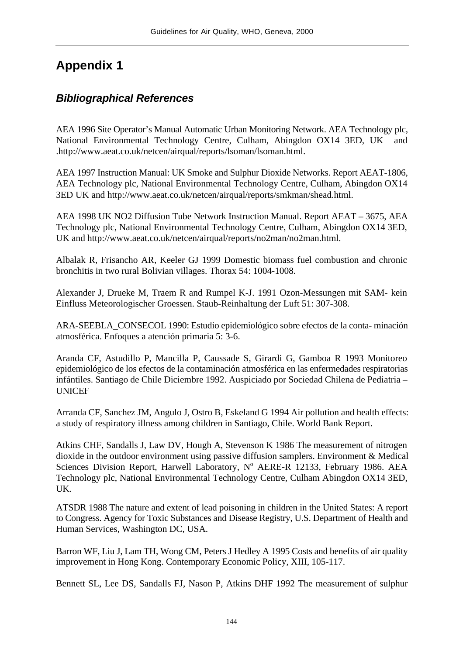# **Appendix 1**

### *Bibliographical References*

AEA 1996 Site Operator's Manual Automatic Urban Monitoring Network. AEA Technology plc, National Environmental Technology Centre, Culham, Abingdon OX14 3ED, UK and .http://www.aeat.co.uk/netcen/airqual/reports/lsoman/lsoman.html.

AEA 1997 Instruction Manual: UK Smoke and Sulphur Dioxide Networks. Report AEAT-1806, AEA Technology plc, National Environmental Technology Centre, Culham, Abingdon OX14 3ED UK and http://www.aeat.co.uk/netcen/airqual/reports/smkman/shead.html.

AEA 1998 UK NO2 Diffusion Tube Network Instruction Manual. Report AEAT – 3675, AEA Technology plc, National Environmental Technology Centre, Culham, Abingdon OX14 3ED, UK and http://www.aeat.co.uk/netcen/airqual/reports/no2man/no2man.html.

Albalak R, Frisancho AR, Keeler GJ 1999 Domestic biomass fuel combustion and chronic bronchitis in two rural Bolivian villages. Thorax 54: 1004-1008.

Alexander J, Drueke M, Traem R and Rumpel K-J. 1991 Ozon-Messungen mit SAM- kein Einfluss Meteorologischer Groessen. Staub-Reinhaltung der Luft 51: 307-308.

ARA-SEEBLA\_CONSECOL 1990: Estudio epidemiológico sobre efectos de la conta- minación atmosférica. Enfoques a atención primaria 5: 3-6.

Aranda CF, Astudillo P, Mancilla P, Caussade S, Girardi G, Gamboa R 1993 Monitoreo epidemiológico de los efectos de la contaminación atmosférica en las enfermedades respiratorias infántiles. Santiago de Chile Diciembre 1992. Auspiciado por Sociedad Chilena de Pediatria – UNICEF

Arranda CF, Sanchez JM, Angulo J, Ostro B, Eskeland G 1994 Air pollution and health effects: a study of respiratory illness among children in Santiago, Chile. World Bank Report.

Atkins CHF, Sandalls J, Law DV, Hough A, Stevenson K 1986 The measurement of nitrogen dioxide in the outdoor environment using passive diffusion samplers. Environment & Medical Sciences Division Report, Harwell Laboratory, Nº AERE-R 12133, February 1986. AEA Technology plc, National Environmental Technology Centre, Culham Abingdon OX14 3ED, UK.

ATSDR 1988 The nature and extent of lead poisoning in children in the United States: A report to Congress. Agency for Toxic Substances and Disease Registry, U.S. Department of Health and Human Services, Washington DC, USA.

Barron WF, Liu J, Lam TH, Wong CM, Peters J Hedley A 1995 Costs and benefits of air quality improvement in Hong Kong. Contemporary Economic Policy, XIII, 105-117.

Bennett SL, Lee DS, Sandalls FJ, Nason P, Atkins DHF 1992 The measurement of sulphur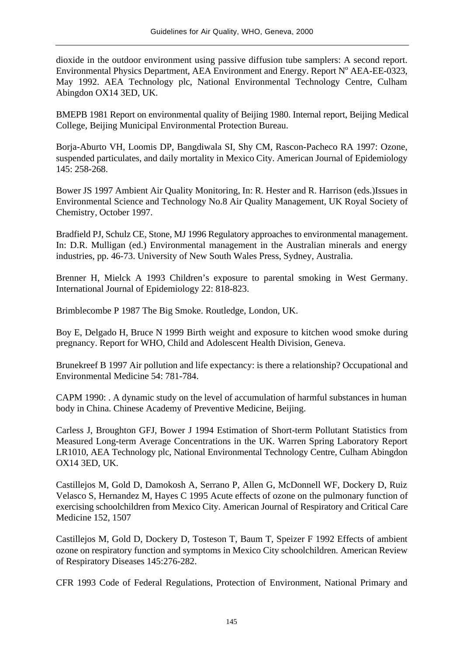dioxide in the outdoor environment using passive diffusion tube samplers: A second report. Environmental Physics Department, AEA Environment and Energy. Report N° AEA-EE-0323, May 1992. AEA Technology plc, National Environmental Technology Centre, Culham Abingdon OX14 3ED, UK.

BMEPB 1981 Report on environmental quality of Beijing 1980. Internal report, Beijing Medical College, Beijing Municipal Environmental Protection Bureau.

Borja-Aburto VH, Loomis DP, Bangdiwala SI, Shy CM, Rascon-Pacheco RA 1997: Ozone, suspended particulates, and daily mortality in Mexico City. American Journal of Epidemiology 145: 258-268.

Bower JS 1997 Ambient Air Quality Monitoring, In: R. Hester and R. Harrison (eds.)Issues in Environmental Science and Technology No.8 Air Quality Management, UK Royal Society of Chemistry, October 1997.

Bradfield PJ, Schulz CE, Stone, MJ 1996 Regulatory approaches to environmental management. In: D.R. Mulligan (ed.) Environmental management in the Australian minerals and energy industries, pp. 46-73. University of New South Wales Press, Sydney, Australia.

Brenner H, Mielck A 1993 Children's exposure to parental smoking in West Germany. International Journal of Epidemiology 22: 818-823.

Brimblecombe P 1987 The Big Smoke. Routledge, London, UK.

Boy E, Delgado H, Bruce N 1999 Birth weight and exposure to kitchen wood smoke during pregnancy. Report for WHO, Child and Adolescent Health Division, Geneva.

Brunekreef B 1997 Air pollution and life expectancy: is there a relationship? Occupational and Environmental Medicine 54: 781-784.

CAPM 1990: . A dynamic study on the level of accumulation of harmful substances in human body in China. Chinese Academy of Preventive Medicine, Beijing.

Carless J, Broughton GFJ, Bower J 1994 Estimation of Short-term Pollutant Statistics from Measured Long-term Average Concentrations in the UK. Warren Spring Laboratory Report LR1010, AEA Technology plc, National Environmental Technology Centre, Culham Abingdon OX14 3ED, UK.

Castillejos M, Gold D, Damokosh A, Serrano P, Allen G, McDonnell WF, Dockery D, Ruiz Velasco S, Hernandez M, Hayes C 1995 Acute effects of ozone on the pulmonary function of exercising schoolchildren from Mexico City. American Journal of Respiratory and Critical Care Medicine 152, 1507

Castillejos M, Gold D, Dockery D, Tosteson T, Baum T, Speizer F 1992 Effects of ambient ozone on respiratory function and symptoms in Mexico City schoolchildren. American Review of Respiratory Diseases 145:276-282.

CFR 1993 Code of Federal Regulations, Protection of Environment, National Primary and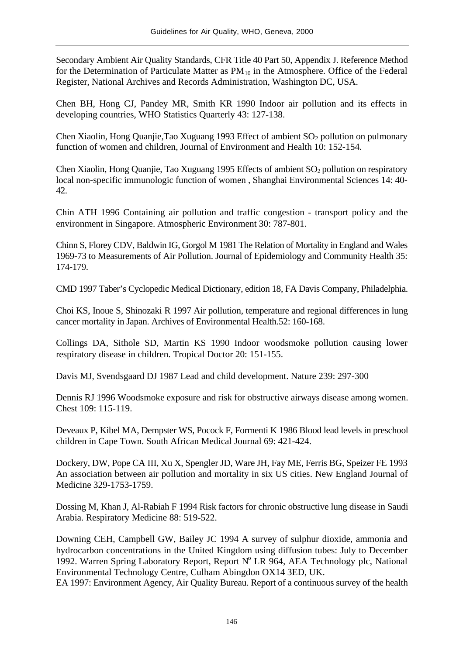Secondary Ambient Air Quality Standards, CFR Title 40 Part 50, Appendix J. Reference Method for the Determination of Particulate Matter as  $PM_{10}$  in the Atmosphere. Office of the Federal Register, National Archives and Records Administration, Washington DC, USA.

Chen BH, Hong CJ, Pandey MR, Smith KR 1990 Indoor air pollution and its effects in developing countries, WHO Statistics Quarterly 43: 127-138.

Chen Xiaolin, Hong Quanjie, Tao Xuguang 1993 Effect of ambient  $SO_2$  pollution on pulmonary function of women and children, Journal of Environment and Health 10: 152-154.

Chen Xiaolin, Hong Quanjie, Tao Xuguang 1995 Effects of ambient  $SO_2$  pollution on respiratory local non-specific immunologic function of women , Shanghai Environmental Sciences 14: 40- 42.

Chin ATH 1996 Containing air pollution and traffic congestion - transport policy and the environment in Singapore. Atmospheric Environment 30: 787-801.

Chinn S, Florey CDV, Baldwin IG, Gorgol M 1981 The Relation of Mortality in England and Wales 1969-73 to Measurements of Air Pollution. Journal of Epidemiology and Community Health 35: 174-179.

CMD 1997 Taber's Cyclopedic Medical Dictionary, edition 18, FA Davis Company, Philadelphia.

Choi KS, Inoue S, Shinozaki R 1997 Air pollution, temperature and regional differences in lung cancer mortality in Japan. Archives of Environmental Health.52: 160-168.

Collings DA, Sithole SD, Martin KS 1990 Indoor woodsmoke pollution causing lower respiratory disease in children. Tropical Doctor 20: 151-155.

Davis MJ, Svendsgaard DJ 1987 Lead and child development. Nature 239: 297-300

Dennis RJ 1996 Woodsmoke exposure and risk for obstructive airways disease among women. Chest 109: 115-119.

Deveaux P, Kibel MA, Dempster WS, Pocock F, Formenti K 1986 Blood lead levels in preschool children in Cape Town. South African Medical Journal 69: 421-424.

Dockery, DW, Pope CA III, Xu X, Spengler JD, Ware JH, Fay ME, Ferris BG, Speizer FE 1993 An association between air pollution and mortality in six US cities. New England Journal of Medicine 329-1753-1759.

Dossing M, Khan J, Al-Rabiah F 1994 Risk factors for chronic obstructive lung disease in Saudi Arabia. Respiratory Medicine 88: 519-522.

Downing CEH, Campbell GW, Bailey JC 1994 A survey of sulphur dioxide, ammonia and hydrocarbon concentrations in the United Kingdom using diffusion tubes: July to December 1992. Warren Spring Laboratory Report, Report Nº LR 964, AEA Technology plc, National Environmental Technology Centre, Culham Abingdon OX14 3ED, UK.

EA 1997: Environment Agency, Air Quality Bureau. Report of a continuous survey of the health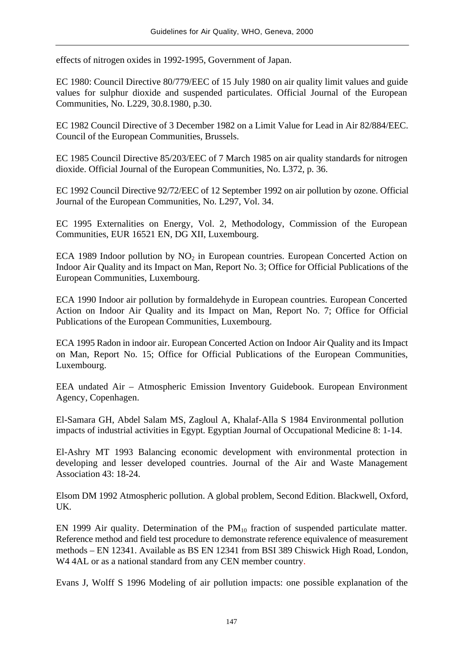effects of nitrogen oxides in 1992-1995, Government of Japan.

EC 1980: Council Directive 80/779/EEC of 15 July 1980 on air quality limit values and guide values for sulphur dioxide and suspended particulates. Official Journal of the European Communities, No. L229, 30.8.1980, p.30.

EC 1982 Council Directive of 3 December 1982 on a Limit Value for Lead in Air 82/884/EEC. Council of the European Communities, Brussels.

EC 1985 Council Directive 85/203/EEC of 7 March 1985 on air quality standards for nitrogen dioxide. Official Journal of the European Communities, No. L372, p. 36.

EC 1992 Council Directive 92/72/EEC of 12 September 1992 on air pollution by ozone. Official Journal of the European Communities, No. L297, Vol. 34.

EC 1995 Externalities on Energy, Vol. 2, Methodology, Commission of the European Communities, EUR 16521 EN, DG XII, Luxembourg.

ECA 1989 Indoor pollution by  $NO<sub>2</sub>$  in European countries. European Concerted Action on Indoor Air Quality and its Impact on Man, Report No. 3; Office for Official Publications of the European Communities, Luxembourg.

ECA 1990 Indoor air pollution by formaldehyde in European countries. European Concerted Action on Indoor Air Quality and its Impact on Man, Report No. 7; Office for Official Publications of the European Communities, Luxembourg.

ECA 1995 Radon in indoor air. European Concerted Action on Indoor Air Quality and its Impact on Man, Report No. 15; Office for Official Publications of the European Communities, Luxembourg.

EEA undated Air – Atmospheric Emission Inventory Guidebook. European Environment Agency, Copenhagen.

El-Samara GH, Abdel Salam MS, Zagloul A, Khalaf-Alla S 1984 Environmental pollution impacts of industrial activities in Egypt. Egyptian Journal of Occupational Medicine 8: 1-14.

El-Ashry MT 1993 Balancing economic development with environmental protection in developing and lesser developed countries. Journal of the Air and Waste Management Association 43: 18-24.

Elsom DM 1992 Atmospheric pollution. A global problem, Second Edition. Blackwell, Oxford, UK.

EN 1999 Air quality. Determination of the  $PM_{10}$  fraction of suspended particulate matter. Reference method and field test procedure to demonstrate reference equivalence of measurement methods – EN 12341. Available as BS EN 12341 from BSI 389 Chiswick High Road, London, W4 4AL or as a national standard from any CEN member country*.*

Evans J, Wolff S 1996 Modeling of air pollution impacts: one possible explanation of the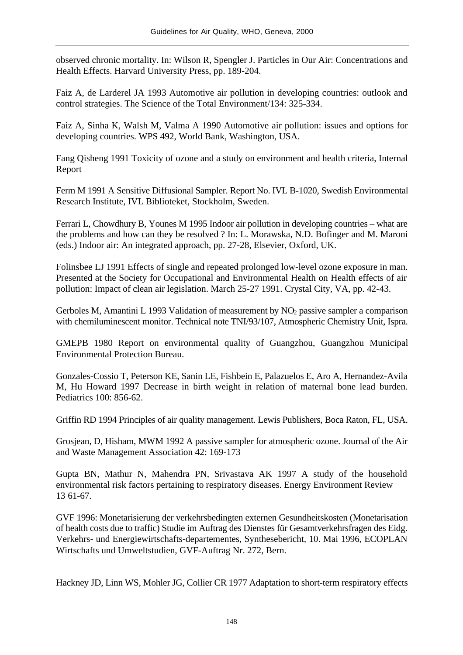observed chronic mortality. In: Wilson R, Spengler J. Particles in Our Air: Concentrations and Health Effects. Harvard University Press, pp. 189-204.

Faiz A, de Larderel JA 1993 Automotive air pollution in developing countries: outlook and control strategies. The Science of the Total Environment/134: 325-334.

Faiz A, Sinha K, Walsh M, Valma A 1990 Automotive air pollution: issues and options for developing countries. WPS 492, World Bank, Washington, USA.

Fang Qisheng 1991 Toxicity of ozone and a study on environment and health criteria, Internal Report

Ferm M 1991 A Sensitive Diffusional Sampler. Report No. IVL B-1020, Swedish Environmental Research Institute, IVL Biblioteket, Stockholm, Sweden.

Ferrari L, Chowdhury B, Younes M 1995 Indoor air pollution in developing countries – what are the problems and how can they be resolved ? In: L. Morawska, N.D. Bofinger and M. Maroni (eds.) Indoor air: An integrated approach, pp. 27-28, Elsevier, Oxford, UK.

Folinsbee LJ 1991 Effects of single and repeated prolonged low-level ozone exposure in man. Presented at the Society for Occupational and Environmental Health on Health effects of air pollution: Impact of clean air legislation. March 25-27 1991. Crystal City, VA, pp. 42-43.

Gerboles M, Amantini L 1993 Validation of measurement by NO<sub>2</sub> passive sampler a comparison with chemiluminescent monitor. Technical note TNI/93/107, Atmospheric Chemistry Unit, Ispra.

GMEPB 1980 Report on environmental quality of Guangzhou, Guangzhou Municipal Environmental Protection Bureau.

Gonzales-Cossio T, Peterson KE, Sanin LE, Fishbein E, Palazuelos E, Aro A, Hernandez-Avila M, Hu Howard 1997 Decrease in birth weight in relation of maternal bone lead burden. Pediatrics 100: 856-62.

Griffin RD 1994 Principles of air quality management. Lewis Publishers, Boca Raton, FL, USA.

Grosjean, D, Hisham, MWM 1992 A passive sampler for atmospheric ozone. Journal of the Air and Waste Management Association 42: 169-173

Gupta BN, Mathur N, Mahendra PN, Srivastava AK 1997 A study of the household environmental risk factors pertaining to respiratory diseases. Energy Environment Review 13 61-67.

GVF 1996: Monetarisierung der verkehrsbedingten externen Gesundheitskosten (Monetarisation of health costs due to traffic) Studie im Auftrag des Dienstes für Gesamtverkehrsfragen des Eidg. Verkehrs- und Energiewirtschafts-departementes, Synthesebericht, 10. Mai 1996, ECOPLAN Wirtschafts und Umweltstudien, GVF-Auftrag Nr. 272, Bern.

Hackney JD, Linn WS, Mohler JG, Collier CR 1977 Adaptation to short-term respiratory effects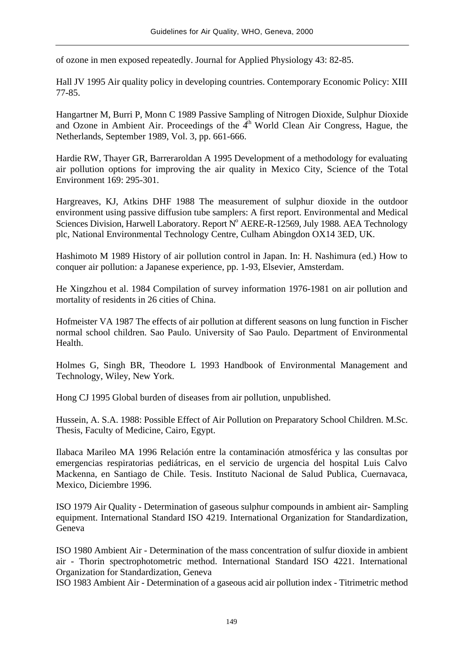of ozone in men exposed repeatedly. Journal for Applied Physiology 43: 82-85.

Hall JV 1995 Air quality policy in developing countries. Contemporary Economic Policy: XIII 77-85.

Hangartner M, Burri P, Monn C 1989 Passive Sampling of Nitrogen Dioxide, Sulphur Dioxide and Ozone in Ambient Air. Proceedings of the  $4<sup>th</sup>$  World Clean Air Congress, Hague, the Netherlands, September 1989, Vol. 3, pp. 661-666.

Hardie RW, Thayer GR, Barreraroldan A 1995 Development of a methodology for evaluating air pollution options for improving the air quality in Mexico City, Science of the Total Environment 169: 295-301.

Hargreaves, KJ, Atkins DHF 1988 The measurement of sulphur dioxide in the outdoor environment using passive diffusion tube samplers: A first report. Environmental and Medical Sciences Division, Harwell Laboratory. Report Nº AERE-R-12569, July 1988. AEA Technology plc, National Environmental Technology Centre, Culham Abingdon OX14 3ED, UK.

Hashimoto M 1989 History of air pollution control in Japan. In: H. Nashimura (ed.) How to conquer air pollution: a Japanese experience, pp. 1-93, Elsevier, Amsterdam.

He Xingzhou et al. 1984 Compilation of survey information 1976-1981 on air pollution and mortality of residents in 26 cities of China.

Hofmeister VA 1987 The effects of air pollution at different seasons on lung function in Fischer normal school children. Sao Paulo. University of Sao Paulo. Department of Environmental Health.

Holmes G, Singh BR, Theodore L 1993 Handbook of Environmental Management and Technology, Wiley, New York.

Hong CJ 1995 Global burden of diseases from air pollution, unpublished.

Hussein, A. S.A. 1988: Possible Effect of Air Pollution on Preparatory School Children. M.Sc. Thesis, Faculty of Medicine, Cairo, Egypt.

Ilabaca Marileo MA 1996 Relación entre la contaminación atmosférica y las consultas por emergencias respiratorias pediátricas, en el servicio de urgencia del hospital Luis Calvo Mackenna, en Santiago de Chile. Tesis. Instituto Nacional de Salud Publica, Cuernavaca, Mexico, Diciembre 1996.

ISO 1979 Air Quality - Determination of gaseous sulphur compounds in ambient air- Sampling equipment. International Standard ISO 4219. International Organization for Standardization, Geneva

ISO 1980 Ambient Air - Determination of the mass concentration of sulfur dioxide in ambient air - Thorin spectrophotometric method. International Standard ISO 4221. International Organization for Standardization, Geneva

ISO 1983 Ambient Air - Determination of a gaseous acid air pollution index - Titrimetric method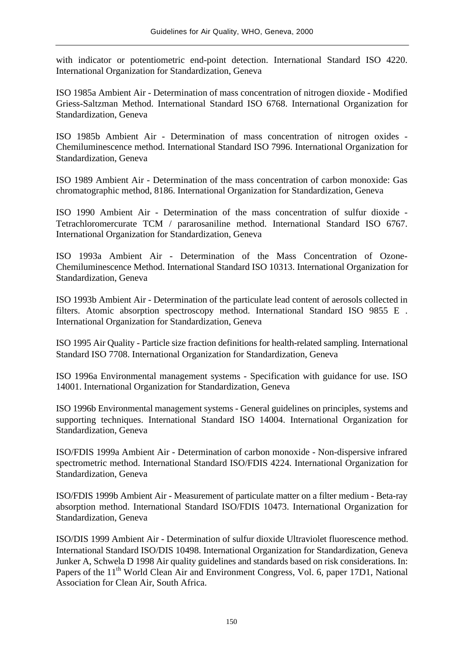with indicator or potentiometric end-point detection. International Standard ISO 4220. International Organization for Standardization, Geneva

ISO 1985a Ambient Air - Determination of mass concentration of nitrogen dioxide - Modified Griess-Saltzman Method. International Standard ISO 6768. International Organization for Standardization, Geneva

ISO 1985b Ambient Air - Determination of mass concentration of nitrogen oxides - Chemiluminescence method. International Standard ISO 7996. International Organization for Standardization, Geneva

ISO 1989 Ambient Air - Determination of the mass concentration of carbon monoxide: Gas chromatographic method, 8186. International Organization for Standardization, Geneva

ISO 1990 Ambient Air - Determination of the mass concentration of sulfur dioxide - Tetrachloromercurate TCM / pararosaniline method. International Standard ISO 6767. International Organization for Standardization, Geneva

ISO 1993a Ambient Air - Determination of the Mass Concentration of Ozone-Chemiluminescence Method. International Standard ISO 10313. International Organization for Standardization, Geneva

ISO 1993b Ambient Air - Determination of the particulate lead content of aerosols collected in filters. Atomic absorption spectroscopy method. International Standard ISO 9855 E . International Organization for Standardization, Geneva

ISO 1995 Air Quality - Particle size fraction definitions for health-related sampling. International Standard ISO 7708. International Organization for Standardization, Geneva

ISO 1996a Environmental management systems - Specification with guidance for use. ISO 14001. International Organization for Standardization, Geneva

ISO 1996b Environmental management systems - General guidelines on principles, systems and supporting techniques. International Standard ISO 14004. International Organization for Standardization, Geneva

ISO/FDIS 1999a Ambient Air - Determination of carbon monoxide - Non-dispersive infrared spectrometric method. International Standard ISO/FDIS 4224. International Organization for Standardization, Geneva

ISO/FDIS 1999b Ambient Air - Measurement of particulate matter on a filter medium - Beta-ray absorption method. International Standard ISO/FDIS 10473. International Organization for Standardization, Geneva

ISO/DIS 1999 Ambient Air - Determination of sulfur dioxide Ultraviolet fluorescence method. International Standard ISO/DIS 10498. International Organization for Standardization, Geneva Junker A, Schwela D 1998 Air quality guidelines and standards based on risk considerations. In: Papers of the 11<sup>th</sup> World Clean Air and Environment Congress, Vol. 6, paper 17D1, National Association for Clean Air, South Africa.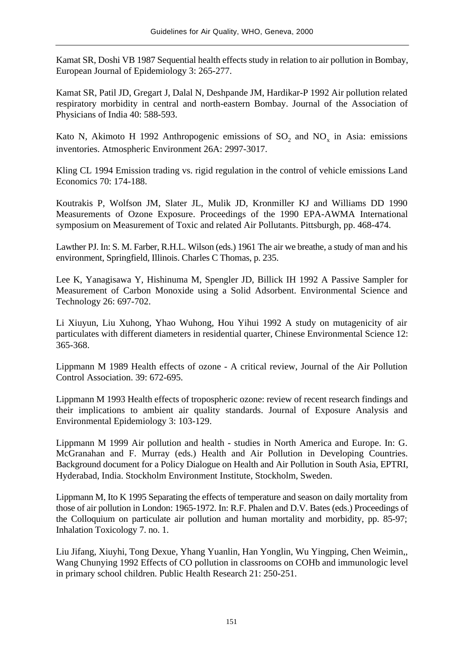Kamat SR, Doshi VB 1987 Sequential health effects study in relation to air pollution in Bombay, European Journal of Epidemiology 3: 265-277.

Kamat SR, Patil JD, Gregart J, Dalal N, Deshpande JM, Hardikar-P 1992 Air pollution related respiratory morbidity in central and north-eastern Bombay. Journal of the Association of Physicians of India 40: 588-593.

Kato N, Akimoto H 1992 Anthropogenic emissions of  $SO_2$  and  $NO_x$  in Asia: emissions inventories. Atmospheric Environment 26A: 2997-3017.

Kling CL 1994 Emission trading vs. rigid regulation in the control of vehicle emissions Land Economics 70: 174-188.

Koutrakis P, Wolfson JM, Slater JL, Mulik JD, Kronmiller KJ and Williams DD 1990 Measurements of Ozone Exposure. Proceedings of the 1990 EPA-AWMA International symposium on Measurement of Toxic and related Air Pollutants. Pittsburgh, pp. 468-474.

Lawther PJ. In: S. M. Farber, R.H.L. Wilson (eds.) 1961 The air we breathe, a study of man and his environment, Springfield, Illinois. Charles C Thomas, p. 235.

Lee K, Yanagisawa Y, Hishinuma M, Spengler JD, Billick IH 1992 A Passive Sampler for Measurement of Carbon Monoxide using a Solid Adsorbent. Environmental Science and Technology 26: 697-702.

Li Xiuyun, Liu Xuhong, Yhao Wuhong, Hou Yihui 1992 A study on mutagenicity of air particulates with different diameters in residential quarter, Chinese Environmental Science 12: 365-368.

Lippmann M 1989 Health effects of ozone - A critical review, Journal of the Air Pollution Control Association. 39: 672-695.

Lippmann M 1993 Health effects of tropospheric ozone: review of recent research findings and their implications to ambient air quality standards. Journal of Exposure Analysis and Environmental Epidemiology 3: 103-129.

Lippmann M 1999 Air pollution and health - studies in North America and Europe. In: G. McGranahan and F. Murray (eds.) Health and Air Pollution in Developing Countries. Background document for a Policy Dialogue on Health and Air Pollution in South Asia, EPTRI, Hyderabad, India. Stockholm Environment Institute, Stockholm, Sweden.

Lippmann M, Ito K 1995 Separating the effects of temperature and season on daily mortality from those of air pollution in London: 1965-1972. In: R.F. Phalen and D.V. Bates (eds.) Proceedings of the Colloquium on particulate air pollution and human mortality and morbidity, pp. 85-97; Inhalation Toxicology 7. no. 1.

Liu Jifang, Xiuyhi, Tong Dexue, Yhang Yuanlin, Han Yonglin, Wu Yingping, Chen Weimin,, Wang Chunying 1992 Effects of CO pollution in classrooms on COHb and immunologic level in primary school children. Public Health Research 21: 250-251.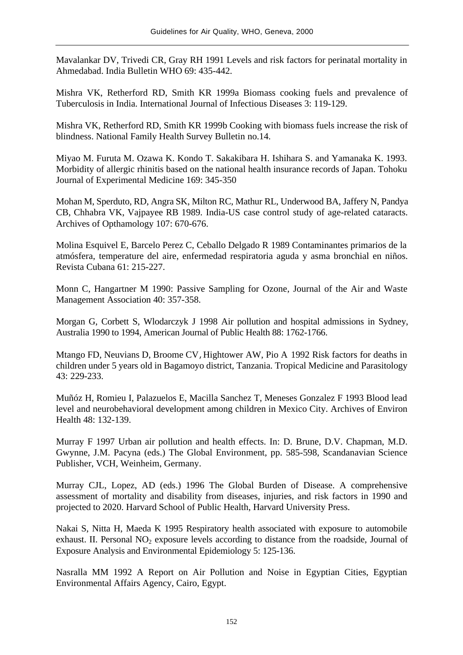Mavalankar DV, Trivedi CR, Gray RH 1991 Levels and risk factors for perinatal mortality in Ahmedabad. India Bulletin WHO 69: 435-442.

Mishra VK, Retherford RD, Smith KR 1999a Biomass cooking fuels and prevalence of Tuberculosis in India. International Journal of Infectious Diseases 3: 119-129.

Mishra VK, Retherford RD, Smith KR 1999b Cooking with biomass fuels increase the risk of blindness. National Family Health Survey Bulletin no.14.

Miyao M. Furuta M. Ozawa K. Kondo T. Sakakibara H. Ishihara S. and Yamanaka K. 1993. Morbidity of allergic rhinitis based on the national health insurance records of Japan. Tohoku Journal of Experimental Medicine 169: 345-350

Mohan M, Sperduto, RD, Angra SK, Milton RC, Mathur RL, Underwood BA, Jaffery N, Pandya CB, Chhabra VK, Vajpayee RB 1989. India-US case control study of age-related cataracts. Archives of Opthamology 107: 670-676.

Molina Esquivel E, Barcelo Perez C, Ceballo Delgado R 1989 Contaminantes primarios de la atmósfera, temperature del aire, enfermedad respiratoria aguda y asma bronchial en niños. Revista Cubana 61: 215-227.

Monn C, Hangartner M 1990: Passive Sampling for Ozone, Journal of the Air and Waste Management Association 40: 357-358.

Morgan G, Corbett S, Wlodarczyk J 1998 Air pollution and hospital admissions in Sydney, Australia 1990 to 1994, American Journal of Public Health 88: 1762-1766.

Mtango FD, Neuvians D, Broome CV,Hightower AW, Pio A 1992 Risk factors for deaths in children under 5 years old in Bagamoyo district, Tanzania. Tropical Medicine and Parasitology 43: 229-233.

Muñóz H, Romieu I, Palazuelos E, Macilla Sanchez T, Meneses Gonzalez F 1993 Blood lead level and neurobehavioral development among children in Mexico City. Archives of Environ Health 48: 132-139.

Murray F 1997 Urban air pollution and health effects. In: D. Brune, D.V. Chapman, M.D. Gwynne, J.M. Pacyna (eds.) The Global Environment, pp. 585-598, Scandanavian Science Publisher, VCH, Weinheim, Germany.

Murray CJL, Lopez, AD (eds.) 1996 The Global Burden of Disease. A comprehensive assessment of mortality and disability from diseases, injuries, and risk factors in 1990 and projected to 2020. Harvard School of Public Health, Harvard University Press.

Nakai S, Nitta H, Maeda K 1995 Respiratory health associated with exposure to automobile exhaust. II. Personal NO<sub>2</sub> exposure levels according to distance from the roadside, Journal of Exposure Analysis and Environmental Epidemiology 5: 125-136.

Nasralla MM 1992 A Report on Air Pollution and Noise in Egyptian Cities, Egyptian Environmental Affairs Agency, Cairo, Egypt.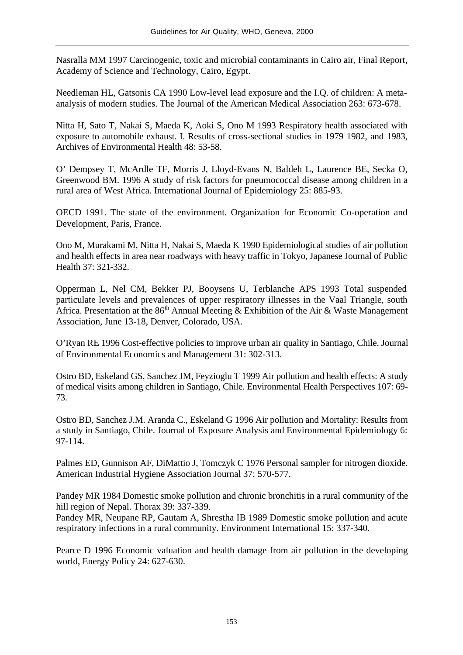Nasralla MM 1997 Carcinogenic, toxic and microbial contaminants in Cairo air, Final Report, Academy of Science and Technology, Cairo, Egypt.

Needleman HL, Gatsonis CA 1990 Low-level lead exposure and the I.Q. of children: A metaanalysis of modern studies. The Journal of the American Medical Association 263: 673-678.

Nitta H, Sato T, Nakai S, Maeda K, Aoki S, Ono M 1993 Respiratory health associated with exposure to automobile exhaust. I. Results of cross-sectional studies in 1979 1982, and 1983, Archives of Environmental Health 48: 53-58.

O' Dempsey T, McArdle TF, Morris J, Lloyd-Evans N, Baldeh L, Laurence BE, Secka O, Greenwood BM. 1996 A study of risk factors for pneumococcal disease among children in a rural area of West Africa. International Journal of Epidemiology 25: 885-93.

OECD 1991. The state of the environment. Organization for Economic Co-operation and Development, Paris, France.

Ono M, Murakami M, Nitta H, Nakai S, Maeda K 1990 Epidemiological studies of air pollution and health effects in area near roadways with heavy traffic in Tokyo, Japanese Journal of Public Health 37: 321-332.

Opperman L, Nel CM, Bekker PJ, Booysens U, Terblanche APS 1993 Total suspended particulate levels and prevalences of upper respiratory illnesses in the Vaal Triangle, south Africa. Presentation at the  $86<sup>th</sup>$  Annual Meeting & Exhibition of the Air & Waste Management Association, June 13-18, Denver, Colorado, USA.

O'Ryan RE 1996 Cost-effective policies to improve urban air quality in Santiago, Chile. Journal of Environmental Economics and Management 31: 302-313.

Ostro BD, Eskeland GS, Sanchez JM, Feyzioglu T 1999 Air pollution and health effects: A study of medical visits among children in Santiago, Chile. Environmental Health Perspectives 107: 69- 73.

Ostro BD, Sanchez J.M. Aranda C., Eskeland G 1996 Air pollution and Mortality: Results from a study in Santiago, Chile. Journal of Exposure Analysis and Environmental Epidemiology 6: 97-114.

Palmes ED, Gunnison AF, DiMattio J, Tomczyk C 1976 Personal sampler for nitrogen dioxide. American Industrial Hygiene Association Journal 37: 570-577.

Pandey MR 1984 Domestic smoke pollution and chronic bronchitis in a rural community of the hill region of Nepal. Thorax 39: 337-339.

Pandey MR, Neupane RP, Gautam A, Shrestha IB 1989 Domestic smoke pollution and acute respiratory infections in a rural community. Environment International 15: 337-340.

Pearce D 1996 Economic valuation and health damage from air pollution in the developing world, Energy Policy 24: 627-630.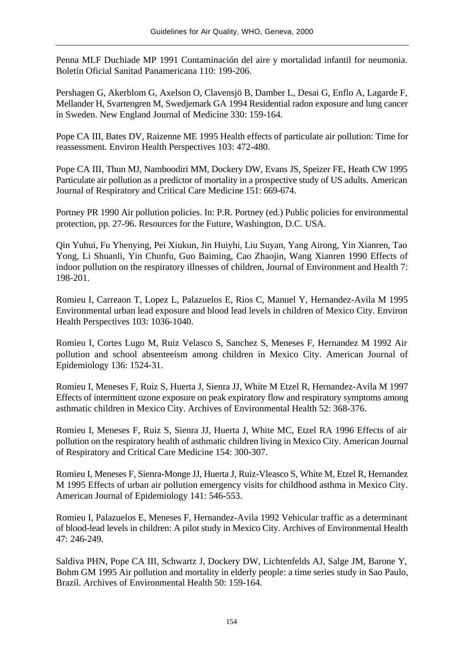Penna MLF Duchiade MP 1991 Contaminación del aire y mortalidad infantil for neumonia. Boletín Oficial Sanitad Panamericana 110: 199-206.

Pershagen G, Akerblom G, Axelson O, Clavensjö B, Damber L, Desai G, Enflo A, Lagarde F, Mellander H, Svartengren M, Swedjemark GA 1994 Residential radon exposure and lung cancer in Sweden. New England Journal of Medicine 330: 159-164.

Pope CA III, Bates DV, Raizenne ME 1995 Health effects of particulate air pollution: Time for reassessment. Environ Health Perspectives 103: 472-480.

Pope CA III, Thun MJ, Namboodiri MM, Dockery DW, Evans JS, Speizer FE, Heath CW 1995 Particulate air pollution as a predictor of mortality in a prospective study of US adults. American Journal of Respiratory and Critical Care Medicine 151: 669-674.

Portney PR 1990 Air pollution policies. In: P.R. Portney (ed.) Public policies for environmental protection, pp. 27-96. Resources for the Future, Washington, D.C. USA.

Qin Yuhui, Fu Yhenying, Pei Xiukun, Jin Huiyhi, Liu Suyan, Yang Airong, Yin Xianren, Tao Yong, Li Shuanli, Yin Chunfu, Guo Baiming, Cao Zhaojin, Wang Xianren 1990 Effects of indoor pollution on the respiratory illnesses of children, Journal of Environment and Health 7: 198-201.

Romieu I, Carreaon T, Lopez L, Palazuelos E, Rios C, Manuel Y, Hernandez-Avila M 1995 Environmental urban lead exposure and blood lead levels in children of Mexico City. Environ Health Perspectives 103: 1036-1040.

Romieu I, Cortes Lugo M, Ruiz Velasco S, Sanchez S, Meneses F, Hernandez M 1992 Air pollution and school absenteeism among children in Mexico City. American Journal of Epidemiology 136: 1524-31.

Romieu I, Meneses F, Ruiz S, Huerta J, Sienra JJ, White M Etzel R, Hernandez-Avila M 1997 Effects of intermittent ozone exposure on peak expiratory flow and respiratory symptoms among asthmatic children in Mexico City. Archives of Environmental Health 52: 368-376.

Romieu I, Meneses F, Ruiz S, Sienra JJ, Huerta J, White MC, Etzel RA 1996 Effects of air pollution on the respiratory health of asthmatic children living in Mexico City. American Journal of Respiratory and Critical Care Medicine 154: 300-307.

Romieu I, Meneses F, Sienra-Monge JJ, Huerta J, Ruiz-Vleasco S, White M, Etzel R, Hernandez M 1995 Effects of urban air pollution emergency visits for childhood asthma in Mexico City. American Journal of Epidemiology 141: 546-553.

Romieu I, Palazuelos E, Meneses F, Hernandez-Avila 1992 Vehicular traffic as a determinant of blood-lead levels in children: A pilot study in Mexico City. Archives of Environmental Health 47: 246-249.

Saldiva PHN, Pope CA III, Schwartz J, Dockery DW, Lichtenfelds AJ, Salge JM, Barone Y, Bohm GM 1995 Air pollution and mortality in elderly people: a time series study in Sao Paulo, Brazil. Archives of Environmental Health 50: 159-164.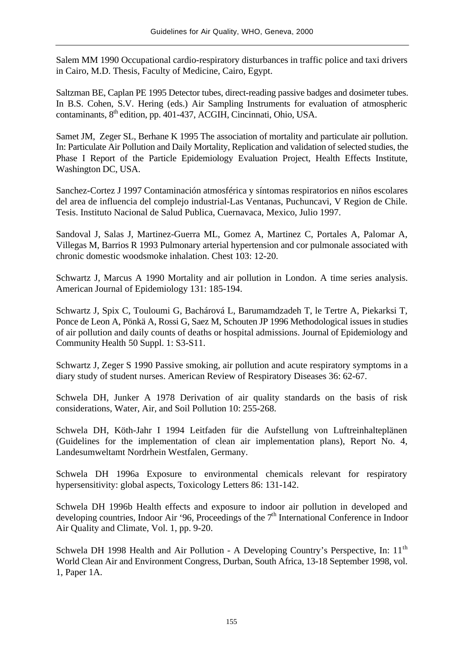Salem MM 1990 Occupational cardio-respiratory disturbances in traffic police and taxi drivers in Cairo, M.D. Thesis, Faculty of Medicine, Cairo, Egypt.

Saltzman BE, Caplan PE 1995 Detector tubes, direct-reading passive badges and dosimeter tubes. In B.S. Cohen, S.V. Hering (eds.) Air Sampling Instruments for evaluation of atmospheric contaminants, 8<sup>th</sup> edition, pp. 401-437, ACGIH, Cincinnati, Ohio, USA.

Samet JM, Zeger SL, Berhane K 1995 The association of mortality and particulate air pollution. In: Particulate Air Pollution and Daily Mortality, Replication and validation of selected studies, the Phase I Report of the Particle Epidemiology Evaluation Project, Health Effects Institute, Washington DC, USA.

Sanchez-Cortez J 1997 Contaminación atmosférica y síntomas respiratorios en niños escolares del area de influencia del complejo industrial-Las Ventanas, Puchuncavi, V Region de Chile. Tesis. Instituto Nacional de Salud Publica, Cuernavaca, Mexico, Julio 1997.

Sandoval J, Salas J, Martinez-Guerra ML, Gomez A, Martinez C, Portales A, Palomar A, Villegas M, Barrios R 1993 Pulmonary arterial hypertension and cor pulmonale associated with chronic domestic woodsmoke inhalation. Chest 103: 12-20.

Schwartz J, Marcus A 1990 Mortality and air pollution in London. A time series analysis. American Journal of Epidemiology 131: 185-194.

Schwartz J, Spix C, Touloumi G, Bachárová L, Barumamdzadeh T, le Tertre A, Piekarksi T, Ponce de Leon A, Pönkä A, Rossi G, Saez M, Schouten JP 1996 Methodological issues in studies of air pollution and daily counts of deaths or hospital admissions. Journal of Epidemiology and Community Health 50 Suppl. 1: S3-S11.

Schwartz J, Zeger S 1990 Passive smoking, air pollution and acute respiratory symptoms in a diary study of student nurses. American Review of Respiratory Diseases 36: 62-67.

Schwela DH, Junker A 1978 Derivation of air quality standards on the basis of risk considerations, Water, Air, and Soil Pollution 10: 255-268.

Schwela DH, Köth-Jahr I 1994 Leitfaden für die Aufstellung von Luftreinhalteplänen (Guidelines for the implementation of clean air implementation plans), Report No. 4, Landesumweltamt Nordrhein Westfalen, Germany.

Schwela DH 1996a Exposure to environmental chemicals relevant for respiratory hypersensitivity: global aspects, Toxicology Letters 86: 131-142.

Schwela DH 1996b Health effects and exposure to indoor air pollution in developed and developing countries, Indoor Air '96, Proceedings of the  $7<sup>th</sup>$  International Conference in Indoor Air Quality and Climate, Vol. 1, pp. 9-20.

Schwela DH 1998 Health and Air Pollution - A Developing Country's Perspective, In: 11<sup>th</sup> World Clean Air and Environment Congress, Durban, South Africa, 13-18 September 1998, vol. 1, Paper 1A.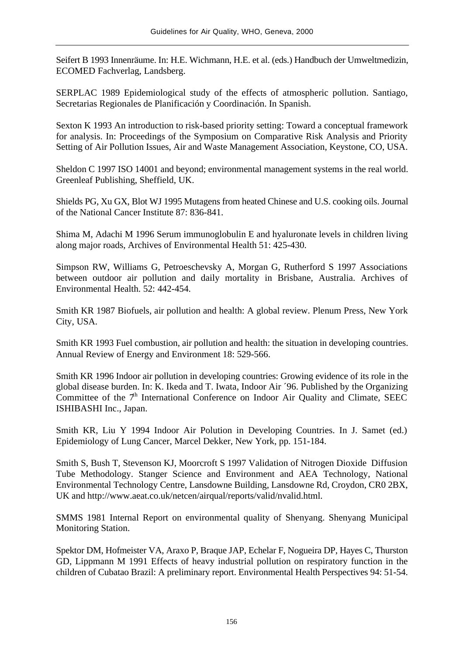Seifert B 1993 Innenräume. In: H.E. Wichmann, H.E. et al. (eds.) Handbuch der Umweltmedizin, ECOMED Fachverlag, Landsberg.

SERPLAC 1989 Epidemiological study of the effects of atmospheric pollution. Santiago, Secretarias Regionales de Planificación y Coordinación. In Spanish.

Sexton K 1993 An introduction to risk-based priority setting: Toward a conceptual framework for analysis. In: Proceedings of the Symposium on Comparative Risk Analysis and Priority Setting of Air Pollution Issues, Air and Waste Management Association, Keystone, CO, USA.

Sheldon C 1997 ISO 14001 and beyond; environmental management systems in the real world. Greenleaf Publishing, Sheffield, UK.

Shields PG, Xu GX, Blot WJ 1995 Mutagens from heated Chinese and U.S. cooking oils. Journal of the National Cancer Institute 87: 836-841.

Shima M, Adachi M 1996 Serum immunoglobulin E and hyaluronate levels in children living along major roads, Archives of Environmental Health 51: 425-430.

Simpson RW, Williams G, Petroeschevsky A, Morgan G, Rutherford S 1997 Associations between outdoor air pollution and daily mortality in Brisbane, Australia. Archives of Environmental Health. 52: 442-454.

Smith KR 1987 Biofuels, air pollution and health: A global review. Plenum Press, New York City, USA.

Smith KR 1993 Fuel combustion, air pollution and health: the situation in developing countries. Annual Review of Energy and Environment 18: 529-566.

Smith KR 1996 Indoor air pollution in developing countries: Growing evidence of its role in the global disease burden. In: K. Ikeda and T. Iwata, Indoor Air ´96. Published by the Organizing Committee of the  $7<sup>th</sup>$  International Conference on Indoor Air Quality and Climate, SEEC ISHIBASHI Inc., Japan.

Smith KR, Liu Y 1994 Indoor Air Polution in Developing Countries. In J. Samet (ed.) Epidemiology of Lung Cancer, Marcel Dekker, New York, pp. 151-184.

Smith S, Bush T, Stevenson KJ, Moorcroft S 1997 Validation of Nitrogen Dioxide Diffusion Tube Methodology. Stanger Science and Environment and AEA Technology, National Environmental Technology Centre, Lansdowne Building, Lansdowne Rd, Croydon, CR0 2BX, UK and http://www.aeat.co.uk/netcen/airqual/reports/valid/nvalid.html.

SMMS 1981 Internal Report on environmental quality of Shenyang. Shenyang Municipal Monitoring Station.

Spektor DM, Hofmeister VA, Araxo P, Braque JAP, Echelar F, Nogueira DP, Hayes C, Thurston GD, Lippmann M 1991 Effects of heavy industrial pollution on respiratory function in the children of Cubatao Brazil: A preliminary report. Environmental Health Perspectives 94: 51-54.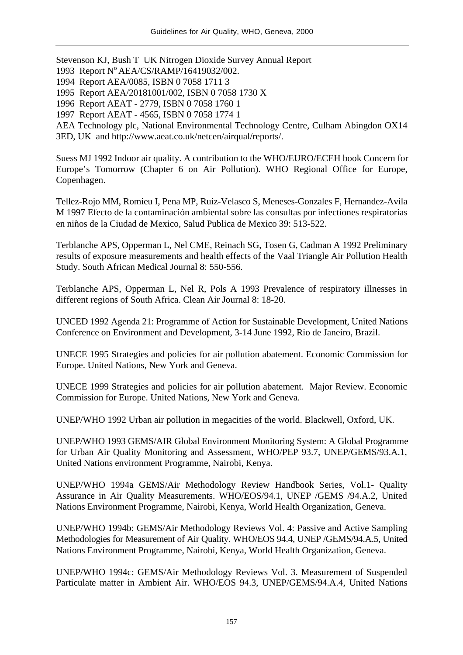Stevenson KJ, Bush T UK Nitrogen Dioxide Survey Annual Report

1993 Report N° AEA/CS/RAMP/16419032/002.

1994 Report AEA/0085, ISBN 0 7058 1711 3

1995 Report AEA/20181001/002, ISBN 0 7058 1730 X

1996 Report AEAT - 2779, ISBN 0 7058 1760 1

1997 Report AEAT - 4565, ISBN 0 7058 1774 1

AEA Technology plc, National Environmental Technology Centre, Culham Abingdon OX14 3ED, UK and http://www.aeat.co.uk/netcen/airqual/reports/.

Suess MJ 1992 Indoor air quality. A contribution to the WHO/EURO/ECEH book Concern for Europe's Tomorrow (Chapter 6 on Air Pollution). WHO Regional Office for Europe, Copenhagen.

Tellez-Rojo MM, Romieu I, Pena MP, Ruiz-Velasco S, Meneses-Gonzales F, Hernandez-Avila M 1997 Efecto de la contaminación ambiental sobre las consultas por infectiones respiratorias en niños de la Ciudad de Mexico, Salud Publica de Mexico 39: 513-522.

Terblanche APS, Opperman L, Nel CME, Reinach SG, Tosen G, Cadman A 1992 Preliminary results of exposure measurements and health effects of the Vaal Triangle Air Pollution Health Study. South African Medical Journal 8: 550-556.

Terblanche APS, Opperman L, Nel R, Pols A 1993 Prevalence of respiratory illnesses in different regions of South Africa. Clean Air Journal 8: 18-20.

UNCED 1992 Agenda 21: Programme of Action for Sustainable Development, United Nations Conference on Environment and Development, 3-14 June 1992, Rio de Janeiro, Brazil.

UNECE 1995 Strategies and policies for air pollution abatement. Economic Commission for Europe. United Nations, New York and Geneva.

UNECE 1999 Strategies and policies for air pollution abatement. Major Review. Economic Commission for Europe. United Nations, New York and Geneva.

UNEP/WHO 1992 Urban air pollution in megacities of the world. Blackwell, Oxford, UK.

UNEP/WHO 1993 GEMS/AIR Global Environment Monitoring System: A Global Programme for Urban Air Quality Monitoring and Assessment, WHO/PEP 93.7, UNEP/GEMS/93.A.1, United Nations environment Programme, Nairobi, Kenya.

UNEP/WHO 1994a GEMS/Air Methodology Review Handbook Series, Vol.1- Quality Assurance in Air Quality Measurements. WHO/EOS/94.1, UNEP /GEMS /94.A.2, United Nations Environment Programme, Nairobi, Kenya, World Health Organization, Geneva.

UNEP/WHO 1994b: GEMS/Air Methodology Reviews Vol. 4: Passive and Active Sampling Methodologies for Measurement of Air Quality. WHO/EOS 94.4, UNEP /GEMS/94.A.5, United Nations Environment Programme, Nairobi, Kenya, World Health Organization, Geneva.

UNEP/WHO 1994c: GEMS/Air Methodology Reviews Vol. 3. Measurement of Suspended Particulate matter in Ambient Air. WHO/EOS 94.3, UNEP/GEMS/94.A.4, United Nations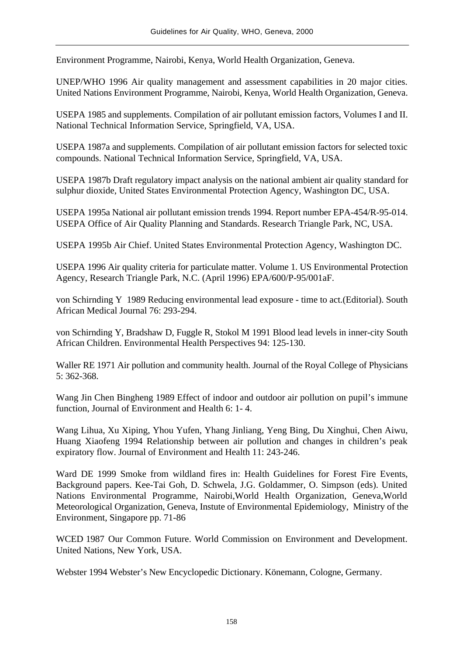Environment Programme, Nairobi, Kenya, World Health Organization, Geneva.

UNEP/WHO 1996 Air quality management and assessment capabilities in 20 major cities. United Nations Environment Programme, Nairobi, Kenya, World Health Organization, Geneva.

USEPA 1985 and supplements. Compilation of air pollutant emission factors, Volumes I and II. National Technical Information Service, Springfield, VA, USA.

USEPA 1987a and supplements. Compilation of air pollutant emission factors for selected toxic compounds. National Technical Information Service, Springfield, VA, USA.

USEPA 1987b Draft regulatory impact analysis on the national ambient air quality standard for sulphur dioxide, United States Environmental Protection Agency, Washington DC, USA.

USEPA 1995a National air pollutant emission trends 1994. Report number EPA-454/R-95-014. USEPA Office of Air Quality Planning and Standards. Research Triangle Park, NC, USA.

USEPA 1995b Air Chief. United States Environmental Protection Agency, Washington DC.

USEPA 1996 Air quality criteria for particulate matter. Volume 1. US Environmental Protection Agency, Research Triangle Park, N.C. (April 1996) EPA/600/P-95/001aF.

von Schirnding Y 1989 Reducing environmental lead exposure - time to act.(Editorial). South African Medical Journal 76: 293-294.

von Schirnding Y, Bradshaw D, Fuggle R, Stokol M 1991 Blood lead levels in inner-city South African Children. Environmental Health Perspectives 94: 125-130.

Waller RE 1971 Air pollution and community health. Journal of the Royal College of Physicians 5: 362-368.

Wang Jin Chen Bingheng 1989 Effect of indoor and outdoor air pollution on pupil's immune function, Journal of Environment and Health 6: 1- 4.

Wang Lihua, Xu Xiping, Yhou Yufen, Yhang Jinliang, Yeng Bing, Du Xinghui, Chen Aiwu, Huang Xiaofeng 1994 Relationship between air pollution and changes in children's peak expiratory flow. Journal of Environment and Health 11: 243-246.

Ward DE 1999 Smoke from wildland fires in: Health Guidelines for Forest Fire Events, Background papers. Kee-Tai Goh, D. Schwela, J.G. Goldammer, O. Simpson (eds). United Nations Environmental Programme, Nairobi,World Health Organization, Geneva,World Meteorological Organization, Geneva, Instute of Environmental Epidemiology, Ministry of the Environment, Singapore pp. 71-86

WCED 1987 Our Common Future. World Commission on Environment and Development. United Nations, New York, USA.

Webster 1994 Webster's New Encyclopedic Dictionary. Könemann, Cologne, Germany.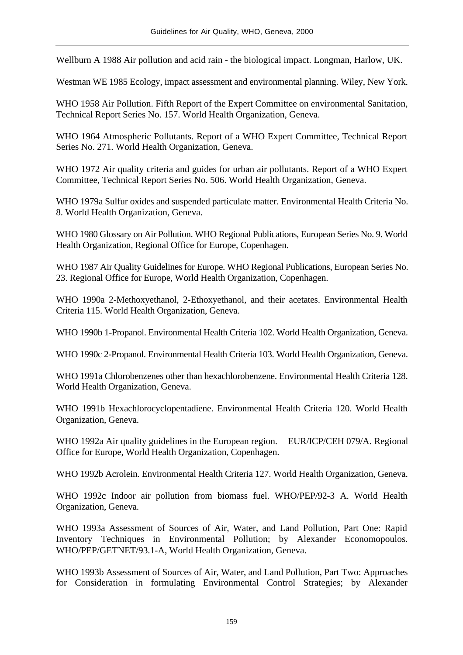Wellburn A 1988 Air pollution and acid rain - the biological impact. Longman, Harlow, UK.

Westman WE 1985 Ecology, impact assessment and environmental planning. Wiley, New York.

WHO 1958 Air Pollution. Fifth Report of the Expert Committee on environmental Sanitation, Technical Report Series No. 157. World Health Organization, Geneva.

WHO 1964 Atmospheric Pollutants. Report of a WHO Expert Committee, Technical Report Series No. 271. World Health Organization, Geneva.

WHO 1972 Air quality criteria and guides for urban air pollutants. Report of a WHO Expert Committee, Technical Report Series No. 506. World Health Organization, Geneva.

WHO 1979a Sulfur oxides and suspended particulate matter. Environmental Health Criteria No. 8. World Health Organization, Geneva.

WHO 1980 Glossary on Air Pollution. WHO Regional Publications, European Series No. 9. World Health Organization, Regional Office for Europe, Copenhagen.

WHO 1987 Air Quality Guidelines for Europe. WHO Regional Publications, European Series No. 23. Regional Office for Europe, World Health Organization, Copenhagen.

WHO 1990a 2-Methoxyethanol, 2-Ethoxyethanol, and their acetates. Environmental Health Criteria 115. World Health Organization, Geneva.

WHO 1990b 1-Propanol. Environmental Health Criteria 102. World Health Organization, Geneva.

WHO 1990c 2-Propanol. Environmental Health Criteria 103. World Health Organization, Geneva.

WHO 1991a Chlorobenzenes other than hexachlorobenzene. Environmental Health Criteria 128. World Health Organization, Geneva.

WHO 1991b Hexachlorocyclopentadiene. Environmental Health Criteria 120. World Health Organization, Geneva.

WHO 1992a Air quality guidelines in the European region. EUR/ICP/CEH 079/A. Regional Office for Europe, World Health Organization, Copenhagen.

WHO 1992b Acrolein. Environmental Health Criteria 127. World Health Organization, Geneva.

WHO 1992c Indoor air pollution from biomass fuel. WHO/PEP/92-3 A. World Health Organization, Geneva.

WHO 1993a Assessment of Sources of Air, Water, and Land Pollution, Part One: Rapid Inventory Techniques in Environmental Pollution; by Alexander Economopoulos. WHO/PEP/GETNET/93.1-A, World Health Organization, Geneva.

WHO 1993b Assessment of Sources of Air, Water, and Land Pollution, Part Two: Approaches for Consideration in formulating Environmental Control Strategies; by Alexander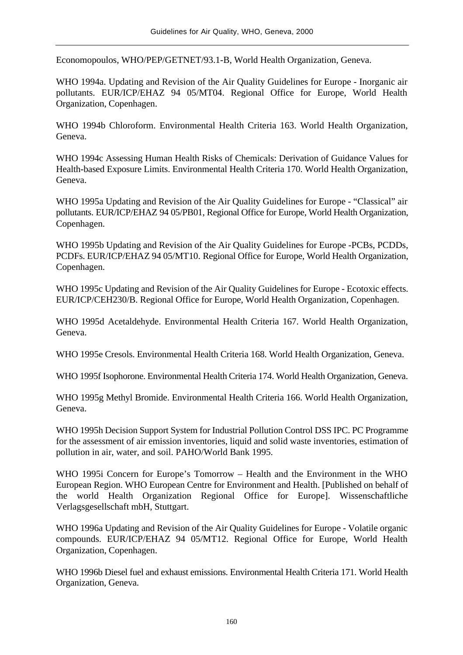Economopoulos, WHO/PEP/GETNET/93.1-B, World Health Organization, Geneva.

WHO 1994a. Updating and Revision of the Air Quality Guidelines for Europe - Inorganic air pollutants. EUR/ICP/EHAZ 94 05/MT04. Regional Office for Europe, World Health Organization, Copenhagen.

WHO 1994b Chloroform. Environmental Health Criteria 163. World Health Organization, Geneva.

WHO 1994c Assessing Human Health Risks of Chemicals: Derivation of Guidance Values for Health-based Exposure Limits. Environmental Health Criteria 170. World Health Organization, Geneva.

WHO 1995a Updating and Revision of the Air Quality Guidelines for Europe - "Classical" air pollutants. EUR/ICP/EHAZ 94 05/PB01, Regional Office for Europe, World Health Organization, Copenhagen.

WHO 1995b Updating and Revision of the Air Quality Guidelines for Europe -PCBs, PCDDs, PCDFs. EUR/ICP/EHAZ 94 05/MT10. Regional Office for Europe, World Health Organization, Copenhagen.

WHO 1995c Updating and Revision of the Air Quality Guidelines for Europe - Ecotoxic effects. EUR/ICP/CEH230/B. Regional Office for Europe, World Health Organization, Copenhagen.

WHO 1995d Acetaldehyde. Environmental Health Criteria 167. World Health Organization, Geneva.

WHO 1995e Cresols. Environmental Health Criteria 168. World Health Organization, Geneva.

WHO 1995f Isophorone. Environmental Health Criteria 174. World Health Organization, Geneva.

WHO 1995g Methyl Bromide. Environmental Health Criteria 166. World Health Organization, Geneva.

WHO 1995h Decision Support System for Industrial Pollution Control DSS IPC. PC Programme for the assessment of air emission inventories, liquid and solid waste inventories, estimation of pollution in air, water, and soil. PAHO/World Bank 1995.

WHO 1995i Concern for Europe's Tomorrow – Health and the Environment in the WHO European Region. WHO European Centre for Environment and Health. [Published on behalf of the world Health Organization Regional Office for Europe]. Wissenschaftliche Verlagsgesellschaft mbH, Stuttgart.

WHO 1996a Updating and Revision of the Air Quality Guidelines for Europe - Volatile organic compounds. EUR/ICP/EHAZ 94 05/MT12. Regional Office for Europe, World Health Organization, Copenhagen.

WHO 1996b Diesel fuel and exhaust emissions. Environmental Health Criteria 171. World Health Organization, Geneva.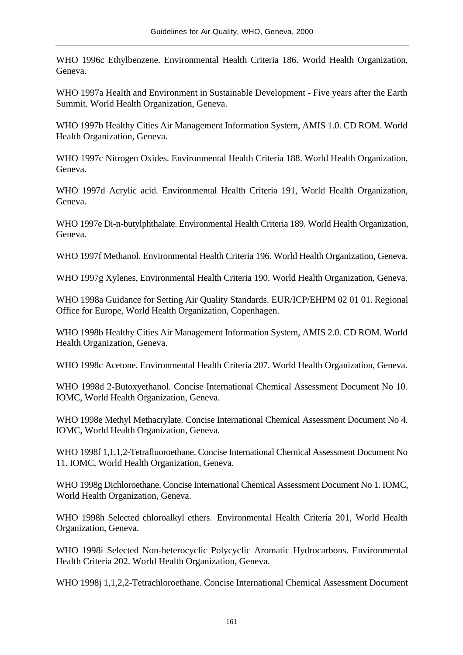WHO 1996c Ethylbenzene. Environmental Health Criteria 186. World Health Organization, Geneva.

WHO 1997a Health and Environment in Sustainable Development - Five years after the Earth Summit. World Health Organization, Geneva.

WHO 1997b Healthy Cities Air Management Information System, AMIS 1.0. CD ROM. World Health Organization, Geneva.

WHO 1997c Nitrogen Oxides. Environmental Health Criteria 188. World Health Organization, Geneva.

WHO 1997d Acrylic acid. Environmental Health Criteria 191, World Health Organization, Geneva.

WHO 1997e Di-n-butylphthalate. Environmental Health Criteria 189. World Health Organization, Geneva.

WHO 1997f Methanol. Environmental Health Criteria 196. World Health Organization, Geneva.

WHO 1997g Xylenes, Environmental Health Criteria 190. World Health Organization, Geneva.

WHO 1998a Guidance for Setting Air Quality Standards. EUR/ICP/EHPM 02 01 01. Regional Office for Europe, World Health Organization, Copenhagen.

WHO 1998b Healthy Cities Air Management Information System, AMIS 2.0. CD ROM. World Health Organization, Geneva.

WHO 1998c Acetone. Environmental Health Criteria 207. World Health Organization, Geneva.

WHO 1998d 2-Butoxyethanol. Concise International Chemical Assessment Document No 10. IOMC, World Health Organization, Geneva.

WHO 1998e Methyl Methacrylate. Concise International Chemical Assessment Document No 4. IOMC, World Health Organization, Geneva.

WHO 1998f 1,1,1,2-Tetrafluoroethane. Concise International Chemical Assessment Document No 11. IOMC, World Health Organization, Geneva.

WHO 1998g Dichloroethane. Concise International Chemical Assessment Document No 1. IOMC, World Health Organization, Geneva.

WHO 1998h Selected chloroalkyl ethers. Environmental Health Criteria 201, World Health Organization, Geneva.

WHO 1998i Selected Non-heterocyclic Polycyclic Aromatic Hydrocarbons. Environmental Health Criteria 202. World Health Organization, Geneva.

WHO 1998j 1,1,2,2-Tetrachloroethane. Concise International Chemical Assessment Document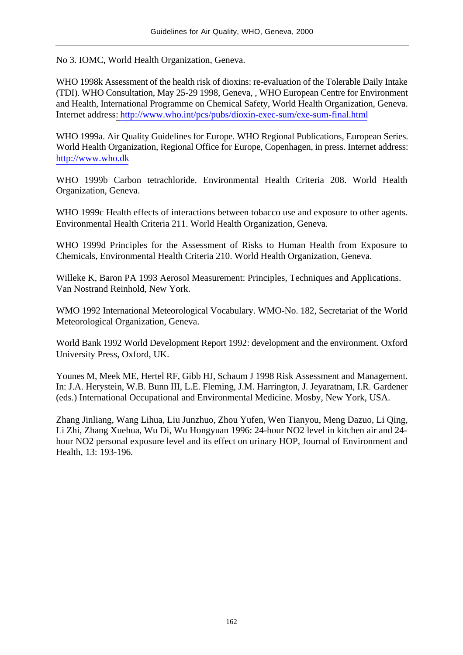No 3. IOMC, World Health Organization, Geneva.

WHO 1998k Assessment of the health risk of dioxins: re-evaluation of the Tolerable Daily Intake (TDI). WHO Consultation, May 25-29 1998, Geneva, , WHO European Centre for Environment and Health, International Programme on Chemical Safety, World Health Organization, Geneva. Internet address: http://www.who.int/pcs/pubs/dioxin-exec-sum/exe-sum-final.html

WHO 1999a. Air Quality Guidelines for Europe. WHO Regional Publications, European Series. World Health Organization, Regional Office for Europe, Copenhagen, in press. Internet address: http://www.who.dk

WHO 1999b Carbon tetrachloride. Environmental Health Criteria 208. World Health Organization, Geneva.

WHO 1999c Health effects of interactions between tobacco use and exposure to other agents. Environmental Health Criteria 211. World Health Organization, Geneva.

WHO 1999d Principles for the Assessment of Risks to Human Health from Exposure to Chemicals, Environmental Health Criteria 210. World Health Organization, Geneva.

Willeke K, Baron PA 1993 Aerosol Measurement: Principles, Techniques and Applications. Van Nostrand Reinhold, New York.

WMO 1992 International Meteorological Vocabulary. WMO-No. 182, Secretariat of the World Meteorological Organization, Geneva.

World Bank 1992 World Development Report 1992: development and the environment. Oxford University Press, Oxford, UK.

Younes M, Meek ME, Hertel RF, Gibb HJ, Schaum J 1998 Risk Assessment and Management. In: J.A. Herystein, W.B. Bunn III, L.E. Fleming, J.M. Harrington, J. Jeyaratnam, I.R. Gardener (eds.) International Occupational and Environmental Medicine. Mosby, New York, USA.

Zhang Jinliang, Wang Lihua, Liu Junzhuo, Zhou Yufen, Wen Tianyou, Meng Dazuo, Li Qing, Li Zhi, Zhang Xuehua, Wu Di, Wu Hongyuan 1996: 24-hour NO2 level in kitchen air and 24 hour NO2 personal exposure level and its effect on urinary HOP, Journal of Environment and Health, 13: 193-196.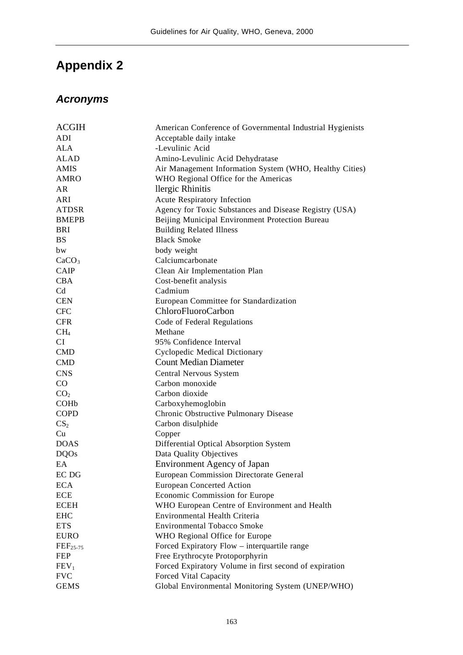### *Acronyms*

| <b>ACGIH</b>         | American Conference of Governmental Industrial Hygienists |
|----------------------|-----------------------------------------------------------|
| ADI                  | Acceptable daily intake                                   |
| <b>ALA</b>           | -Levulinic Acid                                           |
| <b>ALAD</b>          | Amino-Levulinic Acid Dehydratase                          |
| <b>AMIS</b>          | Air Management Information System (WHO, Healthy Cities)   |
| <b>AMRO</b>          | WHO Regional Office for the Americas                      |
| AR                   | llergic Rhinitis                                          |
| ARI                  | <b>Acute Respiratory Infection</b>                        |
| <b>ATDSR</b>         | Agency for Toxic Substances and Disease Registry (USA)    |
| <b>BMEPB</b>         | Beijing Municipal Environment Protection Bureau           |
| <b>BRI</b>           | <b>Building Related Illness</b>                           |
| <b>BS</b>            | <b>Black Smoke</b>                                        |
| bw                   | body weight                                               |
| CaCO <sub>3</sub>    | Calciumcarbonate                                          |
| CAIP                 | Clean Air Implementation Plan                             |
| <b>CBA</b>           | Cost-benefit analysis                                     |
| Cd                   | Cadmium                                                   |
| <b>CEN</b>           | European Committee for Standardization                    |
| <b>CFC</b>           | ChloroFluoroCarbon                                        |
| <b>CFR</b>           | Code of Federal Regulations                               |
| CH <sub>4</sub>      | Methane                                                   |
| CI                   | 95% Confidence Interval                                   |
| <b>CMD</b>           | <b>Cyclopedic Medical Dictionary</b>                      |
| <b>CMD</b>           | <b>Count Median Diameter</b>                              |
| <b>CNS</b>           | Central Nervous System                                    |
| CO                   | Carbon monoxide                                           |
| CO <sub>2</sub>      | Carbon dioxide                                            |
| COH <sub>b</sub>     | Carboxyhemoglobin                                         |
| <b>COPD</b>          | Chronic Obstructive Pulmonary Disease                     |
| CS <sub>2</sub>      | Carbon disulphide                                         |
| Cu                   | Copper                                                    |
| <b>DOAS</b>          | Differential Optical Absorption System                    |
| <b>DQOs</b>          | Data Quality Objectives                                   |
| EA                   | <b>Environment Agency of Japan</b>                        |
| EC DG                | <b>European Commission Directorate General</b>            |
| <b>ECA</b>           | <b>European Concerted Action</b>                          |
| <b>ECE</b>           | Economic Commission for Europe                            |
| <b>ECEH</b>          | WHO European Centre of Environment and Health             |
| <b>EHC</b>           | Environmental Health Criteria                             |
| <b>ETS</b>           | <b>Environmental Tobacco Smoke</b>                        |
| <b>EURO</b>          | WHO Regional Office for Europe                            |
| $\text{FEF}_{25-75}$ | Forced Expiratory Flow – interquartile range              |
| <b>FEP</b>           | Free Erythrocyte Protoporphyrin                           |
| FEV <sub>1</sub>     | Forced Expiratory Volume in first second of expiration    |
| <b>FVC</b>           | Forced Vital Capacity                                     |
| <b>GEMS</b>          | Global Environmental Monitoring System (UNEP/WHO)         |
|                      |                                                           |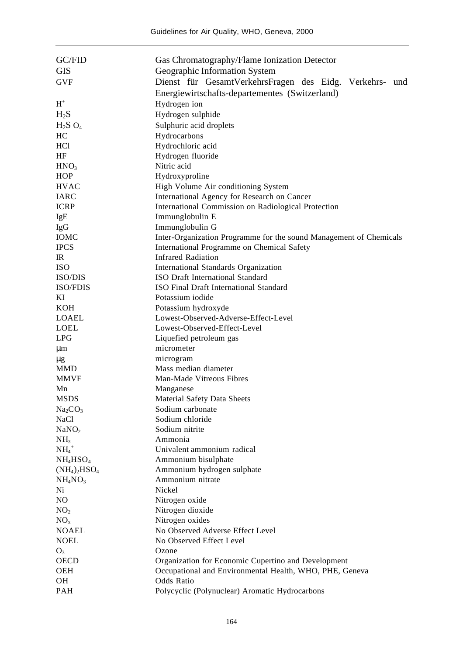| GC/FID                          | Gas Chromatography/Flame Ionization Detector                       |
|---------------------------------|--------------------------------------------------------------------|
| <b>GIS</b>                      | Geographic Information System                                      |
| <b>GVF</b>                      | Dienst für GesamtVerkehrsFragen des Eidg. Verkehrs- und            |
|                                 | Energiewirtschafts-departementes (Switzerland)                     |
| $H^+$                           | Hydrogen ion                                                       |
| $H_2S$                          | Hydrogen sulphide                                                  |
| $H_2S$ O <sub>4</sub>           | Sulphuric acid droplets                                            |
| HC                              | Hydrocarbons                                                       |
| <b>HCl</b>                      | Hydrochloric acid                                                  |
| HF                              | Hydrogen fluoride                                                  |
| HNO <sub>3</sub>                | Nitric acid                                                        |
| <b>HOP</b>                      | Hydroxyproline                                                     |
| <b>HVAC</b>                     | High Volume Air conditioning System                                |
| <b>IARC</b>                     | International Agency for Research on Cancer                        |
| <b>ICRP</b>                     | International Commission on Radiological Protection                |
| IgE                             | Immunglobulin E                                                    |
| IgG                             | Immunglobulin G                                                    |
| <b>IOMC</b>                     | Inter-Organization Programme for the sound Management of Chemicals |
| <b>IPCS</b>                     | International Programme on Chemical Safety                         |
| $_{\rm IR}$                     | <b>Infrared Radiation</b>                                          |
| <b>ISO</b>                      | International Standards Organization                               |
| ISO/DIS                         | ISO Draft International Standard                                   |
| ISO/FDIS                        | ISO Final Draft International Standard                             |
| KI                              | Potassium iodide                                                   |
| <b>KOH</b>                      | Potassium hydroxyde                                                |
| <b>LOAEL</b>                    | Lowest-Observed-Adverse-Effect-Level                               |
| <b>LOEL</b>                     | Lowest-Observed-Effect-Level                                       |
| <b>LPG</b>                      | Liquefied petroleum gas                                            |
| $\mu$ m                         | micrometer                                                         |
| μg                              | microgram                                                          |
| <b>MMD</b>                      | Mass median diameter                                               |
| <b>MMVF</b>                     | Man-Made Vitreous Fibres                                           |
| Mn                              | Manganese                                                          |
| <b>MSDS</b>                     | <b>Material Safety Data Sheets</b>                                 |
| Na <sub>2</sub> CO <sub>3</sub> | Sodium carbonate                                                   |
| NaCl                            | Sodium chloride                                                    |
| NaNO <sub>2</sub>               | Sodium nitrite                                                     |
| NH <sub>3</sub>                 | Ammonia                                                            |
| $NH_4$ <sup>+</sup>             | Univalent ammonium radical                                         |
| $NH_4HSO_4$                     | Ammonium bisulphate                                                |
| $(NH_4)_2HSO_4$                 | Ammonium hydrogen sulphate                                         |
| NH <sub>4</sub> NO <sub>3</sub> | Ammonium nitrate                                                   |
| Ni                              | Nickel                                                             |
| NO                              | Nitrogen oxide                                                     |
| NO <sub>2</sub>                 | Nitrogen dioxide                                                   |
| NO <sub>x</sub>                 | Nitrogen oxides                                                    |
| <b>NOAEL</b>                    | No Observed Adverse Effect Level                                   |
| <b>NOEL</b>                     | No Observed Effect Level                                           |
| $O_3$                           | Ozone                                                              |
| <b>OECD</b>                     | Organization for Economic Cupertino and Development                |
| <b>OEH</b>                      | Occupational and Environmental Health, WHO, PHE, Geneva            |
| OH                              | <b>Odds Ratio</b>                                                  |
| PAH                             | Polycyclic (Polynuclear) Aromatic Hydrocarbons                     |
|                                 |                                                                    |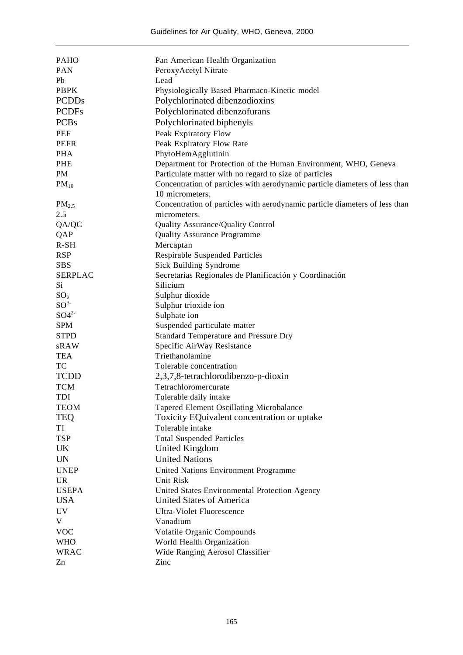| <b>PAHO</b>       | Pan American Health Organization                                            |
|-------------------|-----------------------------------------------------------------------------|
| <b>PAN</b>        | PeroxyAcetyl Nitrate                                                        |
| Pb                | Lead                                                                        |
| <b>PBPK</b>       | Physiologically Based Pharmaco-Kinetic model                                |
| <b>PCDDs</b>      | Polychlorinated dibenzodioxins                                              |
| <b>PCDFs</b>      | Polychlorinated dibenzofurans                                               |
| <b>PCBs</b>       | Polychlorinated biphenyls                                                   |
| PEF               | Peak Expiratory Flow                                                        |
| <b>PEFR</b>       | Peak Expiratory Flow Rate                                                   |
| <b>PHA</b>        | PhytoHemAgglutinin                                                          |
| PHE               | Department for Protection of the Human Environment, WHO, Geneva             |
| PM                | Particulate matter with no regard to size of particles                      |
| $PM_{10}$         | Concentration of particles with aerodynamic particle diameters of less than |
|                   | 10 micrometers.                                                             |
| PM <sub>2.5</sub> | Concentration of particles with aerodynamic particle diameters of less than |
| 2.5               | micrometers.                                                                |
| QA/QC             | Quality Assurance/Quality Control                                           |
| QAP               | <b>Quality Assurance Programme</b>                                          |
| $R-SH$            | Mercaptan                                                                   |
| <b>RSP</b>        | <b>Respirable Suspended Particles</b>                                       |
| <b>SBS</b>        | Sick Building Syndrome                                                      |
| <b>SERPLAC</b>    | Secretarias Regionales de Planificación y Coordinación                      |
| Si                | Silicium                                                                    |
| SO <sub>2</sub>   | Sulphur dioxide                                                             |
| $SO^{3-}$         | Sulphur trioxide ion                                                        |
| $SO4^{2-}$        | Sulphate ion                                                                |
| <b>SPM</b>        | Suspended particulate matter                                                |
| <b>STPD</b>       | Standard Temperature and Pressure Dry                                       |
| sRAW              | Specific AirWay Resistance                                                  |
| <b>TEA</b>        | Triethanolamine                                                             |
| TC                | Tolerable concentration                                                     |
| <b>TCDD</b>       | 2,3,7,8-tetrachlorodibenzo-p-dioxin                                         |
| <b>TCM</b>        | Tetrachloromercurate                                                        |
| TDI               | Tolerable daily intake                                                      |
| <b>TEOM</b>       | Tapered Element Oscillating Microbalance                                    |
| <b>TEQ</b>        | Toxicity EQuivalent concentration or uptake                                 |
| TI                | Tolerable intake                                                            |
| <b>TSP</b>        | <b>Total Suspended Particles</b>                                            |
| UK                | United Kingdom                                                              |
| <b>UN</b>         | <b>United Nations</b>                                                       |
| <b>UNEP</b>       | <b>United Nations Environment Programme</b>                                 |
| <b>UR</b>         | Unit Risk                                                                   |
| <b>USEPA</b>      | United States Environmental Protection Agency                               |
| <b>USA</b>        | United States of America                                                    |
| <b>UV</b>         | <b>Ultra-Violet Fluorescence</b>                                            |
| V                 | Vanadium                                                                    |
| <b>VOC</b>        | Volatile Organic Compounds                                                  |
| <b>WHO</b>        | World Health Organization                                                   |
| <b>WRAC</b>       | Wide Ranging Aerosol Classifier                                             |
| Zn                | Zinc                                                                        |
|                   |                                                                             |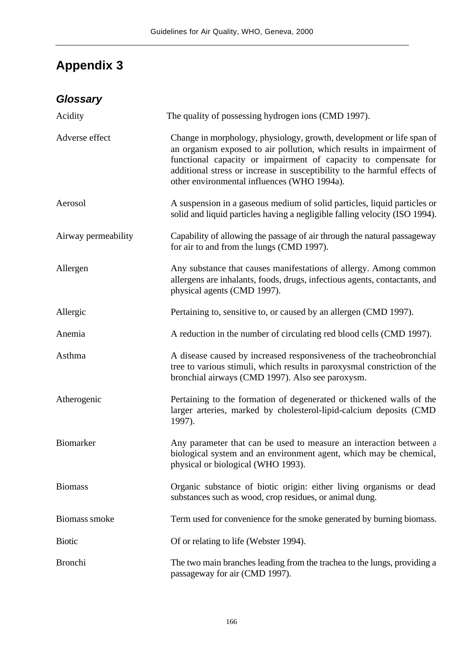| <b>Glossary</b>     |                                                                                                                                                                                                                                                                                                                                              |
|---------------------|----------------------------------------------------------------------------------------------------------------------------------------------------------------------------------------------------------------------------------------------------------------------------------------------------------------------------------------------|
| Acidity             | The quality of possessing hydrogen ions (CMD 1997).                                                                                                                                                                                                                                                                                          |
| Adverse effect      | Change in morphology, physiology, growth, development or life span of<br>an organism exposed to air pollution, which results in impairment of<br>functional capacity or impairment of capacity to compensate for<br>additional stress or increase in susceptibility to the harmful effects of<br>other environmental influences (WHO 1994a). |
| Aerosol             | A suspension in a gaseous medium of solid particles, liquid particles or<br>solid and liquid particles having a negligible falling velocity (ISO 1994).                                                                                                                                                                                      |
| Airway permeability | Capability of allowing the passage of air through the natural passageway<br>for air to and from the lungs (CMD 1997).                                                                                                                                                                                                                        |
| Allergen            | Any substance that causes manifestations of allergy. Among common<br>allergens are inhalants, foods, drugs, infectious agents, contactants, and<br>physical agents (CMD 1997).                                                                                                                                                               |
| Allergic            | Pertaining to, sensitive to, or caused by an allergen (CMD 1997).                                                                                                                                                                                                                                                                            |
| Anemia              | A reduction in the number of circulating red blood cells (CMD 1997).                                                                                                                                                                                                                                                                         |
| Asthma              | A disease caused by increased responsiveness of the tracheobronchial<br>tree to various stimuli, which results in paroxysmal constriction of the<br>bronchial airways (CMD 1997). Also see paroxysm.                                                                                                                                         |
| Atherogenic         | Pertaining to the formation of degenerated or thickened walls of the<br>larger arteries, marked by cholesterol-lipid-calcium deposits (CMD<br>1997).                                                                                                                                                                                         |
| Biomarker           | Any parameter that can be used to measure an interaction between a<br>biological system and an environment agent, which may be chemical,<br>physical or biological (WHO 1993).                                                                                                                                                               |
| <b>Biomass</b>      | Organic substance of biotic origin: either living organisms or dead<br>substances such as wood, crop residues, or animal dung.                                                                                                                                                                                                               |
| Biomass smoke       | Term used for convenience for the smoke generated by burning biomass.                                                                                                                                                                                                                                                                        |
| <b>Biotic</b>       | Of or relating to life (Webster 1994).                                                                                                                                                                                                                                                                                                       |
| <b>Bronchi</b>      | The two main branches leading from the trachea to the lungs, providing a<br>passageway for air (CMD 1997).                                                                                                                                                                                                                                   |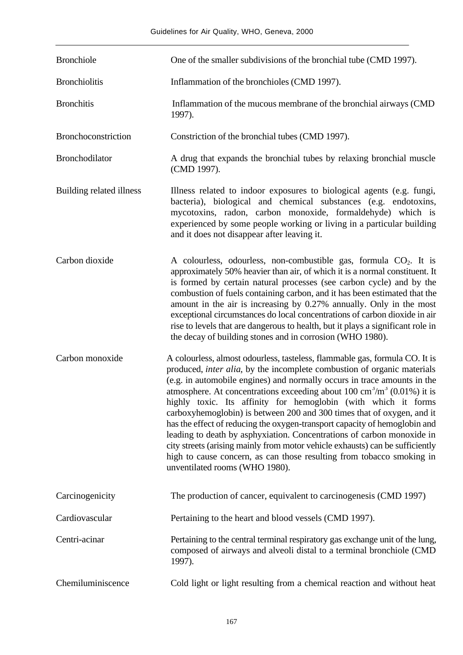| <b>Bronchiole</b>        | One of the smaller subdivisions of the bronchial tube (CMD 1997).                                                                                                                                                                                                                                                                                                                                                                                                                                                                                                                                                                                                                                                                                                                                                                     |
|--------------------------|---------------------------------------------------------------------------------------------------------------------------------------------------------------------------------------------------------------------------------------------------------------------------------------------------------------------------------------------------------------------------------------------------------------------------------------------------------------------------------------------------------------------------------------------------------------------------------------------------------------------------------------------------------------------------------------------------------------------------------------------------------------------------------------------------------------------------------------|
| <b>Bronchiolitis</b>     | Inflammation of the bronchioles (CMD 1997).                                                                                                                                                                                                                                                                                                                                                                                                                                                                                                                                                                                                                                                                                                                                                                                           |
| <b>Bronchitis</b>        | Inflammation of the mucous membrane of the bronchial airways (CMD)<br>1997).                                                                                                                                                                                                                                                                                                                                                                                                                                                                                                                                                                                                                                                                                                                                                          |
| Bronchoconstriction      | Constriction of the bronchial tubes (CMD 1997).                                                                                                                                                                                                                                                                                                                                                                                                                                                                                                                                                                                                                                                                                                                                                                                       |
| Bronchodilator           | A drug that expands the bronchial tubes by relaxing bronchial muscle<br>(CMD 1997).                                                                                                                                                                                                                                                                                                                                                                                                                                                                                                                                                                                                                                                                                                                                                   |
| Building related illness | Illness related to indoor exposures to biological agents (e.g. fungi,<br>bacteria), biological and chemical substances (e.g. endotoxins,<br>mycotoxins, radon, carbon monoxide, formaldehyde) which is<br>experienced by some people working or living in a particular building<br>and it does not disappear after leaving it.                                                                                                                                                                                                                                                                                                                                                                                                                                                                                                        |
| Carbon dioxide           | A colourless, odourless, non-combustible gas, formula $CO2$ . It is<br>approximately 50% heavier than air, of which it is a normal constituent. It<br>is formed by certain natural processes (see carbon cycle) and by the<br>combustion of fuels containing carbon, and it has been estimated that the<br>amount in the air is increasing by 0.27% annually. Only in the most<br>exceptional circumstances do local concentrations of carbon dioxide in air<br>rise to levels that are dangerous to health, but it plays a significant role in<br>the decay of building stones and in corrosion (WHO 1980).                                                                                                                                                                                                                          |
| Carbon monoxide          | A colourless, almost odourless, tasteless, flammable gas, formula CO. It is<br>produced, inter alia, by the incomplete combustion of organic materials<br>(e.g. in automobile engines) and normally occurs in trace amounts in the<br>atmosphere. At concentrations exceeding about 100 cm <sup>3</sup> /m <sup>3</sup> (0.01%) it is<br>highly toxic. Its affinity for hemoglobin (with which it forms<br>carboxyhemoglobin) is between 200 and 300 times that of oxygen, and it<br>has the effect of reducing the oxygen-transport capacity of hemoglobin and<br>leading to death by asphyxiation. Concentrations of carbon monoxide in<br>city streets (arising mainly from motor vehicle exhausts) can be sufficiently<br>high to cause concern, as can those resulting from tobacco smoking in<br>unventilated rooms (WHO 1980). |
| Carcinogenicity          | The production of cancer, equivalent to carcinogenesis (CMD 1997)                                                                                                                                                                                                                                                                                                                                                                                                                                                                                                                                                                                                                                                                                                                                                                     |
| Cardiovascular           | Pertaining to the heart and blood vessels (CMD 1997).                                                                                                                                                                                                                                                                                                                                                                                                                                                                                                                                                                                                                                                                                                                                                                                 |
| Centri-acinar            | Pertaining to the central terminal respiratory gas exchange unit of the lung,<br>composed of airways and alveoli distal to a terminal bronchiole (CMD<br>1997).                                                                                                                                                                                                                                                                                                                                                                                                                                                                                                                                                                                                                                                                       |
| Chemiluminiscence        | Cold light or light resulting from a chemical reaction and without heat                                                                                                                                                                                                                                                                                                                                                                                                                                                                                                                                                                                                                                                                                                                                                               |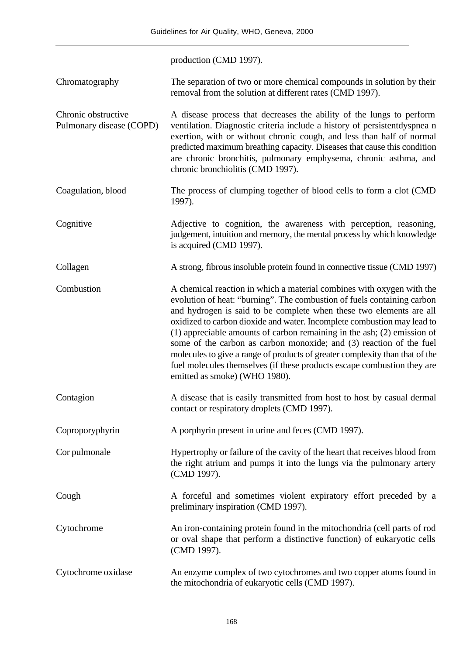|                                                 | production (CMD 1997).                                                                                                                                                                                                                                                                                                                                                                                                                                                                                                                                                                                                                               |
|-------------------------------------------------|------------------------------------------------------------------------------------------------------------------------------------------------------------------------------------------------------------------------------------------------------------------------------------------------------------------------------------------------------------------------------------------------------------------------------------------------------------------------------------------------------------------------------------------------------------------------------------------------------------------------------------------------------|
| Chromatography                                  | The separation of two or more chemical compounds in solution by their<br>removal from the solution at different rates (CMD 1997).                                                                                                                                                                                                                                                                                                                                                                                                                                                                                                                    |
| Chronic obstructive<br>Pulmonary disease (COPD) | A disease process that decreases the ability of the lungs to perform<br>ventilation. Diagnostic criteria include a history of persistentdyspnea n<br>exertion, with or without chronic cough, and less than half of normal<br>predicted maximum breathing capacity. Diseases that cause this condition<br>are chronic bronchitis, pulmonary emphysema, chronic asthma, and<br>chronic bronchiolitis (CMD 1997).                                                                                                                                                                                                                                      |
| Coagulation, blood                              | The process of clumping together of blood cells to form a clot (CMD)<br>1997).                                                                                                                                                                                                                                                                                                                                                                                                                                                                                                                                                                       |
| Cognitive                                       | Adjective to cognition, the awareness with perception, reasoning,<br>judgement, intuition and memory, the mental process by which knowledge<br>is acquired (CMD 1997).                                                                                                                                                                                                                                                                                                                                                                                                                                                                               |
| Collagen                                        | A strong, fibrous insoluble protein found in connective tissue (CMD 1997)                                                                                                                                                                                                                                                                                                                                                                                                                                                                                                                                                                            |
| Combustion                                      | A chemical reaction in which a material combines with oxygen with the<br>evolution of heat: "burning". The combustion of fuels containing carbon<br>and hydrogen is said to be complete when these two elements are all<br>oxidized to carbon dioxide and water. Incomplete combustion may lead to<br>$(1)$ appreciable amounts of carbon remaining in the ash; $(2)$ emission of<br>some of the carbon as carbon monoxide; and (3) reaction of the fuel<br>molecules to give a range of products of greater complexity than that of the<br>fuel molecules themselves (if these products escape combustion they are<br>emitted as smoke) (WHO 1980). |
| Contagion                                       | A disease that is easily transmitted from host to host by casual dermal<br>contact or respiratory droplets (CMD 1997).                                                                                                                                                                                                                                                                                                                                                                                                                                                                                                                               |
| Coproporyphyrin                                 | A porphyrin present in urine and feces (CMD 1997).                                                                                                                                                                                                                                                                                                                                                                                                                                                                                                                                                                                                   |
| Cor pulmonale                                   | Hypertrophy or failure of the cavity of the heart that receives blood from<br>the right atrium and pumps it into the lungs via the pulmonary artery<br>(CMD 1997).                                                                                                                                                                                                                                                                                                                                                                                                                                                                                   |
| Cough                                           | A forceful and sometimes violent expiratory effort preceded by a<br>preliminary inspiration (CMD 1997).                                                                                                                                                                                                                                                                                                                                                                                                                                                                                                                                              |
| Cytochrome                                      | An iron-containing protein found in the mitochondria (cell parts of rod<br>or oval shape that perform a distinctive function) of eukaryotic cells<br>(CMD 1997).                                                                                                                                                                                                                                                                                                                                                                                                                                                                                     |
| Cytochrome oxidase                              | An enzyme complex of two cytochromes and two copper atoms found in<br>the mitochondria of eukaryotic cells (CMD 1997).                                                                                                                                                                                                                                                                                                                                                                                                                                                                                                                               |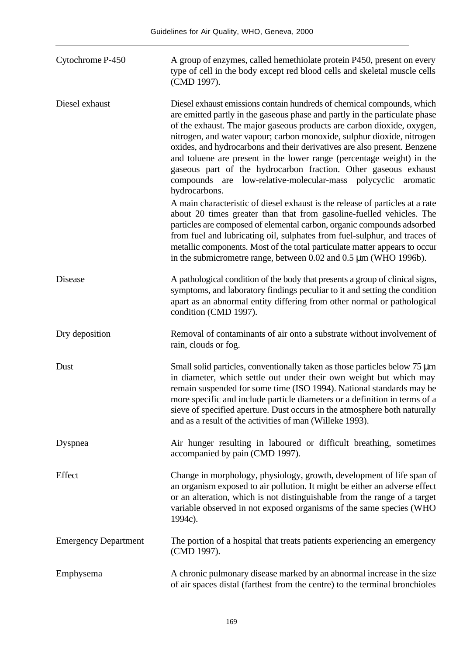| Cytochrome P-450            | A group of enzymes, called hemethiolate protein P450, present on every<br>type of cell in the body except red blood cells and skeletal muscle cells<br>(CMD 1997).                                                                                                                                                                                                                                                                                                                                                                                                                                                  |
|-----------------------------|---------------------------------------------------------------------------------------------------------------------------------------------------------------------------------------------------------------------------------------------------------------------------------------------------------------------------------------------------------------------------------------------------------------------------------------------------------------------------------------------------------------------------------------------------------------------------------------------------------------------|
| Diesel exhaust              | Diesel exhaust emissions contain hundreds of chemical compounds, which<br>are emitted partly in the gaseous phase and partly in the particulate phase<br>of the exhaust. The major gaseous products are carbon dioxide, oxygen,<br>nitrogen, and water vapour; carbon monoxide, sulphur dioxide, nitrogen<br>oxides, and hydrocarbons and their derivatives are also present. Benzene<br>and toluene are present in the lower range (percentage weight) in the<br>gaseous part of the hydrocarbon fraction. Other gaseous exhaust<br>compounds are low-relative-molecular-mass polycyclic aromatic<br>hydrocarbons. |
|                             | A main characteristic of diesel exhaust is the release of particles at a rate<br>about 20 times greater than that from gasoline-fuelled vehicles. The<br>particles are composed of elemental carbon, organic compounds adsorbed<br>from fuel and lubricating oil, sulphates from fuel-sulphur, and traces of<br>metallic components. Most of the total particulate matter appears to occur<br>in the submicrometre range, between 0.02 and 0.5 µm (WHO 1996b).                                                                                                                                                      |
| Disease                     | A pathological condition of the body that presents a group of clinical signs,<br>symptoms, and laboratory findings peculiar to it and setting the condition<br>apart as an abnormal entity differing from other normal or pathological<br>condition (CMD 1997).                                                                                                                                                                                                                                                                                                                                                     |
| Dry deposition              | Removal of contaminants of air onto a substrate without involvement of<br>rain, clouds or fog.                                                                                                                                                                                                                                                                                                                                                                                                                                                                                                                      |
| Dust                        | Small solid particles, conventionally taken as those particles below 75 µm<br>in diameter, which settle out under their own weight but which may<br>remain suspended for some time (ISO 1994). National standards may be<br>more specific and include particle diameters or a definition in terms of a<br>sieve of specified aperture. Dust occurs in the atmosphere both naturally<br>and as a result of the activities of man (Willeke 1993).                                                                                                                                                                     |
| Dyspnea                     | Air hunger resulting in laboured or difficult breathing, sometimes<br>accompanied by pain (CMD 1997).                                                                                                                                                                                                                                                                                                                                                                                                                                                                                                               |
| Effect                      | Change in morphology, physiology, growth, development of life span of<br>an organism exposed to air pollution. It might be either an adverse effect<br>or an alteration, which is not distinguishable from the range of a target<br>variable observed in not exposed organisms of the same species (WHO<br>1994c).                                                                                                                                                                                                                                                                                                  |
| <b>Emergency Department</b> | The portion of a hospital that treats patients experiencing an emergency<br>(CMD 1997).                                                                                                                                                                                                                                                                                                                                                                                                                                                                                                                             |
| Emphysema                   | A chronic pulmonary disease marked by an abnormal increase in the size<br>of air spaces distal (farthest from the centre) to the terminal bronchioles                                                                                                                                                                                                                                                                                                                                                                                                                                                               |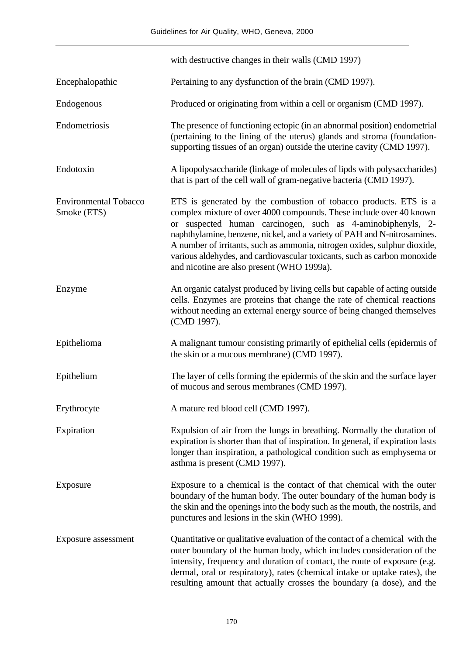|                                             | with destructive changes in their walls (CMD 1997)                                                                                                                                                                                                                                                                                                                                                                                                                                        |
|---------------------------------------------|-------------------------------------------------------------------------------------------------------------------------------------------------------------------------------------------------------------------------------------------------------------------------------------------------------------------------------------------------------------------------------------------------------------------------------------------------------------------------------------------|
| Encephalopathic                             | Pertaining to any dysfunction of the brain (CMD 1997).                                                                                                                                                                                                                                                                                                                                                                                                                                    |
| Endogenous                                  | Produced or originating from within a cell or organism (CMD 1997).                                                                                                                                                                                                                                                                                                                                                                                                                        |
| Endometriosis                               | The presence of functioning ectopic (in an abnormal position) endometrial<br>(pertaining to the lining of the uterus) glands and stroma (foundation-<br>supporting tissues of an organ) outside the uterine cavity (CMD 1997).                                                                                                                                                                                                                                                            |
| Endotoxin                                   | A lipopolysaccharide (linkage of molecules of lipds with polysaccharides)<br>that is part of the cell wall of gram-negative bacteria (CMD 1997).                                                                                                                                                                                                                                                                                                                                          |
| <b>Environmental Tobacco</b><br>Smoke (ETS) | ETS is generated by the combustion of tobacco products. ETS is a<br>complex mixture of over 4000 compounds. These include over 40 known<br>or suspected human carcinogen, such as 4-aminobiphenyls, 2-<br>naphthylamine, benzene, nickel, and a variety of PAH and N-nitrosamines.<br>A number of irritants, such as ammonia, nitrogen oxides, sulphur dioxide,<br>various aldehydes, and cardiovascular toxicants, such as carbon monoxide<br>and nicotine are also present (WHO 1999a). |
| Enzyme                                      | An organic catalyst produced by living cells but capable of acting outside<br>cells. Enzymes are proteins that change the rate of chemical reactions<br>without needing an external energy source of being changed themselves<br>(CMD 1997).                                                                                                                                                                                                                                              |
| Epithelioma                                 | A malignant tumour consisting primarily of epithelial cells (epidermis of<br>the skin or a mucous membrane) (CMD 1997).                                                                                                                                                                                                                                                                                                                                                                   |
| Epithelium                                  | The layer of cells forming the epidermis of the skin and the surface layer<br>of mucous and serous membranes (CMD 1997).                                                                                                                                                                                                                                                                                                                                                                  |
| Erythrocyte                                 | A mature red blood cell (CMD 1997).                                                                                                                                                                                                                                                                                                                                                                                                                                                       |
| Expiration                                  | Expulsion of air from the lungs in breathing. Normally the duration of<br>expiration is shorter than that of inspiration. In general, if expiration lasts<br>longer than inspiration, a pathological condition such as emphysema or<br>asthma is present (CMD 1997).                                                                                                                                                                                                                      |
| Exposure                                    | Exposure to a chemical is the contact of that chemical with the outer<br>boundary of the human body. The outer boundary of the human body is<br>the skin and the openings into the body such as the mouth, the nostrils, and<br>punctures and lesions in the skin (WHO 1999).                                                                                                                                                                                                             |
| Exposure assessment                         | Quantitative or qualitative evaluation of the contact of a chemical with the<br>outer boundary of the human body, which includes consideration of the<br>intensity, frequency and duration of contact, the route of exposure (e.g.<br>dermal, oral or respiratory), rates (chemical intake or uptake rates), the<br>resulting amount that actually crosses the boundary (a dose), and the                                                                                                 |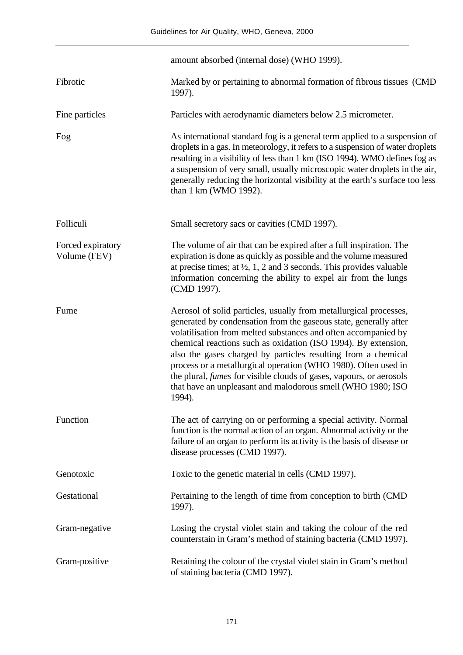|                                   | amount absorbed (internal dose) (WHO 1999).                                                                                                                                                                                                                                                                                                                                                                                                                                                                                                                          |
|-----------------------------------|----------------------------------------------------------------------------------------------------------------------------------------------------------------------------------------------------------------------------------------------------------------------------------------------------------------------------------------------------------------------------------------------------------------------------------------------------------------------------------------------------------------------------------------------------------------------|
| Fibrotic                          | Marked by or pertaining to abnormal formation of fibrous tissues (CMD)<br>1997).                                                                                                                                                                                                                                                                                                                                                                                                                                                                                     |
| Fine particles                    | Particles with aerodynamic diameters below 2.5 micrometer.                                                                                                                                                                                                                                                                                                                                                                                                                                                                                                           |
| Fog                               | As international standard fog is a general term applied to a suspension of<br>droplets in a gas. In meteorology, it refers to a suspension of water droplets<br>resulting in a visibility of less than 1 km (ISO 1994). WMO defines fog as<br>a suspension of very small, usually microscopic water droplets in the air,<br>generally reducing the horizontal visibility at the earth's surface too less<br>than 1 km (WMO 1992).                                                                                                                                    |
| Folliculi                         | Small secretory sacs or cavities (CMD 1997).                                                                                                                                                                                                                                                                                                                                                                                                                                                                                                                         |
| Forced expiratory<br>Volume (FEV) | The volume of air that can be expired after a full inspiration. The<br>expiration is done as quickly as possible and the volume measured<br>at precise times; at $\frac{1}{2}$ , 1, 2 and 3 seconds. This provides valuable<br>information concerning the ability to expel air from the lungs<br>(CMD 1997).                                                                                                                                                                                                                                                         |
| Fume                              | Aerosol of solid particles, usually from metallurgical processes,<br>generated by condensation from the gaseous state, generally after<br>volatilisation from melted substances and often accompanied by<br>chemical reactions such as oxidation (ISO 1994). By extension,<br>also the gases charged by particles resulting from a chemical<br>process or a metallurgical operation (WHO 1980). Often used in<br>the plural, <i>fumes</i> for visible clouds of gases, vapours, or aerosols<br>that have an unpleasant and malodorous smell (WHO 1980; ISO<br>1994). |
| Function                          | The act of carrying on or performing a special activity. Normal<br>function is the normal action of an organ. Abnormal activity or the<br>failure of an organ to perform its activity is the basis of disease or<br>disease processes (CMD 1997).                                                                                                                                                                                                                                                                                                                    |
| Genotoxic                         | Toxic to the genetic material in cells (CMD 1997).                                                                                                                                                                                                                                                                                                                                                                                                                                                                                                                   |
| Gestational                       | Pertaining to the length of time from conception to birth (CMD)<br>1997).                                                                                                                                                                                                                                                                                                                                                                                                                                                                                            |
| Gram-negative                     | Losing the crystal violet stain and taking the colour of the red<br>counterstain in Gram's method of staining bacteria (CMD 1997).                                                                                                                                                                                                                                                                                                                                                                                                                                   |
| Gram-positive                     | Retaining the colour of the crystal violet stain in Gram's method<br>of staining bacteria (CMD 1997).                                                                                                                                                                                                                                                                                                                                                                                                                                                                |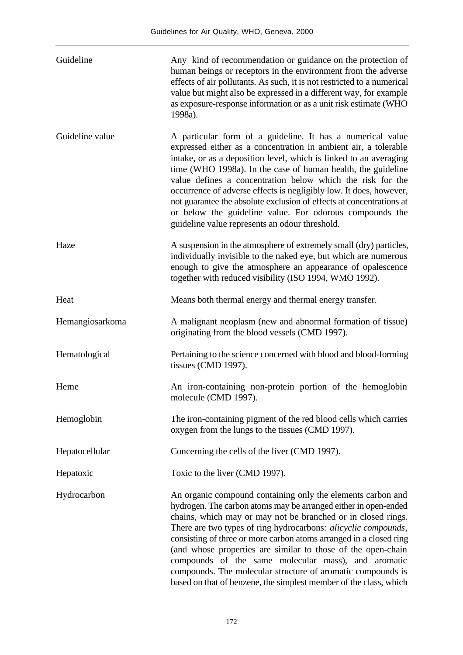| Guideline       | Any kind of recommendation or guidance on the protection of<br>human beings or receptors in the environment from the adverse<br>effects of air pollutants. As such, it is not restricted to a numerical<br>value but might also be expressed in a different way, for example<br>as exposure-response information or as a unit risk estimate (WHO<br>1998a).                                                                                                                                                                                                                                       |
|-----------------|---------------------------------------------------------------------------------------------------------------------------------------------------------------------------------------------------------------------------------------------------------------------------------------------------------------------------------------------------------------------------------------------------------------------------------------------------------------------------------------------------------------------------------------------------------------------------------------------------|
| Guideline value | A particular form of a guideline. It has a numerical value<br>expressed either as a concentration in ambient air, a tolerable<br>intake, or as a deposition level, which is linked to an averaging<br>time (WHO 1998a). In the case of human health, the guideline<br>value defines a concentration below which the risk for the<br>occurrence of adverse effects is negligibly low. It does, however,<br>not guarantee the absolute exclusion of effects at concentrations at<br>or below the guideline value. For odorous compounds the<br>guideline value represents an odour threshold.       |
| Haze            | A suspension in the atmosphere of extremely small (dry) particles,<br>individually invisible to the naked eye, but which are numerous<br>enough to give the atmosphere an appearance of opalescence<br>together with reduced visibility (ISO 1994, WMO 1992).                                                                                                                                                                                                                                                                                                                                     |
| Heat            | Means both thermal energy and thermal energy transfer.                                                                                                                                                                                                                                                                                                                                                                                                                                                                                                                                            |
| Hemangiosarkoma | A malignant neoplasm (new and abnormal formation of tissue)<br>originating from the blood vessels (CMD 1997).                                                                                                                                                                                                                                                                                                                                                                                                                                                                                     |
| Hematological   | Pertaining to the science concerned with blood and blood-forming<br>tissues (CMD 1997).                                                                                                                                                                                                                                                                                                                                                                                                                                                                                                           |
| Heme            | An iron-containing non-protein portion of the hemoglobin<br>molecule (CMD 1997).                                                                                                                                                                                                                                                                                                                                                                                                                                                                                                                  |
| Hemoglobin      | The iron-containing pigment of the red blood cells which carries<br>oxygen from the lungs to the tissues (CMD 1997).                                                                                                                                                                                                                                                                                                                                                                                                                                                                              |
| Hepatocellular  | Concerning the cells of the liver (CMD 1997).                                                                                                                                                                                                                                                                                                                                                                                                                                                                                                                                                     |
| Hepatoxic       | Toxic to the liver (CMD 1997).                                                                                                                                                                                                                                                                                                                                                                                                                                                                                                                                                                    |
| Hydrocarbon     | An organic compound containing only the elements carbon and<br>hydrogen. The carbon atoms may be arranged either in open-ended<br>chains, which may or may not be branched or in closed rings.<br>There are two types of ring hydrocarbons: alicyclic compounds,<br>consisting of three or more carbon atoms arranged in a closed ring<br>(and whose properties are similar to those of the open-chain<br>compounds of the same molecular mass), and aromatic<br>compounds. The molecular structure of aromatic compounds is<br>based on that of benzene, the simplest member of the class, which |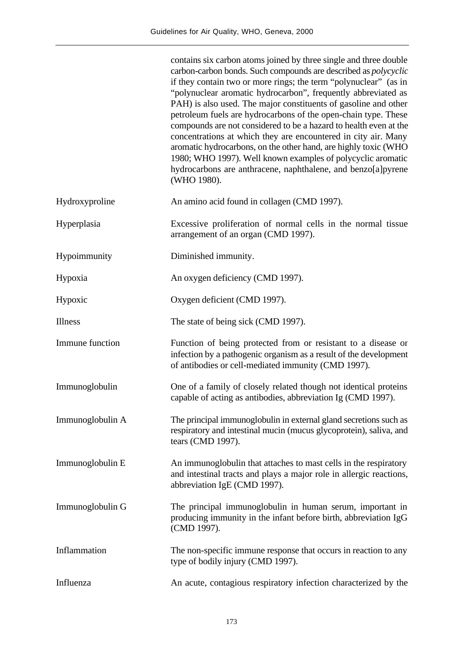|                  | contains six carbon atoms joined by three single and three double<br>carbon-carbon bonds. Such compounds are described as <i>polycyclic</i><br>if they contain two or more rings; the term "polynuclear" (as in<br>"polynuclear aromatic hydrocarbon", frequently abbreviated as<br>PAH) is also used. The major constituents of gasoline and other<br>petroleum fuels are hydrocarbons of the open-chain type. These<br>compounds are not considered to be a hazard to health even at the<br>concentrations at which they are encountered in city air. Many<br>aromatic hydrocarbons, on the other hand, are highly toxic (WHO<br>1980; WHO 1997). Well known examples of polycyclic aromatic<br>hydrocarbons are anthracene, naphthalene, and benzo[a]pyrene<br>(WHO 1980). |
|------------------|-------------------------------------------------------------------------------------------------------------------------------------------------------------------------------------------------------------------------------------------------------------------------------------------------------------------------------------------------------------------------------------------------------------------------------------------------------------------------------------------------------------------------------------------------------------------------------------------------------------------------------------------------------------------------------------------------------------------------------------------------------------------------------|
| Hydroxyproline   | An amino acid found in collagen (CMD 1997).                                                                                                                                                                                                                                                                                                                                                                                                                                                                                                                                                                                                                                                                                                                                   |
| Hyperplasia      | Excessive proliferation of normal cells in the normal tissue<br>arrangement of an organ (CMD 1997).                                                                                                                                                                                                                                                                                                                                                                                                                                                                                                                                                                                                                                                                           |
| Hypoimmunity     | Diminished immunity.                                                                                                                                                                                                                                                                                                                                                                                                                                                                                                                                                                                                                                                                                                                                                          |
| Hypoxia          | An oxygen deficiency (CMD 1997).                                                                                                                                                                                                                                                                                                                                                                                                                                                                                                                                                                                                                                                                                                                                              |
| Hypoxic          | Oxygen deficient (CMD 1997).                                                                                                                                                                                                                                                                                                                                                                                                                                                                                                                                                                                                                                                                                                                                                  |
| Illness          | The state of being sick (CMD 1997).                                                                                                                                                                                                                                                                                                                                                                                                                                                                                                                                                                                                                                                                                                                                           |
| Immune function  | Function of being protected from or resistant to a disease or<br>infection by a pathogenic organism as a result of the development<br>of antibodies or cell-mediated immunity (CMD 1997).                                                                                                                                                                                                                                                                                                                                                                                                                                                                                                                                                                                     |
| Immunoglobulin   | One of a family of closely related though not identical proteins<br>capable of acting as antibodies, abbreviation Ig (CMD 1997).                                                                                                                                                                                                                                                                                                                                                                                                                                                                                                                                                                                                                                              |
| Immunoglobulin A | The principal immunoglobulin in external gland secretions such as<br>respiratory and intestinal mucin (mucus glycoprotein), saliva, and<br>tears (CMD 1997).                                                                                                                                                                                                                                                                                                                                                                                                                                                                                                                                                                                                                  |
| Immunoglobulin E | An immunoglobulin that attaches to mast cells in the respiratory<br>and intestinal tracts and plays a major role in allergic reactions,<br>abbreviation IgE (CMD 1997).                                                                                                                                                                                                                                                                                                                                                                                                                                                                                                                                                                                                       |
| Immunoglobulin G | The principal immunoglobulin in human serum, important in<br>producing immunity in the infant before birth, abbreviation IgG<br>(CMD 1997).                                                                                                                                                                                                                                                                                                                                                                                                                                                                                                                                                                                                                                   |
| Inflammation     | The non-specific immune response that occurs in reaction to any<br>type of bodily injury (CMD 1997).                                                                                                                                                                                                                                                                                                                                                                                                                                                                                                                                                                                                                                                                          |
| Influenza        | An acute, contagious respiratory infection characterized by the                                                                                                                                                                                                                                                                                                                                                                                                                                                                                                                                                                                                                                                                                                               |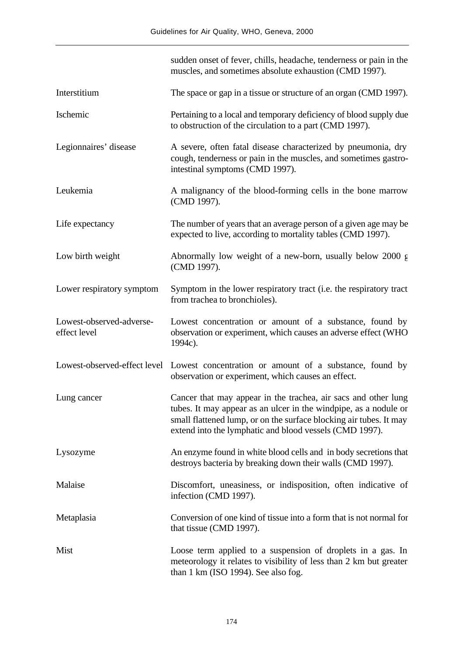|                                          | sudden onset of fever, chills, headache, tenderness or pain in the<br>muscles, and sometimes absolute exhaustion (CMD 1997).                                                                                                                                        |
|------------------------------------------|---------------------------------------------------------------------------------------------------------------------------------------------------------------------------------------------------------------------------------------------------------------------|
| Interstitium                             | The space or gap in a tissue or structure of an organ (CMD 1997).                                                                                                                                                                                                   |
| Ischemic                                 | Pertaining to a local and temporary deficiency of blood supply due<br>to obstruction of the circulation to a part (CMD 1997).                                                                                                                                       |
| Legionnaires' disease                    | A severe, often fatal disease characterized by pneumonia, dry<br>cough, tenderness or pain in the muscles, and sometimes gastro-<br>intestinal symptoms (CMD 1997).                                                                                                 |
| Leukemia                                 | A malignancy of the blood-forming cells in the bone marrow<br>(CMD 1997).                                                                                                                                                                                           |
| Life expectancy                          | The number of years that an average person of a given age may be<br>expected to live, according to mortality tables (CMD 1997).                                                                                                                                     |
| Low birth weight                         | Abnormally low weight of a new-born, usually below 2000 g<br>(CMD 1997).                                                                                                                                                                                            |
| Lower respiratory symptom                | Symptom in the lower respiratory tract (i.e. the respiratory tract<br>from trachea to bronchioles).                                                                                                                                                                 |
| Lowest-observed-adverse-<br>effect level | Lowest concentration or amount of a substance, found by<br>observation or experiment, which causes an adverse effect (WHO<br>1994c).                                                                                                                                |
| Lowest-observed-effect level             | Lowest concentration or amount of a substance, found by<br>observation or experiment, which causes an effect.                                                                                                                                                       |
| Lung cancer                              | Cancer that may appear in the trachea, air sacs and other lung<br>tubes. It may appear as an ulcer in the windpipe, as a nodule or<br>small flattened lump, or on the surface blocking air tubes. It may<br>extend into the lymphatic and blood vessels (CMD 1997). |
| Lysozyme                                 | An enzyme found in white blood cells and in body secretions that<br>destroys bacteria by breaking down their walls (CMD 1997).                                                                                                                                      |
| Malaise                                  | Discomfort, uneasiness, or indisposition, often indicative of<br>infection (CMD 1997).                                                                                                                                                                              |
| Metaplasia                               | Conversion of one kind of tissue into a form that is not normal for<br>that tissue (CMD 1997).                                                                                                                                                                      |
| Mist                                     | Loose term applied to a suspension of droplets in a gas. In<br>meteorology it relates to visibility of less than 2 km but greater<br>than 1 km (ISO 1994). See also fog.                                                                                            |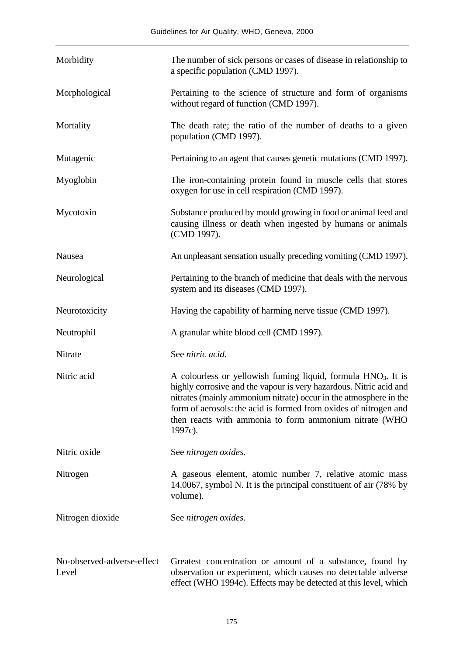| Morbidity                  | The number of sick persons or cases of disease in relationship to<br>a specific population (CMD 1997).                                                                                                                                                                                                                                                        |
|----------------------------|---------------------------------------------------------------------------------------------------------------------------------------------------------------------------------------------------------------------------------------------------------------------------------------------------------------------------------------------------------------|
| Morphological              | Pertaining to the science of structure and form of organisms<br>without regard of function (CMD 1997).                                                                                                                                                                                                                                                        |
| Mortality                  | The death rate; the ratio of the number of deaths to a given<br>population (CMD 1997).                                                                                                                                                                                                                                                                        |
| Mutagenic                  | Pertaining to an agent that causes genetic mutations (CMD 1997).                                                                                                                                                                                                                                                                                              |
| Myoglobin                  | The iron-containing protein found in muscle cells that stores<br>oxygen for use in cell respiration (CMD 1997).                                                                                                                                                                                                                                               |
| Mycotoxin                  | Substance produced by mould growing in food or animal feed and<br>causing illness or death when ingested by humans or animals<br>(CMD 1997).                                                                                                                                                                                                                  |
| Nausea                     | An unpleasant sensation usually preceding vomiting (CMD 1997).                                                                                                                                                                                                                                                                                                |
| Neurological               | Pertaining to the branch of medicine that deals with the nervous<br>system and its diseases (CMD 1997).                                                                                                                                                                                                                                                       |
| Neurotoxicity              | Having the capability of harming nerve tissue (CMD 1997).                                                                                                                                                                                                                                                                                                     |
| Neutrophil                 | A granular white blood cell (CMD 1997).                                                                                                                                                                                                                                                                                                                       |
| Nitrate                    | See nitric acid.                                                                                                                                                                                                                                                                                                                                              |
| Nitric acid                | A colourless or yellowish fuming liquid, formula HNO <sub>3</sub> . It is<br>highly corrosive and the vapour is very hazardous. Nitric acid and<br>nitrates (mainly ammonium nitrate) occur in the atmosphere in the<br>form of aerosols: the acid is formed from oxides of nitrogen and<br>then reacts with ammonia to form ammonium nitrate (WHO<br>1997c). |
| Nitric oxide               | See nitrogen oxides.                                                                                                                                                                                                                                                                                                                                          |
| Nitrogen                   | A gaseous element, atomic number 7, relative atomic mass<br>14.0067, symbol N. It is the principal constituent of air (78% by<br>volume).                                                                                                                                                                                                                     |
| Nitrogen dioxide           | See nitrogen oxides.                                                                                                                                                                                                                                                                                                                                          |
|                            |                                                                                                                                                                                                                                                                                                                                                               |
| No-observed-adverse-effect | Greatest concentration or amount of a substance, found by                                                                                                                                                                                                                                                                                                     |

Level

observation or experiment, which causes no detectable adverse effect (WHO 1994c). Effects may be detected at this level, which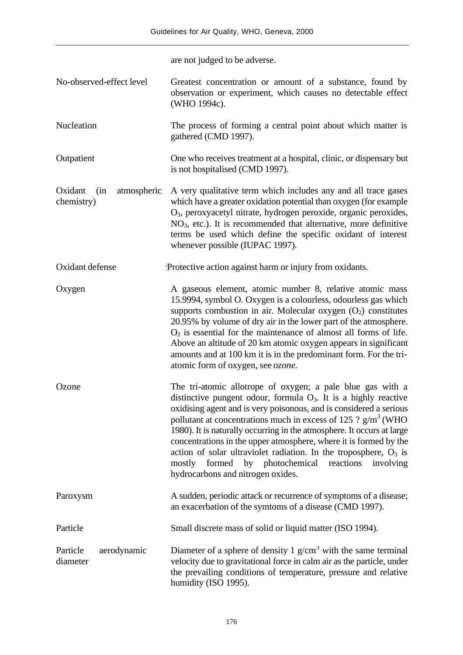|                                             | are not judged to be adverse.                                                                                                                                                                                                                                                                                                                                                                                                                                                                                                                                                                 |
|---------------------------------------------|-----------------------------------------------------------------------------------------------------------------------------------------------------------------------------------------------------------------------------------------------------------------------------------------------------------------------------------------------------------------------------------------------------------------------------------------------------------------------------------------------------------------------------------------------------------------------------------------------|
| No-observed-effect level                    | Greatest concentration or amount of a substance, found by<br>observation or experiment, which causes no detectable effect<br>(WHO 1994c).                                                                                                                                                                                                                                                                                                                                                                                                                                                     |
| Nucleation                                  | The process of forming a central point about which matter is<br>gathered (CMD 1997).                                                                                                                                                                                                                                                                                                                                                                                                                                                                                                          |
| Outpatient                                  | One who receives treatment at a hospital, clinic, or dispensary but<br>is not hospitalised (CMD 1997).                                                                                                                                                                                                                                                                                                                                                                                                                                                                                        |
| Oxidant<br>atmospheric<br>(in<br>chemistry) | A very qualitative term which includes any and all trace gases<br>which have a greater oxidation potential than oxygen (for example<br>O <sub>3</sub> , peroxyacetyl nitrate, hydrogen peroxide, organic peroxides,<br>$NO3$ , etc.). It is recommended that alternative, more definitive<br>terms be used which define the specific oxidant of interest<br>whenever possible (IUPAC 1997).                                                                                                                                                                                                   |
| Oxidant defense                             | Protective action against harm or injury from oxidants.                                                                                                                                                                                                                                                                                                                                                                                                                                                                                                                                       |
| Oxygen                                      | A gaseous element, atomic number 8, relative atomic mass<br>15.9994, symbol O. Oxygen is a colourless, odourless gas which<br>supports combustion in air. Molecular oxygen $(O_2)$ constitutes<br>20.95% by volume of dry air in the lower part of the atmosphere.<br>$O2$ is essential for the maintenance of almost all forms of life.<br>Above an altitude of 20 km atomic oxygen appears in significant<br>amounts and at 100 km it is in the predominant form. For the tri-<br>atomic form of oxygen, see ozone.                                                                         |
| Ozone                                       | The tri-atomic allotrope of oxygen; a pale blue gas with a<br>distinctive pungent odour, formula $O_3$ . It is a highly reactive<br>oxidising agent and is very poisonous, and is considered a serious<br>pollutant at concentrations much in excess of 125 ? $g/m3$ (WHO<br>1980). It is naturally occurring in the atmosphere. It occurs at large<br>concentrations in the upper atmosphere, where it is formed by the<br>action of solar ultraviolet radiation. In the troposphere, $O_3$ is<br>mostly formed by photochemical reactions<br>involving<br>hydrocarbons and nitrogen oxides. |
| Paroxysm                                    | A sudden, periodic attack or recurrence of symptoms of a disease;<br>an exacerbation of the symtoms of a disease (CMD 1997).                                                                                                                                                                                                                                                                                                                                                                                                                                                                  |
| Particle                                    | Small discrete mass of solid or liquid matter (ISO 1994).                                                                                                                                                                                                                                                                                                                                                                                                                                                                                                                                     |
| Particle<br>aerodynamic<br>diameter         | Diameter of a sphere of density 1 $g/cm3$ with the same terminal<br>velocity due to gravitational force in calm air as the particle, under<br>the prevailing conditions of temperature, pressure and relative<br>humidity (ISO 1995).                                                                                                                                                                                                                                                                                                                                                         |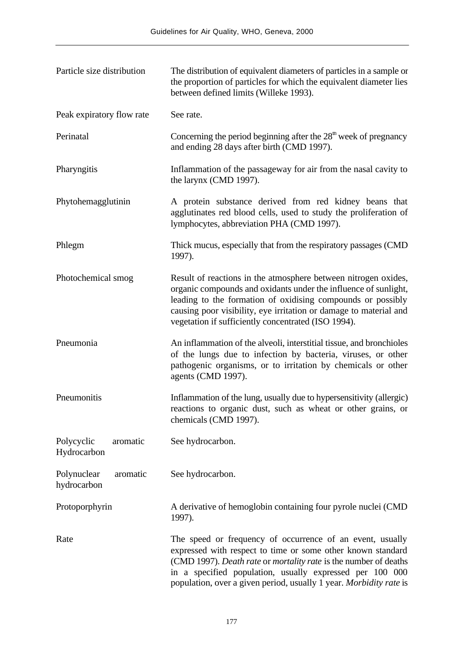| Particle size distribution             | The distribution of equivalent diameters of particles in a sample or<br>the proportion of particles for which the equivalent diameter lies<br>between defined limits (Willeke 1993).                                                                                                                                           |
|----------------------------------------|--------------------------------------------------------------------------------------------------------------------------------------------------------------------------------------------------------------------------------------------------------------------------------------------------------------------------------|
| Peak expiratory flow rate              | See rate.                                                                                                                                                                                                                                                                                                                      |
| Perinatal                              | Concerning the period beginning after the $28th$ week of pregnancy<br>and ending 28 days after birth (CMD 1997).                                                                                                                                                                                                               |
| Pharyngitis                            | Inflammation of the passageway for air from the nasal cavity to<br>the larynx (CMD 1997).                                                                                                                                                                                                                                      |
| Phytohemagglutinin                     | A protein substance derived from red kidney beans that<br>agglutinates red blood cells, used to study the proliferation of<br>lymphocytes, abbreviation PHA (CMD 1997).                                                                                                                                                        |
| Phlegm                                 | Thick mucus, especially that from the respiratory passages (CMD)<br>1997).                                                                                                                                                                                                                                                     |
| Photochemical smog                     | Result of reactions in the atmosphere between nitrogen oxides,<br>organic compounds and oxidants under the influence of sunlight,<br>leading to the formation of oxidising compounds or possibly<br>causing poor visibility, eye irritation or damage to material and<br>vegetation if sufficiently concentrated (ISO 1994).   |
| Pneumonia                              | An inflammation of the alveoli, interstitial tissue, and bronchioles<br>of the lungs due to infection by bacteria, viruses, or other<br>pathogenic organisms, or to irritation by chemicals or other<br>agents (CMD 1997).                                                                                                     |
| Pneumonitis                            | Inflammation of the lung, usually due to hypersensitivity (allergic)<br>reactions to organic dust, such as wheat or other grains, or<br>chemicals (CMD 1997).                                                                                                                                                                  |
| Polycyclic<br>aromatic<br>Hydrocarbon  | See hydrocarbon.                                                                                                                                                                                                                                                                                                               |
| Polynuclear<br>aromatic<br>hydrocarbon | See hydrocarbon.                                                                                                                                                                                                                                                                                                               |
| Protoporphyrin                         | A derivative of hemoglobin containing four pyrole nuclei (CMD<br>1997).                                                                                                                                                                                                                                                        |
| Rate                                   | The speed or frequency of occurrence of an event, usually<br>expressed with respect to time or some other known standard<br>(CMD 1997). Death rate or mortality rate is the number of deaths<br>in a specified population, usually expressed per 100 000<br>population, over a given period, usually 1 year. Morbidity rate is |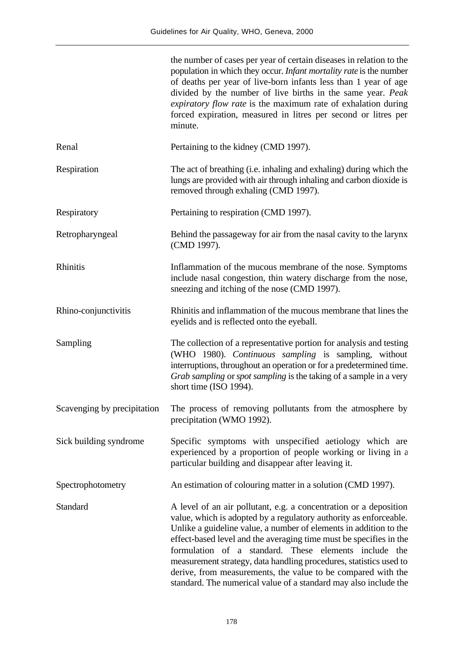|                             | the number of cases per year of certain diseases in relation to the<br>population in which they occur. Infant mortality rate is the number<br>of deaths per year of live-born infants less than 1 year of age<br>divided by the number of live births in the same year. Peak<br>expiratory flow rate is the maximum rate of exhalation during<br>forced expiration, measured in litres per second or litres per<br>minute.                                                                                                                           |
|-----------------------------|------------------------------------------------------------------------------------------------------------------------------------------------------------------------------------------------------------------------------------------------------------------------------------------------------------------------------------------------------------------------------------------------------------------------------------------------------------------------------------------------------------------------------------------------------|
| Renal                       | Pertaining to the kidney (CMD 1997).                                                                                                                                                                                                                                                                                                                                                                                                                                                                                                                 |
| Respiration                 | The act of breathing (i.e. inhaling and exhaling) during which the<br>lungs are provided with air through inhaling and carbon dioxide is<br>removed through exhaling (CMD 1997).                                                                                                                                                                                                                                                                                                                                                                     |
| Respiratory                 | Pertaining to respiration (CMD 1997).                                                                                                                                                                                                                                                                                                                                                                                                                                                                                                                |
| Retropharyngeal             | Behind the passageway for air from the nasal cavity to the larynx<br>(CMD 1997).                                                                                                                                                                                                                                                                                                                                                                                                                                                                     |
| <b>Rhinitis</b>             | Inflammation of the mucous membrane of the nose. Symptoms<br>include nasal congestion, thin watery discharge from the nose,<br>sneezing and itching of the nose (CMD 1997).                                                                                                                                                                                                                                                                                                                                                                          |
| Rhino-conjunctivitis        | Rhinitis and inflammation of the mucous membrane that lines the<br>eyelids and is reflected onto the eyeball.                                                                                                                                                                                                                                                                                                                                                                                                                                        |
| Sampling                    | The collection of a representative portion for analysis and testing<br>(WHO 1980). Continuous sampling is sampling, without<br>interruptions, throughout an operation or for a predetermined time.<br>Grab sampling or spot sampling is the taking of a sample in a very<br>short time (ISO 1994).                                                                                                                                                                                                                                                   |
| Scavenging by precipitation | The process of removing pollutants from the atmosphere by<br>precipitation (WMO 1992).                                                                                                                                                                                                                                                                                                                                                                                                                                                               |
| Sick building syndrome      | Specific symptoms with unspecified aetiology which are<br>experienced by a proportion of people working or living in a<br>particular building and disappear after leaving it.                                                                                                                                                                                                                                                                                                                                                                        |
| Spectrophotometry           | An estimation of colouring matter in a solution (CMD 1997).                                                                                                                                                                                                                                                                                                                                                                                                                                                                                          |
| Standard                    | A level of an air pollutant, e.g. a concentration or a deposition<br>value, which is adopted by a regulatory authority as enforceable.<br>Unlike a guideline value, a number of elements in addition to the<br>effect-based level and the averaging time must be specifies in the<br>formulation of a standard. These elements include the<br>measurement strategy, data handling procedures, statistics used to<br>derive, from measurements, the value to be compared with the<br>standard. The numerical value of a standard may also include the |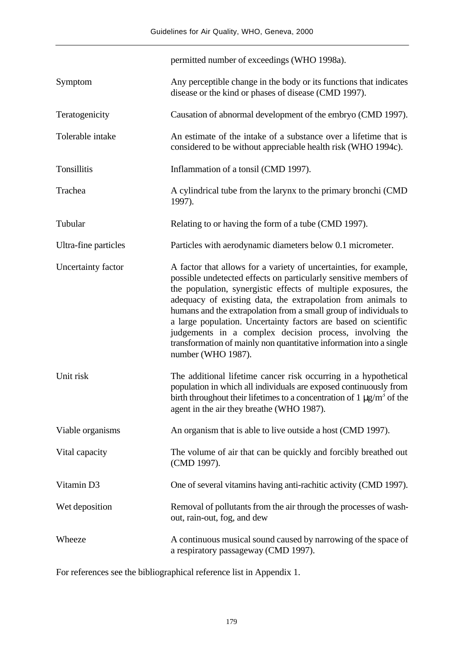|                      | permitted number of exceedings (WHO 1998a).                                                                                                                                                                                                                                                                                                                                                                                                                                                                                                                             |
|----------------------|-------------------------------------------------------------------------------------------------------------------------------------------------------------------------------------------------------------------------------------------------------------------------------------------------------------------------------------------------------------------------------------------------------------------------------------------------------------------------------------------------------------------------------------------------------------------------|
| Symptom              | Any perceptible change in the body or its functions that indicates<br>disease or the kind or phases of disease (CMD 1997).                                                                                                                                                                                                                                                                                                                                                                                                                                              |
| Teratogenicity       | Causation of abnormal development of the embryo (CMD 1997).                                                                                                                                                                                                                                                                                                                                                                                                                                                                                                             |
| Tolerable intake     | An estimate of the intake of a substance over a lifetime that is<br>considered to be without appreciable health risk (WHO 1994c).                                                                                                                                                                                                                                                                                                                                                                                                                                       |
| <b>Tonsillitis</b>   | Inflammation of a tonsil (CMD 1997).                                                                                                                                                                                                                                                                                                                                                                                                                                                                                                                                    |
| Trachea              | A cylindrical tube from the larynx to the primary bronchi (CMD<br>1997).                                                                                                                                                                                                                                                                                                                                                                                                                                                                                                |
| Tubular              | Relating to or having the form of a tube (CMD 1997).                                                                                                                                                                                                                                                                                                                                                                                                                                                                                                                    |
| Ultra-fine particles | Particles with aerodynamic diameters below 0.1 micrometer.                                                                                                                                                                                                                                                                                                                                                                                                                                                                                                              |
| Uncertainty factor   | A factor that allows for a variety of uncertainties, for example,<br>possible undetected effects on particularly sensitive members of<br>the population, synergistic effects of multiple exposures, the<br>adequacy of existing data, the extrapolation from animals to<br>humans and the extrapolation from a small group of individuals to<br>a large population. Uncertainty factors are based on scientific<br>judgements in a complex decision process, involving the<br>transformation of mainly non quantitative information into a single<br>number (WHO 1987). |
| Unit risk            | The additional lifetime cancer risk occurring in a hypothetical<br>population in which all individuals are exposed continuously from<br>birth throughout their lifetimes to a concentration of 1 $\mu$ g/m <sup>3</sup> of the<br>agent in the air they breathe (WHO 1987).                                                                                                                                                                                                                                                                                             |
| Viable organisms     | An organism that is able to live outside a host (CMD 1997).                                                                                                                                                                                                                                                                                                                                                                                                                                                                                                             |
| Vital capacity       | The volume of air that can be quickly and forcibly breathed out<br>(CMD 1997).                                                                                                                                                                                                                                                                                                                                                                                                                                                                                          |
| Vitamin D3           | One of several vitamins having anti-rachitic activity (CMD 1997).                                                                                                                                                                                                                                                                                                                                                                                                                                                                                                       |
| Wet deposition       | Removal of pollutants from the air through the processes of wash-<br>out, rain-out, fog, and dew                                                                                                                                                                                                                                                                                                                                                                                                                                                                        |
| Wheeze               | A continuous musical sound caused by narrowing of the space of<br>a respiratory passageway (CMD 1997).                                                                                                                                                                                                                                                                                                                                                                                                                                                                  |

For references see the bibliographical reference list in Appendix 1.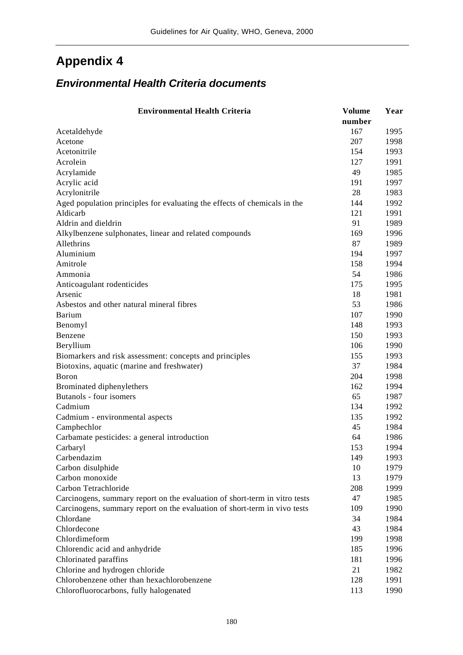### *Environmental Health Criteria documents*

| <b>Environmental Health Criteria</b>                                       | <b>Volume</b> | Year |
|----------------------------------------------------------------------------|---------------|------|
|                                                                            | number        |      |
| Acetaldehyde                                                               | 167           | 1995 |
| Acetone                                                                    | 207           | 1998 |
| Acetonitrile                                                               | 154           | 1993 |
| Acrolein                                                                   | 127           | 1991 |
| Acrylamide                                                                 | 49            | 1985 |
| Acrylic acid                                                               | 191           | 1997 |
| Acrylonitrile                                                              | 28            | 1983 |
| Aged population principles for evaluating the effects of chemicals in the  | 144           | 1992 |
| Aldicarb                                                                   | 121           | 1991 |
| Aldrin and dieldrin                                                        | 91            | 1989 |
| Alkylbenzene sulphonates, linear and related compounds                     | 169           | 1996 |
| Allethrins                                                                 | 87            | 1989 |
| Aluminium                                                                  | 194           | 1997 |
| Amitrole                                                                   | 158           | 1994 |
| Ammonia                                                                    | 54            | 1986 |
| Anticoagulant rodenticides                                                 | 175           | 1995 |
| Arsenic                                                                    | 18            | 1981 |
| Asbestos and other natural mineral fibres                                  | 53            | 1986 |
| <b>Barium</b>                                                              | 107           | 1990 |
| Benomyl                                                                    | 148           | 1993 |
| Benzene                                                                    | 150           | 1993 |
| Beryllium                                                                  | 106           | 1990 |
| Biomarkers and risk assessment: concepts and principles                    | 155           | 1993 |
| Biotoxins, aquatic (marine and freshwater)                                 | 37            | 1984 |
| Boron                                                                      | 204           | 1998 |
| Brominated diphenylethers                                                  | 162           | 1994 |
| Butanols - four isomers                                                    | 65            | 1987 |
| Cadmium                                                                    | 134           | 1992 |
|                                                                            | 135           | 1992 |
| Cadmium - environmental aspects<br>Camphechlor                             | 45            | 1984 |
|                                                                            | 64            | 1986 |
| Carbamate pesticides: a general introduction                               | 153           | 1994 |
| Carbaryl                                                                   |               |      |
| Carbendazim                                                                | 149           | 1993 |
| Carbon disulphide                                                          | 10            | 1979 |
| Carbon monoxide                                                            | 13            | 1979 |
| Carbon Tetrachloride                                                       | 208           | 1999 |
| Carcinogens, summary report on the evaluation of short-term in vitro tests | 47            | 1985 |
| Carcinogens, summary report on the evaluation of short-term in vivo tests  | 109           | 1990 |
| Chlordane                                                                  | 34            | 1984 |
| Chlordecone                                                                | 43            | 1984 |
| Chlordimeform                                                              | 199           | 1998 |
| Chlorendic acid and anhydride                                              | 185           | 1996 |
| Chlorinated paraffins                                                      | 181           | 1996 |
| Chlorine and hydrogen chloride                                             | 21            | 1982 |
| Chlorobenzene other than hexachlorobenzene                                 | 128           | 1991 |
| Chlorofluorocarbons, fully halogenated                                     | 113           | 1990 |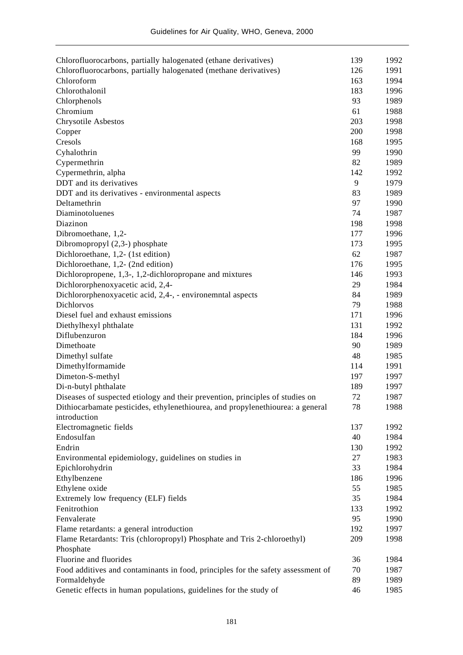| Chlorofluorocarbons, partially halogenated (ethane derivatives)                  | 139 | 1992 |
|----------------------------------------------------------------------------------|-----|------|
| Chlorofluorocarbons, partially halogenated (methane derivatives)                 | 126 | 1991 |
| Chloroform                                                                       | 163 | 1994 |
| Chlorothalonil                                                                   | 183 | 1996 |
| Chlorphenols                                                                     | 93  | 1989 |
| Chromium                                                                         | 61  | 1988 |
| Chrysotile Asbestos                                                              | 203 | 1998 |
|                                                                                  | 200 | 1998 |
| Copper<br>Cresols                                                                | 168 | 1995 |
|                                                                                  |     |      |
| Cyhalothrin                                                                      | 99  | 1990 |
| Cypermethrin                                                                     | 82  | 1989 |
| Cypermethrin, alpha                                                              | 142 | 1992 |
| DDT and its derivatives                                                          | 9   | 1979 |
| DDT and its derivatives - environmental aspects                                  | 83  | 1989 |
| Deltamethrin                                                                     | 97  | 1990 |
| Diaminotoluenes                                                                  | 74  | 1987 |
| Diazinon                                                                         | 198 | 1998 |
| Dibromoethane, 1,2-                                                              | 177 | 1996 |
| Dibromopropyl (2,3-) phosphate                                                   | 173 | 1995 |
| Dichloroethane, 1,2- (1st edition)                                               | 62  | 1987 |
| Dichloroethane, 1,2- (2nd edition)                                               | 176 | 1995 |
| Dichloropropene, 1,3-, 1,2-dichloropropane and mixtures                          | 146 | 1993 |
| Dichlororphenoxyacetic acid, 2,4-                                                | 29  | 1984 |
| Dichlororphenoxyacetic acid, 2,4-, - environemntal aspects                       | 84  | 1989 |
| Dichlorvos                                                                       | 79  | 1988 |
| Diesel fuel and exhaust emissions                                                | 171 | 1996 |
| Diethylhexyl phthalate                                                           | 131 | 1992 |
| Diflubenzuron                                                                    | 184 | 1996 |
| Dimethoate                                                                       | 90  | 1989 |
| Dimethyl sulfate                                                                 | 48  | 1985 |
| Dimethylformamide                                                                | 114 | 1991 |
| Dimeton-S-methyl                                                                 | 197 | 1997 |
| Di-n-butyl phthalate                                                             | 189 | 1997 |
| Diseases of suspected etiology and their prevention, principles of studies on    | 72  | 1987 |
| Dithiocarbamate pesticides, ethylenethiourea, and propylenethiourea: a general   | 78  | 1988 |
| introduction                                                                     |     |      |
| Electromagnetic fields                                                           | 137 | 1992 |
| Endosulfan                                                                       | 40  | 1984 |
| Endrin                                                                           | 130 | 1992 |
| Environmental epidemiology, guidelines on studies in                             | 27  | 1983 |
| Epichlorohydrin                                                                  | 33  | 1984 |
| Ethylbenzene                                                                     | 186 |      |
|                                                                                  |     | 1996 |
| Ethylene oxide                                                                   | 55  | 1985 |
| Extremely low frequency (ELF) fields                                             | 35  | 1984 |
| Fenitrothion                                                                     | 133 | 1992 |
| Fenvalerate                                                                      | 95  | 1990 |
| Flame retardants: a general introduction                                         | 192 | 1997 |
| Flame Retardants: Tris (chloropropyl) Phosphate and Tris 2-chloroethyl)          | 209 | 1998 |
| Phosphate                                                                        |     |      |
| Fluorine and fluorides                                                           | 36  | 1984 |
| Food additives and contaminants in food, principles for the safety assessment of | 70  | 1987 |
| Formaldehyde                                                                     | 89  | 1989 |
| Genetic effects in human populations, guidelines for the study of                | 46  | 1985 |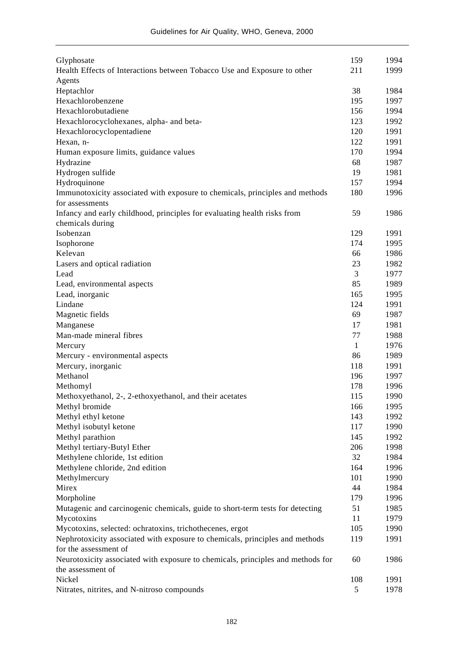| Glyphosate                                                                      | 159 | 1994 |
|---------------------------------------------------------------------------------|-----|------|
| Health Effects of Interactions between Tobacco Use and Exposure to other        | 211 | 1999 |
| Agents                                                                          |     |      |
| Heptachlor                                                                      | 38  | 1984 |
| Hexachlorobenzene                                                               | 195 | 1997 |
| Hexachlorobutadiene                                                             | 156 | 1994 |
| Hexachlorocyclohexanes, alpha- and beta-                                        | 123 | 1992 |
| Hexachlorocyclopentadiene                                                       | 120 | 1991 |
| Hexan, n-                                                                       | 122 | 1991 |
| Human exposure limits, guidance values                                          | 170 | 1994 |
| Hydrazine                                                                       | 68  | 1987 |
| Hydrogen sulfide                                                                | 19  | 1981 |
| Hydroquinone                                                                    | 157 | 1994 |
| Immunotoxicity associated with exposure to chemicals, principles and methods    | 180 | 1996 |
| for assessments                                                                 |     |      |
| Infancy and early childhood, principles for evaluating health risks from        | 59  | 1986 |
| chemicals during                                                                |     |      |
| Isobenzan                                                                       | 129 | 1991 |
| Isophorone                                                                      | 174 | 1995 |
| Kelevan                                                                         | 66  | 1986 |
| Lasers and optical radiation                                                    | 23  | 1982 |
| Lead                                                                            | 3   | 1977 |
| Lead, environmental aspects                                                     | 85  | 1989 |
| Lead, inorganic                                                                 | 165 | 1995 |
| Lindane                                                                         | 124 | 1991 |
| Magnetic fields                                                                 | 69  | 1987 |
| Manganese                                                                       | 17  | 1981 |
| Man-made mineral fibres                                                         | 77  | 1988 |
| Mercury                                                                         | 1   | 1976 |
| Mercury - environmental aspects                                                 | 86  | 1989 |
| Mercury, inorganic                                                              | 118 | 1991 |
| Methanol                                                                        | 196 | 1997 |
| Methomyl                                                                        | 178 | 1996 |
| Methoxyethanol, 2-, 2-ethoxyethanol, and their acetates                         | 115 | 1990 |
| Methyl bromide                                                                  | 166 | 1995 |
| Methyl ethyl ketone                                                             | 143 | 1992 |
| Methyl isobutyl ketone                                                          | 117 | 1990 |
| Methyl parathion                                                                | 145 | 1992 |
| Methyl tertiary-Butyl Ether                                                     | 206 | 1998 |
| Methylene chloride, 1st edition                                                 | 32  | 1984 |
| Methylene chloride, 2nd edition                                                 | 164 | 1996 |
| Methylmercury                                                                   | 101 | 1990 |
| Mirex                                                                           | 44  | 1984 |
| Morpholine                                                                      | 179 | 1996 |
| Mutagenic and carcinogenic chemicals, guide to short-term tests for detecting   | 51  | 1985 |
| Mycotoxins                                                                      | 11  | 1979 |
| Mycotoxins, selected: ochratoxins, trichothecenes, ergot                        | 105 | 1990 |
| Nephrotoxicity associated with exposure to chemicals, principles and methods    | 119 | 1991 |
| for the assessment of                                                           |     |      |
| Neurotoxicity associated with exposure to chemicals, principles and methods for | 60  | 1986 |
| the assessment of                                                               |     |      |
| Nickel                                                                          | 108 | 1991 |
| Nitrates, nitrites, and N-nitroso compounds                                     | 5   | 1978 |
|                                                                                 |     |      |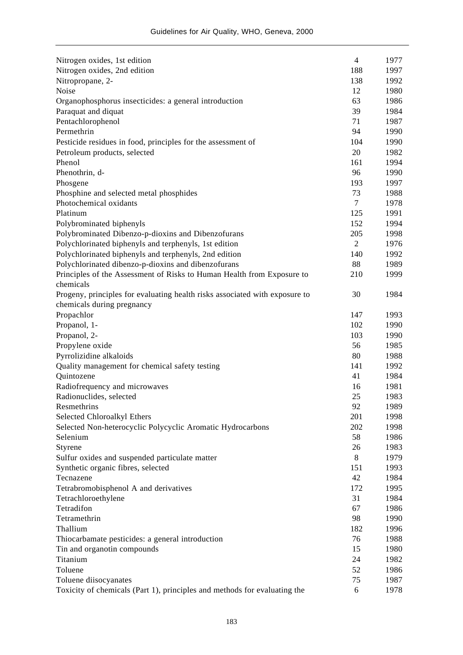| Nitrogen oxides, 1st edition                                                | $\overline{4}$ | 1977 |
|-----------------------------------------------------------------------------|----------------|------|
| Nitrogen oxides, 2nd edition                                                | 188            | 1997 |
| Nitropropane, 2-                                                            | 138            | 1992 |
| Noise                                                                       | 12             | 1980 |
| Organophosphorus insecticides: a general introduction                       | 63             | 1986 |
| Paraquat and diquat                                                         | 39             | 1984 |
| Pentachlorophenol                                                           | 71             | 1987 |
| Permethrin                                                                  | 94             | 1990 |
| Pesticide residues in food, principles for the assessment of                | 104            | 1990 |
| Petroleum products, selected                                                | 20             | 1982 |
| Phenol                                                                      | 161            | 1994 |
| Phenothrin, d-                                                              | 96             | 1990 |
| Phosgene                                                                    | 193            | 1997 |
| Phosphine and selected metal phosphides                                     | 73             | 1988 |
| Photochemical oxidants                                                      | 7              | 1978 |
| Platinum                                                                    | 125            | 1991 |
| Polybrominated biphenyls                                                    | 152            | 1994 |
| Polybrominated Dibenzo-p-dioxins and Dibenzofurans                          | 205            | 1998 |
| Polychlorinated biphenyls and terphenyls, 1st edition                       | $\overline{2}$ | 1976 |
| Polychlorinated biphenyls and terphenyls, 2nd edition                       | 140            | 1992 |
| Polychlorinated dibenzo-p-dioxins and dibenzofurans                         | 88             | 1989 |
| Principles of the Assessment of Risks to Human Health from Exposure to      | 210            | 1999 |
| chemicals                                                                   |                |      |
| Progeny, principles for evaluating health risks associated with exposure to | 30             | 1984 |
| chemicals during pregnancy                                                  |                |      |
| Propachlor                                                                  | 147            | 1993 |
| Propanol, 1-                                                                | 102            | 1990 |
| Propanol, 2-                                                                | 103            | 1990 |
| Propylene oxide                                                             | 56             | 1985 |
| Pyrrolizidine alkaloids                                                     | 80             | 1988 |
| Quality management for chemical safety testing                              | 141            | 1992 |
| Quintozene                                                                  | 41             | 1984 |
| Radiofrequency and microwaves                                               | 16             | 1981 |
| Radionuclides, selected                                                     | 25             | 1983 |
| Resmethrins                                                                 | 92             | 1989 |
| Selected Chloroalkyl Ethers                                                 | 201            | 1998 |
| Selected Non-heterocyclic Polycyclic Aromatic Hydrocarbons                  | 202            | 1998 |
| Selenium                                                                    | 58             | 1986 |
| Styrene                                                                     | 26             | 1983 |
| Sulfur oxides and suspended particulate matter                              | 8              | 1979 |
| Synthetic organic fibres, selected                                          | 151            | 1993 |
| Tecnazene                                                                   | 42             | 1984 |
| Tetrabromobisphenol A and derivatives                                       | 172            | 1995 |
| Tetrachloroethylene                                                         | 31             | 1984 |
| Tetradifon                                                                  | 67             | 1986 |
| Tetramethrin                                                                | 98             | 1990 |
| Thallium                                                                    | 182            | 1996 |
|                                                                             | 76             | 1988 |
| Thiocarbamate pesticides: a general introduction                            |                |      |
| Tin and organotin compounds                                                 | 15             | 1980 |
| Titanium                                                                    | 24             | 1982 |
| Toluene                                                                     | 52             | 1986 |
| Toluene diisocyanates                                                       | 75             | 1987 |
| Toxicity of chemicals (Part 1), principles and methods for evaluating the   | 6              | 1978 |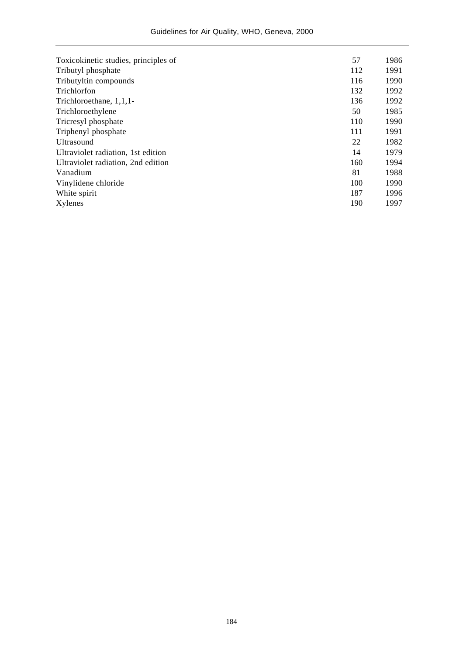| Toxicokinetic studies, principles of | 57  | 1986 |
|--------------------------------------|-----|------|
| Tributyl phosphate                   | 112 | 1991 |
| Tributyltin compounds                | 116 | 1990 |
| Trichlorfon                          | 132 | 1992 |
| Trichloroethane, 1,1,1-              | 136 | 1992 |
| Trichloroethylene                    | 50  | 1985 |
| Tricresyl phosphate                  | 110 | 1990 |
| Triphenyl phosphate                  | 111 | 1991 |
| <b>Ultrasound</b>                    | 22  | 1982 |
| Ultraviolet radiation, 1st edition   | 14  | 1979 |
| Ultraviolet radiation, 2nd edition   | 160 | 1994 |
| Vanadium                             | 81  | 1988 |
| Vinylidene chloride                  | 100 | 1990 |
| White spirit                         | 187 | 1996 |
| Xylenes                              | 190 | 1997 |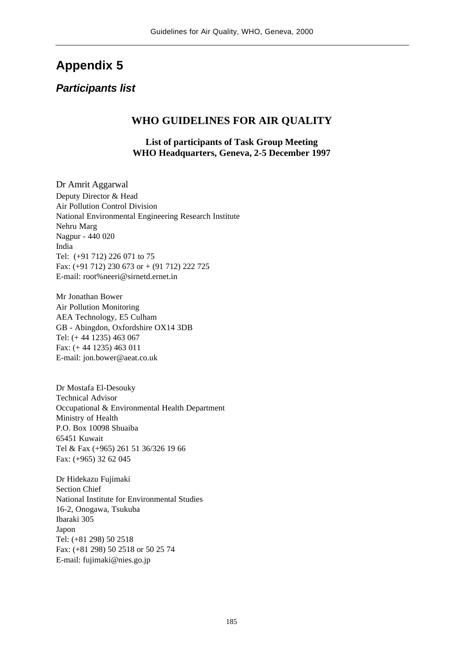### *Participants list*

#### **WHO GUIDELINES FOR AIR QUALITY**

**List of participants of Task Group Meeting WHO Headquarters, Geneva, 2-5 December 1997**

Dr Amrit Aggarwal Deputy Director & Head Air Pollution Control Division National Environmental Engineering Research Institute Nehru Marg Nagpur - 440 020 India Tel: (+91 712) 226 071 to 75 Fax: (+91 712) 230 673 or + (91 712) 222 725 E-mail: root%neeri@sirnetd.ernet.in

Mr Jonathan Bower Air Pollution Monitoring AEA Technology, E5 Culham GB - Abingdon, Oxfordshire OX14 3DB Tel: (+ 44 1235) 463 067 Fax: (+ 44 1235) 463 011 E-mail: jon.bower@aeat.co.uk

Dr Mostafa El-Desouky Technical Advisor Occupational & Environmental Health Department Ministry of Health P.O. Box 10098 Shuaiba 65451 Kuwait Tel & Fax (+965) 261 51 36/326 19 66 Fax: (+965) 32 62 045

Dr Hidekazu Fujimaki Section Chief National Institute for Environmental Studies 16-2, Onogawa, Tsukuba Ibaraki 305 Japon Tel: (+81 298) 50 2518 Fax: (+81 298) 50 2518 or 50 25 74 E-mail: fujimaki@nies.go.jp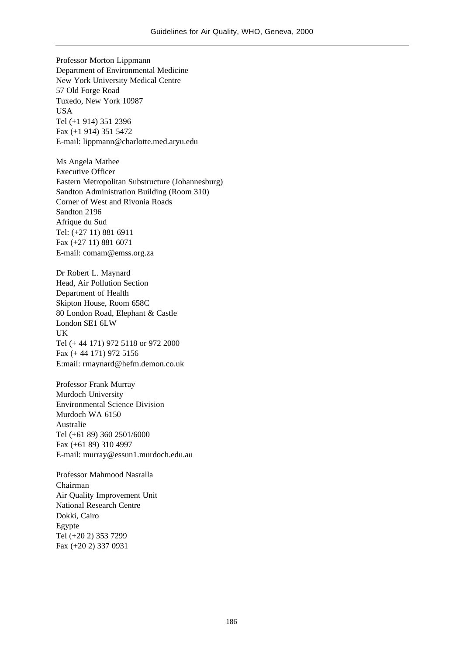Professor Morton Lippmann Department of Environmental Medicine New York University Medical Centre 57 Old Forge Road Tuxedo, New York 10987 USA Tel (+1 914) 351 2396 Fax (+1 914) 351 5472 E-mail: lippmann@charlotte.med.aryu.edu

Ms Angela Mathee Executive Officer Eastern Metropolitan Substructure (Johannesburg) Sandton Administration Building (Room 310) Corner of West and Rivonia Roads Sandton 2196 Afrique du Sud Tel: (+27 11) 881 6911 Fax (+27 11) 881 6071 E-mail: comam@emss.org.za

Dr Robert L. Maynard Head, Air Pollution Section Department of Health Skipton House, Room 658C 80 London Road, Elephant & Castle London SE1 6LW UK Tel (+ 44 171) 972 5118 or 972 2000 Fax (+ 44 171) 972 5156 E:mail: rmaynard@hefm.demon.co.uk

Professor Frank Murray Murdoch University Environmental Science Division Murdoch WA 6150 Australie Tel (+61 89) 360 2501/6000 Fax (+61 89) 310 4997 E-mail: murray@essun1.murdoch.edu.au

Professor Mahmood Nasralla Chairman Air Quality Improvement Unit National Research Centre Dokki, Cairo Egypte Tel (+20 2) 353 7299 Fax (+20 2) 337 0931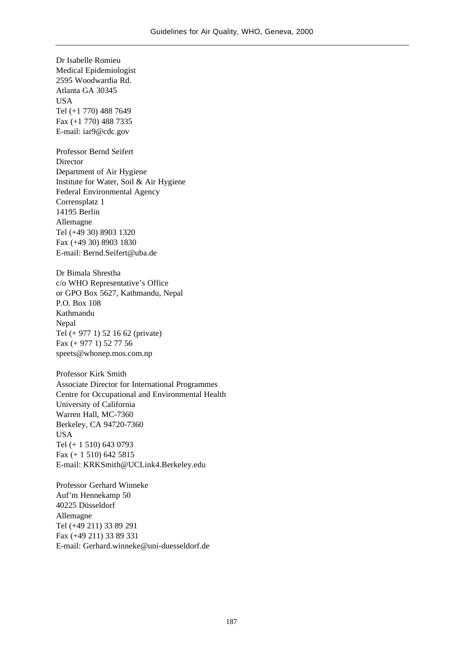Dr Isabelle Romieu Medical Epidemiologist 2595 Woodwardia Rd. Atlanta GA 30345 **USA** Tel (+1 770) 488 7649 Fax (+1 770) 488 7335 E-mail: iar9@cdc.gov

Professor Bernd Seifert **Director** Department of Air Hygiene Institute for Water, Soil & Air Hygiene Federal Environmental Agency Corrensplatz 1 14195 Berlin Allemagne Tel (+49 30) 8903 1320 Fax (+49 30) 8903 1830 E-mail: Bernd.Seifert@uba.de

Dr Bimala Shrestha c/o WHO Representative's Office or GPO Box 5627, Kathmandu, Nepal P.O. Box 108 Kathmandu **Nepal** Tel (+ 977 1) 52 16 62 (private) Fax (+ 977 1) 52 77 56 speets@whonep.mos.com.np

Professor Kirk Smith Associate Director for International Programmes Centre for Occupational and Environmental Health University of California Warren Hall, MC-7360 Berkeley, CA 94720-7360 USA Tel (+ 1 510) 643 0793 Fax (+ 1 510) 642 5815 E-mail: KRKSmith@UCLink4.Berkeley.edu

Professor Gerhard Winneke Auf'm Hennekamp 50 40225 Düsseldorf Allemagne Tel (+49 211) 33 89 291 Fax (+49 211) 33 89 331 E-mail: Gerhard.winneke@uni-duesseldorf.de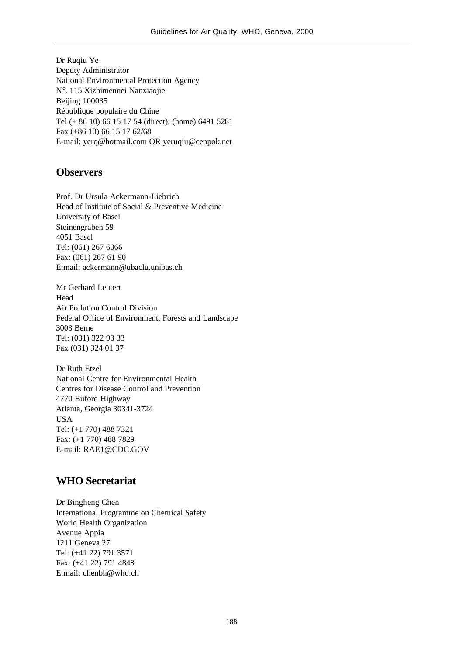Dr Ruqiu Ye Deputy Administrator National Environmental Protection Agency N°. 115 Xizhimennei Nanxiaojie Beijing 100035 République populaire du Chine Tel (+ 86 10) 66 15 17 54 (direct); (home) 6491 5281 Fax (+86 10) 66 15 17 62/68 E-mail: yerq@hotmail.com OR yeruqiu@cenpok.net

#### **Observers**

Prof. Dr Ursula Ackermann-Liebrich Head of Institute of Social & Preventive Medicine University of Basel Steinengraben 59 4051 Basel Tel: (061) 267 6066 Fax: (061) 267 61 90 E:mail: ackermann@ubaclu.unibas.ch

Mr Gerhard Leutert Head Air Pollution Control Division Federal Office of Environment, Forests and Landscape 3003 Berne Tel: (031) 322 93 33 Fax (031) 324 01 37

Dr Ruth Etzel National Centre for Environmental Health Centres for Disease Control and Prevention 4770 Buford Highway Atlanta, Georgia 30341-3724 USA Tel: (+1 770) 488 7321 Fax: (+1 770) 488 7829 E-mail: RAE1@CDC.GOV

#### **WHO Secretariat**

Dr Bingheng Chen International Programme on Chemical Safety World Health Organization Avenue Appia 1211 Geneva 27 Tel: (+41 22) 791 3571 Fax: (+41 22) 791 4848 E:mail: chenbh@who.ch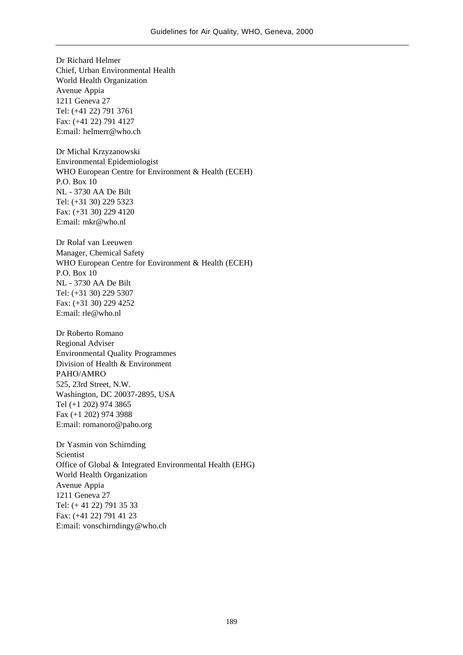Dr Richard Helmer Chief, Urban Environmental Health World Health Organization Avenue Appia 1211 Geneva 27 Tel: (+41 22) 791 3761 Fax: (+41 22) 791 4127 E:mail: helmerr@who.ch

Dr Michal Krzyzanowski Environmental Epidemiologist WHO European Centre for Environment & Health (ECEH) P.O. Box 10 NL - 3730 AA De Bilt Tel: (+31 30) 229 5323 Fax: (+31 30) 229 4120 E:mail: mkr@who.nl

Dr Rolaf van Leeuwen Manager, Chemical Safety WHO European Centre for Environment & Health (ECEH) P.O. Box 10 NL - 3730 AA De Bilt Tel: (+31 30) 229 5307 Fax: (+31 30) 229 4252 E:mail: rle@who.nl

Dr Roberto Romano Regional Adviser Environmental Quality Programmes Division of Health & Environment PAHO/AMRO 525, 23rd Street, N.W. Washington, DC 20037-2895, USA Tel (+1 202) 974 3865 Fax (+1 202) 974 3988 E:mail: romanoro@paho.org

Dr Yasmin von Schirnding Scientist Office of Global & Integrated Environmental Health (EHG) World Health Organization Avenue Appia 1211 Geneva 27 Tel: (+ 41 22) 791 35 33 Fax: (+41 22) 791 41 23 E:mail: vonschirndingy@who.ch